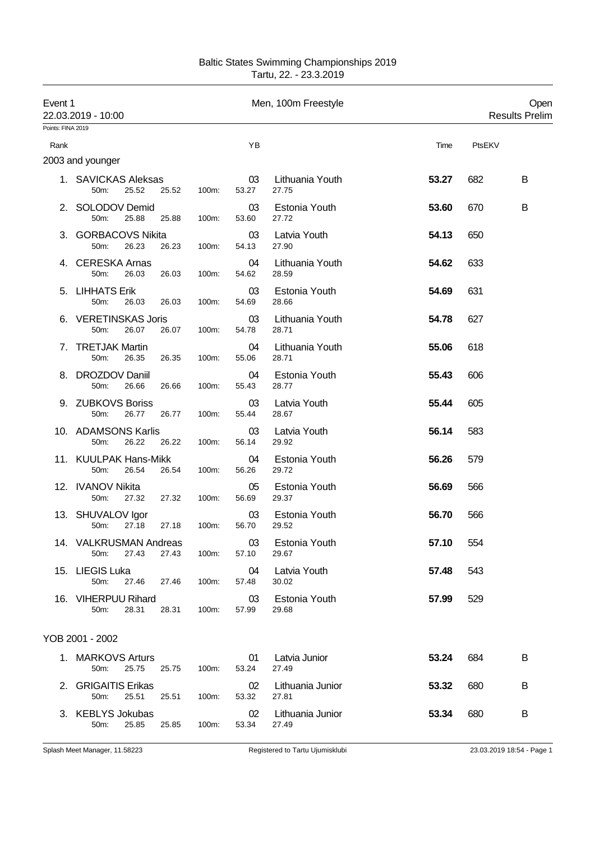| Baltic States Swimming Championships 2019 |
|-------------------------------------------|
| Tartu, 22. - 23.3.2019                    |

| Event 1           | 22.03.2019 - 10:00                               |       |             | Men, 100m Freestyle       |       | Open<br><b>Results Prelim</b> |
|-------------------|--------------------------------------------------|-------|-------------|---------------------------|-------|-------------------------------|
| Points: FINA 2019 |                                                  |       |             |                           |       |                               |
| Rank              |                                                  |       | YB          |                           | Time  | PtsEKV                        |
|                   | 2003 and younger                                 |       |             |                           |       |                               |
|                   | 1. SAVICKAS Aleksas<br>25.52<br>25.52<br>50m:    | 100m: | 03<br>53.27 | Lithuania Youth<br>27.75  | 53.27 | 682<br>B                      |
|                   | 2. SOLODOV Demid<br>50m:<br>25.88<br>25.88       | 100m: | 03<br>53.60 | Estonia Youth<br>27.72    | 53.60 | 670<br>B                      |
|                   | 3. GORBACOVS Nikita<br>26.23<br>26.23<br>50m:    | 100m: | 03<br>54.13 | Latvia Youth<br>27.90     | 54.13 | 650                           |
|                   | 4. CERESKA Arnas<br>26.03<br>26.03<br>50m:       | 100m: | 04<br>54.62 | Lithuania Youth<br>28.59  | 54.62 | 633                           |
|                   | 5. LIHHATS Erik<br>50m:<br>26.03<br>26.03        | 100m: | 03<br>54.69 | Estonia Youth<br>28.66    | 54.69 | 631                           |
|                   | 6. VERETINSKAS Joris<br>26.07<br>50m:<br>26.07   | 100m: | 03<br>54.78 | Lithuania Youth<br>28.71  | 54.78 | 627                           |
|                   | 7. TRETJAK Martin<br>50m:<br>26.35<br>26.35      | 100m: | 04<br>55.06 | Lithuania Youth<br>28.71  | 55.06 | 618                           |
| 8.                | <b>DROZDOV Daniil</b><br>50m:<br>26.66<br>26.66  | 100m: | 04<br>55.43 | Estonia Youth<br>28.77    | 55.43 | 606                           |
|                   | 9. ZUBKOVS Boriss<br>26.77<br>26.77<br>50m:      | 100m: | 03<br>55.44 | Latvia Youth<br>28.67     | 55.44 | 605                           |
|                   | 10. ADAMSONS Karlis<br>50m:<br>26.22<br>26.22    | 100m: | 03<br>56.14 | Latvia Youth<br>29.92     | 56.14 | 583                           |
|                   | 11. KUULPAK Hans-Mikk<br>50m:<br>26.54<br>26.54  | 100m: | 04<br>56.26 | Estonia Youth<br>29.72    | 56.26 | 579                           |
|                   | 12. IVANOV Nikita<br>50m:<br>27.32<br>27.32      | 100m: | 05<br>56.69 | Estonia Youth<br>29.37    | 56.69 | 566                           |
|                   | 13. SHUVALOV Igor<br>27.18<br>50m:<br>27.18      | 100m: | 03<br>56.70 | Estonia Youth<br>29.52    | 56.70 | 566                           |
|                   | 14. VALKRUSMAN Andreas<br>27.43<br>27.43<br>50m: | 100m: | 03<br>57.10 | Estonia Youth<br>29.67    | 57.10 | 554                           |
|                   | 15. LIEGIS Luka<br>50m:<br>27.46<br>27.46        | 100m: | 04<br>57.48 | Latvia Youth<br>30.02     | 57.48 | 543                           |
|                   | 16. VIHERPUU Rihard<br>50m:<br>28.31<br>28.31    | 100m: | 03<br>57.99 | Estonia Youth<br>29.68    | 57.99 | 529                           |
|                   | YOB 2001 - 2002                                  |       |             |                           |       |                               |
|                   | 1. MARKOVS Arturs<br>25.75<br>50m:<br>25.75      | 100m: | 01<br>53.24 | Latvia Junior<br>27.49    | 53.24 | 684<br>B                      |
|                   | 2. GRIGAITIS Erikas<br>25.51<br>50m:<br>25.51    | 100m: | 02<br>53.32 | Lithuania Junior<br>27.81 | 53.32 | 680<br>B                      |
|                   | 3. KEBLYS Jokubas<br>50m:<br>25.85<br>25.85      | 100m: | 02<br>53.34 | Lithuania Junior<br>27.49 | 53.34 | В<br>680                      |
|                   |                                                  |       |             |                           |       |                               |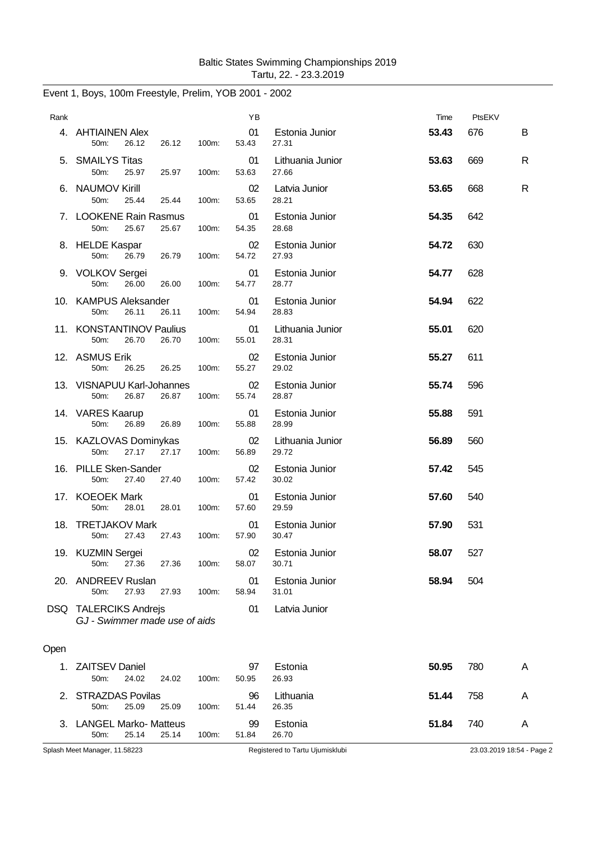|      | Event 1, Boys, 100m Freestyle, Prelim, YOB 2001 - 2002 |       |             |                           |       |        |   |
|------|--------------------------------------------------------|-------|-------------|---------------------------|-------|--------|---|
| Rank |                                                        |       | YB          |                           | Time  | PtsEKV |   |
|      | 4. AHTIAINEN Alex<br>50m:<br>26.12<br>26.12            | 100m: | 01<br>53.43 | Estonia Junior<br>27.31   | 53.43 | 676    | B |
|      | 5. SMAILYS Titas<br>50m:<br>25.97<br>25.97             | 100m: | 01<br>53.63 | Lithuania Junior<br>27.66 | 53.63 | 669    | R |
|      | 6. NAUMOV Kirill<br>50m:<br>25.44<br>25.44             | 100m: | 02<br>53.65 | Latvia Junior<br>28.21    | 53.65 | 668    | R |
|      | 7. LOOKENE Rain Rasmus<br>50m:<br>25.67<br>25.67       | 100m: | 01<br>54.35 | Estonia Junior<br>28.68   | 54.35 | 642    |   |
|      | 8. HELDE Kaspar<br>50m:<br>26.79<br>26.79              | 100m: | 02<br>54.72 | Estonia Junior<br>27.93   | 54.72 | 630    |   |
|      | 9. VOLKOV Sergei<br>26.00<br>50m:<br>26.00             | 100m: | 01<br>54.77 | Estonia Junior<br>28.77   | 54.77 | 628    |   |
|      | 10. KAMPUS Aleksander<br>26.11<br>26.11<br>50m:        | 100m: | 01<br>54.94 | Estonia Junior<br>28.83   | 54.94 | 622    |   |
|      | 11. KONSTANTINOV Paulius<br>50m:<br>26.70<br>26.70     | 100m: | 01<br>55.01 | Lithuania Junior<br>28.31 | 55.01 | 620    |   |
|      | 12. ASMUS Erik<br>50m:<br>26.25<br>26.25               | 100m: | 02<br>55.27 | Estonia Junior<br>29.02   | 55.27 | 611    |   |
|      | 13. VISNAPUU Karl-Johannes<br>50m:<br>26.87<br>26.87   | 100m: | 02<br>55.74 | Estonia Junior<br>28.87   | 55.74 | 596    |   |
|      | 14. VARES Kaarup<br>50m:<br>26.89<br>26.89             | 100m: | 01<br>55.88 | Estonia Junior<br>28.99   | 55.88 | 591    |   |
|      | 15. KAZLOVAS Dominykas<br>27.17<br>27.17<br>50m:       | 100m: | 02<br>56.89 | Lithuania Junior<br>29.72 | 56.89 | 560    |   |
|      | 16. PILLE Sken-Sander<br>50m:<br>27.40<br>27.40        | 100m: | 02<br>57.42 | Estonia Junior<br>30.02   | 57.42 | 545    |   |
|      | 17. KOEOEK Mark<br>50m:<br>28.01<br>28.01              | 100m: | 01<br>57.60 | Estonia Junior<br>29.59   | 57.60 | 540    |   |
|      | 18. TRETJAKOV Mark<br>27.43<br>$50m$ :<br>27.43        | 100m: | 01<br>57.90 | Estonia Junior<br>30.47   | 57.90 | 531    |   |
|      | 19. KUZMIN Sergei<br>27.36<br>50m:<br>27.36            | 100m: | 02<br>58.07 | Estonia Junior<br>30.71   | 58.07 | 527    |   |
|      | 20. ANDREEV Ruslan<br>27.93<br>50m:<br>27.93           | 100m: | 01<br>58.94 | Estonia Junior<br>31.01   | 58.94 | 504    |   |
|      | DSQ TALERCIKS Andrejs<br>GJ - Swimmer made use of aids |       | 01          | Latvia Junior             |       |        |   |
| Open |                                                        |       |             |                           |       |        |   |
| 1.   | <b>ZAITSEV Daniel</b><br>50m:<br>24.02<br>24.02        | 100m: | 97<br>50.95 | Estonia<br>26.93          | 50.95 | 780    | A |
| 2.   | <b>STRAZDAS Povilas</b><br>50m:<br>25.09<br>25.09      | 100m: | 96<br>51.44 | Lithuania<br>26.35        | 51.44 | 758    | Α |
|      | 3. LANGEL Marko- Matteus<br>50m:<br>25.14<br>25.14     | 100m: | 99<br>51.84 | Estonia<br>26.70          | 51.84 | 740    | A |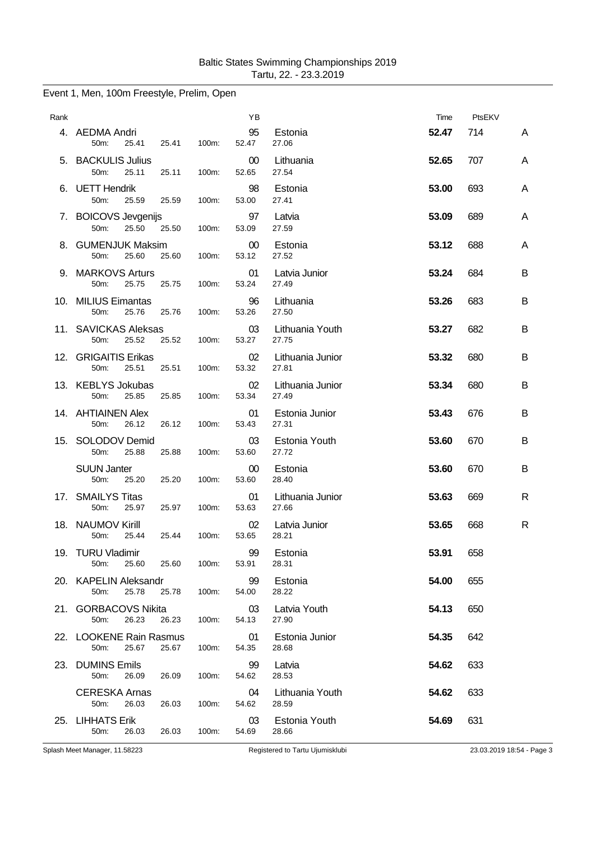| Rank |                                                             |       | YB          |                           | Time  | PtsEKV |   |
|------|-------------------------------------------------------------|-------|-------------|---------------------------|-------|--------|---|
|      | 4. AEDMA Andri<br>50m:<br>25.41<br>25.41                    | 100m: | 95<br>52.47 | Estonia<br>27.06          | 52.47 | 714    | A |
|      | 5. BACKULIS Julius<br>50m:<br>25.11<br>25.11                | 100m: | 00<br>52.65 | Lithuania<br>27.54        | 52.65 | 707    | A |
|      | 6. UETT Hendrik<br>50m:<br>25.59<br>25.59                   | 100m: | 98<br>53.00 | Estonia<br>27.41          | 53.00 | 693    | A |
|      | 7. BOICOVS Jevgenijs<br>50m:<br>25.50<br>25.50              | 100m: | 97<br>53.09 | Latvia<br>27.59           | 53.09 | 689    | A |
|      | 8. GUMENJUK Maksim<br>50m:<br>25.60<br>25.60                | 100m: | 00<br>53.12 | Estonia<br>27.52          | 53.12 | 688    | A |
|      | 9. MARKOVS Arturs<br>50m:<br>25.75<br>25.75                 | 100m: | 01<br>53.24 | Latvia Junior<br>27.49    | 53.24 | 684    | B |
|      | 10. MILIUS Eimantas<br>50m:<br>25.76<br>25.76               | 100m: | 96<br>53.26 | Lithuania<br>27.50        | 53.26 | 683    | B |
|      | 11. SAVICKAS Aleksas<br>25.52<br>25.52<br>50 <sub>m</sub> : | 100m: | 03<br>53.27 | Lithuania Youth<br>27.75  | 53.27 | 682    | В |
|      | 12. GRIGAITIS Erikas<br>50m:<br>25.51<br>25.51              | 100m: | 02<br>53.32 | Lithuania Junior<br>27.81 | 53.32 | 680    | B |
|      | 13. KEBLYS Jokubas<br>50m:<br>25.85<br>25.85                | 100m: | 02<br>53.34 | Lithuania Junior<br>27.49 | 53.34 | 680    | B |
|      | 14. AHTIAINEN Alex<br>26.12<br>26.12<br>50m:                | 100m: | 01<br>53.43 | Estonia Junior<br>27.31   | 53.43 | 676    | B |
| 15.  | SOLODOV Demid<br>50m:<br>25.88<br>25.88                     | 100m: | 03<br>53.60 | Estonia Youth<br>27.72    | 53.60 | 670    | B |
|      | <b>SUUN Janter</b><br>50m:<br>25.20<br>25.20                | 100m: | 00<br>53.60 | Estonia<br>28.40          | 53.60 | 670    | B |
|      | 17. SMAILYS Titas<br>25.97<br>25.97<br>50m:                 | 100m: | 01<br>53.63 | Lithuania Junior<br>27.66 | 53.63 | 669    | R |
|      | 18. NAUMOV Kirill<br>50m:<br>25.44<br>25.44                 | 100m: | 02<br>53.65 | Latvia Junior<br>28.21    | 53.65 | 668    | R |
|      | 19. TURU Vladimir<br>25.60<br>50m:<br>25.60                 | 100m: | 99<br>53.91 | Estonia<br>28.31          | 53.91 | 658    |   |
|      | 20. KAPELIN Aleksandr<br>50m:<br>25.78<br>25.78             | 100m: | 99<br>54.00 | Estonia<br>28.22          | 54.00 | 655    |   |
|      | 21. GORBACOVS Nikita<br>26.23<br>26.23<br>50m:              | 100m: | 03<br>54.13 | Latvia Youth<br>27.90     | 54.13 | 650    |   |
|      | 22. LOOKENE Rain Rasmus<br>50m:<br>25.67<br>25.67           | 100m: | 01<br>54.35 | Estonia Junior<br>28.68   | 54.35 | 642    |   |
|      | 23. DUMINS Emils<br>50m:<br>26.09<br>26.09                  | 100m: | 99<br>54.62 | Latvia<br>28.53           | 54.62 | 633    |   |
|      | <b>CERESKA Arnas</b><br>26.03<br>50m:<br>26.03              | 100m: | 04<br>54.62 | Lithuania Youth<br>28.59  | 54.62 | 633    |   |
|      | 25. LIHHATS Erik<br>50m:<br>26.03<br>26.03                  | 100m: | 03<br>54.69 | Estonia Youth<br>28.66    | 54.69 | 631    |   |

## Event 1, Men, 100m Freestyle, Prelim, Open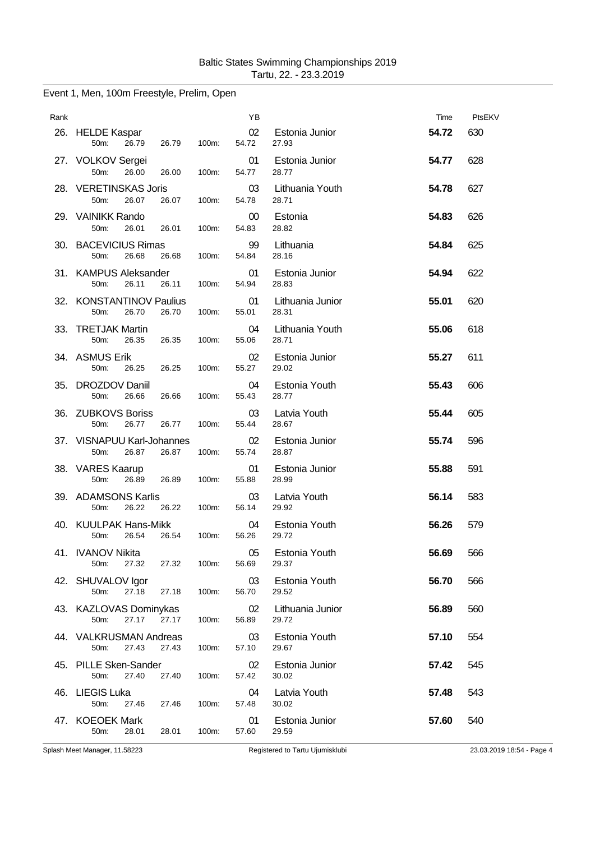| Rank |                                                      |       | YB          |                           | Time  | PtsEKV |
|------|------------------------------------------------------|-------|-------------|---------------------------|-------|--------|
|      | 26. HELDE Kaspar<br>50m:<br>26.79<br>26.79           | 100m: | 02<br>54.72 | Estonia Junior<br>27.93   | 54.72 | 630    |
|      | 27. VOLKOV Sergei<br>50m:<br>26.00<br>26.00          | 100m: | 01<br>54.77 | Estonia Junior<br>28.77   | 54.77 | 628    |
|      | 28. VERETINSKAS Joris<br>50m:<br>26.07<br>26.07      | 100m: | 03<br>54.78 | Lithuania Youth<br>28.71  | 54.78 | 627    |
|      | 29. VAINIKK Rando<br>50m:<br>26.01<br>26.01          | 100m: | 00<br>54.83 | Estonia<br>28.82          | 54.83 | 626    |
|      | 30. BACEVICIUS Rimas<br>50m:<br>26.68<br>26.68       | 100m: | 99<br>54.84 | Lithuania<br>28.16        | 54.84 | 625    |
|      | 31. KAMPUS Aleksander<br>50m:<br>26.11<br>26.11      | 100m: | 01<br>54.94 | Estonia Junior<br>28.83   | 54.94 | 622    |
|      | 32. KONSTANTINOV Paulius<br>50m:<br>26.70<br>26.70   | 100m: | 01<br>55.01 | Lithuania Junior<br>28.31 | 55.01 | 620    |
| 33.  | <b>TRETJAK Martin</b><br>26.35<br>26.35<br>50m:      | 100m: | 04<br>55.06 | Lithuania Youth<br>28.71  | 55.06 | 618    |
|      | 34. ASMUS Erik<br>50m:<br>26.25<br>26.25             | 100m: | 02<br>55.27 | Estonia Junior<br>29.02   | 55.27 | 611    |
| 35.  | <b>DROZDOV Daniil</b><br>50m:<br>26.66<br>26.66      | 100m: | 04<br>55.43 | Estonia Youth<br>28.77    | 55.43 | 606    |
| 36.  | <b>ZUBKOVS Boriss</b><br>26.77<br>26.77<br>50m:      | 100m: | 03<br>55.44 | Latvia Youth<br>28.67     | 55.44 | 605    |
|      | 37. VISNAPUU Karl-Johannes<br>50m:<br>26.87<br>26.87 | 100m: | 02<br>55.74 | Estonia Junior<br>28.87   | 55.74 | 596    |
|      | 38. VARES Kaarup<br>50m:<br>26.89<br>26.89           | 100m: | 01<br>55.88 | Estonia Junior<br>28.99   | 55.88 | 591    |
|      | 39. ADAMSONS Karlis<br>26.22<br>26.22<br>50m:        | 100m: | 03<br>56.14 | Latvia Youth<br>29.92     | 56.14 | 583    |
|      | 40. KUULPAK Hans-Mikk<br>50m:<br>26.54<br>26.54      | 100m: | 04<br>56.26 | Estonia Youth<br>29.72    | 56.26 | 579    |
|      | 41. IVANOV Nikita<br>27.32<br>50m:<br>27.32          | 100m: | 05<br>56.69 | Estonia Youth<br>29.37    | 56.69 | 566    |
|      | 42. SHUVALOV Igor<br>50m:<br>27.18<br>27.18          | 100m: | 03<br>56.70 | Estonia Youth<br>29.52    | 56.70 | 566    |
|      | 43. KAZLOVAS Dominykas<br>50m:<br>27.17<br>27.17     | 100m: | 02<br>56.89 | Lithuania Junior<br>29.72 | 56.89 | 560    |
|      | 44. VALKRUSMAN Andreas<br>50m:<br>27.43<br>27.43     | 100m: | 03<br>57.10 | Estonia Youth<br>29.67    | 57.10 | 554    |
|      | 45. PILLE Sken-Sander<br>27.40<br>27.40<br>50m:      | 100m: | 02<br>57.42 | Estonia Junior<br>30.02   | 57.42 | 545    |
|      | 46. LIEGIS Luka<br>50m:<br>27.46<br>27.46            | 100m: | 04<br>57.48 | Latvia Youth<br>30.02     | 57.48 | 543    |
|      | 47. KOEOEK Mark<br>50m:<br>28.01<br>28.01            | 100m: | 01<br>57.60 | Estonia Junior<br>29.59   | 57.60 | 540    |

# Event 1, Men, 100m Freestyle, Prelim, Open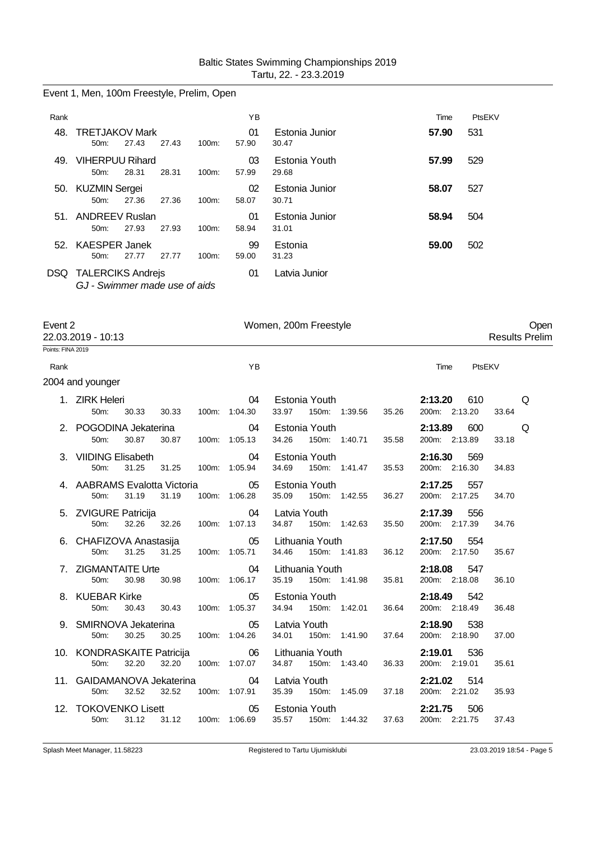Event 1, Men, 100m Freestyle, Prelim, Open

| Rank |                                                           |       |       |          | ΥB          |                         | Time  | PtsEKV |
|------|-----------------------------------------------------------|-------|-------|----------|-------------|-------------------------|-------|--------|
| 48.  | <b>TRETJAKOV Mark</b><br>$50m$ :                          | 27.43 | 27.43 | 100m:    | 01<br>57.90 | Estonia Junior<br>30.47 | 57.90 | 531    |
| 49.  | <b>VIHERPUU Rihard</b><br>$50m$ :                         | 28.31 | 28.31 | $100m$ : | 03<br>57.99 | Estonia Youth<br>29.68  | 57.99 | 529    |
|      | 50. KUZMIN Sergei<br>$50m$ :                              | 27.36 | 27.36 | $100m$ : | 02<br>58.07 | Estonia Junior<br>30.71 | 58.07 | 527    |
|      | 51. ANDREEV Ruslan<br>$50m$ :                             | 27.93 | 27.93 | $100m$ : | 01<br>58.94 | Estonia Junior<br>31.01 | 58.94 | 504    |
| 52.  | <b>KAESPER Janek</b><br>$50m$ :                           | 27.77 | 27.77 | $100m$ : | 99<br>59.00 | Estonia<br>31.23        | 59.00 | 502    |
| DSQ. | <b>TALERCIKS Andrejs</b><br>GJ - Swimmer made use of aids |       |       |          | 01          | Latvia Junior           |       |        |

| Women, 200m Freestyle<br>Event 2<br>22.03.2019 - 10:13 |                                                  |                           |                            |                                                                |                                 | Open<br><b>Results Prelim</b> |
|--------------------------------------------------------|--------------------------------------------------|---------------------------|----------------------------|----------------------------------------------------------------|---------------------------------|-------------------------------|
| Points: FINA 2019                                      |                                                  |                           |                            |                                                                |                                 |                               |
| Rank                                                   |                                                  |                           | YB                         |                                                                | Time                            | PtsEKV                        |
|                                                        | 2004 and younger                                 |                           |                            |                                                                |                                 |                               |
|                                                        | 1. ZIRK Heleri<br>50m:<br>30.33                  | 30.33                     | 04<br>100m: 1:04.30        | Estonia Youth <b>Example</b><br>33.97 150m: 1:39.56<br>35.26   | 2:13.20<br>610<br>200m: 2:13.20 | Q<br>33.64                    |
|                                                        | 2. POGODINA Jekaterina<br>50m:<br>30.87          | 30.87  100m: 1:05.13      | 04                         | Estonia Youth<br>34.26<br>150m: 1:40.71<br>35.58               | 2:13.89<br>600<br>200m: 2:13.89 | Q<br>33.18                    |
|                                                        | 3. VIIDING Elisabeth<br>31.25<br>50m:            | 31.25                     | 04<br>100m: 1:05.94        | Estonia Youth<br>34.69<br>150m: 1:41.47<br>35.53               | 2:16.30<br>569<br>200m: 2:16.30 | 34.83                         |
|                                                        | 4. AABRAMS Evalotta Victoria 65<br>50m:<br>31.19 | 31.19                     | 100m: 1:06.28              | Estonia Youth<br>35.09<br>150m: 1:42.55<br>36.27               | 2:17.25<br>557<br>200m: 2:17.25 | 34.70                         |
|                                                        | 5. ZVIGURE Patricija<br>50m:                     | 32.26 32.26 100m: 1:07.13 | 04                         | Latvia Youth<br>34.87<br>150m: 1:42.63<br>35.50                | 2:17.39<br>556<br>200m: 2:17.39 | 34.76                         |
|                                                        | 6. CHAFIZOVA Anastasija<br>31.25<br>50m:         | 31.25                     | 05<br>100m: 1:05.71        | Lithuania Youth <b>Example</b><br>34.46 150m: 1:41.83<br>36.12 | 2:17.50<br>554<br>200m: 2:17.50 | 35.67                         |
|                                                        | 7. ZIGMANTAITE Urte<br>50m:<br>30.98             | 30.98                     | 04<br>100m: 1:06.17        | Lithuania Youth<br>35.19<br>150m: 1:41.98<br>35.81             | 2:18.08<br>547<br>200m: 2:18.08 | 36.10                         |
|                                                        | 8. KUEBAR Kirke<br>50m:<br>30.43                 | 30.43                     | 05<br>100m: 1:05.37        | Estonia Youth<br>34.94 150m: 1:42.01<br>36.64                  | 2:18.49<br>542<br>200m: 2:18.49 | 36.48                         |
|                                                        | 9. SMIRNOVA Jekaterina<br>30.25<br>50m:          | 30.25                     | 05<br>100m: 1:04.26        | Latvia Youth<br>34.01  150m: 1:41.90<br>37.64                  | 2:18.90<br>538<br>200m: 2:18.90 | 37.00                         |
|                                                        | 10. KONDRASKAITE Patricija<br>50m:<br>32.20      | 32.20                     | 06<br>100m: 1:07.07        | Lithuania Youth<br>34.87<br>150m: 1:43.40<br>36.33             | 2:19.01<br>536<br>200m: 2:19.01 | 35.61                         |
|                                                        | 11. GAIDAMANOVA Jekaterina<br>50m:<br>32.52      | 32.52                     | $\sim$ 04<br>100m: 1:07.91 | Latvia Youth<br>35.39 150m: 1:45.09<br>37.18                   | 2:21.02<br>514<br>200m: 2:21.02 | 35.93                         |
|                                                        | 12. TOKOVENKO Lisett<br>50m:<br>31.12            | 31.12                     | 05<br>100m: 1:06.69        | Estonia Youth<br>35.57<br>150m: 1:44.32<br>37.63               | 2:21.75<br>506<br>200m: 2:21.75 | 37.43                         |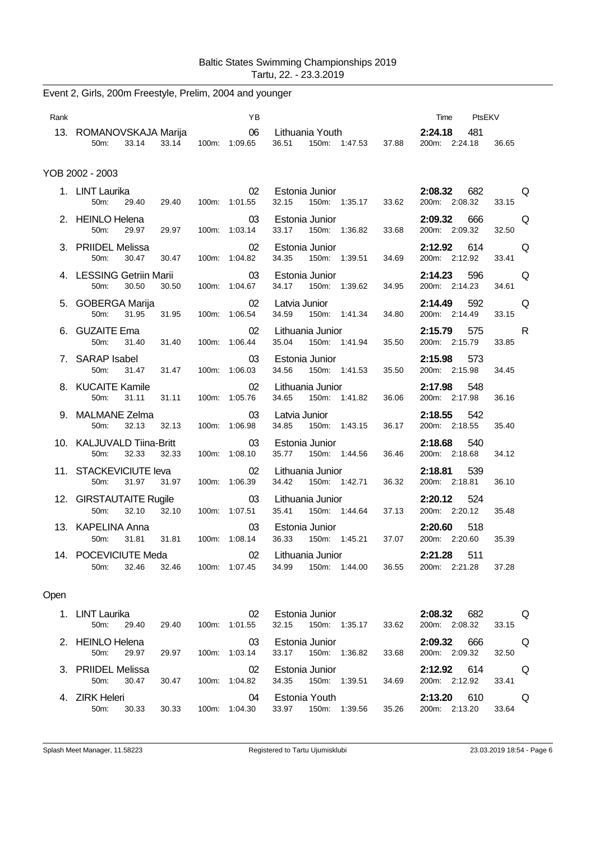| Rank |                                                         | YB                  |                                                     | PtsEKV<br>Time                  |                       |
|------|---------------------------------------------------------|---------------------|-----------------------------------------------------|---------------------------------|-----------------------|
|      | 13. ROMANOVSKAJA Marija<br>33.14<br>33.14<br>50m:       | 06<br>100m: 1:09.65 | Lithuania Youth<br>36.51<br>150m: 1:47.53<br>37.88  | 2:24.18<br>481<br>200m: 2:24.18 | 36.65                 |
|      | YOB 2002 - 2003                                         |                     |                                                     |                                 |                       |
|      | 1. LINT Laurika<br>50m:<br>29.40<br>29.40               | 02<br>100m: 1:01.55 | Estonia Junior<br>150m: 1:35.17<br>32.15<br>33.62   | 2:08.32<br>682<br>200m: 2:08.32 | Q<br>33.15            |
|      | 2. HEINLO Helena<br>29.97<br>29.97<br>50 <sub>m</sub> : | 03<br>100m: 1:03.14 | Estonia Junior<br>33.17<br>150m: 1:36.82<br>33.68   | 2:09.32<br>666<br>200m: 2:09.32 | Q<br>32.50            |
|      | 3. PRIIDEL Melissa<br>50m:<br>30.47<br>30.47            | 02<br>100m: 1:04.82 | Estonia Junior<br>34.35<br>150m: 1:39.51<br>34.69   | 2:12.92<br>614<br>200m: 2:12.92 | Q<br>33.41            |
|      | 4. LESSING Getriin Marii<br>50m:<br>30.50<br>30.50      | 03<br>100m: 1:04.67 | Estonia Junior<br>34.17<br>150m: 1:39.62<br>34.95   | 596<br>2:14.23<br>200m: 2:14.23 | Q<br>34.61            |
|      | 5. GOBERGA Marija<br>50m:<br>31.95<br>31.95             | 02<br>100m: 1:06.54 | Latvia Junior<br>34.59<br>150m: 1:41.34<br>34.80    | 2:14.49<br>592<br>200m: 2:14.49 | Q<br>33.15            |
|      | <b>GUZAITE Ema</b><br>50m:<br>31.40<br>31.40            | 02<br>100m: 1:06.44 | Lithuania Junior<br>35.04<br>150m: 1:41.94<br>35.50 | 2:15.79<br>575<br>200m: 2:15.79 | $\mathsf{R}$<br>33.85 |
|      | 7. SARAP Isabel<br>50m:<br>31.47<br>31.47               | 03<br>100m: 1:06.03 | Estonia Junior<br>35.50<br>34.56<br>150m: 1:41.53   | 2:15.98<br>573<br>200m: 2:15.98 | 34.45                 |
|      | 8. KUCAITE Kamile<br>31.11<br>50m:<br>31.11             | 02<br>100m: 1:05.76 | Lithuania Junior<br>34.65<br>150m: 1:41.82<br>36.06 | 2:17.98<br>548<br>200m: 2:17.98 | 36.16                 |
|      | 9. MALMANE Zelma<br>50m:<br>32.13<br>32.13              | 03<br>100m: 1:06.98 | Latvia Junior<br>34.85<br>150m:<br>1:43.15<br>36.17 | 2:18.55<br>542<br>200m: 2:18.55 | 35.40                 |
|      | 10. KALJUVALD Tiina-Britt<br>50m:<br>32.33<br>32.33     | 03<br>100m: 1:08.10 | Estonia Junior<br>35.77<br>150m: 1:44.56<br>36.46   | 2:18.68<br>540<br>200m: 2:18.68 | 34.12                 |
|      | 11. STACKEVICIUTE leva<br>31.97<br>31.97<br>50m:        | 02<br>100m: 1:06.39 | Lithuania Junior<br>150m: 1:42.71<br>36.32<br>34.42 | 2:18.81<br>539<br>200m: 2:18.81 | 36.10                 |
|      | 12. GIRSTAUTAITE Rugile<br>50m:<br>32.10<br>32.10       | 03<br>100m: 1:07.51 | Lithuania Junior<br>35.41<br>150m: 1:44.64<br>37.13 | 2:20.12<br>524<br>200m: 2:20.12 | 35.48                 |
|      | 13. KAPELINA Anna<br>50m:<br>31.81<br>31.81             | 03<br>100m: 1:08.14 | Estonia Junior<br>36.33<br>150m: 1:45.21<br>37.07   | 2:20.60<br>518<br>200m: 2:20.60 | 35.39                 |
|      | 14. POCEVICIUTE Meda<br>50m:<br>32.46<br>32.46          | 02<br>100m: 1:07.45 | Lithuania Junior<br>34.99<br>150m: 1:44.00<br>36.55 | 2:21.28<br>511<br>200m: 2:21.28 | 37.28                 |
|      |                                                         |                     |                                                     |                                 |                       |

# Event 2, Girls, 200m Freestyle, Prelim, 2004 and younger

# Open

|    | LINT Laurika<br>$50m$ :       | 29.40 | 29.40 | 100m | 02<br>1:01.55 | 32.15 | Estonia Junior<br>150m: | 1:35.17 | 33.62 | 2:08.32<br>200m: | 682<br>2:08.32 | 33.15 | O |
|----|-------------------------------|-------|-------|------|---------------|-------|-------------------------|---------|-------|------------------|----------------|-------|---|
|    | 2. HEINLO Helena<br>$50m$ :   | 29.97 | 29.97 | 100m | 03<br>1:03.14 | 33.17 | Estonia Junior<br>150m: | 1:36.82 | 33.68 | 2:09.32<br>200m: | 666<br>2:09.32 | 32.50 | O |
|    | 3. PRIIDEL Melissa<br>$50m$ : | 30.47 | 30.47 | 100m | 02<br>1:04.82 | 34.35 | Estonia Junior<br>150m: | 1:39.51 | 34.69 | 2:12.92<br>200m: | 614<br>2:12.92 | 33.41 | O |
| 4. | ZIRK Heleri<br>50m            | 30.33 | 30.33 | 100m | 04<br>1:04.30 | 33.97 | Estonia Youth<br>150m:  | 1:39.56 | 35.26 | 2:13.20<br>200m: | 610<br>2:13.20 | 33.64 | O |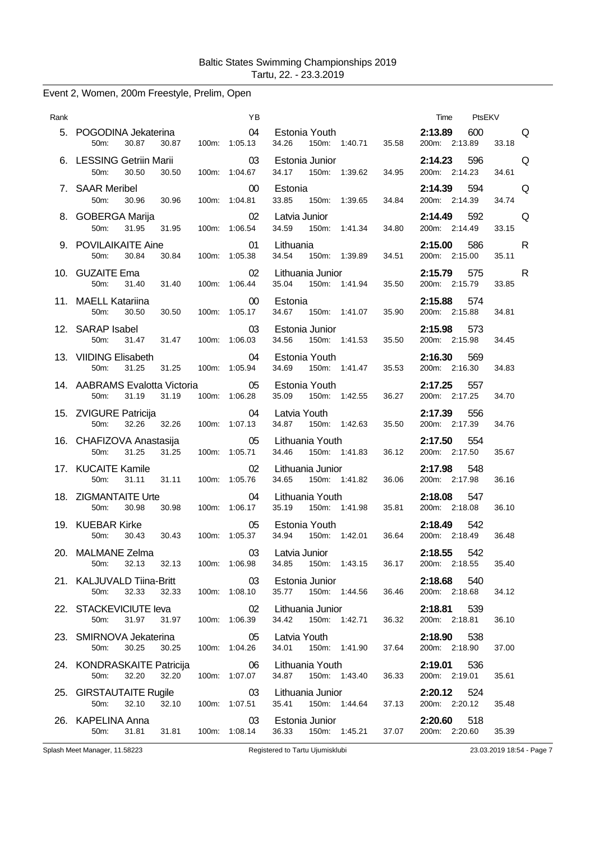# Event 2, Women, 200m Freestyle, Prelim, Open

| Rank |                                                                         | YB.                              |                                                           |       | Time PtsEKV                                                                                                                                                                                                                                                             |
|------|-------------------------------------------------------------------------|----------------------------------|-----------------------------------------------------------|-------|-------------------------------------------------------------------------------------------------------------------------------------------------------------------------------------------------------------------------------------------------------------------------|
|      | 5. POGODINA Jekaterina 04<br>30.87<br>30.87<br>50m:                     | 100m: 1:05.13                    | Estonia Youth <b>Example</b><br>34.26 150m: 1:40.71       | 35.58 | 2:13.89 600<br>in a consequence a consequence a consequence a consequence a consequence a consequence a consequence a consequence a consequence a consequence a consequence a consequence a consequence a consequence a consequence a consequ<br>200m: 2:13.89<br>33.18 |
|      | 6. LESSING Getriin Marii<br>50m:<br>30.50<br>30.50                      | 03<br>100m: 1:04.67              | Estonia Junior<br>34.17 150m: 1:39.62                     | 34.95 | $2:14.23$ 596<br>Q<br>200m: 2:14.23<br>34.61                                                                                                                                                                                                                            |
|      | 7. SAAR Meribel<br>50m: 30.96<br>30.96                                  | 00 <sub>o</sub><br>100m: 1:04.81 | Estonia<br>33.85 150m: 1:39.65                            | 34.84 | 2:14.39<br>594<br>Q<br>200m: 2:14.39<br>34.74                                                                                                                                                                                                                           |
|      | 8. GOBERGA Marija<br>50m:<br>31.95<br>31.95                             | $\sim$ 02<br>100m: 1:06.54       | Latvia Junior<br>34.59 150m: 1:41.34                      | 34.80 | $2:14.49$ 592<br>Q<br>33.15<br>200m: 2:14.49                                                                                                                                                                                                                            |
|      | 9. POVILAIKAITE Aine<br>50m:<br>30.84<br>30.84                          | 01<br>100m: 1:05.38              | Lithuania<br>34.54<br>150m: 1:39.89                       | 34.51 | 2:15.00<br>586<br>R<br>200m: 2:15.00<br>35.11                                                                                                                                                                                                                           |
|      | 10. GUZAITE Ema<br>50m: 31.40 31.40                                     | 02<br>100m: 1:06.44              | Lithuania Junior<br>35.04 150m: 1:41.94                   | 35.50 | 2:15.79 575<br>R<br>200m: 2:15.79<br>33.85                                                                                                                                                                                                                              |
|      | 11. MAELL Katariina<br>30.50<br>50m:<br>30.50                           | 00<br>100m: 1:05.17              | Estonia<br>34.67 150m: 1:41.07                            | 35.90 | 2:15.88 574<br>200m: 2:15.88<br>34.81                                                                                                                                                                                                                                   |
|      | 12. SARAP Isabel<br>31.47 31.47<br>50m:                                 | 03<br>100m: 1:06.03              | Estonia Junior<br>34.56<br>150m: 1:41.53                  | 35.50 | 2:15.98<br>573<br>200m: 2:15.98<br>34.45                                                                                                                                                                                                                                |
|      | 13. VIIDING Elisabeth 04<br>50m: 31.25 31.25 100m: 1:05.94              |                                  | Estonia Youth <b>Example</b><br>34.69 150m: 1:41.47       | 35.53 | 2:16.30 569<br>200m: 2:16.30<br>34.83                                                                                                                                                                                                                                   |
|      | 14. AABRAMS Evalotta Victoria 65<br>31.19 31.19<br>50m:                 | 100m: 1:06.28                    | Estonia Youth<br>35.09 150m: 1:42.55                      | 36.27 | 2:17.25 557<br>200m: 2:17.25<br>34.70                                                                                                                                                                                                                                   |
|      | 15. ZVIGURE Patricija<br>32.26 32.26 100m: 1:07.13<br>50 <sub>m</sub> : | 04                               | Latvia Youth<br>34.87<br>150m: 1:42.63                    | 35.50 | 2:17.39<br>556<br>34.76<br>200m: 2:17.39                                                                                                                                                                                                                                |
|      | 16. CHAFIZOVA Anastasija<br>31.25 31.25<br>50m:                         | $\sim$ 05<br>100m: 1:05.71       | Lithuania Youth <b>Example</b><br>34.46 150m: 1:41.83     | 36.12 | 2:17.50 554<br>200m: 2:17.50<br>35.67                                                                                                                                                                                                                                   |
|      | 17. KUCAITE Kamile<br>31.11<br>50m:<br>31.11                            | 02<br>100m: 1:05.76              | Lithuania Junior<br>34.65 150m: 1:41.82                   | 36.06 | 2:17.98 548<br>200m: 2:17.98<br>36.16                                                                                                                                                                                                                                   |
|      | 18. ZIGMANTAITE Urte<br>30.98<br>30.98<br>50m:                          | 04<br>100m: 1:06.17              | Lithuania Youth <b>Example 20</b><br>35.19  150m: 1:41.98 | 35.81 | 2:18.08<br>547<br>36.10<br>200m: 2:18.08                                                                                                                                                                                                                                |
|      | 19. KUEBAR Kirke 65<br>50m:<br>30.43<br>30.43                           | 100m: 1:05.37                    | Estonia Youth <b>Example</b><br>34.94 150m: 1:42.01       | 36.64 | <b>2:18.49</b> 542<br>200m: 2:18.49<br>36.48                                                                                                                                                                                                                            |
|      | 20. MALMANE Zelma<br>32.13 32.13<br>50m:                                | 100m: 1:06.98                    | 03 Latvia Junior<br>34.85<br>150m: 1:43.15                | 36.17 | 2:18.55 542<br>200m: 2:18.55<br>35.40                                                                                                                                                                                                                                   |
|      | 21. KALJUVALD Tiina-Britt<br>50m:<br>32.33<br>32.33                     | 03<br>100m: 1:08.10              | Estonia Junior<br>35.77<br>150m: 1:44.56                  | 36.46 | <b>2:18.68</b> 540<br>200m: 2:18.68<br>34.12                                                                                                                                                                                                                            |
|      | 22. STACKEVICIUTE leva<br>31.97<br>31.97<br>50m:                        | 02<br>100m: 1:06.39              | Lithuania Junior<br>34.42<br>150m: 1:42.71                | 36.32 | 2:18.81 539<br>200m: 2:18.81<br>36.10                                                                                                                                                                                                                                   |
|      | 23. SMIRNOVA Jekaterina<br>50m:<br>30.25<br>30.25                       | 05<br>100m: 1:04.26              | Latvia Youth<br>34.01  150m: 1:41.90                      | 37.64 | 2:18.90<br>538<br>200m: 2:18.90<br>37.00                                                                                                                                                                                                                                |
|      | 24. KONDRASKAITE Patricija<br>50m:<br>32.20<br>32.20                    | 06<br>100m: 1:07.07              | Lithuania Youth<br>34.87 150m: 1:43.40                    | 36.33 | 2:19.01<br>536<br>35.61<br>200m: 2:19.01                                                                                                                                                                                                                                |
|      | 25. GIRSTAUTAITE Rugile<br>50m:<br>32.10<br>32.10                       | 03<br>100m: 1:07.51              | Lithuania Junior<br>35.41<br>150m: 1:44.64                | 37.13 | 2:20.12 524<br>200m: 2:20.12<br>35.48                                                                                                                                                                                                                                   |
|      | 26. KAPELINA Anna<br>50m:<br>31.81                                      | 03<br>31.81  100m: 1:08.14       | Estonia Junior<br>36.33 150m: 1:45.21                     | 37.07 | 2:20.60<br>518<br>35.39<br>200m: 2:20.60                                                                                                                                                                                                                                |
|      | Splash Meet Manager, 11.58223                                           |                                  | Registered to Tartu Ujumisklubi                           |       | 23.03.2019 18:54 - Page 7                                                                                                                                                                                                                                               |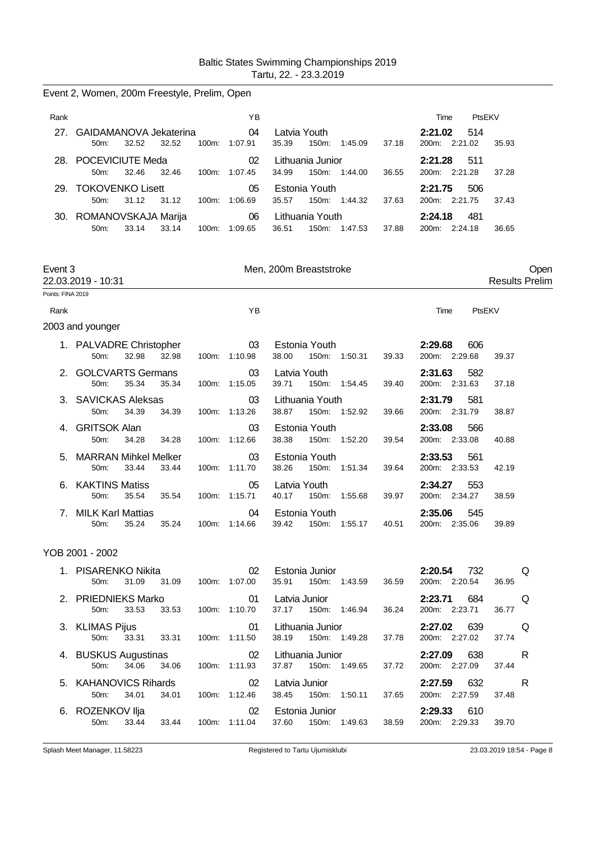|                   | Event 2, Women, 200m Freestyle, Prelim, Open              |                     |                                                                    |       |                                                   |
|-------------------|-----------------------------------------------------------|---------------------|--------------------------------------------------------------------|-------|---------------------------------------------------|
| Rank              |                                                           | ΥB                  |                                                                    |       | PtsEKV<br>Time                                    |
| 27.               | GAIDAMANOVA Jekaterina<br>32.52<br>32.52<br>50m:          | 04<br>100m: 1:07.91 | Latvia Youth<br>35.39<br>150m: 1:45.09                             | 37.18 | 2:21.02<br>514<br>200m: 2:21.02<br>35.93          |
|                   | 28. POCEVICIUTE Meda<br>32.46<br>32.46<br>50m:            | 02<br>100m: 1:07.45 | Lithuania Junior<br>34.99<br>150m: 1:44.00                         | 36.55 | 2:21.28<br>511<br>200m: 2:21.28<br>37.28          |
| 29.               | <b>TOKOVENKO Lisett</b><br>31.12<br>50m:<br>31.12         | 05<br>100m: 1:06.69 | Estonia Youth<br>35.57<br>150m: 1:44.32                            | 37.63 | 2:21.75<br>506<br>200m: 2:21.75<br>37.43          |
|                   | 30. ROMANOVSKAJA Marija<br>33.14<br>33.14<br>50m:         | 06<br>100m: 1:09.65 | Lithuania Youth<br>36.51<br>150m: 1:47.53                          | 37.88 | 2:24.18<br>481<br>200m: 2:24.18<br>36.65          |
| Event 3           | 22.03.2019 - 10:31                                        |                     | Men, 200m Breaststroke                                             |       | Open<br><b>Results Prelim</b>                     |
| Points: FINA 2019 |                                                           |                     |                                                                    |       |                                                   |
| Rank              |                                                           | YB                  |                                                                    |       | Time<br>PtsEKV                                    |
|                   | 2003 and younger                                          |                     |                                                                    |       |                                                   |
|                   | 1. PALVADRE Christopher<br>32.98<br>32.98<br>50m:         | 03<br>100m: 1:10.98 | Estonia Youth<br>150m: 1:50.31<br>38.00                            | 39.33 | 2:29.68<br>606<br>200m: 2:29.68<br>39.37          |
|                   | 2. GOLCVARTS Germans<br>35.34<br>35.34<br>50m:            | 03<br>100m: 1:15.05 | Latvia Youth<br>39.71<br>150m: 1:54.45                             | 39.40 | 2:31.63<br>582<br>200m: 2:31.63<br>37.18          |
|                   | 3. SAVICKAS Aleksas<br>50m:<br>34.39<br>34.39             | 03<br>100m: 1:13.26 | Lithuania Youth<br>38.87<br>150m: 1:52.92                          | 39.66 | 2:31.79<br>581<br>200m: 2:31.79<br>38.87          |
|                   | <b>GRITSOK Alan</b><br>34.28<br>50m:<br>34.28             | 03<br>100m: 1:12.66 | Estonia Youth<br>38.38<br>150m: 1:52.20                            | 39.54 | 2:33.08<br>566<br>200m: 2:33.08<br>40.88          |
| 5.                | <b>MARRAN Mihkel Melker</b><br>33.44<br>33.44<br>50m:     | 03<br>100m: 1:11.70 | Estonia Youth<br>38.26<br>150m: 1:51.34                            | 39.64 | 2:33.53<br>561<br>200m: 2:33.53<br>42.19          |
|                   | 6. KAKTINS Matiss<br>35.54<br>35.54<br>50 <sub>m</sub>    | 05<br>100m: 1:15.71 | Latvia Youth<br>40.17<br>150m: 1:55.68                             | 39.97 | 2:34.27<br>553<br>200m: 2:34.27<br>38.59          |
| 7.                | <b>MILK Karl Mattias</b><br>35.24<br>50m:<br>35.24        | 04<br>100m: 1:14.66 | Estonia Youth<br>39.42<br>150m: 1:55.17                            | 40.51 | 2:35.06<br>545<br>200m: 2:35.06<br>39.89          |
|                   | YOB 2001 - 2002                                           |                     |                                                                    |       |                                                   |
|                   | 1. PISARENKO Nikita<br>50m: 31.09 31.09 100m: 1:07.00     | 02                  | Estonia Junior <b>Example 19</b><br>35.91  150m: 1:43.59           | 36.59 | <b>2:20.54</b> 732<br>Q<br>200m: 2:20.54<br>36.95 |
|                   | 2. PRIEDNIEKS Marko<br>50m: 33.53 33.53 100m: 1:10.70     | 01                  | Latvia Junior <b>Exercise State</b><br>37.17 150m: 1:46.94         | 36.24 | <b>2:23.71</b> 684<br>Q<br>200m: 2:23.71<br>36.77 |
|                   | 3. KLIMAS Pijus<br>33.31 33.31 100m: 1:11.50<br>50m:      | 01                  | Lithuania Junior <b>Exercise Structure</b><br>38.19  150m: 1:49.28 | 37.78 | 2:27.02 639 Q<br>200m: 2:27.02<br>37.74           |
|                   | 4. BUSKUS Augustinas 02<br>50m: 34.06 34.06 100m: 1:11.93 |                     | Lithuania Junior<br>37.87 150m: 1:49.65                            | 37.72 | 2:27.09 638 R<br>200m: 2:27.09<br>37.44           |
|                   | 5. KAHANOVICS Rihards<br>50m: 34.01 34.01 100m: 1:12.46   | 02                  | Latvia Junior <b>Exercise State</b><br>38.45 150m: 1:50.11         | 37.65 | 2:27.59 632 R<br>200m: 2:27.59<br>37.48           |
|                   | 6. ROZENKOV IIja<br>33.44 33.44 100m: 1:11.04<br>50m:     | 02                  | Estonia Junior <b>Example 19</b><br>37.60  150m: 1:49.63           | 38.59 | <b>2:29.33</b> 610<br>200m: 2:29.33<br>39.70      |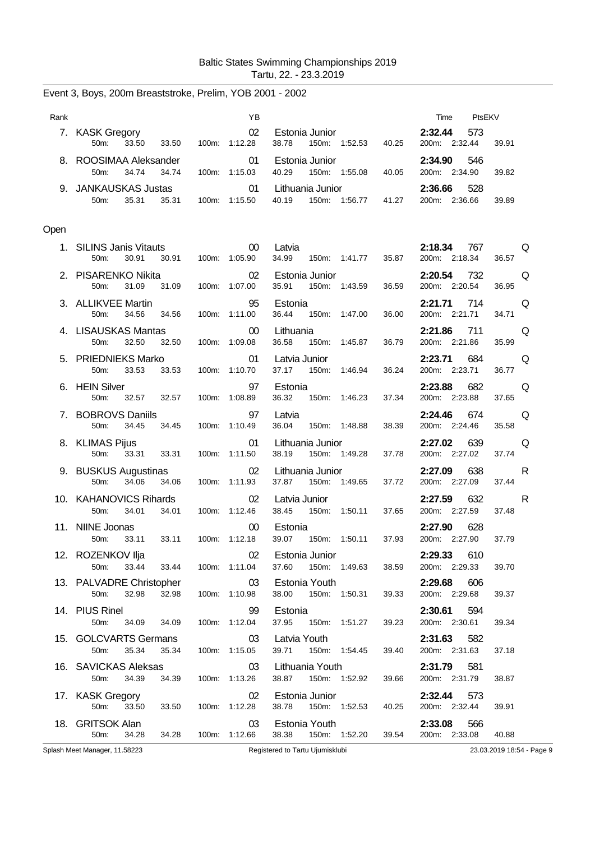| Rank |                                                               | YB.                         |                                                                                           | Time PtsEKV                                          |
|------|---------------------------------------------------------------|-----------------------------|-------------------------------------------------------------------------------------------|------------------------------------------------------|
|      | 7. KASK Gregory<br>50m: 33.50 33.50 100m: 1:12.28             | 02                          |                                                                                           | 2:32.44<br>573<br>200m: 2:32.44<br>39.91             |
|      | 8. ROOSIMAA Aleksander<br>34.74<br>34.74<br>50m:              | $\sim$ 01<br>100m: 1:15.03  | Estonia Junior <b>Executive Structure</b><br>40.29 150m: 1:55.08 40.05                    | 2:34.90 546<br>200m: 2:34.90<br>39.82                |
|      | 9. JANKAUSKAS Justas<br>35.31<br>50m:                         | 01<br>35.31  100m: 1:15.50  | Lithuania Junior<br>40.19  150m: 1:56.77  41.27                                           | 2:36.66<br>528<br>200m: 2:36.66<br>39.89             |
| Open |                                                               |                             |                                                                                           |                                                      |
|      | 1. SILINS Janis Vitauts<br>50m:<br>30.91                      | 00<br>30.91   100m: 1:05.90 | Latvia<br>34.99  150m: 1:41.77  35.87                                                     | <b>2:18.34</b> 767<br>Q<br>200m: 2:18.34<br>36.57    |
|      | 2. PISARENKO Nikita<br>31.09 31.09 100m: 1:07.00<br>50m:      | 02                          | Estonia Junior<br>36.59<br>35.91  150m: 1:43.59                                           | 2:20.54 732<br>Q<br>200m: 2:20.54<br>36.95           |
|      | 3. ALLIKVEE Martin<br>50m:<br>34.56 34.56                     | 95<br>100m: 1:11.00         | Estonia<br>36.44 150m: 1:47.00<br>36.00                                                   | <b>2:21.71</b> 714<br>Q<br>200m: 2:21.71<br>34.71    |
|      | 4. LISAUSKAS Mantas<br>50m:<br>32.50<br>32.50                 | $00\,$<br>100m: 1:09.08     | Lithuania<br>36.58<br>150m: 1:45.87<br>36.79                                              | 2:21.86<br>711 — 711<br>Q<br>200m: 2:21.86<br>35.99  |
|      | 5. PRIEDNIEKS Marko 61<br>50m: 33.53 33.53                    | 100m: 1:10.70               | Latvia Junior <b>Exercise State</b><br>37.17 150m: 1:46.94<br>36.24                       | 2:23.71 684<br>Q<br>200m: 2:23.71<br>36.77           |
|      | 6. HEIN Silver<br>50m:<br>32.57 32.57                         | 97<br>100m: 1:08.89         | Estonia<br>36.32 150m: 1:46.23<br>37.34                                                   | 2:23.88 682<br>Q<br>200m: 2:23.88<br>37.65           |
|      | 7. BOBROVS Daniils<br>50m: 34.45 34.45                        | 97<br>100m: 1:10.49         | Latvia<br>36.04 150m: 1:48.88<br>38.39                                                    | 2:24.46<br>674 — 10<br>Q<br>200m: 2:24.46<br>35.58   |
|      | 8. KLIMAS Pijus<br>50m: 33.31 33.31                           | 01<br>100m: 1:11.50         | Lithuania Junior <b>Exercise State</b><br>38.19 150m: 1:49.28<br>37.78                    | <b>2:27.02</b> 639<br>Q<br>200m: 2:27.02<br>37.74    |
|      | 9. BUSKUS Augustinas<br>50m: 34.06<br>34.06                   | 02<br>100m: 1:11.93         | Lithuania Junior<br>37.87 150m: 1:49.65<br>37.72                                          | 2:27.09<br>638<br>R<br>200m: 2:27.09<br>37.44        |
|      | 10. KAHANOVICS Rihards<br>50m:<br>34.01  34.01  100m: 1:12.46 | 02                          | Latvia Junior <b>Exercise State</b><br>38.45 150m: 1.50.11 37.65                          | 2:27.59<br>632<br><b>R</b><br>200m: 2:27.59<br>37.48 |
|      | 11. NIINE Joonas<br>33.11<br>33.11<br>50m:                    | 00<br>100m: 1:12.18         | Estonia<br>39.07 150m: 1:50.11<br>37.93                                                   | <b>2:27.90</b> 628<br>200m: 2:27.90<br>37.79         |
|      | 33.44<br>33.44<br>50m:                                        | 100m: 1:11.04               | 12. ROZENKOV IIja 1990. U 1990. U 1990. Estonia Junior<br>37.60<br>150m: 1:49.63<br>38.59 | 2:29.33 610<br>200m: 2:29.33<br>39.70                |
|      | 13. PALVADRE Christopher<br>32.98<br>32.98<br>50m:            | 03<br>100m: 1:10.98         | Estonia Youth<br>38.00<br>150m: 1:50.31<br>39.33                                          | 2:29.68<br>606<br>200m: 2:29.68<br>39.37             |
|      | 14. PIUS Rinel<br>50m:<br>34.09<br>34.09                      | 99<br>100m: 1:12.04         | Estonia<br>37.95<br>150m: 1:51.27<br>39.23                                                | 2:30.61<br>594<br>200m: 2:30.61<br>39.34             |
|      | 15. GOLCVARTS Germans<br>35.34<br>35.34<br>50m:               | 03<br>100m: 1:15.05         | Latvia Youth<br>39.71 150m: 1:54.45<br>39.40                                              | 2:31.63<br>582<br>200m: 2:31.63<br>37.18             |
|      | 16. SAVICKAS Aleksas<br>34.39<br>34.39<br>50m:                | 03<br>100m: 1:13.26         | Lithuania Youth<br>38.87<br>150m: 1:52.92<br>39.66                                        | 2:31.79<br>581<br>200m: 2:31.79<br>38.87             |
|      | 17. KASK Gregory<br>50m:<br>33.50<br>33.50                    | 02<br>100m: 1:12.28         | Estonia Junior<br>38.78<br>150m: 1:52.53<br>40.25                                         | 2:32.44<br>573<br>200m: 2:32.44<br>39.91             |
|      | 18. GRITSOK Alan<br>34.28<br>50m:<br>34.28                    | 03<br>100m: 1:12.66         | Estonia Youth<br>38.38<br>150m: 1:52.20<br>39.54                                          | 2:33.08<br>566<br>200m: 2:33.08<br>40.88             |
|      | Splash Meet Manager, 11.58223                                 |                             | Registered to Tartu Ujumisklubi                                                           | 23.03.2019 18:54 - Page 9                            |

Event 3, Boys, 200m Breaststroke, Prelim, YOB 2001 - 2002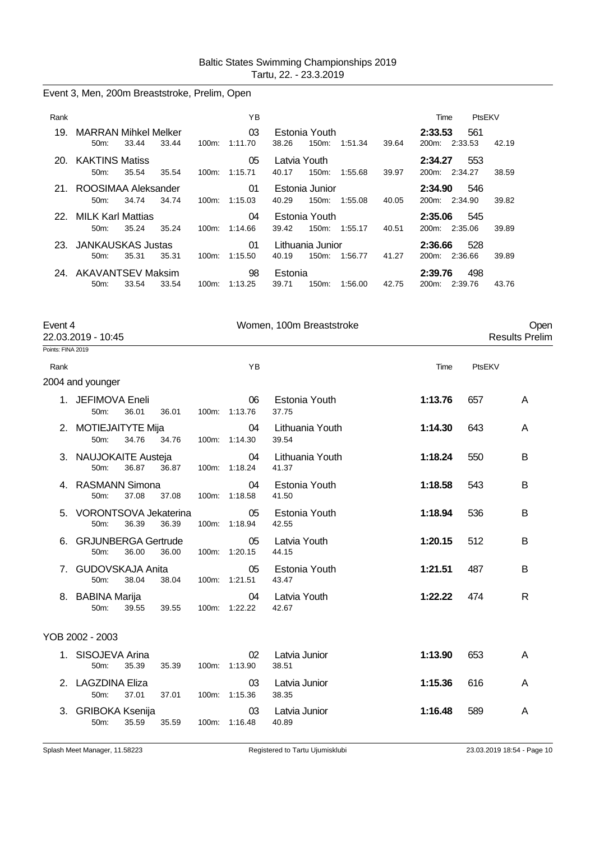|  |  |  | Event 3, Men, 200m Breaststroke, Prelim, Open |  |  |
|--|--|--|-----------------------------------------------|--|--|
|--|--|--|-----------------------------------------------|--|--|

| Rank |                                    |       |       |          | YB               |              |                           |         |       | Time                          | PtsEKV         |       |
|------|------------------------------------|-------|-------|----------|------------------|--------------|---------------------------|---------|-------|-------------------------------|----------------|-------|
| 19.  | <b>MARRAN Mihkel Melker</b><br>50m | 33.44 | 33.44 | $100m$ : | 03<br>1:11.70    | 38.26        | Estonia Youth<br>$150m$ : | 1:51.34 | 39.64 | 2:33.53<br>200 <sub>m</sub> : | 561<br>2:33.53 | 42.19 |
|      | 20. KAKTINS Matiss                 |       |       |          | 05               | Latvia Youth |                           |         |       | 2:34.27                       | 553            |       |
|      | $50m$ :                            | 35.54 | 35.54 | 100m:    | 1:15.71          | 40.17        | 150m:                     | 1:55.68 | 39.97 | 200m:                         | 2:34.27        | 38.59 |
| 21.  | ROOSIMAA Aleksander                |       |       |          | 01               |              | Estonia Junior            |         |       | 2:34.90                       | 546            |       |
|      | $50m$ :                            | 34.74 | 34.74 | 100m:    | 1:15.03          | 40.29        | 150m:                     | 1:55.08 | 40.05 | 200m:                         | 2:34.90        | 39.82 |
|      | 22. MILK Karl Mattias              |       |       |          | 04               |              | Estonia Youth             |         |       | 2:35.06                       | 545            |       |
|      | $50m$ :                            | 35.24 | 35.24 |          | $100m$ : 1:14.66 | 39.42        | 150m:                     | 1:55.17 | 40.51 |                               | 200m: 2:35.06  | 39.89 |
|      | 23. JANKAUSKAS Justas              |       |       |          | 01               |              | Lithuania Junior          |         |       | 2:36.66                       | 528            |       |
|      | $50m$ :                            | 35.31 | 35.31 | $100m$ : | 1:15.50          | 40.19        | 150m:                     | 1:56.77 | 41.27 | 200m:                         | 2:36.66        | 39.89 |
|      | 24 AKAVANTSEV Maksim               |       |       |          | 98               | Estonia      |                           |         |       | 2:39.76                       | 498            |       |
|      | 50 <sub>m</sub>                    | 33.54 | 33.54 | $100m$ : | 1:13.25          | 39.71        | 150m:                     | 1:56.00 | 42.75 | 200 <sub>m</sub> :            | 2.39.76        | 43.76 |

| Event 4           | 22.03.2019 - 10:45                 |       |       | Women, 100m Breaststroke |                          | Open<br><b>Results Prelim</b> |        |   |
|-------------------|------------------------------------|-------|-------|--------------------------|--------------------------|-------------------------------|--------|---|
| Points: FINA 2019 |                                    |       |       |                          |                          |                               |        |   |
| Rank              |                                    |       |       | YB                       |                          | Time                          | PtsEKV |   |
|                   | 2004 and younger                   |       |       |                          |                          |                               |        |   |
|                   | 1. JEFIMOVA Eneli<br>50m:          | 36.01 | 36.01 | 06<br>100m: 1:13.76      | Estonia Youth<br>37.75   | 1:13.76                       | 657    | A |
|                   | 2. MOTIEJAITYTE Mija<br>50m:       | 34.76 | 34.76 | 04<br>100m: 1:14.30      | Lithuania Youth<br>39.54 | 1:14.30                       | 643    | A |
|                   | 3. NAUJOKAITE Austeja<br>50m:      | 36.87 | 36.87 | 04<br>100m: 1:18.24      | Lithuania Youth<br>41.37 | 1:18.24                       | 550    | В |
|                   | 4. RASMANN Simona<br>50m:          | 37.08 | 37.08 | 04<br>100m: 1:18.58      | Estonia Youth<br>41.50   | 1:18.58                       | 543    | B |
|                   | 5. VORONTSOVA Jekaterina<br>50m:   | 36.39 | 36.39 | 05<br>100m: 1:18.94      | Estonia Youth<br>42.55   | 1:18.94                       | 536    | B |
| 6.                | <b>GRJUNBERGA Gertrude</b><br>50m: | 36.00 | 36.00 | 05<br>100m: 1:20.15      | Latvia Youth<br>44.15    | 1:20.15                       | 512    | В |
| 7.                | <b>GUDOVSKAJA Anita</b><br>50m:    | 38.04 | 38.04 | 05<br>100m: 1:21.51      | Estonia Youth<br>43.47   | 1:21.51                       | 487    | В |
| 8.                | <b>BABINA Marija</b><br>50m:       | 39.55 | 39.55 | 04<br>100m: 1:22.22      | Latvia Youth<br>42.67    | 1:22.22                       | 474    | R |
|                   | YOB 2002 - 2003                    |       |       |                          |                          |                               |        |   |
|                   | 1. SISOJEVA Arina<br>50m:          | 35.39 | 35.39 | 02<br>100m: 1:13.90      | Latvia Junior<br>38.51   | 1:13.90                       | 653    | A |
|                   | 2. LAGZDINA Eliza<br>50m:          | 37.01 | 37.01 | 03<br>100m: 1:15.36      | Latvia Junior<br>38.35   | 1:15.36                       | 616    | A |
|                   | 3. GRIBOKA Ksenija<br>50m:         | 35.59 | 35.59 | 03<br>100m: 1:16.48      | Latvia Junior<br>40.89   | 1:16.48                       | 589    | A |
|                   |                                    |       |       |                          |                          |                               |        |   |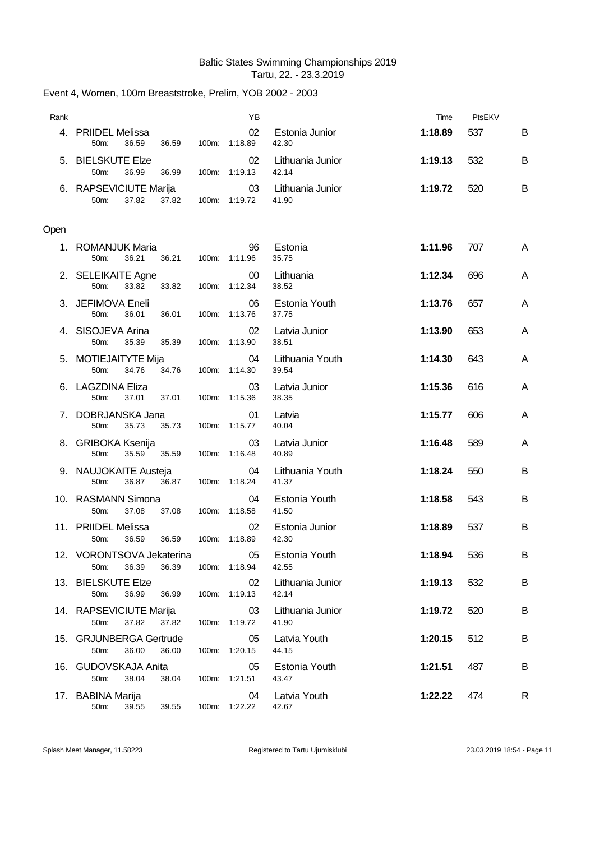| Rank |                                                     |       | YB                  |                           | Time    | PtsEKV |   |
|------|-----------------------------------------------------|-------|---------------------|---------------------------|---------|--------|---|
| 4.   | <b>PRIIDEL Melissa</b><br>36.59<br>50m:<br>36.59    | 100m: | 02<br>1:18.89       | Estonia Junior<br>42.30   | 1:18.89 | 537    | B |
|      | 5. BIELSKUTE Elze<br>50m:<br>36.99<br>36.99         |       | 02<br>100m: 1:19.13 | Lithuania Junior<br>42.14 | 1:19.13 | 532    | B |
|      | 6. RAPSEVICIUTE Marija<br>50m:<br>37.82<br>37.82    |       | 03<br>100m: 1:19.72 | Lithuania Junior<br>41.90 | 1:19.72 | 520    | В |
| Open |                                                     |       |                     |                           |         |        |   |
| 1.   | ROMANJUK Maria<br>50m:<br>36.21<br>36.21            |       | 96<br>100m: 1:11.96 | Estonia<br>35.75          | 1:11.96 | 707    | A |
|      | 2. SELEIKAITE Agne<br>33.82<br>50m:<br>33.82        |       | 00<br>100m: 1:12.34 | Lithuania<br>38.52        | 1:12.34 | 696    | A |
|      | 3. JEFIMOVA Eneli<br>50m:<br>36.01<br>36.01         | 100m: | 06<br>1:13.76       | Estonia Youth<br>37.75    | 1:13.76 | 657    | A |
| 4.   | SISOJEVA Arina<br>50m:<br>35.39<br>35.39            |       | 02<br>100m: 1:13.90 | Latvia Junior<br>38.51    | 1:13.90 | 653    | A |
|      | 5. MOTIEJAITYTE Mija<br>50m:<br>34.76<br>34.76      | 100m: | 04<br>1:14.30       | Lithuania Youth<br>39.54  | 1:14.30 | 643    | A |
|      | 6. LAGZDINA Eliza<br>50m:<br>37.01<br>37.01         | 100m: | 03<br>1:15.36       | Latvia Junior<br>38.35    | 1:15.36 | 616    | A |
| 7.   | DOBRJANSKA Jana<br>50m:<br>35.73<br>35.73           |       | 01<br>100m: 1:15.77 | Latvia<br>40.04           | 1:15.77 | 606    | A |
|      | 8. GRIBOKA Ksenija<br>35.59<br>50m:<br>35.59        |       | 03<br>100m: 1:16.48 | Latvia Junior<br>40.89    | 1:16.48 | 589    | A |
|      | 9. NAUJOKAITE Austeja<br>36.87<br>50m:<br>36.87     |       | 04<br>100m: 1:18.24 | Lithuania Youth<br>41.37  | 1:18.24 | 550    | В |
|      | 10. RASMANN Simona<br>50m:<br>37.08<br>37.08        |       | 04<br>100m: 1:18.58 | Estonia Youth<br>41.50    | 1:18.58 | 543    | В |
|      | 11. PRIIDEL Melissa<br>50m:<br>36.59<br>36.59       |       | 02<br>100m: 1:18.89 | Estonia Junior<br>42.30   | 1:18.89 | 537    | В |
|      | 12. VORONTSOVA Jekaterina<br>50m:<br>36.39<br>36.39 |       | 05<br>100m: 1:18.94 | Estonia Youth<br>42.55    | 1:18.94 | 536    | В |
|      | 13. BIELSKUTE Elze<br>50m:<br>36.99<br>36.99        |       | 02<br>100m: 1:19.13 | Lithuania Junior<br>42.14 | 1:19.13 | 532    | В |
|      | 14. RAPSEVICIUTE Marija<br>50m:<br>37.82<br>37.82   |       | 03<br>100m: 1:19.72 | Lithuania Junior<br>41.90 | 1:19.72 | 520    | В |
|      | 15. GRJUNBERGA Gertrude<br>50m:<br>36.00<br>36.00   |       | 05<br>100m: 1:20.15 | Latvia Youth<br>44.15     | 1:20.15 | 512    | В |
|      | 16. GUDOVSKAJA Anita<br>50m:<br>38.04<br>38.04      |       | 05<br>100m: 1:21.51 | Estonia Youth<br>43.47    | 1:21.51 | 487    | В |
|      | 17. BABINA Marija<br>50m: 39.55<br>39.55            |       | 04<br>100m: 1:22.22 | Latvia Youth<br>42.67     | 1:22.22 | 474    | R |

Event 4, Women, 100m Breaststroke, Prelim, YOB 2002 - 2003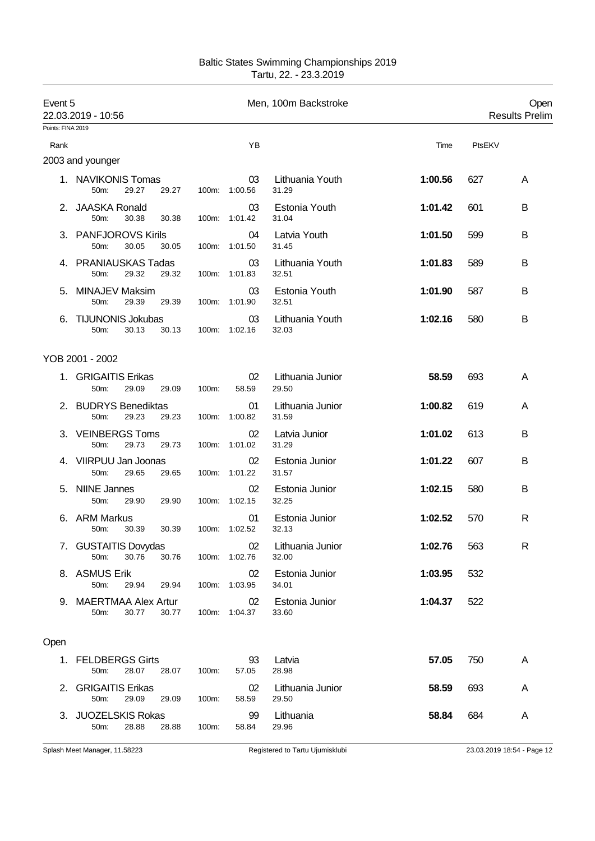| Baltic States Swimming Championships 2019 |
|-------------------------------------------|
| Tartu, 22. - 23.3.2019                    |

| Event 5           | 22.03.2019 - 10:56                                           |       | Men, 100m Backstroke |                           |         | Open<br><b>Results Prelim</b> |   |
|-------------------|--------------------------------------------------------------|-------|----------------------|---------------------------|---------|-------------------------------|---|
| Points: FINA 2019 |                                                              |       |                      |                           |         |                               |   |
| Rank              |                                                              |       | ΥB                   |                           | Time    | PtsEKV                        |   |
|                   | 2003 and younger                                             |       |                      |                           |         |                               |   |
|                   | 1. NAVIKONIS Tomas<br>29.27<br>50m:<br>29.27                 |       | 03<br>100m: 1:00.56  | Lithuania Youth<br>31.29  | 1:00.56 | 627                           | A |
| 2.                | <b>JAASKA Ronald</b><br>50m:<br>30.38<br>30.38               |       | 03<br>100m: 1:01.42  | Estonia Youth<br>31.04    | 1:01.42 | 601                           | В |
|                   | 3. PANFJOROVS Kirils<br>30.05<br>30.05<br>50m:               |       | 04<br>100m: 1:01.50  | Latvia Youth<br>31.45     | 1:01.50 | 599                           | В |
|                   | 4. PRANIAUSKAS Tadas<br>29.32<br>50m:<br>29.32               |       | 03<br>100m: 1:01.83  | Lithuania Youth<br>32.51  | 1:01.83 | 589                           | В |
| 5.                | <b>MINAJEV Maksim</b><br>50m:<br>29.39<br>29.39              |       | 03<br>100m: 1:01.90  | Estonia Youth<br>32.51    | 1:01.90 | 587                           | В |
|                   | <b>TIJUNONIS Jokubas</b><br>50m:<br>30.13<br>30.13           |       | 03<br>100m: 1:02.16  | Lithuania Youth<br>32.03  | 1:02.16 | 580                           | В |
|                   | YOB 2001 - 2002                                              |       |                      |                           |         |                               |   |
|                   | 1. GRIGAITIS Erikas<br>50m:<br>29.09<br>29.09                | 100m: | 02<br>58.59          | Lithuania Junior<br>29.50 | 58.59   | 693                           | A |
|                   | 2. BUDRYS Benediktas<br>50m:<br>29.23<br>29.23               |       | 01<br>100m: 1:00.82  | Lithuania Junior<br>31.59 | 1:00.82 | 619                           | A |
|                   | 3. VEINBERGS Toms<br>50m:<br>29.73<br>29.73                  |       | 02<br>100m: 1:01.02  | Latvia Junior<br>31.29    | 1:01.02 | 613                           | в |
|                   | 4. VIIRPUU Jan Joonas<br>50 <sub>m</sub> :<br>29.65<br>29.65 |       | 02<br>100m: 1:01.22  | Estonia Junior<br>31.57   | 1:01.22 | 607                           | В |
| 5.                | <b>NIINE Jannes</b><br>50m:<br>29.90<br>29.90                |       | 02<br>100m: 1:02.15  | Estonia Junior<br>32.25   | 1:02.15 | 580                           | В |
| 6.                | <b>ARM Markus</b><br>50m:<br>30.39<br>30.39                  |       | 01<br>100m: 1:02.52  | Estonia Junior<br>32.13   | 1:02.52 | 570                           | R |
|                   | 7. GUSTAITIS Dovydas<br>30.76<br>50m:<br>30.76               |       | 02<br>100m: 1:02.76  | Lithuania Junior<br>32.00 | 1:02.76 | 563                           | R |
|                   | 8. ASMUS Erik<br>50m:<br>29.94<br>29.94                      |       | 02<br>100m: 1:03.95  | Estonia Junior<br>34.01   | 1:03.95 | 532                           |   |
|                   | 9. MAERTMAA Alex Artur<br>30.77<br>50m:<br>30.77             |       | 02<br>100m: 1:04.37  | Estonia Junior<br>33.60   | 1:04.37 | 522                           |   |
| Open              |                                                              |       |                      |                           |         |                               |   |
|                   | 1. FELDBERGS Girts<br>50m:<br>28.07<br>28.07                 | 100m: | 93<br>57.05          | Latvia<br>28.98           | 57.05   | 750                           | A |
|                   | 2. GRIGAITIS Erikas<br>29.09<br>50m:<br>29.09                | 100m: | 02<br>58.59          | Lithuania Junior<br>29.50 | 58.59   | 693                           | A |
|                   | 3. JUOZELSKIS Rokas<br>50m:<br>28.88<br>28.88                | 100m: | 99<br>58.84          | Lithuania<br>29.96        | 58.84   | 684                           | A |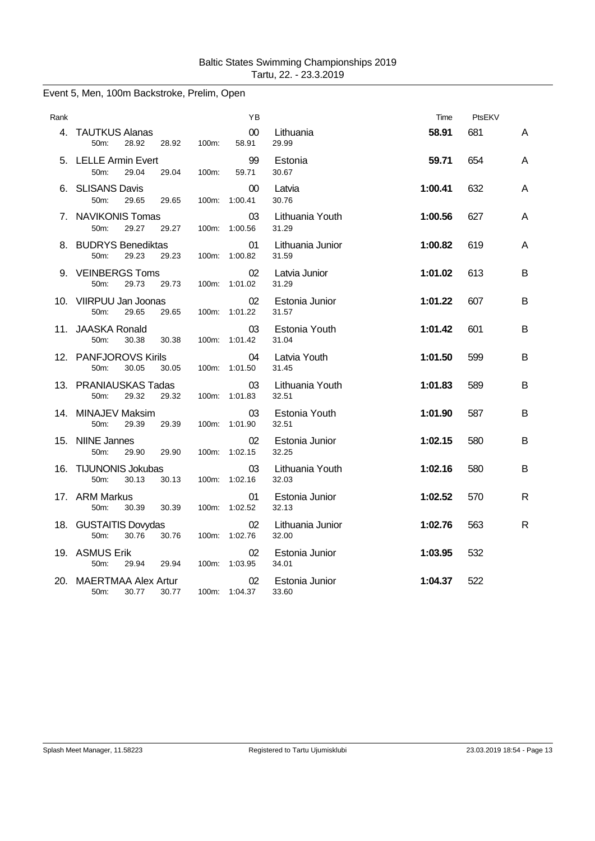# Rank YB Time PtsEKV 4. TAUTKUS Alanas 00 Lithuania **58.91** 681 A 50m: 28.92 28.92 100m: 5. LELLE Armin Evert 99 Estonia **59.71** 654 A 50m: 29.04 29.04 100m: 59.71 30.67 6. SLISANS Davis 00 Latvia **1:00.41** 632 A 50m: 29.65 29.65 100m: 1:00.41 30.76 7. NAVIKONIS Tomas 03 Lithuania Youth **1:00.56** 627 A 50m: 29.27 29.27 100m: 1:00.56 31.29 8. BUDRYS Benediktas 01 Lithuania Junior **1:00.82** 619 A 50m: 29.23 29.23 100m: 1:00.82 9. VEINBERGS Toms 02 Latvia Junior **1:01.02** 613 B 50m: 29.73 29.73 100m: 1:01.02 10. VIIRPUU Jan Joonas 02 Estonia Junior **1:01.22** 607 B 50m: 29.65 29.65 100m: 1:01.22 31.57 11. JAASKA Ronald 03 Estonia Youth **1:01.42** 601 B 50m: 30.38 30.38 100m: 1:01.42 31.04 12. PANFJOROVS Kirils 04 Latvia Youth **1:01.50** 599 B 100m: 1:01.50 13. PRANIAUSKAS Tadas 03 Lithuania Youth **1:01.83** 589 B 50m: 29.32 29.32 100m: 1:01.83 32.51 14. MINAJEV Maksim 03 Estonia Youth **1:01.90** 587 B 50m: 29.39 29.39 100m: 1:01.90 32.51 15. NIINE Jannes 02 Estonia Junior **1:02.15** 580 B 1:02.15 16. TIJUNONIS Jokubas 03 Lithuania Youth **1:02.16** 580 B 50m: 30.13 30.13 100m: 1:02.16 32.03 17. ARM Markus 01 Estonia Junior **1:02.52** 570 R 50m: 30.39 30.39 100m: 1:02.52 32.13 18. GUSTAITIS Dovydas 02 Lithuania Junior **1:02.76** 563 R 50m: 30.76 30.76 100m: 1:02.76 19. ASMUS Erik 02 Estonia Junior **1:03.95** 532 50m: 29.94 29.94 100m: 1:03.95 34.01 20. MAERTMAA Alex Artur 02 Estonia Junior **1:04.37** 522 50m: 30.77 30.77 100m: 1:04.37 33.60

#### Event 5, Men, 100m Backstroke, Prelim, Open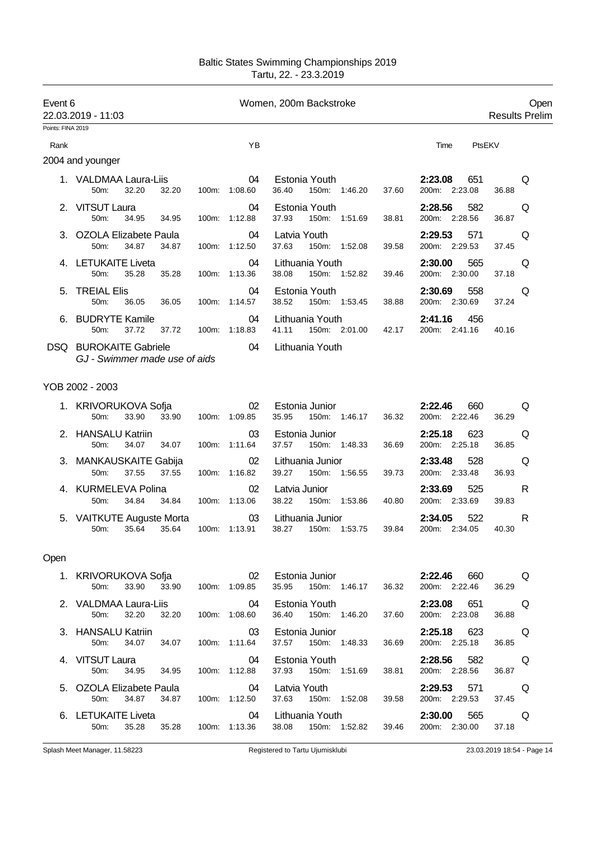| Event 6           | 22.03.2019 - 11:03                                             |                           | Women, 200m Backstroke                                                                                                                                                          | Open<br><b>Results Prelim</b>                 |
|-------------------|----------------------------------------------------------------|---------------------------|---------------------------------------------------------------------------------------------------------------------------------------------------------------------------------|-----------------------------------------------|
| Points: FINA 2019 |                                                                |                           |                                                                                                                                                                                 |                                               |
| Rank              |                                                                | YB                        |                                                                                                                                                                                 | Time<br>PtsEKV                                |
|                   | 2004 and younger                                               |                           |                                                                                                                                                                                 |                                               |
|                   | 1. VALDMAA Laura-Liis<br>32.20<br>32.20<br>50m:                | 04<br>100m: 1:08.60       | Estonia Youth <b>Example</b><br>36.40<br>150m: 1:46.20<br>37.60                                                                                                                 | 2:23.08<br>651<br>Q<br>200m: 2:23.08<br>36.88 |
|                   | 2. VITSUT Laura<br>50 <sub>m</sub><br>34.95<br>34.95           | 04<br>100m: 1:12.88       | Estonia Youth<br>37.93<br>150m: 1:51.69<br>38.81                                                                                                                                | 2:28.56<br>582<br>Q<br>200m: 2:28.56<br>36.87 |
|                   | 3. OZOLA Elizabete Paula<br>50m:<br>34.87<br>34.87             | 04<br>100m: 1:12.50       | Latvia Youth<br>37.63<br>150m: 1:52.08<br>39.58                                                                                                                                 | 2:29.53<br>571<br>Q<br>200m: 2:29.53<br>37.45 |
|                   | 4. LETUKAITE Liveta<br>35.28<br>50m:<br>35.28                  | 04<br>100m: 1:13.36       | Lithuania Youth <b>Example</b><br>38.08 150m: 1:52.82<br>39.46                                                                                                                  | 2:30.00<br>565<br>Q<br>200m: 2:30.00<br>37.18 |
|                   | 5. TREIAL Elis<br>50m:<br>36.05 36.05                          | 04<br>100m: 1:14.57       | Estonia Youth<br>38.52<br>150m: 1:53.45<br>38.88                                                                                                                                | 2:30.69<br>558<br>Q<br>200m: 2:30.69<br>37.24 |
|                   | 6. BUDRYTE Kamile<br>37.72 37.72 100m: 1:18.83<br>50m:         | 04                        | Lithuania Youth<br>42.17<br>41.11 150m: 2:01.00                                                                                                                                 | 456<br>2:41.16<br>200m: 2:41.16 40.16         |
|                   | <b>DSQ BUROKAITE Gabriele</b><br>GJ - Swimmer made use of aids | $\sim$ 04                 | Lithuania Youth                                                                                                                                                                 |                                               |
|                   | YOB 2002 - 2003                                                |                           |                                                                                                                                                                                 |                                               |
|                   | 1. KRIVORUKOVA Sofja<br>33.90<br>33.90<br>$50m$ :              | 02<br>100m: 1:09.85       | Estonia Junior<br>35.95<br>150m: 1:46.17<br>36.32                                                                                                                               | 2:22.46<br>660<br>Q<br>200m: 2:22.46<br>36.29 |
|                   | 2. HANSALU Katriin<br>50m:<br>34.07<br>34.07                   | 03<br>100m: 1:11.64       | Estonia Junior<br>37.57 150m: 1:48.33<br>36.69                                                                                                                                  | 2:25.18<br>623<br>Q<br>200m: 2:25.18<br>36.85 |
|                   | 3. MANKAUSKAITE Gabija<br>37.55<br>50m:<br>37.55               | 02<br>100m: 1:16.82       | Lithuania Junior<br>150m: 1:56.55<br>39.27<br>39.73                                                                                                                             | 2:33.48<br>528<br>Q<br>200m: 2:33.48<br>36.93 |
|                   | 4. KURMELEVA Polina<br>34.84<br>50m:                           | 02<br>34.84 100m: 1:13.06 | Latvia Junior<br>38.22 150m: 1:53.86<br>40.80                                                                                                                                   | 2:33.69<br>525<br>R<br>200m: 2:33.69<br>39.83 |
|                   | 5. VAITKUTE Auguste Morta<br>50m: 35.64<br>35.64               | 03<br>100m: 1:13.91       | Lithuania Junior<br>38.27<br>150m: 1:53.75<br>39.84                                                                                                                             | 522<br>2:34.05<br>R<br>200m: 2:34.05<br>40.30 |
| Open              |                                                                |                           |                                                                                                                                                                                 |                                               |
|                   | 50m: 33.90 33.90 100m: 1:09.85                                 |                           | 1. KRIVORUKOVA Sofja                             02   Estonia Junior                         2:22.46       660           Q<br>35.95  150m: 1:46.17  36.32  200m: 2:22.46  36.29 |                                               |
|                   |                                                                |                           |                                                                                                                                                                                 |                                               |
|                   | 50m: 34.07 34.07                                               | 100m: 1:11.64             | 3. HANSALU Katriin <b>COMPOSE</b> 03 Estonia Junior <b>COMPOSE 2:25.18</b> 623 Q<br>36.69<br>37.57 150m: 1:48.33                                                                | 200m: 2:25.18 36.85                           |
|                   | 4. VITSUT Laura<br>50m: 34.95 34.95 100m: 1:12.88              |                           | 04 Estonia Youth<br>37.93  150m: 1:51.69  38.81  200m: 2:28.56  36.87                                                                                                           | 2:28.56 582 Q                                 |
|                   | 50m: 34.87                                                     | 34.87 100m: 1:12.50       | 5. OZOLA Elizabete Paula <b>by Community Community</b> Catalogy and Catalogy Community Community Community Community C<br>37.63  150m: 1:52.08  39.58  200m: 2:29.53  37.45     |                                               |
|                   | 6. LETUKAITE Liveta<br>50m: 35.28 35.28 100m: 1:13.36          |                           | 04 Lithuania Youth<br>39.46<br>38.08  150m: 1:52.82                                                                                                                             | 2:30.00 565 Q<br>200m: 2:30.00<br>37.18       |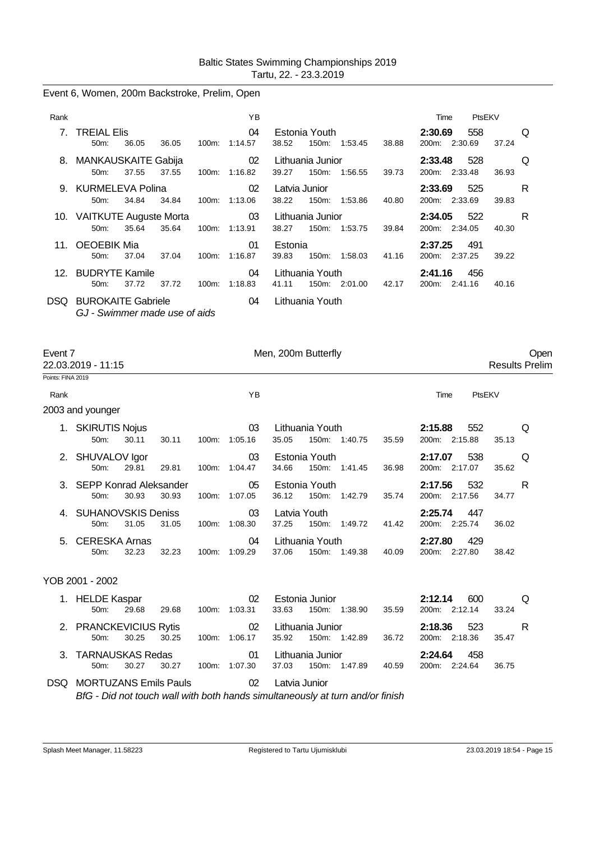Event 6, Women, 200m Backstroke, Prelim, Open

| Rank |                                                            |       |       |          | ΥB                  |                        |                           |               |       | Time                     | PtsEKV |       |   |
|------|------------------------------------------------------------|-------|-------|----------|---------------------|------------------------|---------------------------|---------------|-------|--------------------------|--------|-------|---|
|      | 7. TREIAL Elis<br>$50m$ :                                  | 36.05 | 36.05 | $100m$ : | 04<br>1:14.57       | 38.52                  | Estonia Youth<br>150m:    | 1:53.45       | 38.88 | 2:30.69<br>200m: 2:30.69 | 558    | 37.24 | Q |
|      | 8. MANKAUSKAITE Gabija<br>50m:                             | 37.55 | 37.55 | 100m:    | 02<br>1:16.82       | 39.27                  | Lithuania Junior<br>150m: | 1.56.55       | 39.73 | 2:33.48<br>200m: 2:33.48 | 528    | 36.93 | Q |
|      | 9. KURMELEVA Polina<br>50 <sub>m</sub> :                   | 34.84 | 34.84 |          | 02<br>100m: 1:13.06 | Latvia Junior<br>38.22 | 150m:                     | 1:53.86       | 40.80 | 2:33.69<br>200m: 2:33.69 | 525    | 39.83 | R |
|      | 10. VAITKUTE Auguste Morta<br>50 <sub>m</sub> :            | 35.64 | 35.64 |          | 03<br>100m: 1:13.91 | 38.27                  | Lithuania Junior          | 150m: 1:53.75 | 39.84 | 2:34.05<br>200m: 2:34.05 | - 522  | 40.30 | R |
|      | 11. OEOEBIK Mia<br>$50m$ :                                 | 37.04 | 37.04 | $100m$ : | 01<br>1:16.87       | Estonia<br>39.83       | 150m:                     | 1:58.03       | 41.16 | 2:37.25<br>200m: 2:37.25 | 491    | 39.22 |   |
|      | 12. BUDRYTE Kamile<br>$50m$ :                              | 37.72 | 37.72 | 100m:    | 04<br>1:18.83       | 41.11                  | Lithuania Youth           | 150m: 2:01.00 | 42.17 | 2:41.16<br>200m: 2:41.16 | 456    | 40.16 |   |
| DSQ. | <b>BUROKAITE Gabriele</b><br>GJ - Swimmer made use of aids |       |       |          | 04                  |                        | Lithuania Youth           |               |       |                          |        |       |   |

| Event 7           | 22.03.2019 - 11:15                    |       |       |       |               | Men, 200m Butterfly   |                          |         |       |                                    |        | Oper<br><b>Results Prelim</b> |  |
|-------------------|---------------------------------------|-------|-------|-------|---------------|-----------------------|--------------------------|---------|-------|------------------------------------|--------|-------------------------------|--|
| Points: FINA 2019 |                                       |       |       |       |               |                       |                          |         |       |                                    |        |                               |  |
| Rank              |                                       |       |       |       | ΥB            |                       |                          |         |       | Time                               | PtsEKV |                               |  |
|                   | 2003 and younger                      |       |       |       |               |                       |                          |         |       |                                    |        |                               |  |
|                   | <b>SKIRUTIS Nojus</b><br>$50m$ :      | 30.11 | 30.11 | 100m: | 03<br>1:05.16 | 35.05                 | Lithuania Youth<br>150m: | 1:40.75 | 35.59 | 2:15.88<br>552<br>200m: 2:15.88    | 35.13  | Q                             |  |
|                   | 2. SHUVALOV Igor<br>50m:              | 29.81 | 29.81 | 100m: | 03<br>1:04.47 | 34.66                 | Estonia Youth<br>150m:   | 1:41.45 | 36.98 | 538<br>2:17.07<br>200m: 2:17.07    | 35.62  | Q                             |  |
|                   | 3. SEPP Konrad Aleksander<br>50m:     | 30.93 | 30.93 | 100m: | 05<br>1:07.05 | 36.12                 | Estonia Youth<br>150m:   | 1:42.79 | 35.74 | 532<br>2:17.56<br>200m: 2:17.56    | 34.77  | R                             |  |
|                   | 4. SUHANOVSKIS Deniss<br>$50m$ :      | 31.05 | 31.05 | 100m: | 03<br>1:08.30 | Latvia Youth<br>37.25 | 150m:                    | 1:49.72 | 41.42 | 2:25.74<br>447<br>200m: 2:25.74    | 36.02  |                               |  |
|                   | 5. CERESKA Arnas<br>50 <sub>m</sub> : | 32.23 | 32.23 | 100m: | 04<br>1:09.29 | 37.06                 | Lithuania Youth<br>150m: | 1:49.38 | 40.09 | 2:27.80<br>429<br>200m:<br>2:27.80 | 38.42  |                               |  |

#### YOB 2001 - 2002

| 1. HELDE Kaspar        |       |       |          | 02      | Estonia Junior <b>Access 1996</b> |                  |                  |       | 2:12.14<br>600<br>$\Omega$ |                    |       |
|------------------------|-------|-------|----------|---------|-----------------------------------|------------------|------------------|-------|----------------------------|--------------------|-------|
| $50m$ :                | 29.68 | 29.68 | 100m:    | 1:03.31 | 33.63                             |                  | 150m: 1:38.90    | 35.59 |                            | 200m: 2:12.14      | 33.24 |
| 2. PRANCKEVICIUS Rytis |       |       |          | 02      |                                   |                  | Lithuania Junior |       |                            | <b>2:18.36</b> 523 | - R   |
| $50m$ :                | 30.25 | 30.25 | 100m:    | 1:06.17 | 35.92                             |                  | 150m: 1:42.89    | 36.72 |                            | 200m: 2:18.36      | 35.47 |
| 3. TARNAUSKAS Redas    |       |       |          | - 01    |                                   | Lithuania Junior |                  |       | 2:24.64                    | - 458              |       |
| $50m$ :                | 30.27 | 30.27 | $100m$ : | 1:07.30 | 37.03                             |                  | 150m: 1:47.89    | 40.59 |                            | 200m: 2:24.64      | 36.75 |
|                        |       |       |          |         |                                   |                  |                  |       |                            |                    |       |

DSQ MORTUZANS Emils Pauls 02 Latvia Junior

*BfG - Did not touch wall with both hands simultaneously at turn and/or finish*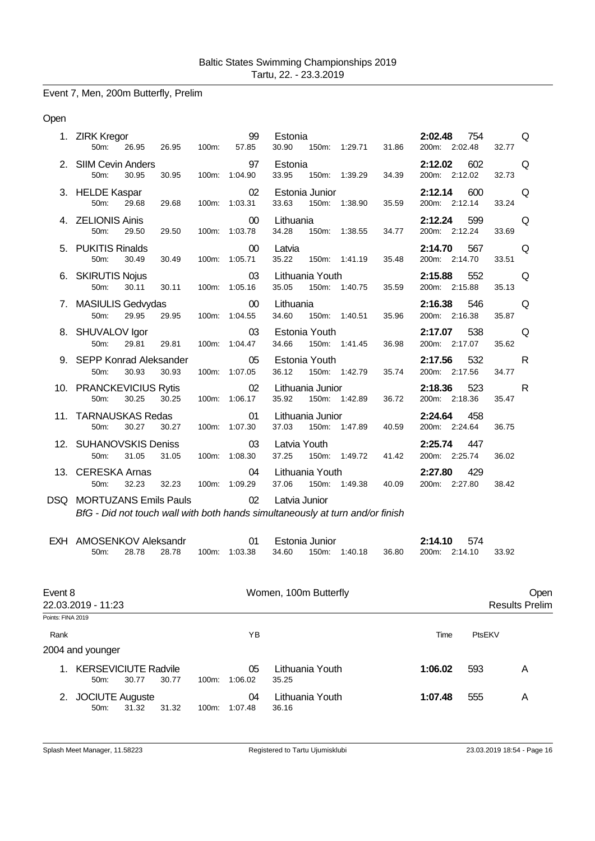# Event 7, Men, 200m Butterfly, Prelim

Open

|                   | 1. ZIRK Kregor<br>26.95<br>50m:                      | 26.95 | 100m: | 99<br>57.85         | Estonia<br>30.90<br>150m: 1:29.71<br>31.86                                                     | 2:02.48<br>754<br>200m: 2:02.48 | Q<br>32.77            |
|-------------------|------------------------------------------------------|-------|-------|---------------------|------------------------------------------------------------------------------------------------|---------------------------------|-----------------------|
|                   | 2. SIIM Cevin Anders<br>30.95<br>50 <sub>m</sub>     | 30.95 |       | 97<br>100m: 1:04.90 | Estonia<br>33.95<br>150m: 1:39.29<br>34.39                                                     | 2:12.02<br>602<br>200m: 2:12.02 | Q<br>32.73            |
|                   | 3. HELDE Kaspar<br>50m:<br>29.68                     | 29.68 |       | 02<br>100m: 1:03.31 | Estonia Junior<br>33.63<br>150m: 1:38.90<br>35.59                                              | 2:12.14<br>600<br>200m: 2:12.14 | Q<br>33.24            |
|                   | 4. ZELIONIS Ainis<br>50 <sub>m</sub><br>29.50        | 29.50 |       | 00<br>100m: 1:03.78 | Lithuania<br>34.28<br>150m: 1:38.55<br>34.77                                                   | 2:12.24<br>599<br>200m: 2:12.24 | Q<br>33.69            |
|                   | 5. PUKITIS Rinalds<br>50m:<br>30.49                  | 30.49 |       | 00<br>100m: 1:05.71 | Latvia<br>35.22<br>150m: 1:41.19<br>35.48                                                      | 2:14.70<br>567<br>200m: 2:14.70 | Q<br>33.51            |
|                   | 6. SKIRUTIS Nojus<br>50 <sub>m</sub> :<br>30.11      | 30.11 |       | 03<br>100m: 1:05.16 | Lithuania Youth<br>35.05<br>150m: 1:40.75<br>35.59                                             | 2:15.88<br>552<br>200m: 2:15.88 | Q<br>35.13            |
|                   | 7. MASIULIS Gedvydas<br>29.95<br>50m:                | 29.95 |       | 00<br>100m: 1:04.55 | Lithuania<br>34.60<br>150m: 1:40.51<br>35.96                                                   | 2:16.38<br>546<br>200m: 2:16.38 | Q<br>35.87            |
|                   | 8. SHUVALOV Igor<br>50 <sub>m</sub> :<br>29.81       | 29.81 |       | 03<br>100m: 1:04.47 | Estonia Youth<br>34.66<br>150m: 1:41.45<br>36.98                                               | 538<br>2:17.07<br>200m: 2:17.07 | Q<br>35.62            |
|                   | 9. SEPP Konrad Aleksander<br>50m:<br>30.93           | 30.93 |       | 05<br>100m: 1:07.05 | Estonia Youth<br>36.12<br>150m: 1:42.79<br>35.74                                               | 2:17.56<br>532<br>200m: 2:17.56 | R<br>34.77            |
|                   | 10. PRANCKEVICIUS Rytis<br>30.25<br>50 <sub>m</sub>  | 30.25 |       | 02<br>100m: 1:06.17 | Lithuania Junior<br>35.92<br>150m: 1:42.89<br>36.72                                            | 2:18.36<br>523<br>200m: 2:18.36 | R<br>35.47            |
|                   | 11. TARNAUSKAS Redas<br>30.27<br>50m:                | 30.27 |       | 01<br>100m: 1:07.30 | Lithuania Junior<br>37.03<br>150m: 1:47.89<br>40.59                                            | 2:24.64<br>458<br>200m: 2:24.64 | 36.75                 |
|                   | 12. SUHANOVSKIS Deniss<br>50 <sub>m</sub> :<br>31.05 | 31.05 |       | 03<br>100m: 1:08.30 | Latvia Youth<br>37.25<br>150m: 1:49.72<br>41.42                                                | 2:25.74<br>447<br>200m: 2:25.74 | 36.02                 |
|                   | 13. CERESKA Arnas<br>32.23<br>50m:                   | 32.23 |       | 04<br>100m: 1:09.29 | Lithuania Youth<br>37.06 150m: 1:49.38<br>40.09                                                | 2:27.80<br>429<br>200m: 2:27.80 | 38.42                 |
|                   | <b>DSQ MORTUZANS Emils Pauls</b>                     |       |       | 02                  | Latvia Junior<br>BfG - Did not touch wall with both hands simultaneously at turn and/or finish |                                 |                       |
|                   |                                                      |       |       |                     |                                                                                                |                                 |                       |
|                   | EXH AMOSENKOV Aleksandr<br>28.78<br>50m:             | 28.78 |       | 01<br>100m: 1:03.38 | Estonia Junior<br>34.60<br>150m: 1:40.18<br>36.80                                              | 2:14.10<br>574<br>200m: 2:14.10 | 33.92                 |
| Event 8           |                                                      |       |       |                     | Women, 100m Butterfly                                                                          |                                 | Open                  |
| Points: FINA 2019 | 22.03.2019 - 11:23                                   |       |       |                     |                                                                                                |                                 | <b>Results Prelim</b> |
| Rank              |                                                      |       |       | YB                  |                                                                                                | PtsEKV<br>Time                  |                       |
|                   | 2004 and younger                                     |       |       |                     |                                                                                                |                                 |                       |
| 1.                | <b>KERSEVICIUTE Radvile</b><br>30.77<br>50m:         | 30.77 | 100m: | 05<br>1:06.02       | Lithuania Youth<br>35.25                                                                       | 1:06.02<br>593                  | A                     |
|                   | 2. JOCIUTE Auguste<br>31.32<br>50m:                  | 31.32 | 100m: | 04<br>1:07.48       | Lithuania Youth<br>36.16                                                                       | 1:07.48<br>555                  | A                     |

50m: 31.32 31.32 100m: 1:07.48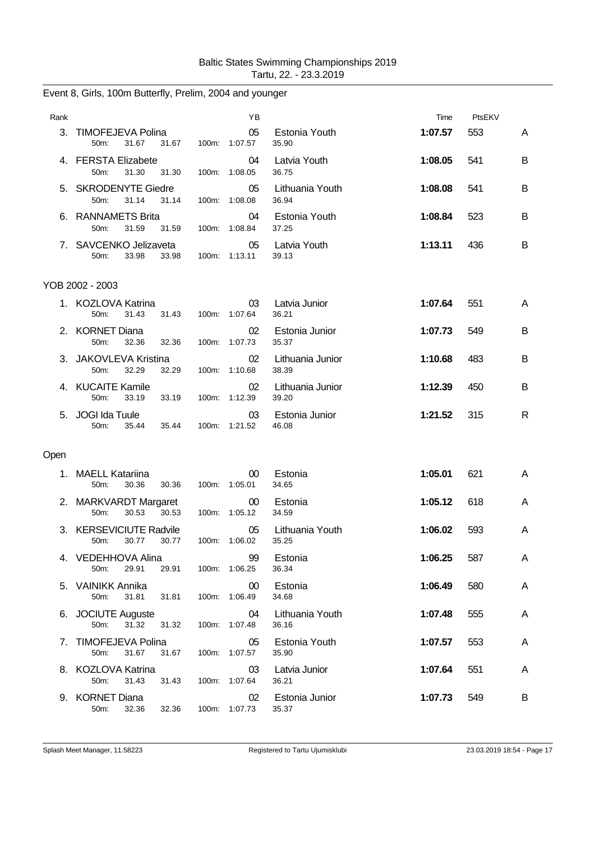| Rank |                                                           | ΥB                      |                           | Time    | PtsEKV |   |
|------|-----------------------------------------------------------|-------------------------|---------------------------|---------|--------|---|
|      | 3. TIMOFEJEVA Polina<br>31.67<br>31.67<br>50m:            | 05<br>100m: 1:07.57     | Estonia Youth<br>35.90    | 1:07.57 | 553    | A |
|      | 4. FERSTA Elizabete<br>50m:<br>31.30<br>31.30             | 04<br>100m: 1:08.05     | Latvia Youth<br>36.75     | 1:08.05 | 541    | B |
|      | 5. SKRODENYTE Giedre<br>50m:<br>31.14<br>31.14            | 05<br>100m: 1:08.08     | Lithuania Youth<br>36.94  | 1:08.08 | 541    | B |
|      | 6. RANNAMETS Brita<br>50m:<br>31.59<br>31.59              | 04<br>100m: 1:08.84     | Estonia Youth<br>37.25    | 1:08.84 | 523    | B |
|      | 7. SAVCENKO Jelizaveta<br>33.98<br>50m:<br>33.98          | 05<br>100m: 1:13.11     | Latvia Youth<br>39.13     | 1:13.11 | 436    | B |
|      | YOB 2002 - 2003                                           |                         |                           |         |        |   |
|      | 1. KOZLOVA Katrina<br>50m:<br>31.43<br>31.43              | 03<br>100m: 1:07.64     | Latvia Junior<br>36.21    | 1:07.64 | 551    | A |
|      | 2. KORNET Diana<br>50 <sub>m</sub> :<br>32.36<br>32.36    | 02<br>100m: 1:07.73     | Estonia Junior<br>35.37   | 1:07.73 | 549    | B |
|      | 3. JAKOVLEVA Kristina<br>50m:<br>32.29<br>32.29           | 02<br>100m: 1:10.68     | Lithuania Junior<br>38.39 | 1:10.68 | 483    | B |
|      | 4. KUCAITE Kamile<br>50m:<br>33.19<br>33.19               | 02<br>100m: 1:12.39     | Lithuania Junior<br>39.20 | 1:12.39 | 450    | В |
|      | 5. JOGI Ida Tuule<br>50m:<br>35.44<br>35.44               | 03<br>100m: 1:21.52     | Estonia Junior<br>46.08   | 1:21.52 | 315    | R |
| Open |                                                           |                         |                           |         |        |   |
|      | 1. MAELL Katariina<br>50 <sub>m</sub> :<br>30.36<br>30.36 | $00\,$<br>100m: 1:05.01 | Estonia<br>34.65          | 1:05.01 | 621    | A |
|      | 2. MARKVARDT Margaret<br>30.53<br>30.53<br>50m:           | $00\,$<br>100m: 1:05.12 | Estonia<br>34.59          | 1:05.12 | 618    | A |
|      | 3. KERSEVICIUTE Radvile<br>30.77<br>30.77<br>50m:         | 05<br>100m: 1:06.02     | Lithuania Youth<br>35.25  | 1:06.02 | 593    | A |
|      | 4. VEDEHHOVA Alina<br>29.91<br>50m:<br>29.91              | 99<br>100m: 1:06.25     | Estonia<br>36.34          | 1:06.25 | 587    | A |
|      | 5. VAINIKK Annika<br>50m:<br>31.81<br>31.81               | 00<br>100m: 1:06.49     | Estonia<br>34.68          | 1:06.49 | 580    | A |
|      | 6. JOCIUTE Auguste<br>31.32<br>50m:<br>31.32              | 04<br>100m: 1:07.48     | Lithuania Youth<br>36.16  | 1:07.48 | 555    | A |
|      | 7. TIMOFEJEVA Polina<br>50m:<br>31.67<br>31.67            | 05<br>100m: 1:07.57     | Estonia Youth<br>35.90    | 1:07.57 | 553    | A |
|      | 8. KOZLOVA Katrina<br>31.43<br>31.43<br>50m:              | 03<br>100m: 1:07.64     | Latvia Junior<br>36.21    | 1:07.64 | 551    | A |
|      | 9. KORNET Diana<br>50m:<br>32.36<br>32.36                 | 02<br>100m: 1:07.73     | Estonia Junior<br>35.37   | 1:07.73 | 549    | B |

# Event 8, Girls, 100m Butterfly, Prelim, 2004 and younger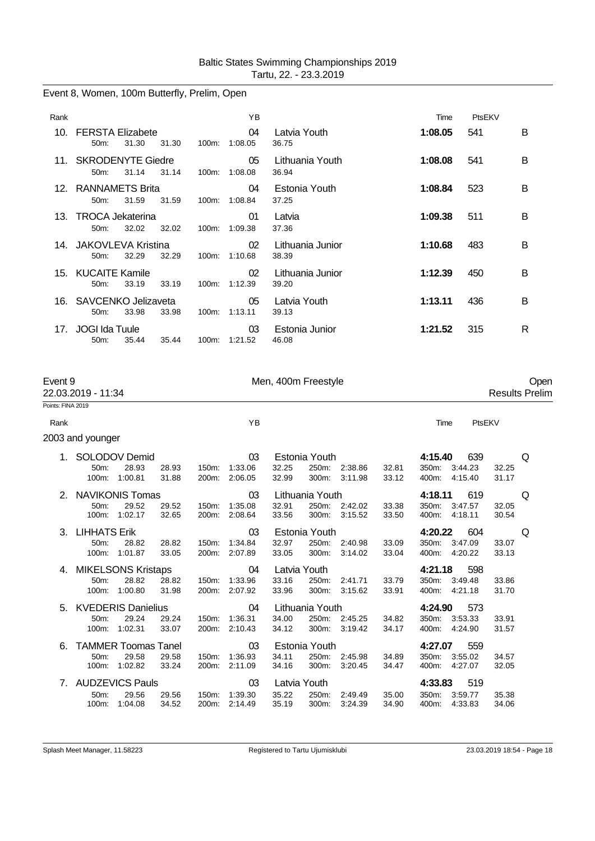# Event 8, Women, 100m Butterfly, Prelim, Open

| Rank |                                    |       |       |          | YB                         |                           | Time    | PtsEKV |   |
|------|------------------------------------|-------|-------|----------|----------------------------|---------------------------|---------|--------|---|
|      | 10. FERSTA Elizabete<br>$50m$ :    | 31.30 | 31.30 | 100m:    | 04<br>1:08.05              | Latvia Youth<br>36.75     | 1:08.05 | 541    | B |
|      | 11. SKRODENYTE Giedre<br>$50m$ :   | 31.14 | 31.14 | 100m:    | 05<br>1:08.08              | Lithuania Youth<br>36.94  | 1:08.08 | 541    | B |
|      | 12. RANNAMETS Brita<br>$50m$ :     | 31.59 | 31.59 | 100m:    | 04<br>1:08.84              | Estonia Youth<br>37.25    | 1:08.84 | 523    | B |
|      | 13. TROCA Jekaterina<br>$50m$ :    | 32.02 | 32.02 | 100m:    | 01<br>1:09.38              | Latvia<br>37.36           | 1:09.38 | 511    | B |
|      | 14. JAKOVLEVA Kristina<br>$50m$ :  | 32.29 | 32.29 | $100m$ : | 02 <sup>°</sup><br>1:10.68 | Lithuania Junior<br>38.39 | 1:10.68 | 483    | B |
|      | 15. KUCAITE Kamile<br>50m          | 33.19 | 33.19 |          | 02<br>100m: 1:12.39        | Lithuania Junior<br>39.20 | 1:12.39 | 450    | B |
|      | 16. SAVCENKO Jelizaveta<br>$50m$ : | 33.98 | 33.98 | 100m:    | 05<br>1:13.11              | Latvia Youth<br>39.13     | 1:13.11 | 436    | B |
|      | 17. JOGI Ida Tuule<br>$50m$ :      | 35.44 | 35.44 | 100m:    | 03<br>1:21.52              | Estonia Junior<br>46.08   | 1:21.52 | 315    | R |

| Event 9           | 22.03.2019 - 11:34        |                            |       |                    |         | Men, 400m Freestyle |                 |               |       |               |         |       | Open<br><b>Results Prelim</b> |
|-------------------|---------------------------|----------------------------|-------|--------------------|---------|---------------------|-----------------|---------------|-------|---------------|---------|-------|-------------------------------|
| Points: FINA 2019 |                           |                            |       |                    |         |                     |                 |               |       |               |         |       |                               |
| Rank              |                           |                            |       |                    | YB      |                     |                 |               |       | Time          | PtsEKV  |       |                               |
|                   | 2003 and younger          |                            |       |                    |         |                     |                 |               |       |               |         |       |                               |
| 1.                |                           | SOLODOV Demid              |       |                    | 03      |                     | Estonia Youth   |               |       | 4:15.40       | 639     |       | Q                             |
|                   | 50m:                      | 28.93                      | 28.93 | 150m:              | 1:33.06 | 32.25               | 250m:           | 2:38.86       | 32.81 | 350m:         | 3:44.23 | 32.25 |                               |
|                   | 100m:                     | 1:00.81                    | 31.88 | 200m:              | 2:06.05 | 32.99               | 300m:           | 3:11.98       | 33.12 | 400m:         | 4:15.40 | 31.17 |                               |
|                   | 2. NAVIKONIS Tomas        |                            |       |                    | 03      |                     | Lithuania Youth |               |       | 4:18.11       | 619     |       | Q                             |
|                   | 50m:                      | 29.52                      | 29.52 | 150m:              | 1:35.08 | 32.91               |                 | 250m: 2:42.02 | 33.38 | 350m: 3:47.57 |         | 32.05 |                               |
|                   |                           | 100m: 1:02.17              | 32.65 | 200 <sub>m</sub> : | 2:08.64 | 33.56               |                 | 300m: 3:15.52 | 33.50 | 400m: 4:18.11 |         | 30.54 |                               |
|                   | 3. LIHHATS Erik           |                            |       |                    | 03      |                     | Estonia Youth   |               |       | 4:20.22       | 604     |       | Q                             |
|                   | 50 <sub>m</sub> :         | 28.82                      | 28.82 | 150m:              | 1:34.84 | 32.97               |                 | 250m: 2:40.98 | 33.09 | 350m: 3:47.09 |         | 33.07 |                               |
|                   | 100m:                     | 1:01.87                    | 33.05 | 200m:              | 2:07.89 | 33.05               | 300m:           | 3:14.02       | 33.04 | 400m: 4:20.22 |         | 33.13 |                               |
|                   | 4. MIKELSONS Kristaps     |                            |       |                    | 04      |                     | Latvia Youth    |               |       | 4:21.18       | 598     |       |                               |
|                   | 50m:                      | 28.82                      | 28.82 | 150m:              | 1:33.96 | 33.16               | 250m:           | 2:41.71       | 33.79 | 350m:         | 3:49.48 | 33.86 |                               |
|                   | $100m$ :                  | 1:00.80                    | 31.98 | 200m:              | 2:07.92 | 33.96               |                 | 300m: 3:15.62 | 33.91 | 400m: 4:21.18 |         | 31.70 |                               |
| 5.                | <b>KVEDERIS Danielius</b> |                            |       |                    | 04      |                     | Lithuania Youth |               |       | 4:24.90       | 573     |       |                               |
|                   | 50m:                      | 29.24                      | 29.24 | 150m:              | 1:36.31 | 34.00               |                 | 250m: 2:45.25 | 34.82 | 350m: 3:53.33 |         | 33.91 |                               |
|                   | 100m:                     | 1:02.31                    | 33.07 | 200 <sub>m</sub> : | 2:10.43 | 34.12               | 300m:           | 3:19.42       | 34.17 | 400m:         | 4:24.90 | 31.57 |                               |
| 6.                |                           | <b>TAMMER Toomas Tanel</b> |       |                    | 03      |                     | Estonia Youth   |               |       | 4:27.07       | 559     |       |                               |
|                   | 50m:                      | 29.58                      | 29.58 | 150m:              | 1:36.93 | 34.11               | 250m:           | 2:45.98       | 34.89 | 350m:         | 3:55.02 | 34.57 |                               |
|                   | 100m:                     | 1:02.82                    | 33.24 | 200 <sub>m</sub> : | 2:11.09 | 34.16               | 300m:           | 3:20.45       | 34.47 | 400m:         | 4:27.07 | 32.05 |                               |
|                   | 7. AUDZEVICS Pauls        |                            |       |                    | 03      | Latvia Youth        |                 |               |       | 4:33.83       | 519     |       |                               |
|                   | 50m:                      | 29.56                      | 29.56 | 150m:              | 1:39.30 | 35.22               | 250m:           | 2:49.49       | 35.00 | 350m:         | 3:59.77 | 35.38 |                               |
|                   | 100m:                     | 1:04.08                    | 34.52 | 200m:              | 2:14.49 | 35.19               | 300m:           | 3:24.39       | 34.90 | 400m: 4:33.83 |         | 34.06 |                               |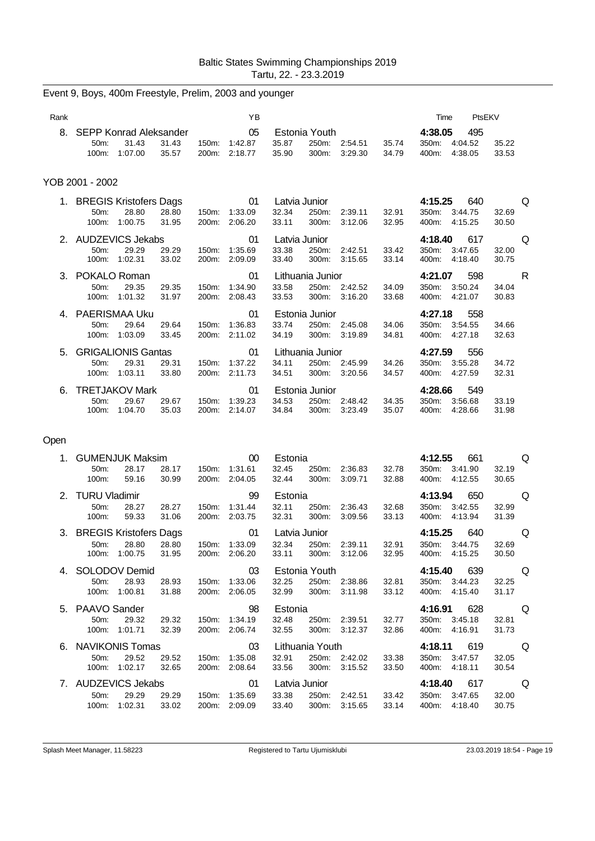| Rank |                           |                                 |       |       | YB            |               |                        |         |       | Time             | PtsEKV         |       |   |
|------|---------------------------|---------------------------------|-------|-------|---------------|---------------|------------------------|---------|-------|------------------|----------------|-------|---|
| 8.   | $50m$ :                   | SEPP Konrad Aleksander<br>31.43 | 31.43 | 150m: | 05<br>1:42.87 | 35.87         | Estonia Youth<br>250m: | 2:54.51 | 35.74 | 4:38.05<br>350m: | 495<br>4:04.52 | 35.22 |   |
|      | 100m:                     | 1:07.00                         | 35.57 | 200m: | 2:18.77       | 35.90         | 300m:                  | 3:29.30 | 34.79 | 400m:            | 4:38.05        | 33.53 |   |
|      | YOB 2001 - 2002           |                                 |       |       |               |               |                        |         |       |                  |                |       |   |
|      | 1. BREGIS Kristofers Dags |                                 |       |       | 01            | Latvia Junior |                        |         |       | 4:15.25          | 640            |       | Q |
|      | 50m:                      | 28.80                           | 28.80 | 150m: | 1:33.09       | 32.34         | 250m:                  | 2:39.11 | 32.91 | 350m:            | 3:44.75        | 32.69 |   |
|      | 100m:                     | 1:00.75                         | 31.95 | 200m: | 2:06.20       | 33.11         | 300m:                  | 3:12.06 | 32.95 | 400m:            | 4:15.25        | 30.50 |   |
|      | 2. AUDZEVICS Jekabs       |                                 |       |       | 01            | Latvia Junior |                        |         |       | 4:18.40          | 617            |       | Q |
|      | $50m$ :                   | 29.29                           | 29.29 | 150m: | 1:35.69       | 33.38         | 250m:                  | 2:42.51 | 33.42 | 350m:            | 3:47.65        | 32.00 |   |
|      | 100m:                     | 1:02.31                         | 33.02 | 200m: | 2:09.09       | 33.40         | 300m:                  | 3:15.65 | 33.14 | 400m:            | 4:18.40        | 30.75 |   |
| 3.   | POKALO Roman              |                                 |       |       | 01            |               | Lithuania Junior       |         |       | 4:21.07          | 598            |       | R |
|      | 50m:                      | 29.35                           | 29.35 | 150m: | 1:34.90       | 33.58         | 250m:                  | 2:42.52 | 34.09 | 350m:            | 3:50.24        | 34.04 |   |
|      | 100m:                     | 1:01.32                         | 31.97 | 200m: | 2:08.43       | 33.53         | 300m:                  | 3:16.20 | 33.68 | 400m:            | 4:21.07        | 30.83 |   |
| 4    |                           | PAERISMAA Uku                   |       |       | 01            |               | Estonia Junior         |         |       | 4:27.18          | 558            |       |   |
|      | 50 <sub>m</sub> :         | 29.64                           | 29.64 | 150m: | 1:36.83       | 33.74         | 250m:                  | 2:45.08 | 34.06 | 350m.            | 3:54.55        | 34.66 |   |
|      | 100m:                     | 1:03.09                         | 33.45 | 200m: | 2:11.02       | 34.19         | 300m:                  | 3:19.89 | 34.81 | 400m:            | 4:27.18        | 32.63 |   |
| 5.   |                           | <b>GRIGALIONIS Gantas</b>       |       |       | 01            |               | Lithuania Junior       |         |       | 4:27.59          | 556            |       |   |
|      | 50 <sub>m</sub> :         | 29.31                           | 29.31 | 150m: | 1:37.22       | 34.11         | 250m:                  | 2:45.99 | 34.26 | 350m:            | 3:55.28        | 34.72 |   |
|      | $100m$ :                  | 1:03.11                         | 33.80 | 200m: | 2:11.73       | 34.51         | 300m:                  | 3:20.56 | 34.57 | 400m:            | 4:27.59        | 32.31 |   |
| 6.   |                           | <b>TRETJAKOV Mark</b>           |       |       | 01            |               | Estonia Junior         |         |       | 4:28.66          | 549            |       |   |
|      | 50m:                      | 29.67                           | 29.67 | 150m: | 1:39.23       | 34.53         | 250m:                  | 2:48.42 | 34.35 | 350m:            | 3:56.68        | 33.19 |   |
|      | 100m:                     | 1:04.70                         | 35.03 | 200m: | 2:14.07       | 34.84         | 300m:                  | 3:23.49 | 35.07 | 400m:            | 4:28.66        | 31.98 |   |

# Event 9, Boys, 400m Freestyle, Prelim, 2003 and younger

#### Open

| 1. |                           | <b>GUMENJUK Maksim</b> |       |       | 00        | Estonia       |                 |         |       | 4:12.55 | 661         |                                                                                                                | Q   |
|----|---------------------------|------------------------|-------|-------|-----------|---------------|-----------------|---------|-------|---------|-------------|----------------------------------------------------------------------------------------------------------------|-----|
|    | $50m$ :                   | 28.17                  | 28.17 | 150m: | 1:31.61   | 32.45         | 250m:           | 2:36.83 | 32.78 | 350m:   | 3:41.90     | 32.19                                                                                                          |     |
|    | 100m:                     | 59.16                  | 30.99 | 200m: | 2:04.05   | 32.44         | 300m:           | 3:09.71 | 32.88 | 400m:   | 4:12.55     | 30.65                                                                                                          |     |
|    | 2. TURU Vladimir          |                        |       |       | 99        | Estonia       |                 |         |       | 4:13.94 | 650         | ling Q                                                                                                         |     |
|    | 50m:                      | 28.27                  | 28.27 | 150m: | 1.31.44   | 32.11         | 250m:           | 2:36.43 | 32.68 | 350m:   | 3:42.55     | 32.99                                                                                                          |     |
|    | 100m:                     | 59.33                  | 31.06 | 200m: | 2:03.75   | 32.31         | 300m:           | 3:09.56 | 33.13 | 400m:   | 4:13.94     | 31.39                                                                                                          |     |
|    | 3. BREGIS Kristofers Dags |                        |       |       | $\sim$ 01 | Latvia Junior |                 |         |       |         | 4:15.25 640 |                                                                                                                | Q   |
|    | $50m$ :                   | 28.80                  | 28.80 | 150m: | 1:33.09   | 32.34         | 250m:           | 2:39.11 | 32.91 | 350m:   | 3:44.75     | 32.69                                                                                                          |     |
|    | 100m:                     | 1:00.75                | 31.95 | 200m: | 2:06.20   | 33.11         | 300m:           | 3:12.06 | 32.95 | 400m:   | 4:15.25     | 30.50                                                                                                          |     |
| 4. |                           | SOLODOV Demid          |       |       | $\sim$ 03 |               | Estonia Youth   |         |       | 4:15.40 | 639         |                                                                                                                | Q   |
|    | $50m$ :                   | 28.93                  | 28.93 | 150m: | 1:33.06   | 32.25         | 250m:           | 2:38.86 | 32.81 | 350m:   | 3:44.23     | 32.25                                                                                                          |     |
|    | 100m:                     | 1:00.81                | 31.88 | 200m: | 2:06.05   | 32.99         | 300m:           | 3:11.98 | 33.12 | 400m:   | 4:15.40     | 31.17                                                                                                          |     |
|    | 5. PAAVO Sander           |                        |       |       | 98        | Estonia       |                 |         |       | 4:16.91 | 628         | a di questo di contratto di un contratto di un contratto di un origi a contratto di un origi a contratto di un |     |
|    | 50 <sub>m</sub> :         | 29.32                  | 29.32 | 150m: | 1:34.19   | 32.48         | 250m:           | 2:39.51 | 32.77 | 350m:   | 3:45.18     | 32.81                                                                                                          |     |
|    | 100m:                     | 1:01.71                | 32.39 | 200m: | 2:06.74   | 32.55         | 300m:           | 3:12.37 | 32.86 | 400m:   | 4:16.91     | 31.73                                                                                                          |     |
| 6. | NAVIKONIS Tomas           |                        |       |       | $\sim$ 03 |               | Lithuania Youth |         |       | 4:18.11 | 619         | a di questo di contratto di un contratto di un contratto di un origi a contratto di un origi a contratto di un |     |
|    | 50 <sub>m</sub> :         | 29.52                  | 29.52 | 150m: | 1:35.08   | 32.91         | 250m:           | 2:42.02 | 33.38 | 350m:   | 3:47.57     | 32.05                                                                                                          |     |
|    | 100m:                     | 1:02.17                | 32.65 | 200m: | 2:08.64   | 33.56         | 300m:           | 3:15.52 | 33.50 | 400m:   | 4:18.11     | 30.54                                                                                                          |     |
|    | 7. AUDZEVICS Jekabs       |                        |       |       | 01        | Latvia Junior |                 |         |       | 4:18.40 | 617         |                                                                                                                | O Q |
|    | $50m$ :                   | 29.29                  | 29.29 | 150m: | 1:35.69   | 33.38         | 250m:           | 2:42.51 | 33.42 | 350m:   | 3:47.65     | 32.00                                                                                                          |     |
|    | 100m:                     | 1:02.31                | 33.02 | 200m: | 2:09.09   | 33.40         | 300m:           | 3:15.65 | 33.14 | 400m:   | 4:18.40     | 30.75                                                                                                          |     |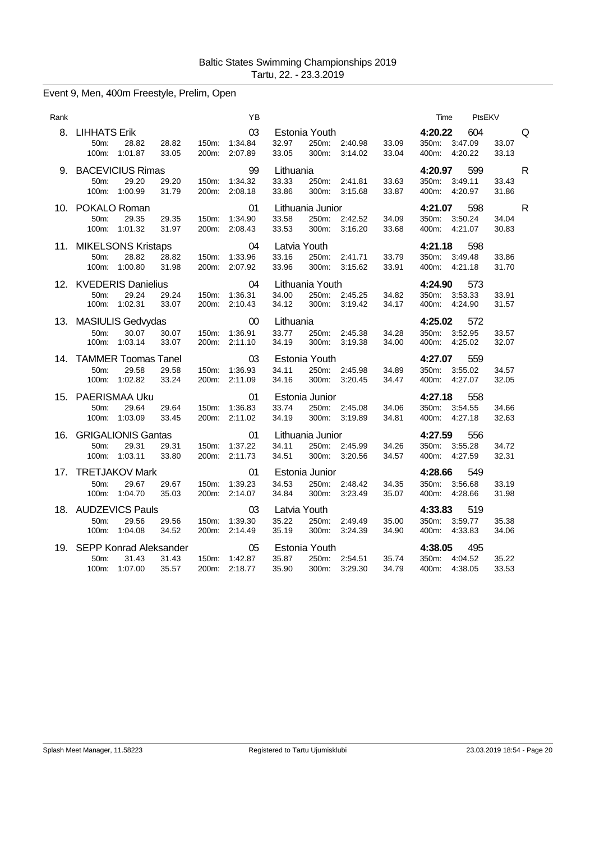|  |  |  |  | Event 9, Men, 400m Freestyle, Prelim, Open |  |
|--|--|--|--|--------------------------------------------|--|
|--|--|--|--|--------------------------------------------|--|

| Rank |                                                                                          | YB                                                    |                                                                                         | PtsEKV<br>Time                                                                     |
|------|------------------------------------------------------------------------------------------|-------------------------------------------------------|-----------------------------------------------------------------------------------------|------------------------------------------------------------------------------------|
|      | 8. LIHHATS Erik<br>28.82<br>50m:<br>28.82<br>100m: 1:01.87<br>33.05                      | 03<br>150m: 1:34.84<br>200m: 2:07.89                  | Estonia Youth<br>32.97<br>250m: 2:40.98<br>33.09<br>33.05<br>300m: 3:14.02<br>33.04     | 4:20.22<br>604<br>Q<br>350m: 3:47.09<br>33.07<br>400m: 4:20.22<br>33.13            |
|      | 9. BACEVICIUS Rimas<br>29.20<br>29.20<br>50m:<br>31.79<br>100m: 1:00.99                  | 99<br>150m: 1:34.32<br>200m: 2:08.18                  | Lithuania<br>33.33<br>250m: 2:41.81<br>33.63<br>33.86<br>300m: 3:15.68<br>33.87         | 599<br>$\mathsf{R}$<br>4:20.97<br>350m: 3:49.11<br>33.43<br>400m: 4:20.97<br>31.86 |
|      | 10. POKALO Roman<br>29.35<br>29.35<br>50m:<br>100m: 1:01.32<br>31.97                     | 01<br>150m: 1:34.90<br>200m: 2:08.43                  | Lithuania Junior<br>33.58<br>250m: 2:42.52<br>34.09<br>33.53<br>300m: 3:16.20<br>33.68  | 4:21.07 598<br>$\mathsf{R}$<br>350m: 3:50.24<br>34.04<br>400m: 4:21.07<br>30.83    |
|      | 11. MIKELSONS Kristaps<br>28.82<br>28.82<br>50m:<br>31.98<br>100m: 1:00.80               | 04<br>150m: 1:33.96<br>200m: 2:07.92                  | Latvia Youth<br>33.16<br>250m: 2:41.71<br>33.79<br>33.96<br>300m: 3:15.62<br>33.91      | 4:21.18<br>598<br>350m: 3:49.48<br>33.86<br>400m: 4:21.18<br>31.70                 |
|      | 12. KVEDERIS Danielius<br>29.24<br>29.24<br>50m:<br>100m: 1:02.31 33.07                  | 04<br>150m: 1:36.31<br>200m: 2:10.43<br>200m: 2:10.43 | Lithuania Youth<br>34.00<br>250m: 2:45.25<br>34.82<br>34.12<br>300m: 3:19.42<br>34.17   | 4:24.90<br>573<br>350m: 3:53.33<br>33.91<br>400m: 4:24.90<br>31.57                 |
|      | 13. MASIULIS Gedvydas<br>50m:<br>30.07<br>30.07<br>100m: 1:03.14<br>33.07                | 00<br>150m: 1:36.91<br>200m: 2:11.10                  | Lithuania<br>33.77 250m: 2:45.38<br>34.28<br>34.19<br>300m: 3:19.38<br>34.00            | 4:25.02<br>572<br>350m: 3:52.95<br>33.57<br>400m: 4:25.02<br>32.07                 |
|      | 14. TAMMER Toomas Tanel<br>29.58<br>29.58<br>50 <sub>m</sub> :<br>33.24<br>100m: 1:02.82 | 03<br>150m: 1:36.93<br>200m: 2:11.09                  | Estonia Youth<br>34.11<br>250m: 2:45.98<br>34.89<br>34.16<br>300m: 3:20.45<br>34.47     | 4:27.07<br>559<br>350m: 3:55.02<br>34.57<br>400m: 4:27.07<br>32.05                 |
|      | 15. PAERISMAA Uku<br>29.64<br>29.64<br>50m:<br>100m: 1:03.09<br>33.45                    | 01<br>150m: 1:36.83<br>200m: 2:11.02                  | Estonia Junior<br>33.74<br>250m: 2:45.08<br>34.06<br>34.19<br>300m: 3:19.89<br>34.81    | 4:27.18<br>558<br>350m: 3:54.55<br>34.66<br>400m: 4:27.18<br>32.63                 |
|      | 16. GRIGALIONIS Gantas<br>29.31<br>50 <sub>m</sub> :<br>29.31<br>100m: 1:03.11<br>33.80  | 01<br>150m: 1:37.22<br>200m: 2:11.73                  | Lithuania Junior<br>34.11<br>250m: 2:45.99<br>34.26<br>34.51<br>300m: 3:20.56<br>34.57  | 4:27.59<br>556<br>350m: 3:55.28<br>34.72<br>400m: 4:27.59<br>32.31                 |
|      | 17. TRETJAKOV Mark<br>$50m$ :<br>29.67<br>29.67<br>100m: 1:04.70<br>35.03                | 01<br>150m: 1:39.23<br>200m: 2:14.07                  | Estonia Junior<br>34.53<br>250m: 2:48.42<br>34.35<br>34.84<br>300m:<br>3:23.49<br>35.07 | 4:28.66<br>549<br>350m: 3:56.68<br>33.19<br>400m: 4:28.66<br>31.98                 |
|      | 18. AUDZEVICS Pauls<br>29.56<br>50m:<br>29.56<br>100m: 1:04.08<br>34.52                  | 03<br>150m: 1:39.30<br>200m: 2:14.49                  | Latvia Youth<br>35.22<br>250m: 2:49.49<br>35.00<br>35.19<br>300m:<br>3:24.39<br>34.90   | 4:33.83<br>519<br>350m: 3:59.77<br>35.38<br>400m: 4:33.83<br>34.06                 |
|      | 19. SEPP Konrad Aleksander<br>31.43<br>$50m$ :<br>31.43<br>35.57<br>100m: 1:07.00        | 05<br>150m: 1:42.87<br>200m: 2:18.77                  | Estonia Youth<br>35.87<br>250m: 2:54.51<br>35.74<br>34.79<br>35.90<br>300m:<br>3:29.30  | 4:38.05<br>495<br>350m: 4:04.52<br>35.22<br>400m: 4:38.05<br>33.53                 |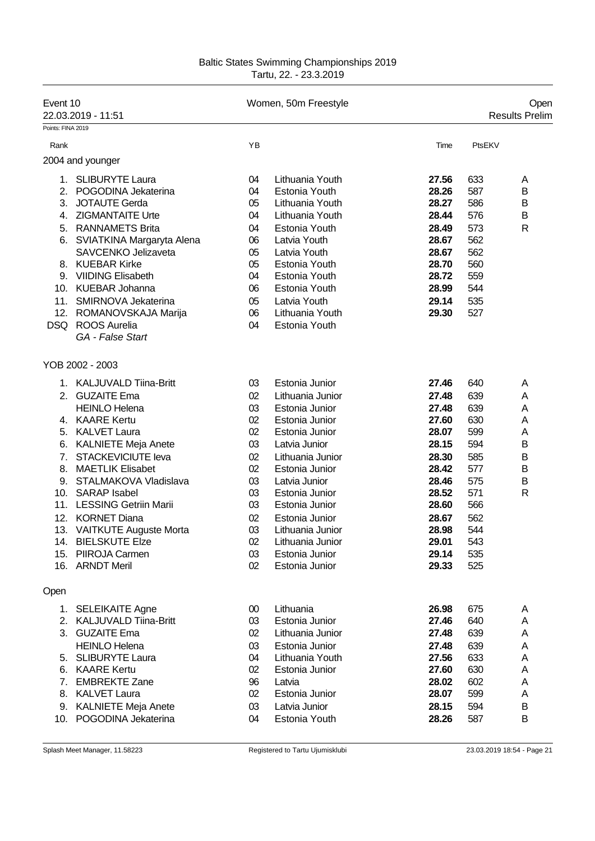| Event 10          | 22.03.2019 - 11:51            |        | Women, 50m Freestyle |       |        | Open<br><b>Results Prelim</b> |  |
|-------------------|-------------------------------|--------|----------------------|-------|--------|-------------------------------|--|
| Points: FINA 2019 |                               |        |                      |       |        |                               |  |
| Rank              |                               | YB     |                      | Time  | PtsEKV |                               |  |
|                   | 2004 and younger              |        |                      |       |        |                               |  |
| 1.                | <b>SLIBURYTE Laura</b>        | 04     | Lithuania Youth      | 27.56 | 633    | Α                             |  |
| 2.                | POGODINA Jekaterina           | 04     | <b>Estonia Youth</b> | 28.26 | 587    | В                             |  |
| 3.                | <b>JOTAUTE Gerda</b>          | 05     | Lithuania Youth      | 28.27 | 586    | B                             |  |
| 4.                | <b>ZIGMANTAITE Urte</b>       | 04     | Lithuania Youth      | 28.44 | 576    | В                             |  |
| 5.                | <b>RANNAMETS Brita</b>        | 04     | Estonia Youth        | 28.49 | 573    | $\mathsf{R}$                  |  |
| 6.                | SVIATKINA Margaryta Alena     | 06     | Latvia Youth         | 28.67 | 562    |                               |  |
|                   | <b>SAVCENKO Jelizaveta</b>    | 05     | Latvia Youth         | 28.67 | 562    |                               |  |
|                   | 8. KUEBAR Kirke               | 05     | Estonia Youth        | 28.70 | 560    |                               |  |
| 9.                | <b>VIIDING Elisabeth</b>      | 04     | Estonia Youth        | 28.72 | 559    |                               |  |
|                   | 10. KUEBAR Johanna            | 06     | Estonia Youth        | 28.99 | 544    |                               |  |
| 11.               | SMIRNOVA Jekaterina           | 05     | Latvia Youth         | 29.14 | 535    |                               |  |
| 12.               | ROMANOVSKAJA Marija           | 06     | Lithuania Youth      | 29.30 | 527    |                               |  |
| DSQ               | <b>ROOS Aurelia</b>           | 04     | Estonia Youth        |       |        |                               |  |
|                   | GA - False Start              |        |                      |       |        |                               |  |
|                   | YOB 2002 - 2003               |        |                      |       |        |                               |  |
|                   | 1. KALJUVALD Tiina-Britt      | 03     | Estonia Junior       | 27.46 | 640    | A                             |  |
| 2.                | <b>GUZAITE Ema</b>            | 02     | Lithuania Junior     | 27.48 | 639    | Α                             |  |
|                   | <b>HEINLO Helena</b>          | 03     | Estonia Junior       | 27.48 | 639    | Α                             |  |
|                   | 4. KAARE Kertu                | 02     | Estonia Junior       | 27.60 | 630    | Α                             |  |
| 5.                | <b>KALVET Laura</b>           | 02     | Estonia Junior       | 28.07 | 599    | Α                             |  |
| 6.                | <b>KALNIETE Meja Anete</b>    | 03     | Latvia Junior        | 28.15 | 594    | B                             |  |
| 7.                | <b>STACKEVICIUTE leva</b>     | 02     | Lithuania Junior     | 28.30 | 585    | B                             |  |
| 8.                | <b>MAETLIK Elisabet</b>       | 02     | Estonia Junior       | 28.42 | 577    | B                             |  |
| 9.                | STALMAKOVA Vladislava         | 03     | Latvia Junior        | 28.46 | 575    | В                             |  |
| 10.               | <b>SARAP Isabel</b>           | 03     | Estonia Junior       | 28.52 | 571    | R                             |  |
| 11.               | <b>LESSING Getriin Marii</b>  | 03     | Estonia Junior       | 28.60 | 566    |                               |  |
| 12.               | <b>KORNET Diana</b>           | 02     | Estonia Junior       | 28.67 | 562    |                               |  |
| 13.               | <b>VAITKUTE Auguste Morta</b> | 03     | Lithuania Junior     | 28.98 | 544    |                               |  |
|                   | 14. BIELSKUTE Elze            | 02     | Lithuania Junior     | 29.01 | 543    |                               |  |
| 15.               | PIIROJA Carmen                | 03     | Estonia Junior       | 29.14 | 535    |                               |  |
|                   | 16. ARNDT Meril               | 02     | Estonia Junior       | 29.33 | 525    |                               |  |
| Open              |                               |        |                      |       |        |                               |  |
|                   | 1. SELEIKAITE Agne            | $00\,$ | Lithuania            | 26.98 | 675    | A                             |  |
|                   | 2. KALJUVALD Tiina-Britt      | 03     | Estonia Junior       | 27.46 | 640    | Α                             |  |
|                   | 3. GUZAITE Ema                | 02     | Lithuania Junior     | 27.48 | 639    | A                             |  |
|                   | <b>HEINLO Helena</b>          | 03     | Estonia Junior       | 27.48 | 639    | A                             |  |
|                   | 5. SLIBURYTE Laura            | 04     | Lithuania Youth      | 27.56 | 633    | A                             |  |
|                   | 6. KAARE Kertu                | 02     | Estonia Junior       | 27.60 | 630    | Α                             |  |
| 7.                | <b>EMBREKTE Zane</b>          | 96     | Latvia               | 28.02 | 602    | Α                             |  |
|                   | 8. KALVET Laura               | 02     | Estonia Junior       | 28.07 | 599    | A                             |  |
|                   | 9. KALNIETE Meja Anete        | 03     | Latvia Junior        | 28.15 | 594    | B                             |  |
| 10.               | POGODINA Jekaterina           | 04     | Estonia Youth        | 28.26 | 587    | B                             |  |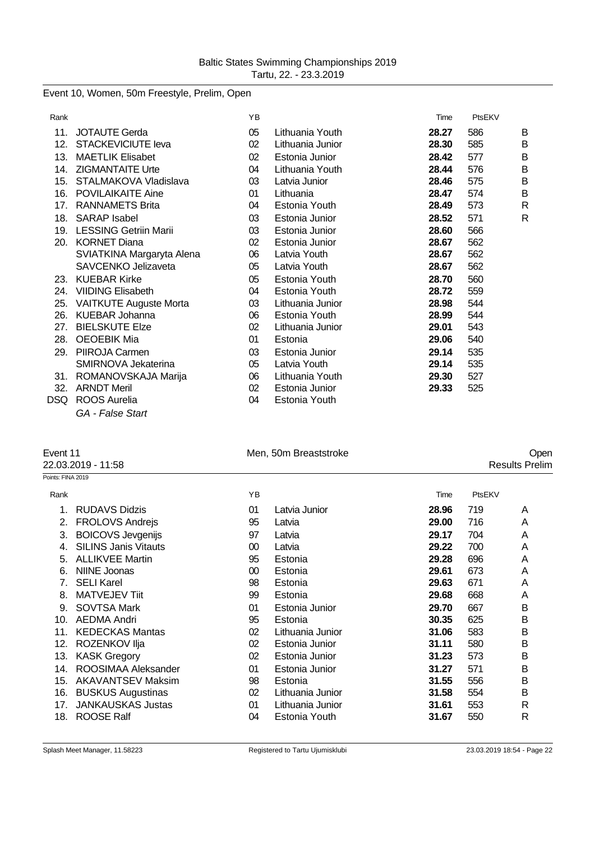Event 10, Women, 50m Freestyle, Prelim, Open

| Rank |                              | YB |                  | Time  | PtsEKV |              |
|------|------------------------------|----|------------------|-------|--------|--------------|
| 11.  | <b>JOTAUTE Gerda</b>         | 05 | Lithuania Youth  | 28.27 | 586    | B            |
| 12.  | <b>STACKEVICIUTE leva</b>    | 02 | Lithuania Junior | 28.30 | 585    | B            |
| 13.  | <b>MAETLIK Elisabet</b>      | 02 | Estonia Junior   | 28.42 | 577    | B            |
|      | 14. ZIGMANTAITE Urte         | 04 | Lithuania Youth  | 28.44 | 576    | B            |
| 15.  | STALMAKOVA Vladislava        | 03 | Latvia Junior    | 28.46 | 575    | B            |
| 16.  | POVILAIKAITE Aine            | 01 | Lithuania        | 28.47 | 574    | B            |
| 17.  | <b>RANNAMETS Brita</b>       | 04 | Estonia Youth    | 28.49 | 573    | $\mathsf{R}$ |
| 18.  | <b>SARAP Isabel</b>          | 03 | Estonia Junior   | 28.52 | 571    | $\mathsf{R}$ |
| 19.  | <b>LESSING Getriin Marii</b> | 03 | Estonia Junior   | 28.60 | 566    |              |
| 20.  | <b>KORNET Diana</b>          | 02 | Estonia Junior   | 28.67 | 562    |              |
|      | SVIATKINA Margaryta Alena    | 06 | Latvia Youth     | 28.67 | 562    |              |
|      | SAVCENKO Jelizaveta          | 05 | Latvia Youth     | 28.67 | 562    |              |
| 23.  | <b>KUEBAR Kirke</b>          | 05 | Estonia Youth    | 28.70 | 560    |              |
| 24.  | <b>VIIDING Elisabeth</b>     | 04 | Estonia Youth    | 28.72 | 559    |              |
| 25.  | VAITKUTE Auguste Morta       | 03 | Lithuania Junior | 28.98 | 544    |              |
| 26.  | <b>KUEBAR Johanna</b>        | 06 | Estonia Youth    | 28.99 | 544    |              |
| 27.  | <b>BIELSKUTE Elze</b>        | 02 | Lithuania Junior | 29.01 | 543    |              |
| 28.  | <b>OEOEBIK Mia</b>           | 01 | Estonia          | 29.06 | 540    |              |
| 29.  | PIIROJA Carmen               | 03 | Estonia Junior   | 29.14 | 535    |              |
|      | SMIRNOVA Jekaterina          | 05 | Latvia Youth     | 29.14 | 535    |              |
|      | 31. ROMANOVSKAJA Marija      | 06 | Lithuania Youth  | 29.30 | 527    |              |
| 32.  | <b>ARNDT Meril</b>           | 02 | Estonia Junior   | 29.33 | 525    |              |
| DSQ  | <b>ROOS Aurelia</b>          | 04 | Estonia Youth    |       |        |              |

*GA - False Start*

| Event 11 |                        |  |
|----------|------------------------|--|
|          | <u>າລັດລັດດາດ - 44</u> |  |

| Event 11 | Men. 50m Breaststroke | Oper |
|----------|-----------------------|------|
|----------|-----------------------|------|

22.03.2019 - 11:58 Results Prelim  $\overline{P_0}$ 

| vints: FINA 2019 |                             |    |                  |       |        |   |
|------------------|-----------------------------|----|------------------|-------|--------|---|
| Rank             |                             | YB |                  | Time  | PtsEKV |   |
|                  | <b>RUDAVS Didzis</b>        | 01 | Latvia Junior    | 28.96 | 719    | A |
| 2.               | <b>FROLOVS Andrejs</b>      | 95 | Latvia           | 29.00 | 716    | A |
| 3.               | <b>BOICOVS Jevgenijs</b>    | 97 | Latvia           | 29.17 | 704    | A |
| 4.               | <b>SILINS Janis Vitauts</b> | 00 | Latvia           | 29.22 | 700    | A |
| 5.               | <b>ALLIKVEE Martin</b>      | 95 | Estonia          | 29.28 | 696    | A |
| 6.               | NIINE Joonas                | 00 | Estonia          | 29.61 | 673    | A |
| 7.               | <b>SELI Karel</b>           | 98 | Estonia          | 29.63 | 671    | A |
| 8.               | MATVEJEV Tiit               | 99 | Estonia          | 29.68 | 668    | A |
| 9.               | <b>SOVTSA Mark</b>          | 01 | Estonia Junior   | 29.70 | 667    | B |
| 10.              | <b>AEDMA Andri</b>          | 95 | Estonia          | 30.35 | 625    | B |
| 11.              | <b>KEDECKAS Mantas</b>      | 02 | Lithuania Junior | 31.06 | 583    | B |
| 12.              | ROZENKOV Ilja               | 02 | Estonia Junior   | 31.11 | 580    | B |
| 13.              | <b>KASK Gregory</b>         | 02 | Estonia Junior   | 31.23 | 573    | B |
| 14.              | ROOSIMAA Aleksander         | 01 | Estonia Junior   | 31.27 | 571    | Β |
| 15.              | <b>AKAVANTSEV Maksim</b>    | 98 | Estonia          | 31.55 | 556    | Β |
| 16.              | <b>BUSKUS Augustinas</b>    | 02 | Lithuania Junior | 31.58 | 554    | B |
| 17.              | <b>JANKAUSKAS Justas</b>    | 01 | Lithuania Junior | 31.61 | 553    | R |
| 18.              | <b>ROOSE Ralf</b>           | 04 | Estonia Youth    | 31.67 | 550    | R |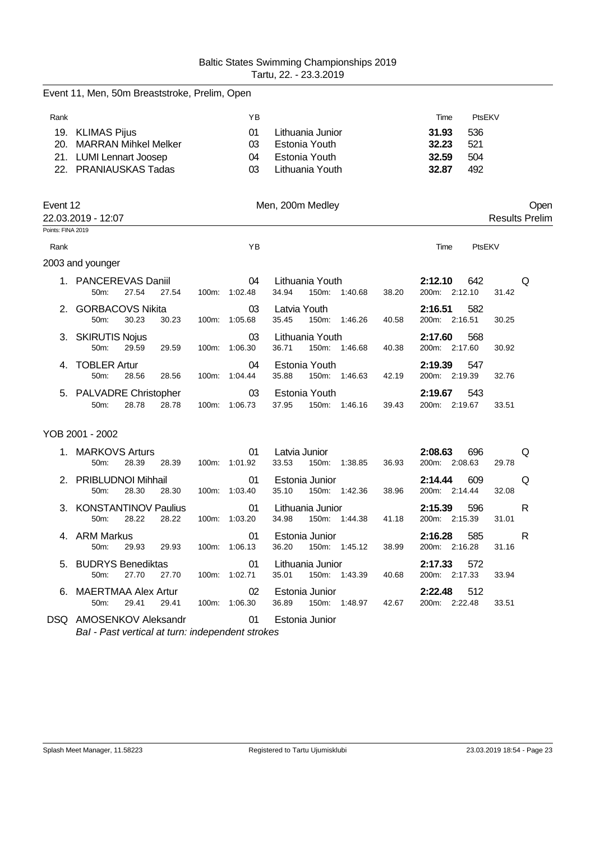|                   | Event 11, Men, 50m Breaststroke, Prelim, Open             |                     |               |                                                     |                                          |                       |
|-------------------|-----------------------------------------------------------|---------------------|---------------|-----------------------------------------------------|------------------------------------------|-----------------------|
| Rank              |                                                           |                     | ΥB            |                                                     | Time                                     | PtsEKV                |
|                   | 19. KLIMAS Pijus                                          |                     | 01            | Lithuania Junior                                    | 31.93<br>536                             |                       |
|                   | 20. MARRAN Mihkel Melker                                  |                     | 03            | Estonia Youth                                       | 32.23<br>521                             |                       |
|                   | 21. LUMI Lennart Joosep                                   |                     | 04            | Estonia Youth                                       | 32.59<br>504                             |                       |
|                   | 22. PRANIAUSKAS Tadas                                     |                     | 03            | Lithuania Youth                                     | 32.87<br>492                             |                       |
| Event 12          |                                                           |                     |               | Men, 200m Medley                                    |                                          | Open                  |
| Points: FINA 2019 | 22.03.2019 - 12:07                                        |                     |               |                                                     |                                          | <b>Results Prelim</b> |
|                   |                                                           |                     |               |                                                     |                                          |                       |
| Rank              |                                                           |                     | YB            |                                                     | Time                                     | PtsEKV                |
|                   | 2003 and younger                                          |                     |               |                                                     |                                          |                       |
|                   | 1. PANCEREVAS Daniil<br>50m:<br>27.54<br>27.54            | 100m: 1:02.48       | 04            | Lithuania Youth<br>34.94<br>150m: 1:40.68<br>38.20  | 2:12.10<br>642<br>200m: 2:12.10          | Q<br>31.42            |
|                   | 2. GORBACOVS Nikita<br>50m:<br>30.23<br>30.23             | 100m: 1:05.68       | 03            | Latvia Youth<br>35.45<br>150m: 1:46.26<br>40.58     | 2:16.51<br>582<br>200m: 2:16.51          | 30.25                 |
|                   | 3. SKIRUTIS Nojus<br>50m:<br>29.59<br>29.59               | 100m:               | 03<br>1:06.30 | Lithuania Youth<br>150m: 1:46.68<br>36.71<br>40.38  | 2:17.60<br>568<br>200m: 2:17.60          | 30.92                 |
| 4.                | <b>TOBLER Artur</b><br>50m:<br>28.56<br>28.56             | 100m: 1:04.44       | 04            | Estonia Youth<br>35.88<br>150m: 1:46.63<br>42.19    | 2:19.39<br>547<br>200m: 2:19.39          | 32.76                 |
|                   | 5. PALVADRE Christopher<br>28.78<br>28.78<br>50m:         | 100m: 1:06.73       | 03            | Estonia Youth<br>37.95<br>150m: 1:46.16<br>39.43    | 2:19.67<br>543<br>200m: 2:19.67          | 33.51                 |
|                   | YOB 2001 - 2002                                           |                     |               |                                                     |                                          |                       |
|                   | 1. MARKOVS Arturs<br>50m:<br>28.39<br>28.39               | 100m: 1:01.92       | 01            | Latvia Junior<br>33.53<br>150m:<br>1:38.85<br>36.93 | 2:08.63<br>696<br>200m: 2:08.63          | Q<br>29.78            |
|                   | 2. PRIBLUDNOI Mihhail<br>28.30<br>50m:<br>28.30           | 100m:               | 01<br>1:03.40 | Estonia Junior<br>35.10<br>150m: 1:42.36<br>38.96   | 2:14.44<br>609<br>200m: 2:14.44          | Q<br>32.08            |
|                   | 3. KONSTANTINOV Paulius<br>50m:<br>28.22<br>28.22         | 100m: 1:03.20       | 01            | Lithuania Junior<br>34.98<br>150m: 1:44.38<br>41.18 | 2:15.39<br>596<br>200m: 2:15.39          | R<br>31.01            |
|                   | 4. ARM Markus<br>50m: 29.93 29.93 100m: 1:06.13           |                     | 01            | Estonia Junior<br>36.20 150m: 1:45.12               | 2:16.28<br>585<br>200m: 2:16.28<br>38.99 | R<br>31.16            |
|                   | 5. BUDRYS Benediktas<br>27.70 27.70 100m: 1:02.71<br>50m: |                     |               | 01 Lithuania Junior<br>35.01 150m: 1:43.39          | 2:17.33 572<br>40.68<br>200m: 2:17.33    | 33.94                 |
|                   | 6. MAERTMAA Alex Artur<br>29.41<br>50m:                   | 29.41 100m: 1:06.30 | $\sim$ 02     | Estonia Junior<br>36.89  150m: 1:48.97  42.67       | 2:22.48 512<br>200m: 2:22.48             | 33.51                 |
|                   | DSQ AMOSENKOV Aleksandr                                   |                     | 01            | Estonia Junior                                      |                                          |                       |

*BaI - Past vertical at turn: independent strokes*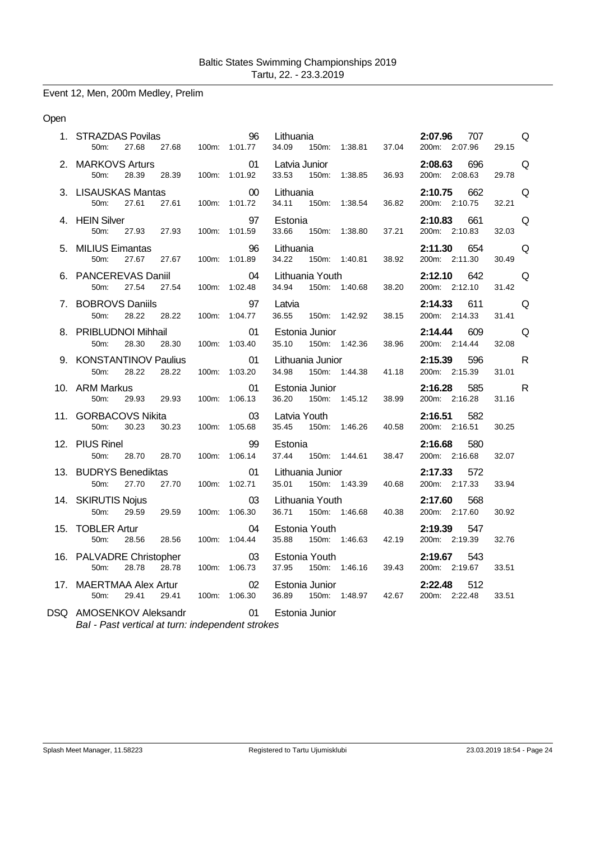## Event 12, Men, 200m Medley, Prelim

#### Open

| 1. STRAZDAS Povilas<br>50m:<br>27.68                                     | 96<br>27.68 100m: 1:01.77  | Lithuania<br>34.09                            | 150m: 1:38.81 37.04 | 2:07.96<br>707<br>200m: 2:07.96 | Q<br>29.15            |
|--------------------------------------------------------------------------|----------------------------|-----------------------------------------------|---------------------|---------------------------------|-----------------------|
| 2. MARKOVS Arturs<br>28.39<br>50m:<br>28.39                              | 01<br>100m: 1:01.92        | Latvia Junior<br>150m: 1:38.85<br>33.53       | 36.93               | 2:08.63<br>696<br>200m: 2:08.63 | Q<br>29.78            |
| 3. LISAUSKAS Mantas<br>uu<br>27.61      100m:      1:01.72<br>50m: 27.61 | 00                         | Lithuania<br>34.11 150m: 1:38.54              | 36.82               | 2:10.75<br>662<br>200m: 2:10.75 | Q<br>32.21            |
| 4. HEIN Silver<br>27.93<br>27.93<br>50m:                                 | 97<br>100m: 1:01.59        | Estonia<br>33.66<br>150m: 1:38.80             | 37.21               | 2:10.83 661<br>200m: 2:10.83    | Q<br>32.03            |
| 5. MILIUS Eimantas<br>27.67<br>50m:<br>27.67                             | 96<br>100m: 1:01.89        | Lithuania<br>34.22<br>150m: 1:40.81           | 38.92               | 2:11.30 654<br>200m: 2:11.30    | Q<br>30.49            |
| 6. PANCEREVAS Daniil<br>27.54<br>27.54<br>50 <sub>m</sub> :              | 04<br>100m: 1:02.48        | Lithuania Youth<br>34.94<br>150m: 1:40.68     | 38.20               | 2:12.10<br>642<br>200m: 2:12.10 | Q<br>31.42            |
| 7. BOBROVS Daniils<br>50m:<br>28.22<br>28.22                             | 97<br>100m: 1:04.77        | Latvia<br>36.55<br>150m: 1:42.92              | 38.15               | 2:14.33<br>611<br>200m: 2:14.33 | Q<br>31.41            |
| 8. PRIBLUDNOI Mihhail<br>28.30<br>28.30<br>50 <sub>m</sub>               | 01<br>100m: 1:03.40        | Estonia Junior<br>35.10 150m: 1:42.36         | 38.96               | 2:14.44<br>609<br>200m: 2:14.44 | Q<br>32.08            |
| 9. KONSTANTINOV Paulius<br>28.22<br>28.22<br>50m:                        | $\sim$ 01<br>100m: 1:03.20 | Lithuania Junior<br>34.98<br>150m: 1:44.38    | 41.18               | 2:15.39 596<br>200m: 2:15.39    | R<br>31.01            |
| 10. ARM Markus<br>29.93 29.93<br>50m:                                    | 01<br>100m: 1:06.13        | Estonia Junior<br>36.20<br>150m: 1:45.12      | 38.99               | 2:16.28 585<br>200m: 2:16.28    | $\mathsf{R}$<br>31.16 |
| 11. GORBACOVS Nikita<br>30.23<br>30.23<br>50m:                           | 03<br>100m: 1:05.68        | Latvia Youth<br>35.45<br>150m: 1:46.26        | 40.58               | 2:16.51<br>582<br>200m: 2:16.51 | 30.25                 |
| 12. PIUS Rinel<br>28.70<br>28.70<br>50m:                                 | 99<br>100m: 1:06.14        | Estonia<br>37.44<br>150m: 1:44.61             | 38.47               | 2:16.68<br>580<br>200m: 2:16.68 | 32.07                 |
| 13. BUDRYS Benediktas<br>27.70<br>50m:<br>27.70                          | 01<br>100m: 1:02.71        | Lithuania Junior<br>35.01 150m: 1:43.39       | 40.68               | 2:17.33<br>572<br>200m: 2:17.33 | 33.94                 |
| 14. SKIRUTIS Nojus<br>50m:<br>29.59<br>29.59                             | 03<br>100m: 1:06.30        | Lithuania Youth<br>36.71 150m: 1:46.68        | 40.38               | 2:17.60<br>568<br>200m: 2:17.60 | 30.92                 |
| 15. TOBLER Artur<br>50m:<br>28.56<br>28.56                               | 04<br>100m: 1:04.44        | Estonia Youth<br>35.88<br>150m: 1:46.63       | 42.19               | 2:19.39<br>547<br>200m: 2:19.39 | 32.76                 |
| 16. PALVADRE Christopher<br>28.78<br>28.78<br>50 <sub>m</sub>            | 03<br>100m: 1:06.73        | Estonia Youth<br>37.95<br>150m: 1:46.16       | 39.43               | 2:19.67<br>543<br>200m: 2:19.67 | 33.51                 |
| 17. MAERTMAA Alex Artur<br>50m:<br>29.41<br>29.41                        | 02<br>100m: 1:06.30        | Estonia Junior<br>36.89  150m: 1:48.97  42.67 |                     | 2:22.48<br>512<br>200m: 2:22.48 | 33.51                 |

DSQ AMOSENKOV Aleksandr 01 Estonia Junior *BaI - Past vertical at turn: independent strokes*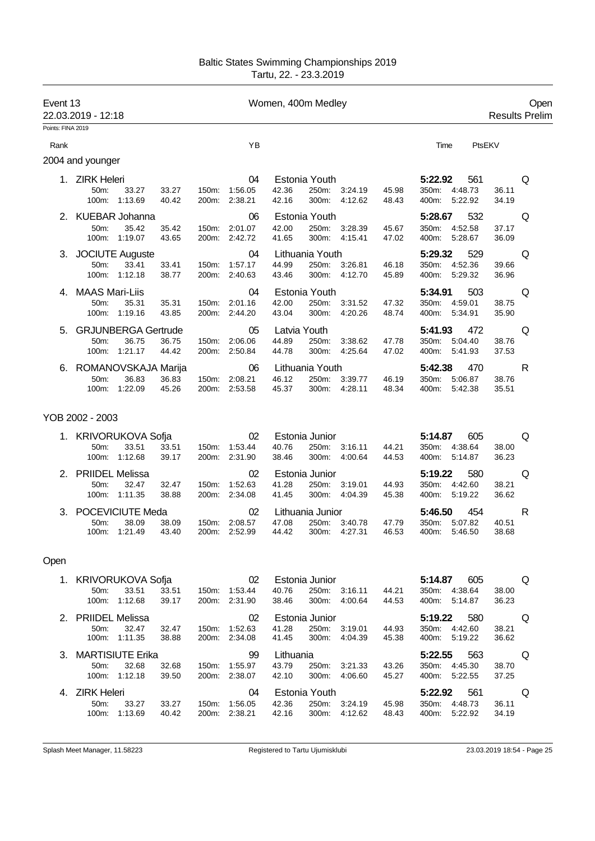| Event 13          | 22.03.2019 - 12:18                                                                    |                                |               | Women, 400m Medley                                                                           |                                                     | Open<br><b>Results Prelim</b> |
|-------------------|---------------------------------------------------------------------------------------|--------------------------------|---------------|----------------------------------------------------------------------------------------------|-----------------------------------------------------|-------------------------------|
| Points: FINA 2019 |                                                                                       |                                |               |                                                                                              |                                                     |                               |
| Rank              |                                                                                       |                                | YB            |                                                                                              | Time                                                | PtsEKV                        |
|                   | 2004 and younger                                                                      |                                |               |                                                                                              |                                                     |                               |
|                   | 1. ZIRK Heleri<br>50m:<br>33.27<br>33.27<br>100m:<br>1:13.69<br>40.42                 | 150m:<br>200m: 2:38.21         | 04<br>1:56.05 | Estonia Youth<br>250m:<br>42.36<br>3:24.19<br>45.98<br>42.16<br>300m:<br>4:12.62<br>48.43    | 5:22.92<br>561<br>350m: 4:48.73<br>5:22.92<br>400m: | Q<br>36.11<br>34.19           |
|                   | 2. KUEBAR Johanna<br>35.42<br>35.42<br>50m:<br>100m: 1:19.07<br>43.65                 | 150m: 2:01.07<br>200m: 2:42.72 | 06            | Estonia Youth<br>250m: 3:28.39<br>42.00<br>45.67<br>41.65<br>300m: 4:15.41<br>47.02          | 5:28.67<br>532<br>350m: 4:52.58<br>400m: 5:28.67    | Q<br>37.17<br>36.09           |
|                   | 3. JOCIUTE Auguste<br>33.41<br>33.41<br>50m:<br>100m: 1:12.18<br>38.77                | 150m: 1:57.17<br>200m: 2:40.63 | 04            | Lithuania Youth<br>44.99<br>250m: 3:26.81<br>46.18<br>300m: 4:12.70<br>43.46<br>45.89        | 5:29.32<br>529<br>350m: 4:52.36<br>400m: 5:29.32    | Q<br>39.66<br>36.96           |
|                   | 4. MAAS Mari-Liis<br>35.31<br>50m:<br>35.31<br>100m: 1:19.16<br>43.85                 | 150m: 2:01.16<br>200m: 2:44.20 | 04            | Estonia Youth<br>250m: 3:31.52<br>42.00<br>47.32<br>43.04<br>300m: 4:20.26<br>48.74          | 503<br>5:34.91<br>350m: 4:59.01<br>400m: 5:34.91    | Q<br>38.75<br>35.90           |
| 5.                | <b>GRJUNBERGA Gertrude</b><br>36.75<br>50m:<br>36.75<br>1:21.17<br>44.42<br>100m:     | 150m:<br>200m: 2:50.84         | 05<br>2:06.06 | Latvia Youth<br>250m:<br>44.89<br>3:38.62<br>47.78<br>44.78<br>300m:<br>4.25.64<br>47.02     | 5:41.93<br>472<br>350m: 5:04.40<br>400m: 5:41.93    | Q<br>38.76<br>37.53           |
|                   | 6. ROMANOVSKAJA Marija<br>50m:<br>36.83<br>36.83<br>45.26<br>100m: 1:22.09            | 150m:<br>200m: 2:53.58         | 06<br>2:08.21 | Lithuania Youth<br>250m:<br>46.12<br>3:39.77<br>46.19<br>45.37<br>300m:<br>4:28.11<br>48.34  | 5:42.38<br>470<br>350m: 5:06.87<br>400m: 5:42.38    | R<br>38.76<br>35.51           |
|                   | YOB 2002 - 2003                                                                       |                                |               |                                                                                              |                                                     |                               |
|                   | 1. KRIVORUKOVA Sofja<br>33.51<br>33.51<br>50 <sub>m</sub> :<br>100m: 1:12.68<br>39.17 | 150m:<br>200m: 2:31.90         | 02<br>1:53.44 | Estonia Junior<br>40.76<br>250m:<br>44.21<br>3:16.11<br>300m: 4:00.64<br>38.46<br>44.53      | 5:14.87<br>605<br>350m: 4:38.64<br>400m: 5:14.87    | Q<br>38.00<br>36.23           |
|                   | 2. PRIIDEL Melissa<br>50 <sub>m</sub> :<br>32.47<br>32.47<br>100m: 1:11.35<br>38.88   | 150m: 1:52.63<br>200m: 2:34.08 | 02            | Estonia Junior<br>250m:<br>41.28<br>3:19.01<br>44.93<br>300m:<br>41.45<br>4:04.39<br>45.38   | 5:19.22<br>580<br>350m: 4:42.60<br>400m: 5:19.22    | Q<br>38.21<br>36.62           |
|                   | 3. POCEVICIUTE Meda<br>50m:<br>38.09<br>38.09<br>100m:<br>1:21.49<br>43.40            | 150m:<br>200m: 2:52.99         | 02<br>2:08.57 | Lithuania Junior<br>47.08<br>250m:<br>3:40.78<br>47.79<br>44.42<br>300m:<br>4:27.31<br>46.53 | 5:46.50<br>454<br>350m: 5:07.82<br>400m:<br>5:46.50 | R<br>40.51<br>38.68           |
| Open              |                                                                                       |                                |               |                                                                                              |                                                     |                               |
|                   | 1. KRIVORUKOVA Sofja<br>50m:<br>33.51<br>33.51<br>100m: 1:12.68<br>39.17              | 150m: 1:53.44<br>200m: 2:31.90 | 02            | Estonia Junior<br>40.76<br>250m:<br>3:16.11<br>44.21<br>38.46<br>300m: 4:00.64<br>44.53      | 5:14.87 605<br>350m: 4:38.64<br>400m: 5:14.87       | Q<br>38.00<br>36.23           |
|                   | 2. PRIIDEL Melissa<br>50m:<br>32.47<br>32.47<br>100m:<br>1:11.35<br>38.88             | 150m: 1:52.63<br>200m: 2:34.08 | 02            | Estonia Junior<br>41.28<br>250m:<br>3:19.01<br>44.93<br>41.45<br>300m:<br>4:04.39<br>45.38   | 5:19.22<br>580<br>350m: 4:42.60<br>400m: 5:19.22    | Q<br>38.21<br>36.62           |
|                   | 3. MARTISIUTE Erika<br>32.68<br>32.68<br>50 <sub>m</sub> :<br>100m: 1:12.18<br>39.50  | 150m: 1:55.97<br>200m: 2:38.07 | 99            | Lithuania<br>43.79<br>250m:<br>3:21.33<br>43.26<br>42.10<br>300m:<br>4:06.60<br>45.27        | 5:22.55<br>563<br>350m: 4:45.30<br>400m: 5:22.55    | Q<br>38.70<br>37.25           |
|                   | 4. ZIRK Heleri<br>50m:<br>33.27<br>33.27<br>100m: 1:13.69<br>40.42                    | 150m: 1:56.05<br>200m: 2:38.21 | 04            | Estonia Youth<br>42.36<br>250m: 3:24.19<br>45.98<br>42.16<br>300m:<br>4:12.62<br>48.43       | 5:22.92<br>561<br>350m: 4:48.73<br>400m: 5:22.92    | Q<br>36.11<br>34.19           |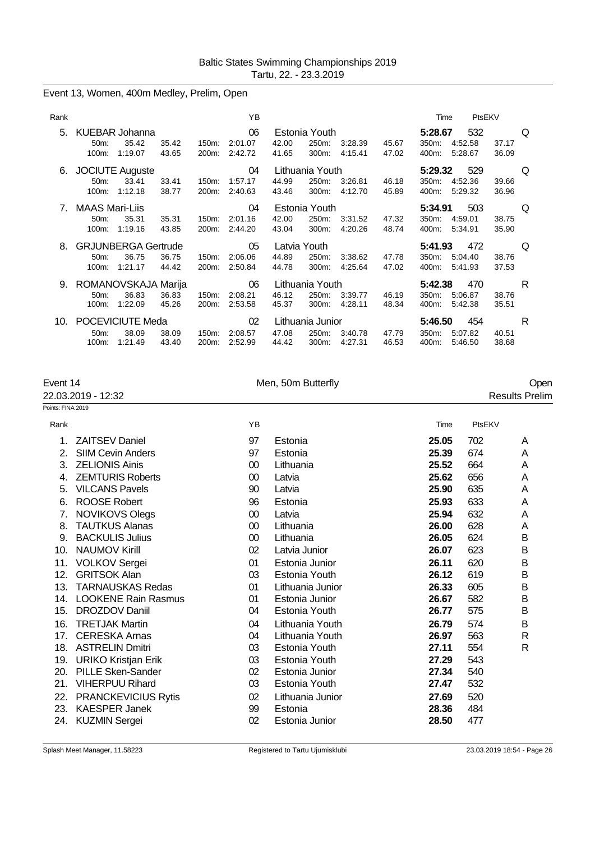# Event 13, Women, 400m Medley, Prelim, Open

| Rank |                                                                                      | YB                                            |                                                                                              | PtsEKV<br>Time                                                                |
|------|--------------------------------------------------------------------------------------|-----------------------------------------------|----------------------------------------------------------------------------------------------|-------------------------------------------------------------------------------|
| 5.   | KUEBAR Johanna<br>35.42<br>35.42<br>$50m$ :<br>1:19.07<br>43.65<br>100m:             | 06<br>2:01.07<br>150m:<br>200m:<br>2:42.72    | Estonia Youth<br>42.00<br>250m:<br>45.67<br>3:28.39<br>4:15.41<br>41.65<br>300m:<br>47.02    | 532<br>5:28.67<br>Q<br>4:52.58<br>350m:<br>37.17<br>400m:<br>5:28.67<br>36.09 |
| 6.   | <b>JOCIUTE Auguste</b><br>33.41<br>$50m$ :<br>33.41<br>1:12.18<br>38.77<br>$100m$ :  | 04<br>150m:<br>1:57.17<br>200m:<br>2:40.63    | Lithuania Youth<br>44.99<br>250m:<br>3:26.81<br>46.18<br>300m:<br>4:12.70<br>45.89<br>43.46  | 5:29.32<br>529<br>Q<br>350m:<br>4:52.36<br>39.66<br>400m:<br>5.29.32<br>36.96 |
|      | <b>MAAS Mari-Liis</b><br>35.31<br>35.31<br>$50m$ :<br>1:19.16<br>100m:<br>43.85      | 04<br>150m:<br>2:01.16<br>200m:<br>2:44.20    | Estonia Youth<br>250m:<br>42.00<br>3:31.52<br>47.32<br>4:20.26<br>48.74<br>43.04<br>300m:    | 503<br>Q<br>5:34.91<br>350m:<br>4:59.01<br>38.75<br>400m:<br>5:34.91<br>35.90 |
| 8    | <b>GRJUNBERGA Gertrude</b><br>36.75<br>36.75<br>$50m$ :<br>1:21.17<br>44.42<br>100m: | 05<br>2:06.06<br>$150m$ :<br>2:50.84<br>200m: | Latvia Youth<br>44.89<br>250m:<br>3:38.62<br>47.78<br>4:25.64<br>47.02<br>44.78<br>300m:     | 472<br>5:41.93<br>Q<br>350m:<br>5:04.40<br>38.76<br>400m:<br>37.53<br>5:41.93 |
| 9.   | ROMANOVSKAJA Marija<br>36.83<br>36.83<br>$50m$ :<br>1:22.09<br>$100m$ :<br>45.26     | 06<br>2:08.21<br>$150m$ :<br>200m:<br>2:53.58 | Lithuania Youth<br>46.12<br>250m:<br>46.19<br>3:39.77<br>45.37<br>300m:<br>4:28.11<br>48.34  | R<br>5:42.38<br>470<br>350m:<br>5:06.87<br>38.76<br>400m:<br>5:42.38<br>35.51 |
| 10.  | POCEVICIUTE Meda<br>38.09<br>38.09<br>$50m$ :<br>1:21.49<br>43.40<br>$100m$ :        | 02<br>2:08.57<br>150m:<br>200m:<br>2:52.99    | Lithuania Junior<br>250m:<br>47.08<br>3:40.78<br>47.79<br>44.42<br>300m:<br>4:27.31<br>46.53 | 5:46.50<br>454<br>R<br>350m:<br>5:07.82<br>40.51<br>400m:<br>5:46.50<br>38.68 |

| Event 14          |                            | Men, 50m Butterfly |                  |       | Open   |                       |  |
|-------------------|----------------------------|--------------------|------------------|-------|--------|-----------------------|--|
|                   | 22.03.2019 - 12:32         |                    |                  |       |        | <b>Results Prelim</b> |  |
| Points: FINA 2019 |                            |                    |                  |       |        |                       |  |
| Rank              |                            | YB                 |                  | Time  | PtsEKV |                       |  |
| 1.                | <b>ZAITSEV Daniel</b>      | 97                 | Estonia          | 25.05 | 702    | A                     |  |
| 2.                | <b>SIIM Cevin Anders</b>   | 97                 | Estonia          | 25.39 | 674    | A                     |  |
| 3.                | <b>ZELIONIS Ainis</b>      | $00\,$             | Lithuania        | 25.52 | 664    | A                     |  |
| 4.                | <b>ZEMTURIS Roberts</b>    | 00                 | Latvia           | 25.62 | 656    | Α                     |  |
| 5.                | <b>VILCANS Pavels</b>      | 90                 | Latvia           | 25.90 | 635    | Α                     |  |
| 6.                | <b>ROOSE Robert</b>        | 96                 | Estonia          | 25.93 | 633    | A                     |  |
| 7.                | <b>NOVIKOVS Olegs</b>      | 00                 | Latvia           | 25.94 | 632    | Α                     |  |
| 8.                | <b>TAUTKUS Alanas</b>      | 00                 | Lithuania        | 26.00 | 628    | Α                     |  |
| 9.                | <b>BACKULIS Julius</b>     | 00                 | Lithuania        | 26.05 | 624    | B                     |  |
| 10.               | <b>NAUMOV Kirill</b>       | 02                 | Latvia Junior    | 26.07 | 623    | В                     |  |
|                   | 11. VOLKOV Sergei          | 01                 | Estonia Junior   | 26.11 | 620    | B                     |  |
| 12.               | <b>GRITSOK Alan</b>        | 03                 | Estonia Youth    | 26.12 | 619    | B                     |  |
| 13.               | <b>TARNAUSKAS Redas</b>    | 01                 | Lithuania Junior | 26.33 | 605    | B                     |  |
|                   | 14. LOOKENE Rain Rasmus    | 01                 | Estonia Junior   | 26.67 | 582    | B                     |  |
| 15.               | DROZDOV Daniil             | 04                 | Estonia Youth    | 26.77 | 575    | В                     |  |
| 16.               | <b>TRETJAK Martin</b>      | 04                 | Lithuania Youth  | 26.79 | 574    | B                     |  |
| 17.               | <b>CERESKA Arnas</b>       | 04                 | Lithuania Youth  | 26.97 | 563    | R                     |  |
|                   | 18. ASTRELIN Dmitri        | 03                 | Estonia Youth    | 27.11 | 554    | R                     |  |
|                   | 19. URIKO Kristjan Erik    | 03                 | Estonia Youth    | 27.29 | 543    |                       |  |
| 20.               | <b>PILLE Sken-Sander</b>   | 02                 | Estonia Junior   | 27.34 | 540    |                       |  |
| 21.               | <b>VIHERPUU Rihard</b>     | 03                 | Estonia Youth    | 27.47 | 532    |                       |  |
| 22.               | <b>PRANCKEVICIUS Rytis</b> | 02                 | Lithuania Junior | 27.69 | 520    |                       |  |
| 23.               | <b>KAESPER Janek</b>       | 99                 | Estonia          | 28.36 | 484    |                       |  |
| 24.               | <b>KUZMIN Sergei</b>       | 02                 | Estonia Junior   | 28.50 | 477    |                       |  |
|                   |                            |                    |                  |       |        |                       |  |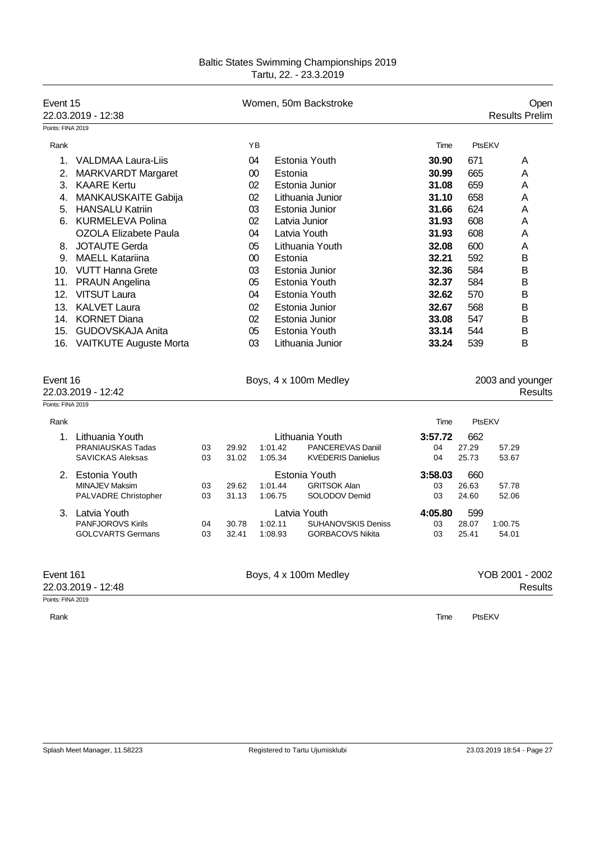| Event 15<br>22.03.2019 - 12:38 |                              |    |       |         | Women, 50m Backstroke     |         |        | Open<br><b>Results Prelim</b> |
|--------------------------------|------------------------------|----|-------|---------|---------------------------|---------|--------|-------------------------------|
| Points: FINA 2019              |                              |    |       |         |                           |         |        |                               |
| Rank                           |                              |    |       | ΥB      |                           | Time    | PtsEKV |                               |
| 1.                             | <b>VALDMAA Laura-Liis</b>    |    |       | 04      | Estonia Youth             | 30.90   | 671    | A                             |
| 2.                             | <b>MARKVARDT Margaret</b>    |    |       | 00      | Estonia                   | 30.99   | 665    | A                             |
|                                | 3. KAARE Kertu               |    |       | 02      | Estonia Junior            | 31.08   | 659    | A                             |
|                                | 4. MANKAUSKAITE Gabija       |    |       | 02      | Lithuania Junior          | 31.10   | 658    | A                             |
|                                | 5. HANSALU Katriin           |    |       | 03      | Estonia Junior            | 31.66   | 624    | Α                             |
|                                | 6. KURMELEVA Polina          |    |       | 02      | Latvia Junior             | 31.93   | 608    | A                             |
|                                | <b>OZOLA Elizabete Paula</b> |    |       | 04      | Latvia Youth              | 31.93   | 608    | A                             |
| 8.                             | JOTAUTE Gerda                |    |       | 05      | Lithuania Youth           | 32.08   | 600    | A                             |
|                                | 9. MAELL Katariina           |    |       | $00\,$  | Estonia                   | 32.21   | 592    | B                             |
|                                | 10. VUTT Hanna Grete         |    |       | 03      | Estonia Junior            | 32.36   | 584    | B                             |
|                                | 11. PRAUN Angelina           |    |       | 05      | <b>Estonia Youth</b>      | 32.37   | 584    | в                             |
| 12.                            | VITSUT Laura                 |    |       | 04      | Estonia Youth             | 32.62   | 570    | B                             |
|                                | 13. KALVET Laura             |    |       | 02      | Estonia Junior            | 32.67   | 568    | B                             |
|                                | 14. KORNET Diana             |    |       | 02      | Estonia Junior            | 33.08   | 547    | B                             |
|                                | 15. GUDOVSKAJA Anita         |    |       | 05      | Estonia Youth             | 33.14   | 544    | B                             |
|                                | 16. VAITKUTE Auguste Morta   |    |       | 03      | Lithuania Junior          | 33.24   | 539    | B                             |
|                                |                              |    |       |         |                           |         |        |                               |
| Event 16                       | 22.03.2019 - 12:42           |    |       |         | Boys, 4 x 100m Medley     |         |        | 2003 and younger<br>Results   |
| Points: FINA 2019              |                              |    |       |         |                           |         |        |                               |
| Rank                           |                              |    |       |         |                           | Time    | PtsEKV |                               |
|                                | 1. Lithuania Youth           |    |       |         | Lithuania Youth           | 3:57.72 | 662    |                               |
|                                | <b>PRANIAUSKAS Tadas</b>     | 03 | 29.92 | 1:01.42 | PANCEREVAS Daniil         | 04      | 27.29  | 57.29                         |
|                                | <b>SAVICKAS Aleksas</b>      | 03 | 31.02 | 1:05.34 | <b>KVEDERIS Danielius</b> | 04      | 25.73  | 53.67                         |
|                                | 2. Estonia Youth             |    |       |         | Estonia Youth             | 3:58.03 | 660    |                               |
|                                | <b>MINAJEV Maksim</b>        | 03 | 29.62 | 1:01.44 | <b>GRITSOK Alan</b>       | 03      | 26.63  | 57.78                         |
|                                | PALVADRE Christopher         | 03 | 31.13 | 1:06.75 | SOLODOV Demid             | 03      | 24.60  | 52.06                         |
|                                | 3. Latvia Youth              |    |       |         | Latvia Youth              | 4:05.80 | 599    |                               |
|                                | PANFJOROVS Kirils            | 04 | 30.78 | 1:02.11 | <b>SUHANOVSKIS Deniss</b> | 03      | 28.07  | 1:00.75                       |
|                                | <b>GOLCVARTS Germans</b>     | 03 | 32.41 | 1:08.93 | <b>GORBACOVS Nikita</b>   | 03      | 25.41  | 54.01                         |
| Event 161                      |                              |    |       |         | Boys, 4 x 100m Medley     |         |        | YOB 2001 - 2002               |
|                                | 22.03.2019 - 12:48           |    |       |         |                           |         |        | Results                       |
| Points: FINA 2019              |                              |    |       |         |                           |         |        |                               |

Rank Time PtsEKV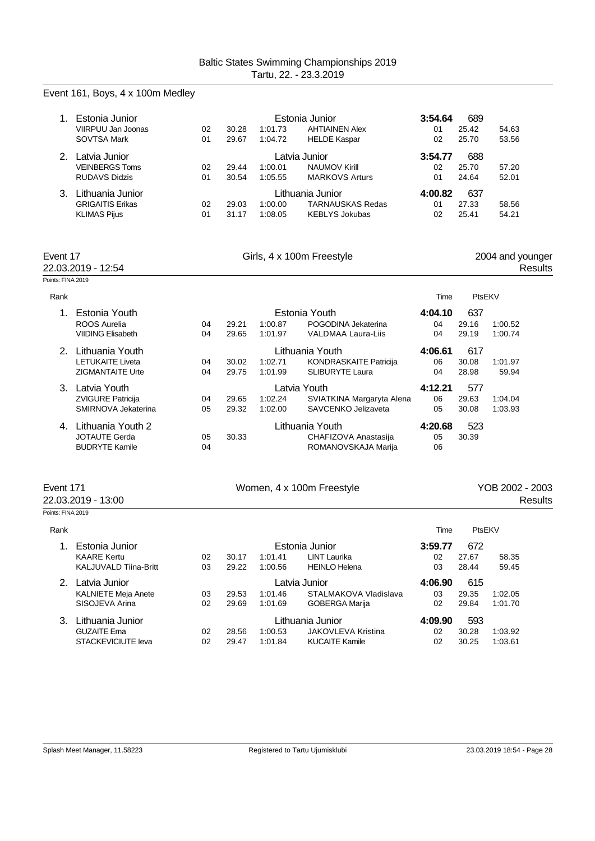| 1.                            | Estonia Junior<br>VIIRPUU Jan Joonas<br><b>SOVTSA Mark</b>               | 02<br>01 | 30.28<br>29.67 | 1:01.73<br>1:04.72                  | Estonia Junior<br><b>AHTIAINEN Alex</b><br><b>HELDE Kaspar</b>       | 3:54.64<br>01<br>02 | 689<br>25.42<br>25.70 | 54.63<br>53.56                     |
|-------------------------------|--------------------------------------------------------------------------|----------|----------------|-------------------------------------|----------------------------------------------------------------------|---------------------|-----------------------|------------------------------------|
|                               | 2. Latvia Junior<br><b>VEINBERGS Toms</b><br><b>RUDAVS Didzis</b>        | 02<br>01 | 29.44<br>30.54 | Latvia Junior<br>1:00.01<br>1:05.55 | NAUMOV Kirill<br><b>MARKOVS Arturs</b>                               | 3:54.77<br>02<br>01 | 688<br>25.70<br>24.64 | 57.20<br>52.01                     |
|                               | 3. Lithuania Junior<br><b>GRIGAITIS Erikas</b><br><b>KLIMAS Pijus</b>    | 02<br>01 | 29.03<br>31.17 | 1:00.00<br>1:08.05                  | Lithuania Junior<br><b>TARNAUSKAS Redas</b><br><b>KEBLYS Jokubas</b> | 4:00.82<br>01<br>02 | 637<br>27.33<br>25.41 | 58.56<br>54.21                     |
| Event 17<br>Points: FINA 2019 | 22.03.2019 - 12:54                                                       |          |                |                                     | Girls, 4 x 100m Freestyle                                            |                     |                       | 2004 and younger<br><b>Results</b> |
| Rank                          |                                                                          |          |                |                                     |                                                                      | Time                | PtsEKV                |                                    |
| 1 <sub>1</sub>                | Estonia Youth<br>ROOS Aurelia<br><b>VIIDING Elisabeth</b>                | 04<br>04 | 29.21<br>29.65 | 1:00.87<br>1:01.97                  | Estonia Youth<br>POGODINA Jekaterina<br><b>VALDMAA Laura-Liis</b>    | 4:04.10<br>04<br>04 | 637<br>29.16<br>29.19 | 1:00.52<br>1:00.74                 |
|                               | 2. Lithuania Youth<br><b>LETUKAITE Liveta</b><br><b>ZIGMANTAITE Urte</b> | 04<br>04 | 30.02<br>29.75 | 1:02.71<br>1:01.99                  | Lithuania Youth<br>KONDRASKAITE Patricija<br><b>SLIBURYTE Laura</b>  | 4:06.61<br>06<br>04 | 617<br>30.08<br>28.98 | 1:01.97<br>59.94                   |
|                               | 3. Latvia Youth<br>ZVIGURE Patricija<br>SMIRNOVA Jekaterina              | 04<br>05 | 29.65<br>29.32 | Latvia Youth<br>1:02.24<br>1:02.00  | SVIATKINA Margaryta Alena<br>SAVCENKO Jelizaveta                     | 4:12.21<br>06<br>05 | 577<br>29.63<br>30.08 | 1:04.04<br>1:03.93                 |
|                               | 4. Lithuania Youth 2<br><b>JOTAUTE Gerda</b><br><b>BUDRYTE Kamile</b>    | 05<br>04 | 30.33          |                                     | Lithuania Youth<br>CHAFIZOVA Anastasija<br>ROMANOVSKAJA Marija       | 4:20.68<br>05<br>06 | 523<br>30.39          |                                    |
| Event 171                     | 22.03.2019 - 13:00                                                       |          |                |                                     | Women, 4 x 100m Freestyle                                            |                     |                       | YOB 2002 - 2003<br><b>Results</b>  |
| Points: FINA 2019             |                                                                          |          |                |                                     |                                                                      |                     |                       |                                    |
| Rank                          |                                                                          |          |                |                                     |                                                                      | Time                | PtsEKV                |                                    |
| 1.                            | Estonia Junior<br><b>KAARE Kertu</b><br>KALJUVALD Tiina-Britt            | 02<br>03 | 30.17<br>29.22 | 1:00.56                             | Estonia Junior<br>1:01.41 LINT Laurika<br><b>HEINLO Helena</b>       | 3:59.77<br>02<br>03 | 672<br>27.67<br>28.44 | 58.35<br>59.45                     |
|                               | 2. Latvia Junior<br><b>KALNIETE Meja Anete</b><br>SISOJEVA Arina         | 03<br>02 | 29.53<br>29.69 | Latvia Junior<br>1:01.46<br>1:01.69 | STALMAKOVA Vladislava<br><b>GOBERGA Marija</b>                       | 4:06.90<br>03<br>02 | 615<br>29.35<br>29.84 | 1:02.05<br>1:01.70                 |
|                               | 3. Lithuania Junior<br><b>GUZAITE Ema</b><br>STACKEVICIUTE leva          | 02<br>02 | 28.56<br>29.47 | 1:00.53<br>1:01.84                  | Lithuania Junior<br>JAKOVLEVA Kristina<br><b>KUCAITE Kamile</b>      | 4:09.90<br>02<br>02 | 593<br>30.28<br>30.25 | 1:03.92<br>1:03.61                 |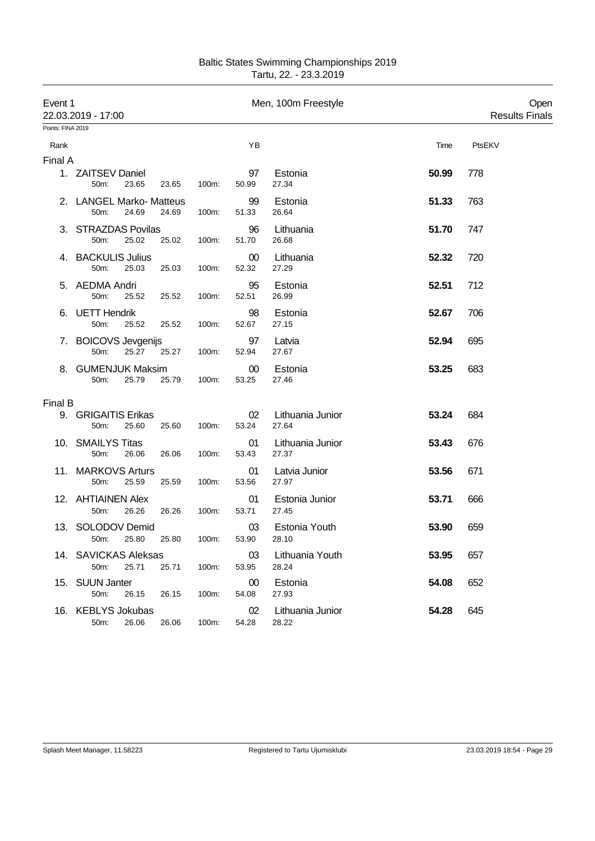| <b>Baltic States Swimming Championships 2019</b> |
|--------------------------------------------------|
| Tartu, 22. - 23.3.2019                           |

| Event 1           | 22.03.2019 - 17:00                                 |       |                 | Men, 100m Freestyle       |       | Open<br><b>Results Finals</b> |
|-------------------|----------------------------------------------------|-------|-----------------|---------------------------|-------|-------------------------------|
| Points: FINA 2019 |                                                    |       |                 |                           |       |                               |
| Rank              |                                                    |       | ΥB              |                           | Time  | PtsEKV                        |
| Final A           |                                                    |       |                 |                           |       |                               |
|                   | 1. ZAITSEV Daniel<br>23.65<br>50m:<br>23.65        | 100m: | 97<br>50.99     | Estonia<br>27.34          | 50.99 | 778                           |
|                   | 2. LANGEL Marko- Matteus<br>50m:<br>24.69<br>24.69 | 100m: | 99<br>51.33     | Estonia<br>26.64          | 51.33 | 763                           |
|                   | 3. STRAZDAS Povilas<br>50m:<br>25.02<br>25.02      | 100m: | 96<br>51.70     | Lithuania<br>26.68        | 51.70 | 747                           |
|                   | 4. BACKULIS Julius<br>50m:<br>25.03<br>25.03       | 100m: | 00<br>52.32     | Lithuania<br>27.29        | 52.32 | 720                           |
|                   | 5. AEDMA Andri<br>25.52<br>50m:<br>25.52           | 100m: | 95<br>52.51     | Estonia<br>26.99          | 52.51 | 712                           |
|                   | 6. UETT Hendrik<br>50m:<br>25.52<br>25.52          | 100m: | 98<br>52.67     | Estonia<br>27.15          | 52.67 | 706                           |
|                   | 7. BOICOVS Jevgenijs<br>50m:<br>25.27<br>25.27     | 100m: | 97<br>52.94     | Latvia<br>27.67           | 52.94 | 695                           |
|                   | 8. GUMENJUK Maksim<br>50m:<br>25.79<br>25.79       | 100m: | $00\,$<br>53.25 | Estonia<br>27.46          | 53.25 | 683                           |
| Final B           |                                                    |       |                 |                           |       |                               |
|                   | 9. GRIGAITIS Erikas<br>50m:<br>25.60<br>25.60      | 100m: | 02<br>53.24     | Lithuania Junior<br>27.64 | 53.24 | 684                           |
|                   | 10. SMAILYS Titas<br>50m:<br>26.06<br>26.06        | 100m: | 01<br>53.43     | Lithuania Junior<br>27.37 | 53.43 | 676                           |
|                   | 11. MARKOVS Arturs<br>50m:<br>25.59<br>25.59       | 100m: | 01<br>53.56     | Latvia Junior<br>27.97    | 53.56 | 671                           |
|                   | 12. AHTIAINEN Alex<br>50m:<br>26.26<br>26.26       | 100m: | 01<br>53.71     | Estonia Junior<br>27.45   | 53.71 | 666                           |
|                   | 13. SOLODOV Demid<br>50m: 25.80<br>25.80           | 100m: | 03<br>53.90     | Estonia Youth<br>28.10    | 53.90 | 659                           |
|                   | 14. SAVICKAS Aleksas<br>25.71<br>25.71<br>50m:     | 100m: | 03<br>53.95     | Lithuania Youth<br>28.24  | 53.95 | 657                           |
|                   | 15. SUUN Janter<br>50m:<br>26.15<br>26.15          | 100m: | 00<br>54.08     | Estonia<br>27.93          | 54.08 | 652                           |
|                   | 16. KEBLYS Jokubas<br>50m:<br>26.06<br>26.06       | 100m: | 02<br>54.28     | Lithuania Junior<br>28.22 | 54.28 | 645                           |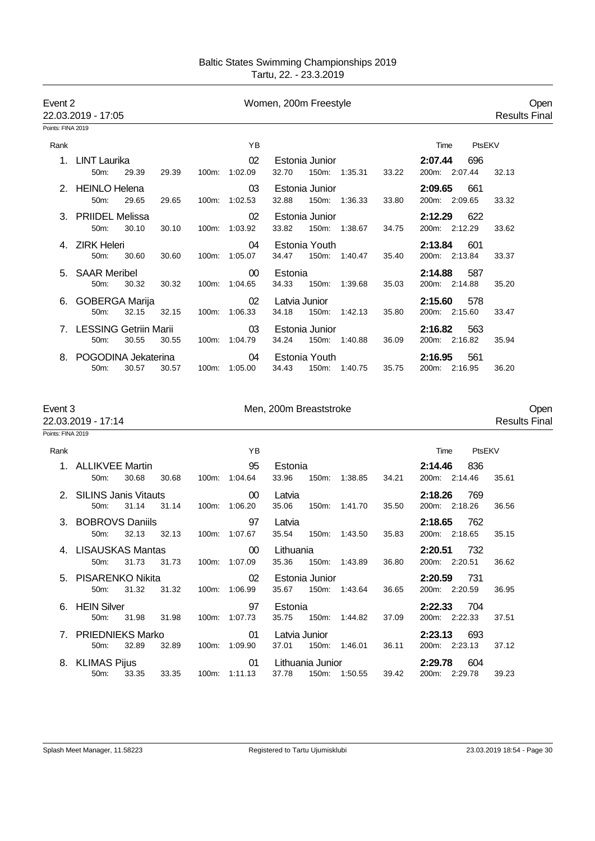| Event 2                      | 22.03.2019 - 17:05                                             |                            | Women, 200m Freestyle                                                           |                                                   | Open<br><b>Results Final</b> |
|------------------------------|----------------------------------------------------------------|----------------------------|---------------------------------------------------------------------------------|---------------------------------------------------|------------------------------|
| Points: FINA 2019            |                                                                |                            |                                                                                 |                                                   |                              |
| Rank                         |                                                                | ΥB                         |                                                                                 | PtsEKV<br>Time                                    |                              |
|                              | 1. LINT Laurika<br>50m:<br>29.39<br>29.39                      | 02<br>100m: 1:02.09        | Estonia Junior<br>32.70<br>150m: 1:35.31<br>33.22                               | 2:07.44<br>696<br>200m: 2:07.44                   | 32.13                        |
|                              | 2. HEINLO Helena<br>29.65<br>29.65<br>50m:                     | 03<br>100m: 1:02.53        | Estonia Junior<br>32.88<br>150m: 1:36.33<br>33.80                               | 2:09.65<br>661<br>200m: 2:09.65                   | 33.32                        |
|                              | 3. PRIIDEL Melissa<br>50m:<br>30.10<br>30.10                   | 02<br>1:03.92<br>100m:     | Estonia Junior<br>33.82<br>150m: 1:38.67<br>34.75                               | 2:12.29<br>622<br>200m: 2:12.29                   | 33.62                        |
|                              | <b>ZIRK Heleri</b><br>50m:<br>30.60<br>30.60                   | 04<br>100m: 1:05.07        | Estonia Youth<br>34.47<br>150m: 1:40.47<br>35.40                                | 2:13.84<br>601<br>200m: 2:13.84                   | 33.37                        |
| 5.                           | <b>SAAR Meribel</b><br>30.32<br>30.32<br>50m:                  | 00<br>100m: 1:04.65        | Estonia<br>34.33<br>150m:<br>1:39.68<br>35.03                                   | 2:14.88<br>587<br>200m: 2:14.88                   | 35.20                        |
|                              | 6. GOBERGA Marija<br>50m:<br>32.15<br>32.15                    | 02<br>100m: 1:06.33        | Latvia Junior<br>34.18<br>150m:<br>1:42.13<br>35.80                             | 2:15.60<br>578<br>200m: 2:15.60                   | 33.47                        |
|                              | 7. LESSING Getriin Marii<br>30.55<br>30.55<br>50m:             | 03<br>100m: 1:04.79        | Estonia Junior<br>34.24<br>150m: 1:40.88<br>36.09                               | 2:16.82<br>563<br>200m: 2:16.82                   | 35.94                        |
| 8.                           | POGODINA Jekaterina<br>30.57<br>50m:<br>30.57                  | 04<br>1:05.00<br>100m:     | Estonia Youth<br>34.43<br>150m:<br>35.75<br>1:40.75                             | 2:16.95<br>561<br>200m: 2:16.95                   | 36.20                        |
| Event 3<br>Points: FINA 2019 | 22.03.2019 - 17:14                                             |                            | Men, 200m Breaststroke                                                          |                                                   | Open<br><b>Results Fina</b>  |
|                              |                                                                |                            |                                                                                 |                                                   |                              |
| Rank                         | 1. ALLIKVEE Martin<br>30.68<br>50m:<br>30.68                   | ΥB<br>95<br>100m: 1:04.64  | Estonia<br>33.96<br>150m: 1:38.85<br>34.21                                      | PtsEKV<br>Time<br>2:14.46<br>836<br>200m: 2:14.46 | 35.61                        |
|                              | 2. SILINS Janis Vitauts<br>31.14<br>31.14<br>50 <sub>m</sub> : | $00\,$<br>100m: 1:06.20    | Latvia<br>35.06<br>150m:<br>35.50<br>1:41.70                                    | 2:18.26<br>769<br>200m: 2:18.26                   | 36.56                        |
| 3.                           | <b>BOBROVS Daniils</b><br>50m:<br>32.13<br>32.13               | 97<br>100m: 1:07.67        | Latvia<br>35.54<br>150m:<br>1:43.50<br>35.83                                    | 2:18.65<br>762<br>200m: 2:18.65                   | 35.15                        |
|                              | 4. LISAUSKAS Mantas<br>50m: 31.73 31.73 100m: 1:07.09          | 00 <sup>°</sup>            | Lithuania<br>35.36 150m: 1:43.89<br>36.80                                       | 2:20.51 732<br>200m: 2:20.51                      | 36.62                        |
|                              | 5. PISARENKO Nikita<br>50m: 31.32                              | 02<br>31.32  100m: 1:06.99 | Estonia Junior <b>Example 1996</b><br>35.67 150m: 1:43.64<br>36.65              | <b>2:20.59</b> 731<br>200m: 2:20.59               | 36.95                        |
|                              | 6. HEIN Silver<br>50m: 31.98 31.98                             | 97<br>100m: 1:07.73        | Estonia<br>35.75 150m: 1:44.82<br>37.09                                         | 2:22.33 704<br>200m: 2:22.33                      | 37.51                        |
|                              | 7. PRIEDNIEKS Marko<br>50m: 32.89                              | 01<br>32.89  100m: 1:09.90 | Latvia Junior<br>37.01  150m: 1:46.01<br>36.11                                  | 2:23.13 693<br>200m: 2:23.13                      | 37.12                        |
|                              | 8. KLIMAS Pijus <b>Example 2018</b>                            |                            | 01 Lithuania Junior<br>50m: 33.35 33.35 100m: 1:11.13 37.78 150m: 1:50.55 39.42 | 2:29.78 604<br>200m: 2:29.78 39.23                |                              |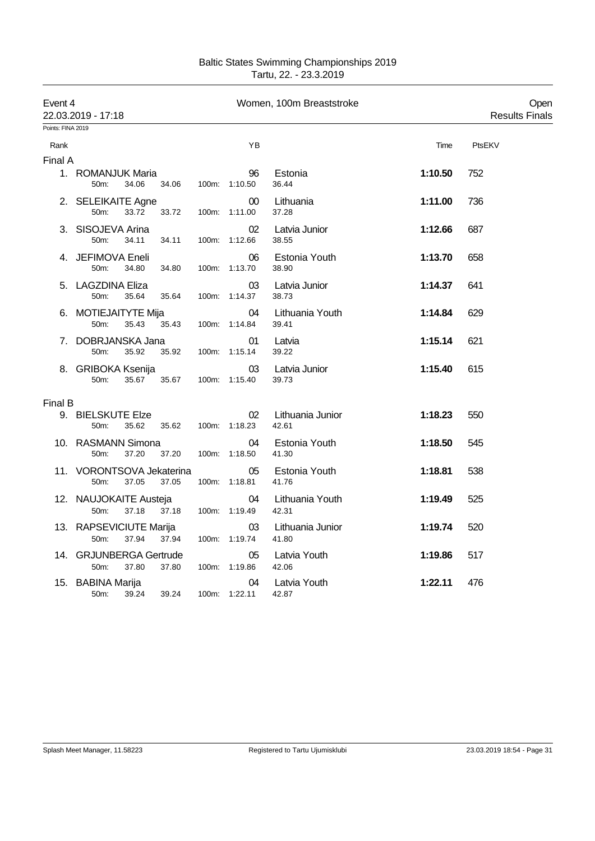| <b>Baltic States Swimming Championships 2019</b> |
|--------------------------------------------------|
| Tartu, 22. - 23.3.2019                           |

| Event 4<br>22.03.2019 - 17:18<br>Points: FINA 2019 |                                                         |       | Women, 100m Breaststroke |                     |                           | Open<br><b>Results Finals</b> |        |
|----------------------------------------------------|---------------------------------------------------------|-------|--------------------------|---------------------|---------------------------|-------------------------------|--------|
| Rank                                               |                                                         |       |                          | YB                  |                           | Time                          | PtsEKV |
| Final A                                            | 1. ROMANJUK Maria<br>50m:<br>34.06                      | 34.06 |                          | 96<br>100m: 1:10.50 | Estonia<br>36.44          | 1:10.50                       | 752    |
|                                                    | 2. SELEIKAITE Agne<br>50m:<br>33.72                     | 33.72 |                          | 00<br>100m: 1:11.00 | Lithuania<br>37.28        | 1:11.00                       | 736    |
|                                                    | 3. SISOJEVA Arina<br>50m:<br>34.11                      | 34.11 |                          | 02<br>100m: 1:12.66 | Latvia Junior<br>38.55    | 1:12.66                       | 687    |
|                                                    | 4. JEFIMOVA Eneli<br>50m:<br>34.80                      | 34.80 |                          | 06<br>100m: 1:13.70 | Estonia Youth<br>38.90    | 1:13.70                       | 658    |
|                                                    | 5. LAGZDINA Eliza<br>50m:<br>35.64                      | 35.64 |                          | 03<br>100m: 1:14.37 | Latvia Junior<br>38.73    | 1:14.37                       | 641    |
|                                                    | 6. MOTIEJAITYTE Mija<br>50m:<br>35.43                   | 35.43 |                          | 04<br>100m: 1:14.84 | Lithuania Youth<br>39.41  | 1:14.84                       | 629    |
| 7.                                                 | DOBRJANSKA Jana<br>50m:<br>35.92                        | 35.92 |                          | 01<br>100m: 1:15.14 | Latvia<br>39.22           | 1:15.14                       | 621    |
|                                                    | 8. GRIBOKA Ksenija<br>50m:<br>35.67                     | 35.67 |                          | 03<br>100m: 1:15.40 | Latvia Junior<br>39.73    | 1:15.40                       | 615    |
| Final B                                            |                                                         |       |                          |                     |                           |                               |        |
|                                                    | 9. BIELSKUTE Elze<br>35.62<br>50m:                      | 35.62 |                          | 02<br>100m: 1:18.23 | Lithuania Junior<br>42.61 | 1:18.23                       | 550    |
|                                                    | 10. RASMANN Simona<br>50m:<br>37.20                     | 37.20 |                          | 04<br>100m: 1:18.50 | Estonia Youth<br>41.30    | 1:18.50                       | 545    |
|                                                    | 11. VORONTSOVA Jekaterina<br>50 <sub>m</sub> :<br>37.05 | 37.05 |                          | 05<br>100m: 1:18.81 | Estonia Youth<br>41.76    | 1:18.81                       | 538    |
|                                                    | 12. NAUJOKAITE Austeja<br>50 <sub>m</sub> :<br>37.18    | 37.18 |                          | 04<br>100m: 1:19.49 | Lithuania Youth<br>42.31  | 1:19.49                       | 525    |
|                                                    | 13. RAPSEVICIUTE Marija<br>37.94<br>50m:                | 37.94 |                          | 03<br>100m: 1:19.74 | Lithuania Junior<br>41.80 | 1:19.74                       | 520    |
|                                                    | 14. GRJUNBERGA Gertrude<br>50m:<br>37.80                | 37.80 |                          | 05<br>100m: 1:19.86 | Latvia Youth<br>42.06     | 1:19.86                       | 517    |
|                                                    | 15. BABINA Marija<br>50m:<br>39.24                      | 39.24 |                          | 04<br>100m: 1:22.11 | Latvia Youth<br>42.87     | 1:22.11                       | 476    |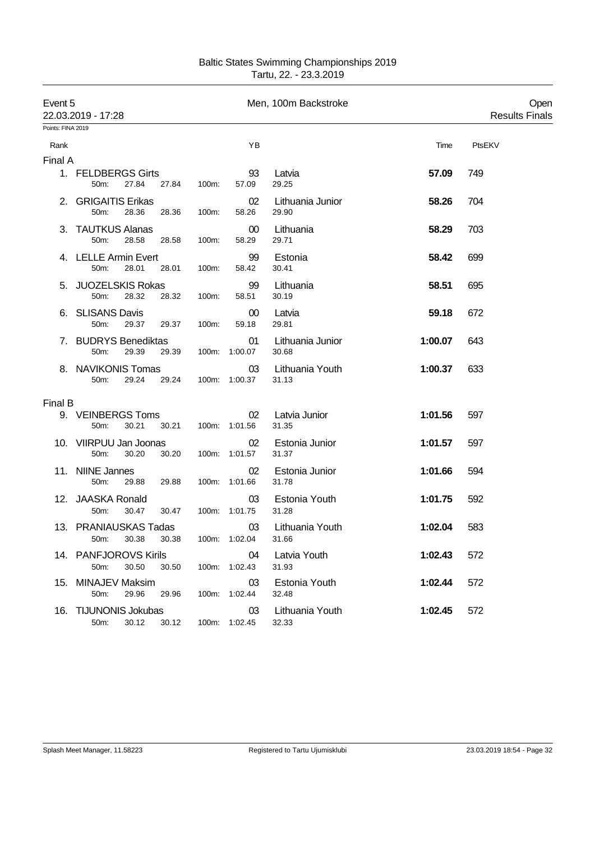| Baltic States Swimming Championships 2019 |
|-------------------------------------------|
| Tartu, 22. - 23.3.2019                    |

| Event 5           | 22.03.2019 - 17:28                                            |                     |                           | Men, 100m Backstroke      |         | Open<br><b>Results Finals</b> |
|-------------------|---------------------------------------------------------------|---------------------|---------------------------|---------------------------|---------|-------------------------------|
| Points: FINA 2019 |                                                               |                     |                           |                           |         |                               |
| Rank              |                                                               |                     | ΥB                        |                           | Time    | PtsEKV                        |
| Final A           |                                                               |                     |                           |                           |         |                               |
|                   | 1. FELDBERGS Girts<br>27.84<br>27.84<br>50m:                  | 100m:               | 93<br>57.09               | Latvia<br>29.25           | 57.09   | 749                           |
|                   | 2. GRIGAITIS Erikas<br>28.36<br>50m:<br>28.36                 | 100m:               | 02<br>58.26               | Lithuania Junior<br>29.90 | 58.26   | 704                           |
|                   | 3. TAUTKUS Alanas<br>50m:<br>28.58<br>28.58                   | 100m:               | $00\,$<br>58.29           | Lithuania<br>29.71        | 58.29   | 703                           |
|                   | 4. LELLE Armin Evert<br>50m:<br>28.01<br>28.01                | 100m:               | 99<br>58.42               | Estonia<br>30.41          | 58.42   | 699                           |
|                   | 5. JUOZELSKIS Rokas<br>28.32<br>50m:<br>28.32                 | 100m:               | 99<br>58.51               | Lithuania<br>30.19        | 58.51   | 695                           |
|                   | 6. SLISANS Davis<br>50m:<br>29.37<br>29.37                    | 100m:               | $00\,$<br>59.18           | Latvia<br>29.81           | 59.18   | 672                           |
|                   | 7. BUDRYS Benediktas<br>50m:<br>29.39                         |                     | 01<br>29.39 100m: 1:00.07 | Lithuania Junior<br>30.68 | 1:00.07 | 643                           |
|                   | 8. NAVIKONIS Tomas<br>29.24<br>29.24<br>50m:                  |                     | 03<br>100m: 1:00.37       | Lithuania Youth<br>31.13  | 1:00.37 | 633                           |
| Final B           |                                                               |                     |                           |                           |         |                               |
|                   | 9. VEINBERGS Toms<br>30.21<br>50m:                            | 30.21 100m: 1:01.56 | 02                        | Latvia Junior<br>31.35    | 1:01.56 | 597                           |
|                   | 10. VIIRPUU Jan Joonas<br>50m:<br>30.20<br>30.20              |                     | 02<br>100m: 1:01.57       | Estonia Junior<br>31.37   | 1:01.57 | 597                           |
|                   | 11. NIINE Jannes<br>29.88 29.88<br>50m:                       |                     | 02<br>100m: 1:01.66       | Estonia Junior<br>31.78   | 1:01.66 | 594                           |
|                   | 12. JAASKA Ronald<br>50m:<br>30.47<br>30.47                   |                     | 03<br>100m: 1:01.75       | Estonia Youth<br>31.28    | 1:01.75 | 592                           |
|                   | 13. PRANIAUSKAS Tadas<br>50m: 30.38 30.38 100m: 1:02.04 31.66 |                     | 03                        | Lithuania Youth           | 1:02.04 | 583                           |
|                   | 14. PANFJOROVS Kirils<br>30.50<br>30.50<br>50m:               |                     | 04<br>100m: 1:02.43       | Latvia Youth<br>31.93     | 1:02.43 | 572                           |
|                   | 15. MINAJEV Maksim<br>50m:<br>29.96<br>29.96                  |                     | 03<br>100m: 1:02.44       | Estonia Youth<br>32.48    | 1:02.44 | 572                           |
|                   | 16. TIJUNONIS Jokubas<br>50m:<br>30.12 30.12                  |                     | 03<br>100m: 1:02.45       | Lithuania Youth<br>32.33  | 1:02.45 | 572                           |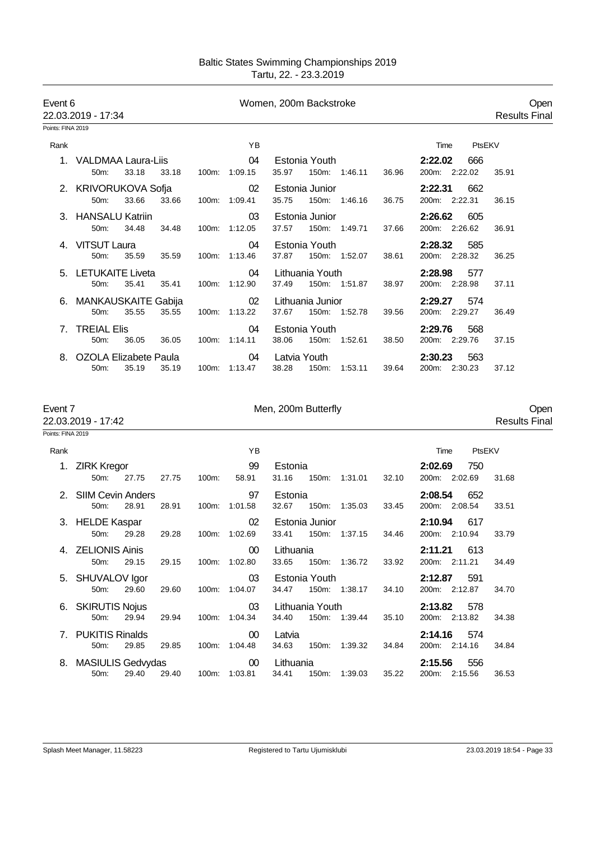| Event 6                      | 22.03.2019 - 17:34                                          |               |                 | Women, 200m Backstroke                              |                                 | Open<br><b>Results Final</b> |
|------------------------------|-------------------------------------------------------------|---------------|-----------------|-----------------------------------------------------|---------------------------------|------------------------------|
| Points: FINA 2019            |                                                             |               |                 |                                                     |                                 |                              |
| Rank                         |                                                             |               | ΥB              |                                                     | Time<br>PtsEKV                  |                              |
|                              | 1. VALDMAA Laura-Liis<br>33.18<br>33.18<br>50m:             | 100m: 1:09.15 | 04              | Estonia Youth<br>35.97<br>150m: 1:46.11<br>36.96    | 2:22.02<br>666<br>200m: 2:22.02 | 35.91                        |
|                              | 2. KRIVORUKOVA Sofja<br>33.66<br>50m:<br>33.66              | 100m: 1:09.41 | 02              | Estonia Junior<br>35.75<br>150m: 1:46.16<br>36.75   | 2:22.31<br>662<br>200m: 2:22.31 | 36.15                        |
|                              | 3. HANSALU Katriin<br>50m:<br>34.48<br>34.48                | 100m: 1:12.05 | 03              | Estonia Junior<br>37.57<br>150m: 1:49.71<br>37.66   | 2:26.62<br>605<br>200m: 2:26.62 | 36.91                        |
|                              | 4. VITSUT Laura<br>50m:<br>35.59<br>35.59                   | 100m: 1:13.46 | 04              | Estonia Youth<br>37.87<br>150m: 1:52.07<br>38.61    | 2:28.32<br>585<br>200m: 2:28.32 | 36.25                        |
|                              | 5. LETUKAITE Liveta<br>50m:<br>35.41<br>35.41               | 100m: 1:12.90 | 04              | Lithuania Youth<br>37.49<br>150m: 1:51.87<br>38.97  | 2:28.98<br>577<br>200m: 2:28.98 | 37.11                        |
|                              | 6. MANKAUSKAITE Gabija<br>50m:<br>35.55<br>35.55            | 100m: 1:13.22 | 02              | Lithuania Junior<br>37.67<br>150m: 1:52.78<br>39.56 | 2:29.27<br>574<br>200m: 2:29.27 | 36.49                        |
|                              | 7. TREIAL Elis<br>50m:<br>36.05<br>36.05                    | 100m: 1:14.11 | 04              | Estonia Youth<br>38.06<br>150m: 1:52.61<br>38.50    | 2:29.76<br>568<br>200m: 2:29.76 | 37.15                        |
|                              | 8. OZOLA Elizabete Paula<br>50m:<br>35.19<br>35.19          | 100m: 1:13.47 | 04              | Latvia Youth<br>38.28<br>150m: 1:53.11<br>39.64     | 2:30.23<br>563<br>200m: 2:30.23 | 37.12                        |
| Event 7<br>Points: FINA 2019 | 22.03.2019 - 17:42                                          |               |                 | Men, 200m Butterfly                                 |                                 | Open<br><b>Results Final</b> |
|                              |                                                             |               |                 |                                                     |                                 |                              |
| Rank                         |                                                             |               | ΥB              |                                                     | PtsEKV<br>Time                  |                              |
|                              | 1. ZIRK Kregor<br>50m:<br>27.75<br>27.75                    | 100m:         | 99<br>58.91     | Estonia<br>31.16<br>32.10<br>150m: 1:31.01          | 2:02.69<br>750<br>200m: 2:02.69 | 31.68                        |
|                              | 2. SIIM Cevin Anders<br>28.91<br>50 <sub>m</sub> :<br>28.91 | 100m: 1:01.58 | 97              | Estonia<br>32.67<br>150m: 1:35.03<br>33.45          | 2:08.54<br>652<br>200m: 2:08.54 | 33.51                        |
|                              | 3. HELDE Kaspar<br>50m: 29.28<br>29.28                      | 100m: 1:02.69 | 02              | Estonia Junior<br>33.41 150m: 1:37.15<br>34.46      | 2:10.94<br>617<br>200m: 2:10.94 | 33.79                        |
|                              | 4. ZELIONIS Ainis<br>50m:<br>29.15<br>29.15                 | 100m: 1:02.80 | 00 <sup>°</sup> | Lithuania<br>33.65<br>150m: 1:36.72<br>33.92        | 2:11.21<br>613<br>200m: 2:11.21 | 34.49                        |
|                              | 5. SHUVALOV Igor<br>50m:<br>29.60<br>29.60                  | 100m: 1:04.07 | 03              | Estonia Youth<br>34.47<br>150m: 1:38.17<br>34.10    | 2:12.87 591<br>200m: 2:12.87    | 34.70                        |
|                              | 6. SKIRUTIS Nojus<br>50m:<br>29.94<br>29.94                 | 100m: 1:04.34 | 03              | Lithuania Youth<br>150m: 1:39.44<br>34.40<br>35.10  | 2:13.82<br>578<br>200m: 2:13.82 | 34.38                        |
|                              | 7. PUKITIS Rinalds<br>50m:<br>29.85<br>29.85                | 100m: 1:04.48 | $00\,$          | Latvia<br>34.63<br>150m: 1:39.32<br>34.84           | 2:14.16<br>574<br>200m: 2:14.16 | 34.84                        |
|                              | 8. MASIULIS Gedvydas<br>50m:<br>29.40<br>29.40              | 100m: 1:03.81 | $00\,$          | Lithuania<br>34.41<br>35.22<br>150m: 1:39.03        | 2:15.56 556<br>200m: 2:15.56    | 36.53                        |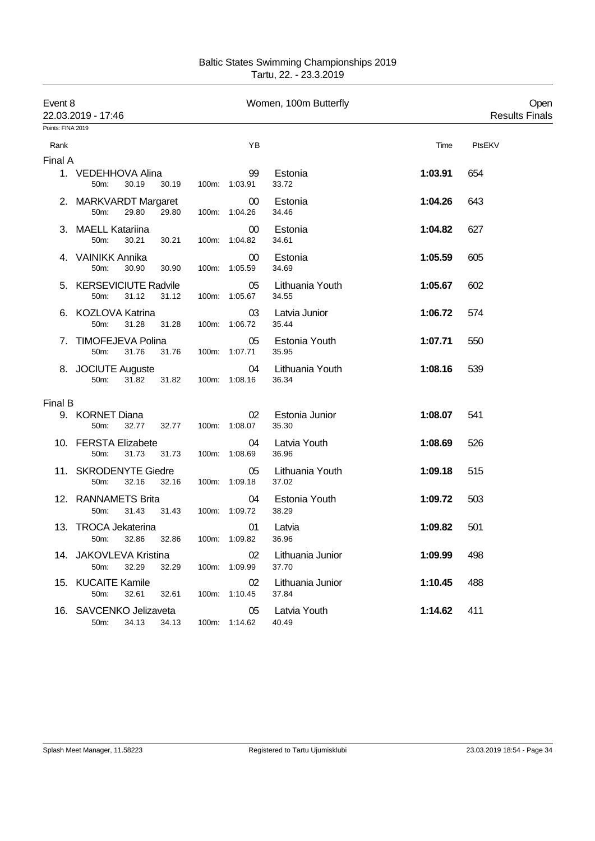| <b>Baltic States Swimming Championships 2019</b> |
|--------------------------------------------------|
| Tartu, 22. - 23.3.2019                           |

| Event 8           | 22.03.2019 - 17:46                                        |                     |                         | Women, 100m Butterfly     |         | Open<br><b>Results Finals</b> |
|-------------------|-----------------------------------------------------------|---------------------|-------------------------|---------------------------|---------|-------------------------------|
| Points: FINA 2019 |                                                           |                     |                         |                           |         |                               |
| Rank              |                                                           |                     | YB                      |                           | Time    | PtsEKV                        |
| Final A           |                                                           |                     |                         |                           |         |                               |
|                   | 1. VEDEHHOVA Alina<br>50m:<br>30.19<br>30.19              |                     | 99<br>100m: 1:03.91     | Estonia<br>33.72          | 1:03.91 | 654                           |
|                   | 2. MARKVARDT Margaret<br>29.80<br>29.80<br>50m:           |                     | $00\,$<br>100m: 1:04.26 | Estonia<br>34.46          | 1:04.26 | 643                           |
|                   | 3. MAELL Katariina<br>50m:<br>30.21<br>30.21              |                     | 00<br>100m: 1:04.82     | Estonia<br>34.61          | 1:04.82 | 627                           |
|                   | 4. VAINIKK Annika<br>50m:<br>30.90<br>30.90               |                     | $00\,$<br>100m: 1:05.59 | Estonia<br>34.69          | 1:05.59 | 605                           |
|                   | 5. KERSEVICIUTE Radvile<br>50m:<br>31.12<br>31.12         |                     | 05<br>100m: 1:05.67     | Lithuania Youth<br>34.55  | 1:05.67 | 602                           |
|                   | 6. KOZLOVA Katrina<br>50m:<br>31.28<br>31.28              |                     | 03<br>100m: 1:06.72     | Latvia Junior<br>35.44    | 1:06.72 | 574                           |
|                   | 7. TIMOFEJEVA Polina<br>50m:<br>31.76                     | 31.76 100m: 1:07.71 | 05                      | Estonia Youth<br>35.95    | 1:07.71 | 550                           |
|                   | 8. JOCIUTE Auguste<br>31.82<br>50m:<br>31.82              |                     | 04<br>100m: 1:08.16     | Lithuania Youth<br>36.34  | 1:08.16 | 539                           |
| Final B           |                                                           |                     |                         |                           |         |                               |
|                   | 9. KORNET Diana<br>32.77<br>32.77<br>50m:                 |                     | 02<br>100m: 1:08.07     | Estonia Junior<br>35.30   | 1:08.07 | 541                           |
|                   | 10. FERSTA Elizabete<br>50m:<br>31.73<br>31.73            |                     | 04<br>100m: 1:08.69     | Latvia Youth<br>36.96     | 1:08.69 | 526                           |
|                   | 11. SKRODENYTE Giedre<br>50m:<br>32.16<br>32.16           |                     | 05<br>100m: 1:09.18     | Lithuania Youth<br>37.02  | 1:09.18 | 515                           |
|                   | 12. RANNAMETS Brita<br>50m:<br>31.43<br>31.43             |                     | 04<br>100m: 1:09.72     | Estonia Youth<br>38.29    | 1:09.72 | 503                           |
|                   | 13. TROCA Jekaterina<br>50m: 32.86 32.86 100m: 1:09.82    |                     | 01                      | Latvia<br>36.96           | 1:09.82 | 501                           |
|                   | 14. JAKOVLEVA Kristina<br>32.29<br>32.29<br>50m:          |                     | 02<br>100m: 1:09.99     | Lithuania Junior<br>37.70 | 1:09.99 | 498                           |
|                   | 15. KUCAITE Kamile<br>50m:<br>32.61<br>32.61              |                     | 02<br>100m: 1:10.45     | Lithuania Junior<br>37.84 | 1:10.45 | 488                           |
|                   | 16. SAVCENKO Jelizaveta<br>50m: 34.13 34.13 100m: 1:14.62 |                     | 05                      | Latvia Youth<br>40.49     | 1:14.62 | 411                           |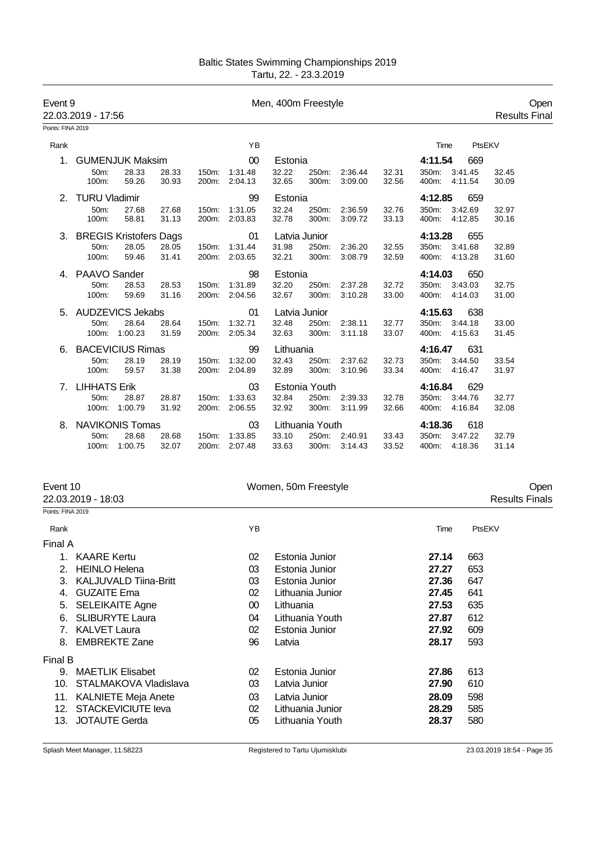| Event 9           | 22.03.2019 - 17:56  |                               |                |                    |                    | Men, 400m Freestyle |                 |                    |                |                        |         | <b>Results Final</b> | Open |
|-------------------|---------------------|-------------------------------|----------------|--------------------|--------------------|---------------------|-----------------|--------------------|----------------|------------------------|---------|----------------------|------|
| Points: FINA 2019 |                     |                               |                |                    |                    |                     |                 |                    |                |                        |         |                      |      |
| Rank              |                     |                               |                |                    | YB                 |                     |                 |                    |                | Time                   | PtsEKV  |                      |      |
| $1_{-}$           |                     | <b>GUMENJUK Maksim</b>        |                |                    | 00                 | Estonia             |                 |                    |                | 4:11.54                | 669     |                      |      |
|                   | $50m$ :<br>100m:    | 28.33<br>59.26                | 28.33<br>30.93 | 150m:<br>200m:     | 1:31.48<br>2:04.13 | 32.22<br>32.65      | 250m:<br>300m:  | 2:36.44<br>3:09.00 | 32.31<br>32.56 | 350m:<br>400m: 4:11.54 | 3:41.45 | 32.45<br>30.09       |      |
|                   | 2. TURU Vladimir    |                               |                |                    | 99                 | Estonia             |                 |                    |                | 4:12.85                | 659     |                      |      |
|                   | 50m:<br>100m:       | 27.68<br>58.81                | 27.68<br>31.13 | 150m:<br>200m:     | 1:31.05<br>2:03.83 | 32.24<br>32.78      | 250m:<br>300m:  | 2:36.59<br>3:09.72 | 32.76<br>33.13 | 350m:<br>400m: 4:12.85 | 3:42.69 | 32.97<br>30.16       |      |
| 3.                |                     | <b>BREGIS Kristofers Dags</b> |                |                    | 01                 |                     | Latvia Junior   |                    |                | 4:13.28                | 655     |                      |      |
|                   | 50m:<br>100m:       | 28.05<br>59.46                | 28.05<br>31.41 | 150m:<br>200m:     | 1:31.44<br>2:03.65 | 31.98<br>32.21      | 250m:<br>300m:  | 2:36.20<br>3:08.79 | 32.55<br>32.59 | 350m:<br>400m: 4:13.28 | 3:41.68 | 32.89<br>31.60       |      |
|                   | 4. PAAVO Sander     |                               |                |                    | 98                 | Estonia             |                 |                    |                | 4:14.03                | 650     |                      |      |
|                   | 50 <sub>m</sub> :   | 28.53                         | 28.53          | 150m:              | 1:31.89            | 32.20               | 250m:           | 2:37.28            | 32.72          | 350m:                  | 3:43.03 | 32.75                |      |
|                   | 100m:               | 59.69                         | 31.16          | 200m:              | 2:04.56            | 32.67               | 300m:           | 3:10.28            | 33.00          | 400m: 4:14.03          |         | 31.00                |      |
| 5.                |                     | <b>AUDZEVICS Jekabs</b>       |                |                    | 01                 |                     | Latvia Junior   |                    |                | 4:15.63                | 638     |                      |      |
|                   | 50 <sub>m</sub> :   | 28.64                         | 28.64          | 150m:              | 1:32.71            | 32.48               | 250m:           | 2:38.11            | 32.77          | 350m:                  | 3:44.18 | 33.00                |      |
|                   | 100m:               | 1:00.23                       | 31.59          | 200 <sub>m</sub> : | 2:05.34            | 32.63               | 300m:           | 3:11.18            | 33.07          | 400m:                  | 4:15.63 | 31.45                |      |
| 6.                |                     | <b>BACEVICIUS Rimas</b>       |                |                    | 99                 | Lithuania           |                 |                    |                | 4:16.47                | 631     |                      |      |
|                   | 50 <sub>m</sub> :   | 28.19                         | 28.19          | 150m:              | 1:32.00            | 32.43               | 250m:           | 2:37.62            | 32.73          | 350m:                  | 3:44.50 | 33.54                |      |
|                   | 100m:               | 59.57                         | 31.38          |                    | 200m: 2:04.89      | 32.89               | 300m:           | 3:10.96            | 33.34          | 400m: 4:16.47          |         | 31.97                |      |
| 7.                | <b>LIHHATS Erik</b> |                               |                |                    | 03                 |                     | Estonia Youth   |                    |                | 4:16.84                | 629     |                      |      |
|                   | 50m:                | 28.87                         | 28.87          | 150m:              | 1:33.63            | 32.84               | 250m:           | 2:39.33            | 32.78          | 350m: 3:44.76          |         | 32.77                |      |
|                   | 100m:               | 1:00.79                       | 31.92          | 200m:              | 2:06.55            | 32.92               |                 | 300m: 3:11.99      | 32.66          | 400m:                  | 4:16.84 | 32.08                |      |
| 8.                |                     | <b>NAVIKONIS Tomas</b>        |                |                    | 03                 |                     | Lithuania Youth |                    |                | 4:18.36                | 618     |                      |      |
|                   | 50m:                | 28.68                         | 28.68          | 150m:              | 1:33.85            | 33.10               | 250m:           | 2:40.91            | 33.43          | 350m:                  | 3:47.22 | 32.79                |      |
|                   | 100m:               | 1:00.75                       | 32.07          | 200m:              | 2:07.48            | 33.63               | 300m:           | 3:14.43            | 33.52          | 400m:                  | 4:18.36 | 31.14                |      |

| Event 10                       |                              | Women, 50m Freestyle |                  | Open  |                       |  |
|--------------------------------|------------------------------|----------------------|------------------|-------|-----------------------|--|
|                                | 22.03.2019 - 18:03           |                      |                  |       | <b>Results Finals</b> |  |
| Points: FINA 2019              |                              |                      |                  |       |                       |  |
| Rank                           |                              | ΥB                   |                  | Time  | PtsEKV                |  |
| Final A                        |                              |                      |                  |       |                       |  |
|                                | <b>KAARE Kertu</b>           | 02                   | Estonia Junior   | 27.14 | 663                   |  |
| 2.                             | <b>HEINLO Helena</b>         | 03                   | Estonia Junior   | 27.27 | 653                   |  |
| 3.                             | <b>KALJUVALD Tiina-Britt</b> | 03                   | Estonia Junior   | 27.36 | 647                   |  |
| 4.                             | <b>GUZAITE Ema</b>           | 02                   | Lithuania Junior | 27.45 | 641                   |  |
| 5.                             | <b>SELEIKAITE Agne</b>       | 00                   | Lithuania        | 27.53 | 635                   |  |
| 6.                             | <b>SLIBURYTE Laura</b>       | 04                   | Lithuania Youth  | 27.87 | 612                   |  |
| $7_{\scriptscriptstyle{\sim}}$ | <b>KALVET Laura</b>          | 02                   | Estonia Junior   | 27.92 | 609                   |  |
| 8.                             | <b>EMBREKTE Zane</b>         | 96                   | Latvia           | 28.17 | 593                   |  |
| Final B                        |                              |                      |                  |       |                       |  |
| 9.                             | <b>MAETLIK Elisabet</b>      | 02                   | Estonia Junior   | 27.86 | 613                   |  |
| 10.                            | STALMAKOVA Vladislava        | 03                   | Latvia Junior    | 27.90 | 610                   |  |
|                                | 11. KALNIETE Meja Anete      | 03                   | Latvia Junior    | 28.09 | 598                   |  |
| 12.                            | <b>STACKEVICIUTE leva</b>    | 02                   | Lithuania Junior | 28.29 | 585                   |  |
| 13.                            | <b>JOTAUTE Gerda</b>         | 05                   | Lithuania Youth  | 28.37 | 580                   |  |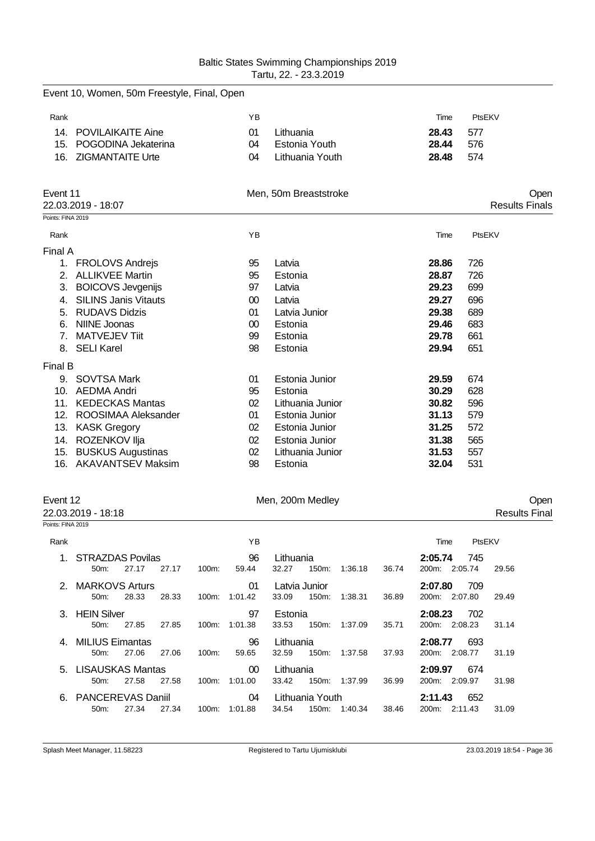|                   | Event 10, Women, 50m Freestyle, Final, Open |        |                       |       |        |                       |
|-------------------|---------------------------------------------|--------|-----------------------|-------|--------|-----------------------|
| Rank              |                                             | YB     |                       | Time  | PtsEKV |                       |
| 14.               | <b>POVILAIKAITE Aine</b>                    | 01     | Lithuania             | 28.43 | 577    |                       |
| 15.               | POGODINA Jekaterina                         | 04     | <b>Estonia Youth</b>  | 28.44 | 576    |                       |
| 16.               | <b>ZIGMANTAITE Urte</b>                     | 04     | Lithuania Youth       | 28.48 | 574    |                       |
| Event 11          |                                             |        | Men, 50m Breaststroke |       |        | Open                  |
|                   | 22.03.2019 - 18:07                          |        |                       |       |        | <b>Results Finals</b> |
| Points: FINA 2019 |                                             |        |                       |       |        |                       |
| Rank              |                                             | YB     |                       | Time  | PtsEKV |                       |
| Final A           |                                             |        |                       |       |        |                       |
| 1.                | <b>FROLOVS Andrejs</b>                      | 95     | Latvia                | 28.86 | 726    |                       |
| 2.                | <b>ALLIKVEE Martin</b>                      | 95     | Estonia               | 28.87 | 726    |                       |
| 3.                | <b>BOICOVS Jevgenijs</b>                    | 97     | Latvia                | 29.23 | 699    |                       |
| 4.                | <b>SILINS Janis Vitauts</b>                 | $00\,$ | Latvia                | 29.27 | 696    |                       |
| 5.                | <b>RUDAVS Didzis</b>                        | 01     | Latvia Junior         | 29.38 | 689    |                       |
| 6.                | <b>NIINE Joonas</b>                         | $00\,$ | Estonia               | 29.46 | 683    |                       |
| 7 <sub>1</sub>    | <b>MATVEJEV Tiit</b>                        | 99     | Estonia               | 29.78 | 661    |                       |
|                   | 8. SELI Karel                               | 98     | Estonia               | 29.94 | 651    |                       |
| Final B           |                                             |        |                       |       |        |                       |
|                   | 9. SOVTSA Mark                              | 01     | Estonia Junior        | 29.59 | 674    |                       |
| 10.               | <b>AEDMA Andri</b>                          | 95     | Estonia               | 30.29 | 628    |                       |
| 11.               | <b>KEDECKAS Mantas</b>                      | 02     | Lithuania Junior      | 30.82 | 596    |                       |
| 12.               | ROOSIMAA Aleksander                         | 01     | Estonia Junior        | 31.13 | 579    |                       |
| 13.               | <b>KASK Gregory</b>                         | 02     | Estonia Junior        | 31.25 | 572    |                       |
|                   | 14. ROZENKOV Ilja                           | 02     | Estonia Junior        | 31.38 | 565    |                       |
| 15.               | <b>BUSKUS Augustinas</b>                    | 02     | Lithuania Junior      | 31.53 | 557    |                       |
| 16.               | <b>AKAVANTSEV Maksim</b>                    | 98     | Estonia               | 32.04 | 531    |                       |

22.03.2019 - 18:18

# Event 12 Open Consumer 200m Medley Ment 12 Consults Final Account 200m Medley Consults Final Accounts Final Accounts Final Accounts Final Accounts Final Accounts Final Accounts Final Accounts Final Accounts Final Accounts

| Points: FINA 2019 |                          |       |       |          |               |           |                 |         |                |                               |       |  |
|-------------------|--------------------------|-------|-------|----------|---------------|-----------|-----------------|---------|----------------|-------------------------------|-------|--|
|                   |                          |       |       |          |               |           |                 |         |                |                               |       |  |
| Rank              |                          |       |       |          | YB.           |           |                 |         |                | PtsEKV<br>Time                |       |  |
| 1                 | <b>STRAZDAS Povilas</b>  |       |       |          | 96            | Lithuania |                 |         |                | 745<br>2:05.74                |       |  |
|                   | 50m                      | 27.17 | 27.17 | $100m$ : | 59.44         | 32.27     | $150m$ :        | 1:36.18 | 36.74          | 200m:<br>2:05.74              | 29.56 |  |
|                   | 2. MARKOVS Arturs        |       |       |          | 01            |           | Latvia Junior   |         |                | 2:07.80<br>709                |       |  |
|                   | 50m                      | 28.33 | 28.33 | $100m$ : | 1:01.42       | 33.09     | 150m:           | 1:38.31 | 36.89          | 200m:<br>2:07.80              | 29.49 |  |
|                   | 3. HEIN Silver           |       |       |          | 97<br>Estonia |           |                 |         | 702<br>2:08.23 |                               |       |  |
|                   | 50m                      | 27.85 | 27.85 | $100m$ : | 1:01.38       | 33.53     | 150m:           | 1:37.09 | 35.71          | 2:08.23<br>200m               | 31.14 |  |
| 4.                | <b>MILIUS Eimantas</b>   |       |       |          | 96            | Lithuania |                 |         |                | 693<br>2:08.77                |       |  |
|                   | 50m                      | 27.06 | 27.06 | $100m$ : | 59.65         | 32.59     | $150m$ :        | 1:37.58 | 37.93          | 200m:<br>2:08.77              | 31.19 |  |
| 5.                | <b>LISAUSKAS Mantas</b>  |       |       |          | $00\,$        | Lithuania |                 |         |                | 2:09.97<br>674                |       |  |
|                   | $50m$ :                  | 27.58 | 27.58 | 100m:    | 1:01.00       | 33.42     | 150m:           | 1:37.99 | 36.99          | 200m:<br>2:09.97              | 31.98 |  |
| 6.                | <b>PANCEREVAS Daniil</b> |       |       |          | 04            |           | Lithuania Youth |         |                | 652<br>2:11.43                |       |  |
|                   | 50 <sub>m</sub>          | 27.34 | 27.34 | $100m$ : | 1:01.88       | 34.54     | 150m:           | 1:40.34 | 38.46          | 2:11.43<br>200 <sub>m</sub> : | 31.09 |  |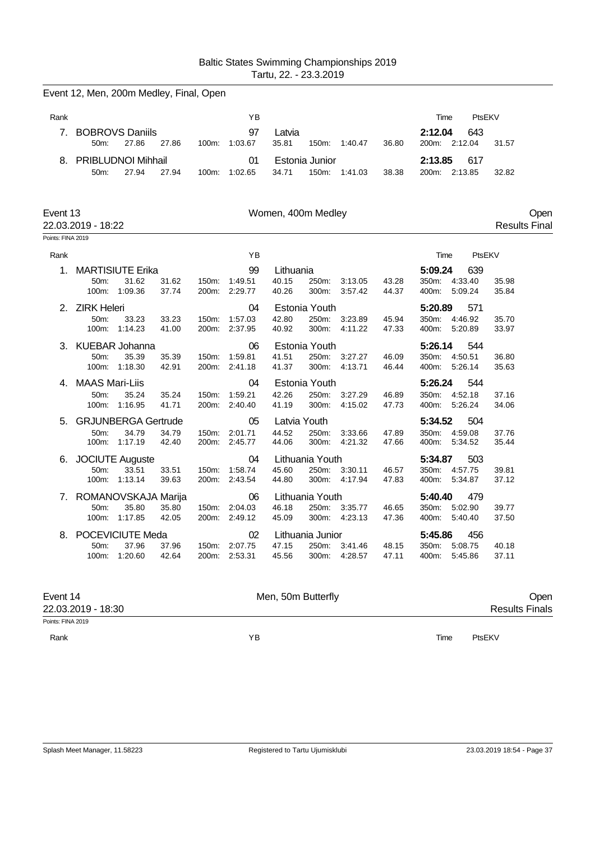|                               | Event 12, Men, 200m Medley, Final, Open |                                                      |                |       |                                |                                |                                        |                          |                |                                           |                           |                     |      |
|-------------------------------|-----------------------------------------|------------------------------------------------------|----------------|-------|--------------------------------|--------------------------------|----------------------------------------|--------------------------|----------------|-------------------------------------------|---------------------------|---------------------|------|
| Rank                          |                                         |                                                      |                |       | ΥB                             |                                |                                        |                          |                | Time                                      | PtsEKV                    |                     |      |
| 7 <sub>1</sub>                | 50m:                                    | <b>BOBROVS Daniils</b><br>27.86                      | 27.86          | 100m: | 97<br>1:03.67                  | Latvia<br>35.81                | 150m:                                  | 1:40.47                  | 36.80          | 2:12.04<br>200m: 2:12.04                  | 643                       | 31.57               |      |
| 8.                            | 50m:                                    | PRIBLUDNOI Mihhail<br>27.94                          | 27.94          |       | 01<br>100m: 1:02.65            | 34.71                          | Estonia Junior                         | 150m: 1:41.03            | 38.38          | 2:13.85<br>200m: 2:13.85                  | 617                       | 32.82               |      |
| Event 13<br>Points: FINA 2019 | 22.03.2019 - 18:22                      |                                                      |                |       |                                | Women, 400m Medley             |                                        |                          |                |                                           |                           | <b>Results Fina</b> | Open |
| Rank                          |                                         |                                                      |                |       | YB                             |                                |                                        |                          |                | Time                                      | PtsEKV                    |                     |      |
| 1.                            | 50m:<br>100m:                           | <b>MARTISIUTE Erika</b><br>31.62<br>1:09.36          | 31.62<br>37.74 | 150m: | 99<br>1:49.51<br>200m: 2:29.77 | Lithuania<br>40.15<br>40.26    | 250m:<br>300m:                         | 3:13.05<br>3:57.42       | 43.28<br>44.37 | 5:09.24<br>350m: 4:33.40<br>400m: 5:09.24 | 639                       | 35.98<br>35.84      |      |
|                               | 2. ZIRK Heleri<br>50m:<br>100m:         | 33.23<br>1:14.23                                     | 33.23<br>41.00 | 150m: | 04<br>1:57.03<br>200m: 2:37.95 | 42.80<br>40.92                 | <b>Estonia Youth</b><br>250m:<br>300m: | 3:23.89<br>4:11.22       | 45.94<br>47.33 | 5:20.89<br>350m:<br>400m:                 | 571<br>4:46.92<br>5:20.89 | 35.70<br>33.97      |      |
|                               | 3. KUEBAR Johanna<br>50m:<br>100m:      | 35.39<br>1:18.30                                     | 35.39<br>42.91 | 150m: | 06<br>1:59.81<br>200m: 2:41.18 | 41.51<br>41.37                 | Estonia Youth<br>250m:<br>300m:        | 3:27.27<br>4:13.71       | 46.09<br>46.44 | 5:26.14<br>350m: 4:50.51<br>400m: 5:26.14 | 544                       | 36.80<br>35.63      |      |
|                               | 4. MAAS Mari-Liis<br>50m:               | 35.24<br>100m: 1:16.95                               | 35.24<br>41.71 | 150m: | 04<br>1:59.21<br>200m: 2:40.40 | 42.26<br>41.19                 | Estonia Youth<br>250m:<br>300m:        | 3:27.29<br>4:15.02       | 46.89<br>47.73 | 5:26.24<br>350m: 4:52.18<br>400m: 5:26.24 | 544                       | 37.16<br>34.06      |      |
| 5.                            | 50m:                                    | <b>GRJUNBERGA Gertrude</b><br>34.79<br>100m: 1:17.19 | 34.79<br>42.40 | 150m: | 05<br>2:01.71<br>200m: 2:45.77 | Latvia Youth<br>44.52<br>44.06 | 250m:<br>300m:                         | 3:33.66<br>4:21.32       | 47.89<br>47.66 | 5:34.52<br>350m: 4:59.08<br>400m: 5:34.52 | 504                       | 37.76<br>35.44      |      |
|                               | 6. JOCIUTE Auguste<br>50m:              | 33.51<br>100m: 1:13.14                               | 33.51<br>39.63 | 150m: | 04<br>1:58.74<br>200m: 2:43.54 | 45.60<br>44.80                 | Lithuania Youth<br>250m:               | 3:30.11<br>300m: 4:17.94 | 46.57<br>47.83 | 5:34.87<br>350m: 4:57.75<br>400m: 5:34.87 | 503                       | 39.81<br>37.12      |      |
| 7.                            | 50m:                                    | ROMANOVSKAJA Marija<br>35.80<br>100m: 1:17.85        | 35.80<br>42.05 | 150m: | 06<br>2:04.03<br>200m: 2:49.12 | 46.18<br>45.09                 | Lithuania Youth<br>250m:               | 3:35.77<br>300m: 4:23.13 | 46.65<br>47.36 | 5:40.40<br>350m: 5:02.90<br>400m: 5:40.40 | 479                       | 39.77<br>37.50      |      |
| 8.                            | 50m:                                    | POCEVICIUTE Meda<br>37.96<br>100m: 1:20.60           | 37.96<br>42.64 | 150m: | 02<br>2:07.75<br>200m: 2:53.31 | 47.15<br>45.56                 | Lithuania Junior<br>250m:              | 3:41.46<br>300m: 4:28.57 | 48.15<br>47.11 | 5:45.86<br>350m:<br>400m: 5:45.86         | 456<br>5:08.75            | 40.18<br>37.11      |      |

| Event 14           | Men, 50m Butterfly | Jper                  |
|--------------------|--------------------|-----------------------|
| 22.03.2019 - 18:30 |                    | <b>Results Finals</b> |
| Points: FINA 2019  |                    |                       |

Rank YB Time PtsEKV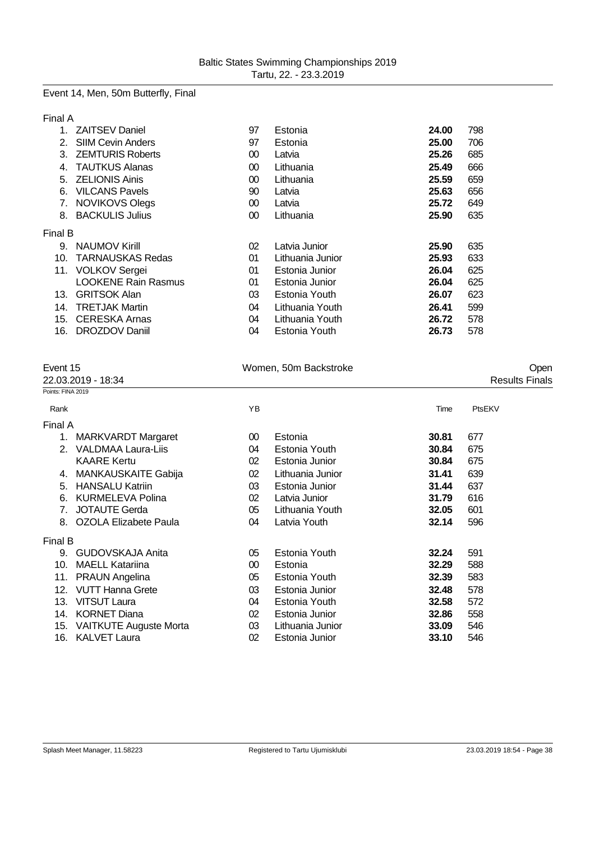### Event 14, Men, 50m Butterfly, Final

Final A

| $1_{-}$        | <b>ZAITSEV Daniel</b>      | 97 | Estonia          | 24.00 | 798 |
|----------------|----------------------------|----|------------------|-------|-----|
| 2 <sup>1</sup> | <b>SIIM Cevin Anders</b>   | 97 | Estonia          | 25.00 | 706 |
| 3.             | <b>ZEMTURIS Roberts</b>    | 00 | Latvia           | 25.26 | 685 |
| 4.             | <b>TAUTKUS Alanas</b>      | 00 | Lithuania        | 25.49 | 666 |
|                | 5. ZELIONIS Ainis          | 00 | Lithuania        | 25.59 | 659 |
| 6.             | <b>VILCANS Pavels</b>      | 90 | Latvia           | 25.63 | 656 |
| 7.             | <b>NOVIKOVS Olegs</b>      | 00 | Latvia           | 25.72 | 649 |
| 8.             | <b>BACKULIS Julius</b>     | 00 | Lithuania        | 25.90 | 635 |
| Final B        |                            |    |                  |       |     |
| 9.             | <b>NAUMOV Kirill</b>       | 02 | Latvia Junior    | 25.90 | 635 |
|                | 10. TARNAUSKAS Redas       | 01 | Lithuania Junior | 25.93 | 633 |
|                | 11. VOLKOV Sergei          | 01 | Estonia Junior   | 26.04 | 625 |
|                | <b>LOOKENE Rain Rasmus</b> | 01 | Estonia Junior   | 26.04 | 625 |
| 13.            | <b>GRITSOK Alan</b>        | 03 | Estonia Youth    | 26.07 | 623 |
| 14.            | <b>TRETJAK Martin</b>      | 04 | Lithuania Youth  | 26.41 | 599 |
| 15.            | <b>CERESKA Arnas</b>       | 04 | Lithuania Youth  | 26.72 | 578 |
| 16.            | DROZDOV Daniil             | 04 | Estonia Youth    | 26.73 | 578 |

| Event 15<br>22.03.2019 - 18:34 |                           |                 | Women, 50m Backstroke | Open<br><b>Results Finals</b> |        |
|--------------------------------|---------------------------|-----------------|-----------------------|-------------------------------|--------|
| Points: FINA 2019              |                           |                 |                       |                               |        |
| Rank                           |                           | ΥB              |                       | Time                          | PtsEKV |
| Final A                        |                           |                 |                       |                               |        |
| 1.                             | <b>MARKVARDT Margaret</b> | 00 <sup>°</sup> | Estonia               | 30.81                         | 677    |
| 2.                             | VALDMAA Laura-Liis        | 04              | Estonia Youth         | 30.84                         | 675    |
|                                | <b>KAARE Kertu</b>        | 02              | Estonia Junior        | 30.84                         | 675    |
|                                | 4. MANKAUSKAITE Gabija    | 02              | Lithuania Junior      | 31.41                         | 639    |
| 5.                             | <b>HANSALU Katriin</b>    | 03              | Estonia Junior        | 31.44                         | 637    |
| 6.                             | KURMELEVA Polina          | 02              | Latvia Junior         | 31.79                         | 616    |
| 7.                             | JOTAUTE Gerda             | 05              | Lithuania Youth       | 32.05                         | 601    |
|                                | 8. OZOLA Elizabete Paula  | 04              | Latvia Youth          | 32.14                         | 596    |
| Final B                        |                           |                 |                       |                               |        |
| 9.                             | GUDOVSKAJA Anita          | 05              | Estonia Youth         | 32.24                         | 591    |
| 10.                            | <b>MAELL Katariina</b>    | 00 <sup>°</sup> | Estonia               | 32.29                         | 588    |
| 11.                            | <b>PRAUN Angelina</b>     | 05              | Estonia Youth         | 32.39                         | 583    |

12. VUTT Hanna Grete 03 Estonia Junior **32.48** 578 13. VITSUT Laura 04 Estonia Youth **32.58** 572 14. KORNET Diana 02 Estonia Junior **32.86** 558 15. VAITKUTE Auguste Morta 03 Lithuania Junior **33.09** 546 16. KALVET Laura 02 Estonia Junior **33.10** 546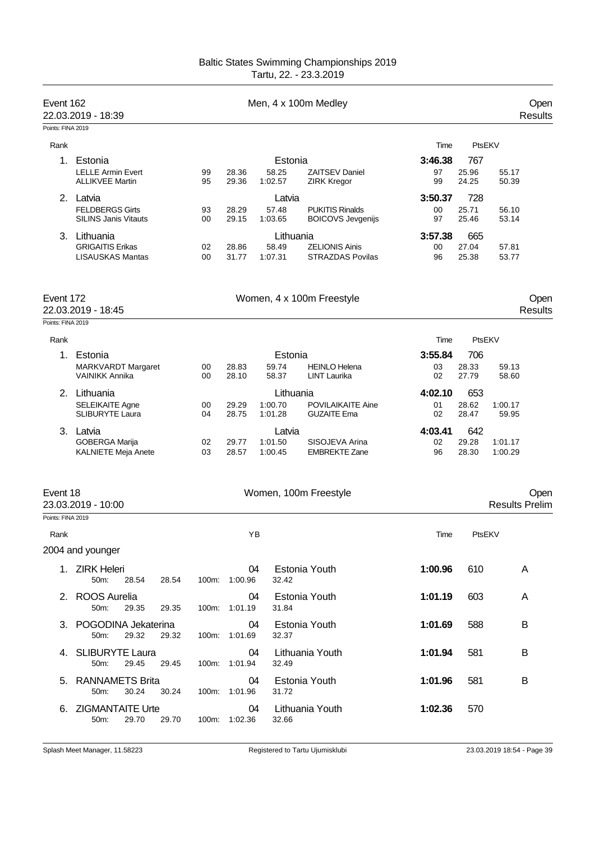| Event 162                     | 22.03.2019 - 18:39                                              |          |                     |                               | Men, 4 x 100m Medley                               |                     |                       |                       | Open<br><b>Results</b> |
|-------------------------------|-----------------------------------------------------------------|----------|---------------------|-------------------------------|----------------------------------------------------|---------------------|-----------------------|-----------------------|------------------------|
| Points: FINA 2019             |                                                                 |          |                     |                               |                                                    |                     |                       |                       |                        |
| Rank                          |                                                                 |          |                     |                               |                                                    | Time                | PtsEKV                |                       |                        |
| 1.                            | Estonia                                                         |          |                     | Estonia                       |                                                    | 3:46.38             | 767                   |                       |                        |
|                               | <b>LELLE Armin Evert</b><br><b>ALLIKVEE Martin</b>              | 99<br>95 | 28.36<br>29.36      | 58.25<br>1:02.57              | <b>ZAITSEV Daniel</b><br><b>ZIRK Kregor</b>        | 97<br>99            | 25.96<br>24.25        | 55.17<br>50.39        |                        |
|                               | 2. Latvia                                                       |          |                     | Latvia                        |                                                    | 3:50.37             | 728                   |                       |                        |
|                               | <b>FELDBERGS Girts</b><br><b>SILINS Janis Vitauts</b>           | 93<br>00 | 28.29<br>29.15      | 57.48<br>1:03.65              | <b>PUKITIS Rinalds</b><br><b>BOICOVS Jevgenijs</b> | 00<br>97            | 25.71<br>25.46        | 56.10<br>53.14        |                        |
| 3.                            | Lithuania<br><b>GRIGAITIS Erikas</b><br><b>LISAUSKAS Mantas</b> | 02<br>00 | 28.86<br>31.77      | Lithuania<br>58.49<br>1:07.31 | <b>ZELIONIS Ainis</b><br><b>STRAZDAS Povilas</b>   | 3:57.38<br>00<br>96 | 665<br>27.04<br>25.38 | 57.81<br>53.77        |                        |
| Event 172                     | 22.03.2019 - 18:45                                              |          |                     |                               | Women, 4 x 100m Freestyle                          |                     |                       |                       | Open<br><b>Results</b> |
| Points: FINA 2019             |                                                                 |          |                     |                               |                                                    |                     |                       |                       |                        |
| Rank                          |                                                                 |          |                     |                               |                                                    | Time                | PtsEKV                |                       |                        |
| 1.                            | Estonia                                                         |          |                     | Estonia                       |                                                    | 3:55.84             | 706                   |                       |                        |
|                               | <b>MARKVARDT Margaret</b><br><b>VAINIKK Annika</b>              | 00<br>00 | 28.83<br>28.10      | 59.74<br>58.37                | <b>HEINLO Helena</b><br>LINT Laurika               | 03<br>02            | 28.33<br>27.79        | 59.13<br>58.60        |                        |
| 2.                            | Lithuania                                                       |          |                     | Lithuania                     |                                                    | 4:02.10             | 653                   |                       |                        |
|                               | <b>SELEIKAITE Agne</b><br><b>SLIBURYTE Laura</b>                | 00<br>04 | 29.29<br>28.75      | 1:00.70<br>1:01.28            | <b>POVILAIKAITE Aine</b><br><b>GUZAITE Ema</b>     | 01<br>02            | 28.62<br>28.47        | 1:00.17<br>59.95      |                        |
| 3.                            | Latvia                                                          |          |                     | Latvia                        |                                                    | 4:03.41             | 642                   |                       |                        |
|                               | GOBERGA Marija<br>KALNIETE Meja Anete                           | 02<br>03 | 29.77<br>28.57      | 1:01.50<br>1:00.45            | SISOJEVA Arina<br><b>EMBREKTE Zane</b>             | 02<br>96            | 29.28<br>28.30        | 1:01.17<br>1:00.29    |                        |
| Event 18<br>Points: FINA 2019 | 23.03.2019 - 10:00                                              |          |                     |                               | Women, 100m Freestyle                              |                     |                       | <b>Results Prelim</b> | Open                   |
|                               |                                                                 |          |                     |                               |                                                    |                     |                       |                       |                        |
| Rank                          |                                                                 |          | YB                  |                               |                                                    | Time                | PtsEKV                |                       |                        |
|                               | 2004 and younger                                                |          |                     |                               |                                                    |                     |                       |                       |                        |
|                               | 1. ZIRK Heleri<br>50m:<br>28.54<br>28.54                        |          | 04<br>100m: 1:00.96 | 32.42                         | Estonia Youth                                      | 1:00.96             | 610                   | A                     |                        |
|                               | 2. ROOS Aurelia<br>50m:<br>29.35<br>29.35                       |          | 04<br>100m: 1:01.19 | 31.84                         | Estonia Youth                                      | 1:01.19             | 603                   | A                     |                        |
|                               | 3. POGODINA Jekaterina<br>50m:<br>29.32<br>29.32                |          | 04<br>100m: 1:01.69 | 32.37                         | Estonia Youth                                      | 1:01.69             | 588                   | B                     |                        |
|                               | 4. SLIBURYTE Laura<br>50m:<br>29.45<br>29.45                    |          | 04<br>100m: 1:01.94 | 32.49                         | Lithuania Youth                                    | 1:01.94             | 581                   | B                     |                        |
|                               | 5. RANNAMETS Brita<br>50m:<br>30.24<br>30.24                    |          | 04<br>100m: 1:01.96 | 31.72                         | Estonia Youth                                      | 1:01.96             | 581                   | B                     |                        |
|                               | 6. ZIGMANTAITE Urte<br>50m:<br>29.70<br>29.70                   |          | 04<br>100m: 1:02.36 | 32.66                         | Lithuania Youth                                    | 1:02.36             | 570                   |                       |                        |
|                               |                                                                 |          |                     |                               |                                                    |                     |                       |                       |                        |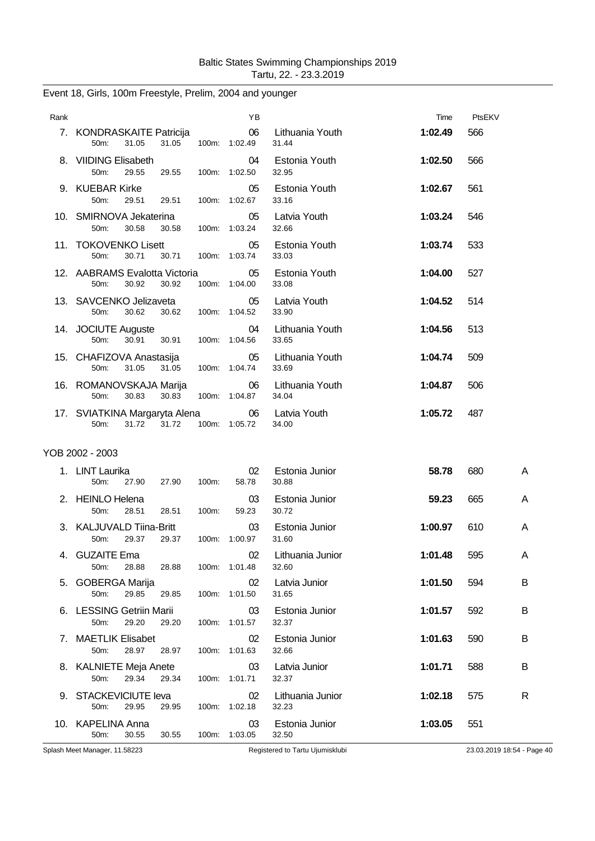| Rank |                                                         | ΥB                  |                              | Time    | PtsEKV |   |
|------|---------------------------------------------------------|---------------------|------------------------------|---------|--------|---|
|      | 7. KONDRASKAITE Patricija<br>31.05<br>31.05<br>$50m$ :  | 06<br>100m: 1:02.49 | Lithuania Youth<br>31.44     | 1:02.49 | 566    |   |
|      | 8. VIIDING Elisabeth<br>50m:<br>29.55<br>29.55          | 04<br>100m: 1:02.50 | Estonia Youth<br>32.95       | 1:02.50 | 566    |   |
|      | 9. KUEBAR Kirke<br>50m:<br>29.51<br>29.51               | 05<br>100m: 1:02.67 | Estonia Youth<br>33.16       | 1:02.67 | 561    |   |
|      | 10. SMIRNOVA Jekaterina<br>30.58<br>30.58<br>50m:       | 05<br>100m: 1:03.24 | Latvia Youth<br>32.66        | 1:03.24 | 546    |   |
|      | 11. TOKOVENKO Lisett<br>30.71<br>50m:<br>30.71          | 05<br>100m: 1:03.74 | Estonia Youth<br>33.03       | 1:03.74 | 533    |   |
|      | 12. AABRAMS Evalotta Victoria<br>30.92<br>30.92<br>50m: | 05<br>100m: 1:04.00 | Estonia Youth<br>33.08       | 1:04.00 | 527    |   |
|      | 13. SAVCENKO Jelizaveta<br>30.62<br>50m:<br>30.62       | 05<br>100m: 1:04.52 | Latvia Youth<br>33.90        | 1:04.52 | 514    |   |
|      | 14. JOCIUTE Auguste<br>30.91<br>50m:<br>30.91           | 04<br>100m: 1:04.56 | Lithuania Youth<br>33.65     | 1:04.56 | 513    |   |
|      | 15. CHAFIZOVA Anastasija<br>50m:<br>31.05<br>31.05      | 05<br>100m: 1:04.74 | Lithuania Youth<br>33.69     | 1:04.74 | 509    |   |
|      | 16. ROMANOVSKAJA Marija<br>50m:<br>30.83<br>30.83       | 06<br>100m: 1:04.87 | Lithuania Youth<br>34.04     | 1:04.87 | 506    |   |
|      | 17. SVIATKINA Margaryta Alena<br>31.72<br>31.72<br>50m: | 06<br>100m: 1:05.72 | Latvia Youth<br>34.00        | 1:05.72 | 487    |   |
|      | YOB 2002 - 2003                                         |                     |                              |         |        |   |
|      | 1. LINT Laurika<br>50m:<br>27.90<br>27.90<br>100m:      | 02<br>58.78         | Estonia Junior<br>30.88      | 58.78   | 680    | A |
|      | 2. HEINLO Helena<br>50m:<br>28.51<br>28.51<br>100m:     | 03<br>59.23         | Estonia Junior<br>30.72      | 59.23   | 665    | A |
|      | 3. KALJUVALD Tiina-Britt<br>50m:<br>29.37<br>29.37      | 03<br>100m: 1:00.97 | Estonia Junior<br>31.60      | 1:00.97 | 610    | A |
|      | 4. GUZAITE Ema<br>50m:<br>28.88<br>28.88                | 100m: 1:01.48       | 02 Lithuania Junior<br>32.60 | 1:01.48 | 595    | A |
|      | 5. GOBERGA Marija<br>50m:<br>29.85<br>29.85             | 02<br>100m: 1:01.50 | Latvia Junior<br>31.65       | 1:01.50 | 594    | B |
|      | 6. LESSING Getriin Marii<br>29.20<br>50m:<br>29.20      | 03<br>100m: 1:01.57 | Estonia Junior<br>32.37      | 1:01.57 | 592    | B |
|      | 7. MAETLIK Elisabet<br>28.97<br>50m:<br>28.97           | 02<br>100m: 1:01.63 | Estonia Junior<br>32.66      | 1:01.63 | 590    | В |
|      | 8. KALNIETE Meja Anete<br>29.34<br>50m:<br>29.34        | 03<br>100m: 1:01.71 | Latvia Junior<br>32.37       | 1:01.71 | 588    | B |
|      | 9. STACKEVICIUTE leva<br>50m:<br>29.95<br>29.95         | 02<br>100m: 1:02.18 | Lithuania Junior<br>32.23    | 1:02.18 | 575    | R |
|      | 10. KAPELINA Anna<br>30.55<br>50m:<br>30.55             | 03<br>100m: 1:03.05 | Estonia Junior<br>32.50      | 1:03.05 | 551    |   |

## Event 18, Girls, 100m Freestyle, Prelim, 2004 and younger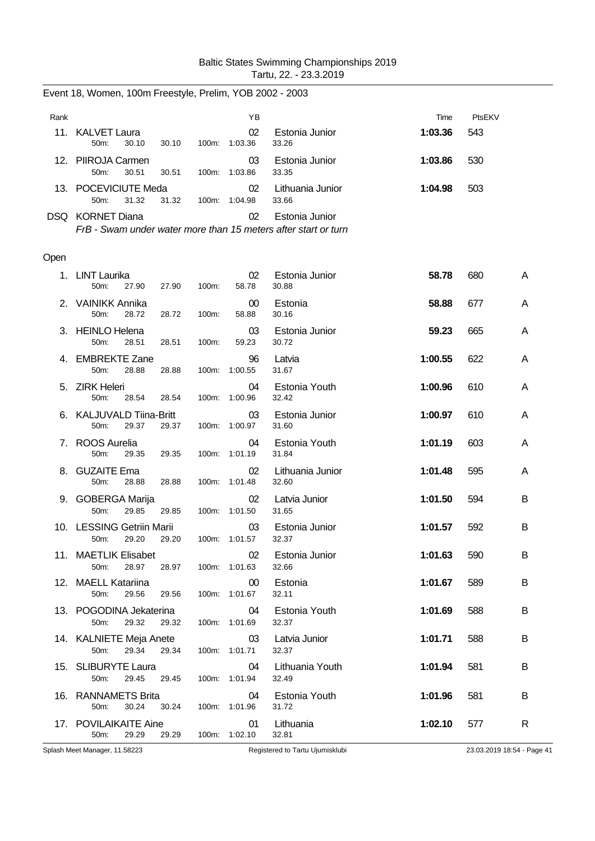| Rank |                                 |       |       |          | ΥB            |                           | Time    | PtsEKV |
|------|---------------------------------|-------|-------|----------|---------------|---------------------------|---------|--------|
| 11   | <b>KALVET Laura</b><br>$50m$ :  | 30.10 | 30.10 | $100m$ : | 02<br>1:03.36 | Estonia Junior<br>33.26   | 1:03.36 | 543    |
|      | 12. PIIROJA Carmen<br>$50m$ :   | 30.51 | 30.51 | 100m:    | 03<br>1:03.86 | Estonia Junior<br>33.35   | 1:03.86 | 530    |
|      | 13. POCEVICIUTE Meda<br>$50m$ : | 31.32 | 31.32 | 100m:    | 02<br>1:04.98 | Lithuania Junior<br>33.66 | 1:04.98 | 503    |
| DSQ. | <b>KORNET Diana</b>             |       |       |          | 02            | Estonia Junior            |         |        |

Event 18, Women, 100m Freestyle, Prelim, YOB 2002 - 2003

*FrB - Swam under water more than 15 meters after start or turn*

#### Open

| Splash Meet Manager, 11.58223                          |                |                     | Registered to Tartu Ujumisklubi |         |     | 23.03.2019 18:54 - Page 41 |
|--------------------------------------------------------|----------------|---------------------|---------------------------------|---------|-----|----------------------------|
| 17. POVILAIKAITE Aine<br>50m:<br>29.29                 | 29.29          | 01<br>100m: 1:02.10 | Lithuania<br>32.81              | 1:02.10 | 577 | R.                         |
| 16. RANNAMETS Brita<br>30.24<br>50 <sub>m</sub> :      | 30.24          | 04<br>100m: 1:01.96 | Estonia Youth<br>31.72          | 1:01.96 | 581 | B                          |
| 15. SLIBURYTE Laura<br>50m:<br>29.45                   | 29.45          | 04<br>100m: 1:01.94 | Lithuania Youth<br>32.49        | 1:01.94 | 581 | B                          |
| 14. KALNIETE Meja Anete<br>29.34<br>50m:               | 29.34          | 03<br>100m: 1:01.71 | Latvia Junior<br>32.37          | 1:01.71 | 588 | B                          |
| 13. POGODINA Jekaterina<br>50m:<br>29.32               | 29.32          | 04<br>100m: 1:01.69 | Estonia Youth<br>32.37          | 1:01.69 | 588 | B                          |
| 12. MAELL Katariina<br>29.56<br>50m:                   | 29.56          | 00<br>100m: 1:01.67 | Estonia<br>32.11                | 1:01.67 | 589 | B                          |
| 11. MAETLIK Elisabet<br>50m:<br>28.97                  | 28.97          | 02<br>100m: 1:01.63 | Estonia Junior<br>32.66         | 1:01.63 | 590 | B                          |
| 10. LESSING Getriin Marii<br>50m:<br>29.20             | 29.20          | 03<br>100m: 1:01.57 | Estonia Junior<br>32.37         | 1:01.57 | 592 | B                          |
| 9. GOBERGA Marija<br>50m:<br>29.85                     | 29.85          | 02<br>100m: 1:01.50 | Latvia Junior<br>31.65          | 1:01.50 | 594 | B                          |
| 8. GUZAITE Ema<br>50m:<br>28.88                        | 28.88          | 02<br>100m: 1:01.48 | Lithuania Junior<br>32.60       | 1:01.48 | 595 | A                          |
| 7. ROOS Aurelia<br>50m:<br>29.35                       | 29.35          | 04<br>100m: 1:01.19 | Estonia Youth<br>31.84          | 1:01.19 | 603 | A                          |
| 6. KALJUVALD Tiina-Britt<br>29.37<br>50 <sub>m</sub> : | 29.37          | 03<br>100m: 1:00.97 | Estonia Junior<br>31.60         | 1:00.97 | 610 | A                          |
| 5. ZIRK Heleri<br>50m:<br>28.54                        | 28.54          | 04<br>100m: 1:00.96 | Estonia Youth<br>32.42          | 1:00.96 | 610 | A                          |
| 4. EMBREKTE Zane<br>50m:<br>28.88                      | 28.88          | 96<br>100m: 1:00.55 | Latvia<br>31.67                 | 1:00.55 | 622 | A                          |
| 3. HEINLO Helena<br>50m:<br>28.51                      | 28.51<br>100m: | 03<br>59.23         | Estonia Junior<br>30.72         | 59.23   | 665 | A                          |
| 2. VAINIKK Annika<br>$50m$ :<br>28.72                  | 28.72<br>100m: | 00<br>58.88         | Estonia<br>30.16                | 58.88   | 677 | A                          |
| 1. LINT Laurika<br>50m:<br>27.90                       | 27.90<br>100m: | 02<br>58.78         | Estonia Junior<br>30.88         | 58.78   | 680 | A                          |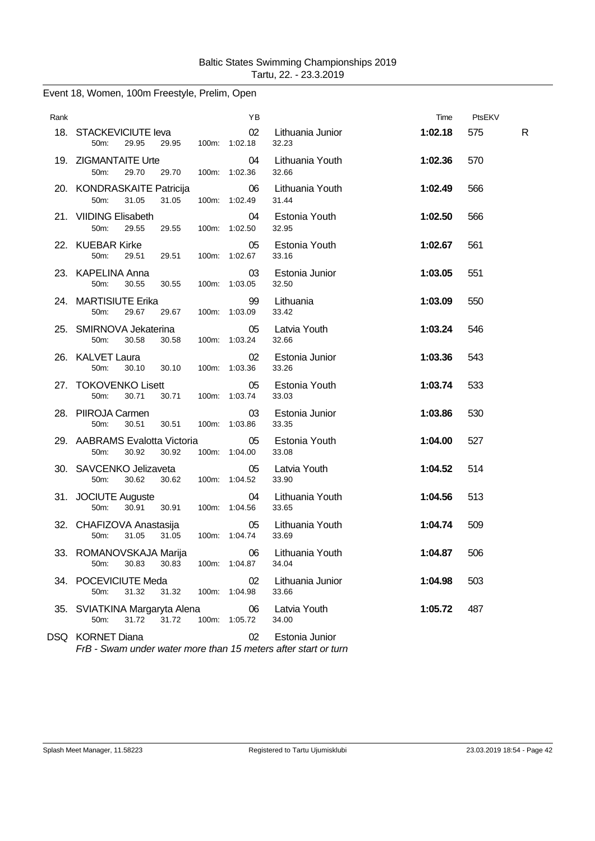| Rank |                                                                   | ΥB                  |                             | Time    | PtsEKV |   |
|------|-------------------------------------------------------------------|---------------------|-----------------------------|---------|--------|---|
|      | 18. STACKEVICIUTE leva<br>50m:<br>29.95<br>29.95                  | 02<br>100m: 1:02.18 | Lithuania Junior<br>32.23   | 1:02.18 | 575    | R |
|      | 19. ZIGMANTAITE Urte<br>50m:<br>29.70<br>29.70                    | 04<br>100m: 1:02.36 | Lithuania Youth<br>32.66    | 1:02.36 | 570    |   |
|      | 20. KONDRASKAITE Patricija<br>31.05<br>31.05<br>50 <sub>m</sub> : | 06<br>100m: 1:02.49 | Lithuania Youth<br>31.44    | 1:02.49 | 566    |   |
|      | 21. VIIDING Elisabeth<br>50m:<br>29.55<br>29.55<br>100m:          | 04<br>1:02.50       | Estonia Youth<br>32.95      | 1:02.50 | 566    |   |
|      | 22. KUEBAR Kirke<br>50m:<br>29.51<br>29.51                        | 05<br>100m: 1:02.67 | Estonia Youth<br>33.16      | 1:02.67 | 561    |   |
|      | 23. KAPELINA Anna<br>50m:<br>30.55<br>30.55<br>100m:              | 03<br>1:03.05       | Estonia Junior<br>32.50     | 1:03.05 | 551    |   |
|      | 24. MARTISIUTE Erika<br>50m:<br>29.67<br>29.67                    | 99<br>100m: 1:03.09 | Lithuania<br>33.42          | 1:03.09 | 550    |   |
|      | 25. SMIRNOVA Jekaterina<br>50m:<br>30.58<br>30.58                 | 05<br>100m: 1:03.24 | Latvia Youth<br>32.66       | 1:03.24 | 546    |   |
|      | 26. KALVET Laura<br>50m:<br>30.10<br>30.10<br>100m:               | 02<br>1:03.36       | Estonia Junior<br>33.26     | 1:03.36 | 543    |   |
|      | 27. TOKOVENKO Lisett<br>50m:<br>30.71<br>30.71                    | 05<br>100m: 1:03.74 | Estonia Youth<br>33.03      | 1:03.74 | 533    |   |
|      | 28. PIIROJA Carmen<br>50m:<br>30.51<br>30.51                      | 03<br>100m: 1:03.86 | Estonia Junior<br>33.35     | 1:03.86 | 530    |   |
|      | 29. AABRAMS Evalotta Victoria<br>50m:<br>30.92<br>30.92<br>100m:  | 05<br>1:04.00       | Estonia Youth<br>33.08      | 1:04.00 | 527    |   |
|      | 30. SAVCENKO Jelizaveta<br>50m:<br>30.62<br>30.62                 | 05<br>100m: 1:04.52 | Latvia Youth<br>33.90       | 1:04.52 | 514    |   |
|      | 31. JOCIUTE Auguste<br>50m:<br>30.91<br>30.91                     | 04<br>100m: 1:04.56 | Lithuania Youth<br>33.65    | 1:04.56 | 513    |   |
|      | 32. CHAFIZOVA Anastasija<br>31.05<br>31.05<br>50m:                | 05<br>100m: 1:04.74 | Lithuania Youth<br>33.69    | 1:04.74 | 509    |   |
|      | 33. ROMANOVSKAJA Marija<br>30.83<br>30.83<br>50m:                 | 100m: 1:04.87       | 06 Lithuania Youth<br>34.04 | 1:04.87 | 506    |   |
|      | 34. POCEVICIUTE Meda<br>31.32<br>31.32<br>50m:<br>100m:           | 02<br>1:04.98       | Lithuania Junior<br>33.66   | 1:04.98 | 503    |   |
|      | 35. SVIATKINA Margaryta Alena<br>31.72<br>31.72<br>100m:<br>50m:  | 06<br>1:05.72       | Latvia Youth<br>34.00       | 1:05.72 | 487    |   |
|      | DSQ KORNET Diana                                                  | 02                  | Estonia Junior              |         |        |   |

## Event 18, Women, 100m Freestyle, Prelim, Open

*FrB - Swam under water more than 15 meters after start or turn*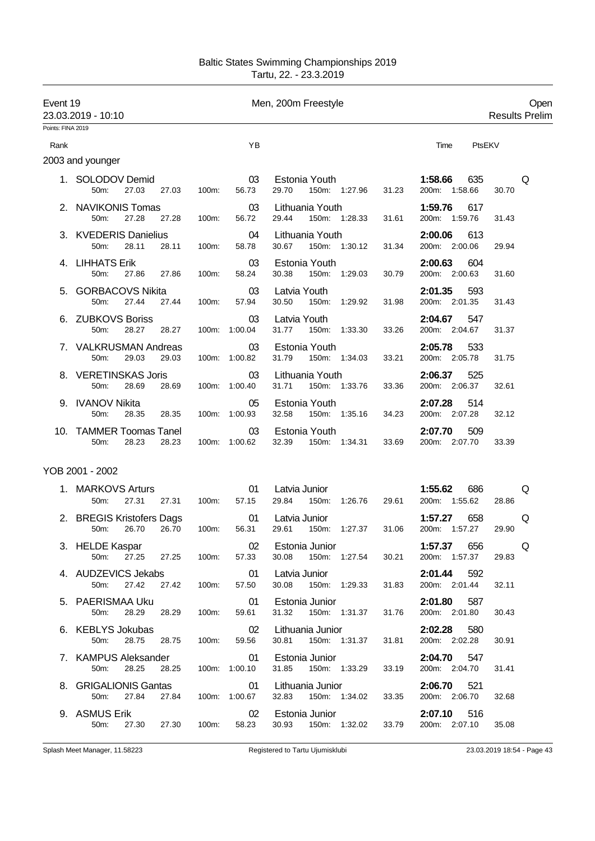| Event 19          | 23.03.2019 - 10:10                                  |               |                            | Men, 200m Freestyle                                                 |                                     | Open<br><b>Results Prelim</b> |
|-------------------|-----------------------------------------------------|---------------|----------------------------|---------------------------------------------------------------------|-------------------------------------|-------------------------------|
| Points: FINA 2019 |                                                     |               |                            |                                                                     |                                     |                               |
| Rank              |                                                     |               | YB                         |                                                                     | Time                                | PtsEKV                        |
|                   | 2003 and younger                                    |               |                            |                                                                     |                                     |                               |
|                   | 1. SOLODOV Demid<br>27.03 27.03<br>50m:             | 100m:         | 03<br>56.73                | Estonia Youth<br>150m: 1:27.96<br>31.23<br>29.70                    | 1:58.66<br>635<br>200m: 1:58.66     | Q<br>30.70                    |
|                   | 2. NAVIKONIS Tomas<br>27.28<br>50m:<br>27.28        | 100m:         | 03<br>56.72                | Lithuania Youth <b>Example 20</b><br>29.44 150m: 1:28.33<br>31.61   | 1:59.76<br>617<br>200m: 1:59.76     | 31.43                         |
|                   | 3. KVEDERIS Danielius<br>50m:<br>28.11<br>28.11     | 100m:         | 04<br>58.78                | Lithuania Youth<br>30.67<br>150m: 1:30.12<br>31.34                  | 2:00.06<br>613<br>200m: 2:00.06     | 29.94                         |
|                   | 4. LIHHATS Erik<br>27.86 27.86<br>50m:              | 100m:         | 03<br>58.24                | Estonia Youth<br>30.79<br>30.38<br>150m: 1:29.03                    | 2:00.63 604<br>200m: 2:00.63        | 31.60                         |
|                   | 5. GORBACOVS Nikita<br>50m:<br>27.44<br>27.44       | 100m:         | $\sim$ 03<br>57.94         | Latvia Youth<br>150m: 1:29.92<br>31.98<br>30.50                     | $2:01.35$ 593<br>200m: 2:01.35      | 31.43                         |
|                   | 6. ZUBKOVS Boriss<br>50m:<br>28.27 28.27            |               | 03<br>100m: 1:00.04        | Latvia Youth<br>31.77<br>150m: 1:33.30<br>33.26                     | 2:04.67 547<br>200m: 2:04.67        | 31.37                         |
|                   | 7. VALKRUSMAN Andreas<br>29.03<br>50m:<br>29.03     |               | 03<br>100m: 1:00.82        | Estonia Youth<br>31.79 150m: 1:34.03<br>33.21                       | 2:05.78 533<br>200m: 2:05.78        | 31.75                         |
|                   | 8. VERETINSKAS Joris<br>50m:<br>28.69<br>28.69      |               | 03<br>100m: 1:00.40        | Lithuania Youth<br>31.71  150m: 1:33.76<br>33.36                    | <b>2:06.37</b> 525<br>200m: 2:06.37 | 32.61                         |
|                   | 9. IVANOV Nikita<br>28.35<br>50m:<br>28.35          | 100m: 1:00.93 | 05                         | Estonia Youth<br>32.58<br>150m: 1:35.16<br>34.23                    | 2:07.28<br>514<br>200m: 2:07.28     | 32.12                         |
|                   | 10. TAMMER Toomas Tanel<br>28.23<br>28.23<br>50m:   |               | $\sim$ 03<br>100m: 1:00.62 | Estonia Youth<br>32.39<br>150m: 1:34.31<br>33.69                    | 2:07.70<br>509<br>200m: 2:07.70     | 33.39                         |
|                   | YOB 2001 - 2002                                     |               |                            |                                                                     |                                     |                               |
|                   | 1. MARKOVS Arturs<br>50 <sub>m</sub> :<br>27.31     |               | 01<br>27.31 100m: 57.15    | Latvia Junior <b>Exercise State</b><br>29.61<br>29.84 150m: 1:26.76 | 1:55.62<br>686<br>200m: 1:55.62     | Q<br>28.86                    |
|                   | 2. BREGIS Kristofers Dags<br>26.70<br>50m:<br>26.70 | 100m:         | $\sim$ 01<br>56.31         | Latvia Junior<br>29.61<br>150m:<br>1:27.37<br>31.06                 | 658<br>1:57.27<br>200m: 1:57.27     | Q<br>29.90                    |
|                   | 3. HELDE Kaspar<br>50m:                             |               | 57.33                      | <b>2</b> CO2 Estonia Junior<br>30.08 150m: 1:27.54<br>30.21         | 1:57.37 656 Q<br>200m: 1:57.37      | 29.83                         |
|                   | 4. AUDZEVICS Jekabs<br>50m: 27.42 27.42             | 100m:         | $\sim$ 01<br>57.50         | Latvia Junior<br>30.08 150m: 1:29.33<br>31.83                       | 2:01.44 592<br>200m: 2:01.44        | 32.11                         |
|                   | 5. PAERISMAA Uku<br>50m:<br>28.29<br>28.29          | 100m:         | 01<br>59.61                | Estonia Junior<br>31.32 150m: 1:31.37<br>31.76                      | 2:01.80<br>587<br>200m: 2:01.80     | 30.43                         |
|                   | 6. KEBLYS Jokubas<br>28.75 28.75<br>50m:            |               | 02<br>100m: 59.56          | Lithuania Junior<br>30.81 150m: 1:31.37<br>31.81                    | 2:02.28 580<br>200m: 2:02.28        | 30.91                         |
|                   | 7. KAMPUS Aleksander<br>28.25<br>28.25<br>50m:      |               | 01<br>100m: 1:00.10        | Estonia Junior<br>31.85 150m: 1:33.29<br>33.19                      | <b>2:04.70</b> 547<br>200m: 2:04.70 | 31.41                         |
|                   | 8. GRIGALIONIS Gantas<br>50m:<br>27.84 27.84        |               | 01<br>100m: 1:00.67        | Lithuania Junior<br>32.83 150m: 1:34.02<br>33.35                    | 2:06.70<br>521<br>200m: 2:06.70     | 32.68                         |
|                   | 9. ASMUS Erik<br>27.30 27.30<br>50m:                | 100m:         | 02<br>58.23                | Estonia Junior <b>Example 19</b><br>30.93 150m: 1:32.02<br>33.79    | 2:07.10 516<br>200m: 2:07.10        | 35.08                         |
|                   |                                                     |               |                            |                                                                     |                                     |                               |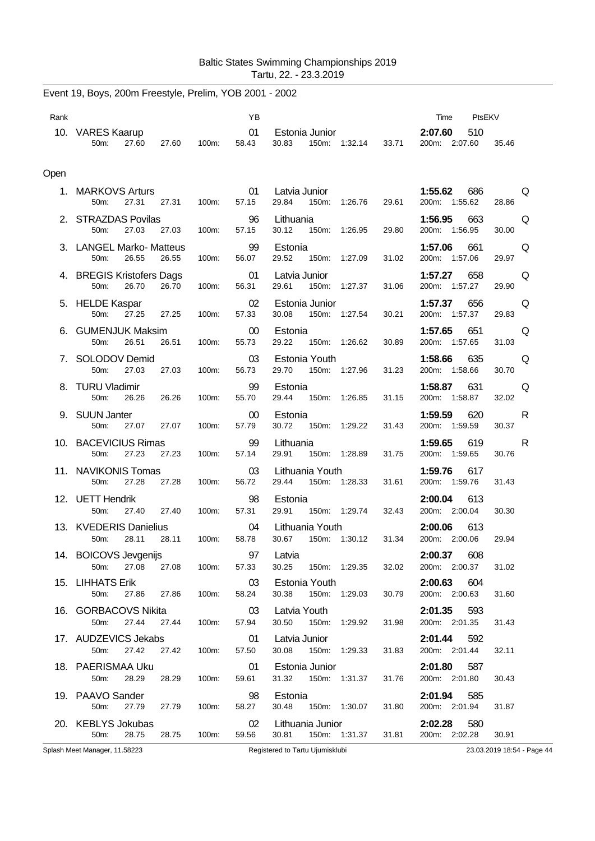|      | Event 19, Boys, 200m Freestyle, Prelim, YOB 2001 - 2002 |       |       |                 |                                 |       |               |       |                                 |                            |
|------|---------------------------------------------------------|-------|-------|-----------------|---------------------------------|-------|---------------|-------|---------------------------------|----------------------------|
| Rank |                                                         |       |       | YB              |                                 |       |               |       | Time<br>PtsEKV                  |                            |
|      | 10. VARES Kaarup<br>50m:<br>27.60                       | 27.60 | 100m: | 01<br>58.43     | Estonia Junior<br>30.83         |       | 150m: 1:32.14 | 33.71 | 2:07.60<br>510<br>200m: 2:07.60 | 35.46                      |
| Open |                                                         |       |       |                 |                                 |       |               |       |                                 |                            |
|      | 1. MARKOVS Arturs<br>50 <sub>m</sub> :<br>27.31         | 27.31 | 100m: | 01<br>57.15     | Latvia Junior<br>29.84          |       | 150m: 1:26.76 | 29.61 | 1:55.62<br>686<br>200m: 1:55.62 | Q<br>28.86                 |
|      | 2. STRAZDAS Povilas<br>27.03<br>50m:                    | 27.03 | 100m: | 96<br>57.15     | Lithuania<br>30.12              |       | 150m: 1:26.95 | 29.80 | 1:56.95<br>663<br>200m: 1:56.95 | Q<br>30.00                 |
|      | 3. LANGEL Marko- Matteus<br>50m:<br>26.55               | 26.55 | 100m: | 99<br>56.07     | Estonia<br>29.52                |       | 150m: 1:27.09 | 31.02 | 1:57.06<br>661<br>200m: 1:57.06 | Q<br>29.97                 |
|      | 4. BREGIS Kristofers Dags<br>50 <sub>m</sub> :<br>26.70 | 26.70 | 100m: | 01<br>56.31     | Latvia Junior<br>29.61          |       | 150m: 1:27.37 | 31.06 | 1:57.27<br>658<br>200m: 1:57.27 | Q<br>29.90                 |
|      | 5. HELDE Kaspar<br>50m:<br>27.25                        | 27.25 | 100m: | 02<br>57.33     | Estonia Junior<br>30.08         |       | 150m: 1:27.54 | 30.21 | 1:57.37<br>656<br>200m: 1:57.37 | Q<br>29.83                 |
|      | 6. GUMENJUK Maksim<br>50m:<br>26.51                     | 26.51 | 100m: | $00\,$<br>55.73 | Estonia<br>29.22                |       | 150m: 1:26.62 | 30.89 | 1:57.65<br>651<br>200m: 1:57.65 | Q<br>31.03                 |
|      | 7. SOLODOV Demid<br>50 <sub>m</sub> :<br>27.03          | 27.03 | 100m: | 03<br>56.73     | Estonia Youth<br>29.70          |       | 150m: 1:27.96 | 31.23 | 1:58.66<br>635<br>200m: 1:58.66 | Q<br>30.70                 |
|      | 8. TURU Vladimir<br>50m:<br>26.26                       | 26.26 | 100m: | 99<br>55.70     | Estonia<br>29.44                |       | 150m: 1:26.85 | 31.15 | 1:58.87<br>631<br>200m: 1:58.87 | Q<br>32.02                 |
|      | 9. SUUN Janter<br>50m:<br>27.07                         | 27.07 | 100m: | 00<br>57.79     | Estonia<br>30.72                |       | 150m: 1:29.22 | 31.43 | 1:59.59<br>620<br>200m: 1:59.59 | R<br>30.37                 |
|      | 10. BACEVICIUS Rimas<br>50 <sub>m</sub> :<br>27.23      | 27.23 | 100m: | 99<br>57.14     | Lithuania<br>29.91              |       | 150m: 1:28.89 | 31.75 | 1:59.65<br>619<br>200m: 1:59.65 | R<br>30.76                 |
|      | 11. NAVIKONIS Tomas<br>50m:<br>27.28                    | 27.28 | 100m: | 03<br>56.72     | Lithuania Youth<br>29.44        |       | 150m: 1:28.33 | 31.61 | 1:59.76<br>617<br>200m: 1:59.76 | 31.43                      |
|      | 12. UETT Hendrik<br>50m:<br>27.40                       | 27.40 | 100m: | 98<br>57.31     | Estonia<br>29.91                |       | 150m: 1:29.74 | 32.43 | 2:00.04<br>613<br>200m: 2:00.04 | 30.30                      |
|      | 13. KVEDERIS Danielius<br>28.11<br>50m.                 | 28.11 | 100m: | 04<br>58.78     | Lithuania Youth<br>30.67        | 150m: | 1:30.12       | 31.34 | 2:00.06<br>613<br>200m: 2:00.06 | 29.94                      |
|      | 14. BOICOVS Jevgenijs<br>50m:<br>27.08                  | 27.08 | 100m: | 97<br>57.33     | Latvia<br>30.25                 |       | 150m: 1:29.35 | 32.02 | 2:00.37<br>608<br>200m: 2:00.37 | 31.02                      |
|      | 15. LIHHATS Erik<br>50m:<br>27.86                       | 27.86 | 100m: | 03<br>58.24     | Estonia Youth<br>30.38          | 150m: | 1:29.03       | 30.79 | 2:00.63<br>604<br>200m: 2:00.63 | 31.60                      |
|      | 16. GORBACOVS Nikita<br>27.44<br>50m:                   | 27.44 | 100m: | 03<br>57.94     | Latvia Youth<br>30.50           | 150m: | 1:29.92       | 31.98 | 2:01.35<br>593<br>200m: 2:01.35 | 31.43                      |
|      | 17. AUDZEVICS Jekabs<br>27.42<br>50m:                   | 27.42 | 100m: | 01<br>57.50     | Latvia Junior<br>30.08          | 150m: | 1:29.33       | 31.83 | 2:01.44<br>592<br>200m: 2:01.44 | 32.11                      |
|      | 18. PAERISMAA Uku                                       |       |       | 01              | Estonia Junior                  |       |               |       | 2:01.80<br>587                  |                            |
|      | 28.29<br>50m:                                           | 28.29 | 100m: | 59.61           | 31.32                           |       | 150m: 1:31.37 | 31.76 | 200m: 2:01.80                   | 30.43                      |
|      | 19. PAAVO Sander<br>50m:<br>27.79                       | 27.79 | 100m: | 98<br>58.27     | Estonia<br>30.48                |       | 150m: 1:30.07 | 31.80 | 2:01.94<br>585<br>200m: 2:01.94 | 31.87                      |
|      | 20. KEBLYS Jokubas<br>50m:<br>28.75                     | 28.75 | 100m: | 02<br>59.56     | Lithuania Junior<br>30.81       |       | 150m: 1:31.37 | 31.81 | 2:02.28<br>580<br>200m: 2:02.28 | 30.91                      |
|      | Splash Meet Manager, 11.58223                           |       |       |                 | Registered to Tartu Ujumisklubi |       |               |       |                                 | 23.03.2019 18:54 - Page 44 |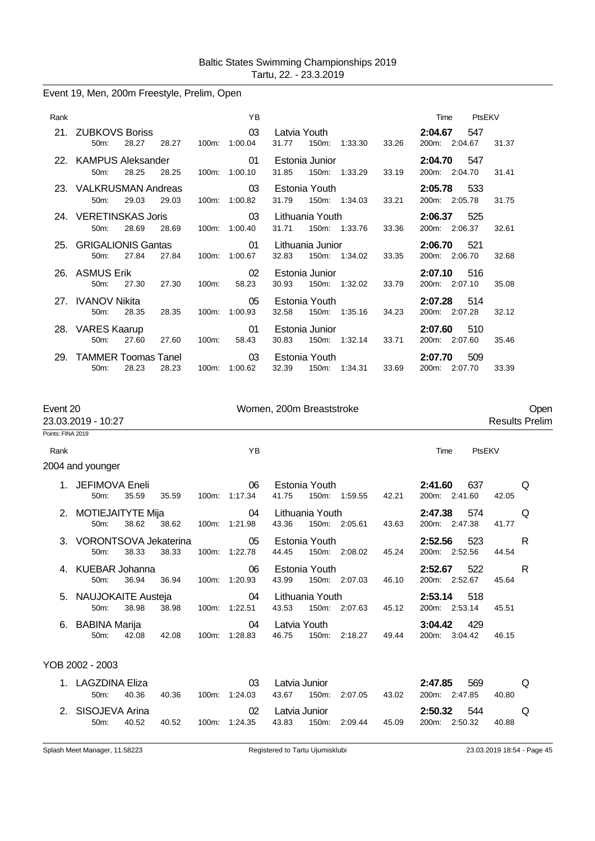## Event 19, Men, 200m Freestyle, Prelim, Open

| Rank |                                                     | YB                            |                                                     | Time<br>PtsEKV                              |
|------|-----------------------------------------------------|-------------------------------|-----------------------------------------------------|---------------------------------------------|
|      | 21. ZUBKOVS Boriss<br>28.27<br>28.27<br>50m         | $\sim$ 03<br>100m: 1:00.04    | Latvia Youth<br>31.77<br>150m:<br>1:33.30<br>33.26  | 2:04.67<br>547<br>200m: 2:04.67<br>31.37    |
|      | 22. KAMPUS Aleksander<br>28.25<br>28.25<br>$50m$ :  | $\sim$ 01<br>100m: 1:00.10    | Estonia Junior<br>31.85<br>150m: 1:33.29<br>33.19   | 2:04.70<br>- 547<br>200m: 2:04.70<br>31.41  |
|      | 23. VALKRUSMAN Andreas<br>29.03<br>29.03<br>$50m$ : | $\sim$ 03<br>100m: 1:00.82    | Estonia Youth<br>31.79<br>150m: 1:34.03<br>33.21    | 2:05.78<br>- 533<br>200m: 2:05.78<br>31.75  |
|      | 24. VERETINSKAS Joris<br>28.69<br>28.69<br>50m      | $\sim$ 03<br>100m: 1:00.40    | Lithuania Youth<br>33.36<br>31.71<br>150m: 1:33.76  | 2:06.37<br>525<br>200m: 2:06.37<br>32.61    |
|      | 25. GRIGALIONIS Gantas<br>27.84<br>$50m$ :<br>27.84 | $\sim$ 01<br>100m: 1:00.67    | Lithuania Junior<br>32.83<br>150m: 1:34.02<br>33.35 | 2:06.70<br>521<br>200m: 2:06.70<br>32.68    |
|      | 26. ASMUS Erik<br>27.30<br>$50m$ :<br>27.30         | 02<br>100m:<br>58.23          | Estonia Junior<br>30.93<br>150m: 1:32.02<br>33.79   | 2:07.10<br>516<br>200m: 2:07.10<br>35.08    |
|      | 27. IVANOV Nikita<br>28.35<br>$50m$ :<br>28.35      | 05<br>100m: 1:00.93           | Estonia Youth<br>32.58<br>150m: 1:35.16<br>34.23    | 2:07.28<br>514<br>200m: 2:07.28<br>32.12    |
|      | 28. VARES Kaarup<br>$50m$ :<br>27.60<br>27.60       | 01<br>100m:<br>58.43          | Estonia Junior<br>30.83<br>150m: 1:32.14<br>33.71   | 2:07.60<br>510<br>200m: 2:07.60<br>35.46    |
| 29.  | <b>TAMMER Toomas Tanel</b><br>28.23<br>28.23<br>50m | $\sim$ 03<br>100m:<br>1:00.62 | Estonia Youth<br>32.39<br>150m: 1:34.31<br>33.69    | 2:07.70<br>509<br>200m:<br>2:07.70<br>33.39 |

| Event 20          |                                     |             |       | Women, 200m Breaststroke          |                        |                 |                                                          |       |                                |        | Open  |                       |
|-------------------|-------------------------------------|-------------|-------|-----------------------------------|------------------------|-----------------|----------------------------------------------------------|-------|--------------------------------|--------|-------|-----------------------|
| Points: FINA 2019 | 23.03.2019 - 10:27                  |             |       |                                   |                        |                 |                                                          |       |                                |        |       | <b>Results Prelim</b> |
|                   |                                     |             |       |                                   |                        |                 |                                                          |       |                                |        |       |                       |
| Rank              |                                     |             |       | YB                                |                        |                 |                                                          |       | Time                           | PtsEKV |       |                       |
|                   | 2004 and younger                    |             |       |                                   |                        |                 |                                                          |       |                                |        |       |                       |
|                   | 1. JEFIMOVA Eneli<br>$50m$ :        | 35.59       | 35.59 | 06<br>100m: 1:17.34               | 41.75                  |                 | Estonia Youth <b>Example</b><br>150m: 1:59.55            | 42.21 | 2:41.60<br>200m: 2:41.60 42.05 | 637    |       | Q                     |
|                   | 2. MOTIEJAITYTE Mija 64<br>50m:     | 38.62 38.62 |       | 100m: 1:21.98                     |                        |                 | Lithuania Youth <b>Example 19</b><br>43.36 150m: 2:05.61 | 43.63 | 2:47.38<br>200m: 2:47.38       | 574    | 41.77 | Q                     |
|                   | 3. VORONTSOVA Jekaterina<br>$50m$ : | 38.33       | 38.33 | 05<br>100m: 1:22.78               | Estonia Youth<br>44.45 |                 | 150m: 2:08.02                                            | 45.24 | 2:52.56<br>200m: 2:52.56 44.54 | 523    |       | R                     |
|                   | 4. KUEBAR Johanna<br>50m:           | 36.94       |       | 06<br>36.94   100m:  1:20.93      | 43.99                  | Estonia Youth   | 150m: 2:07.03                                            | 46.10 | 2:52.67 522<br>200m: 2:52.67   |        | 45.64 | R                     |
|                   | 5. NAUJOKAITE Austeja<br>50m:       | 38.98       |       | 04<br>38.98   100m: 1:22.51       |                        | Lithuania Youth | 43.53 150m: 2:07.63                                      | 45.12 | 2:53.14<br>200m: 2:53.14 45.51 | - 518  |       |                       |
|                   | 6. BABINA Marija<br>$50m$ :         |             |       | 04<br>42.08  42.08  100m: 1:28.83 | Latvia Youth           |                 | 46.75 150m: 2:18.27 49.44                                |       | 3:04.42<br>200m: 3:04.42 46.15 | - 429  |       |                       |
|                   | YOB 2002 - 2003                     |             |       |                                   |                        |                 |                                                          |       |                                |        |       |                       |
|                   | 1. LAGZDINA Eliza<br>$50m$ :        | 40.36       | 40.36 | 03<br>100m: 1:24.03               | Latvia Junior          |                 | 43.67 150m: 2:07.05                                      | 43.02 | 2:47.85<br>200m: 2:47.85       | 569    | 40.80 | Q                     |
|                   | 2. SISOJEVA Arina<br>$50m$ :        | 40.52       | 40.52 | 02<br>100m: 1:24.35               | Latvia Junior<br>43.83 |                 | 150m: 2:09.44                                            | 45.09 | 2:50.32<br>200m: 2:50.32       | 544    | 40.88 | Q                     |
|                   |                                     |             |       |                                   |                        |                 |                                                          |       |                                |        |       |                       |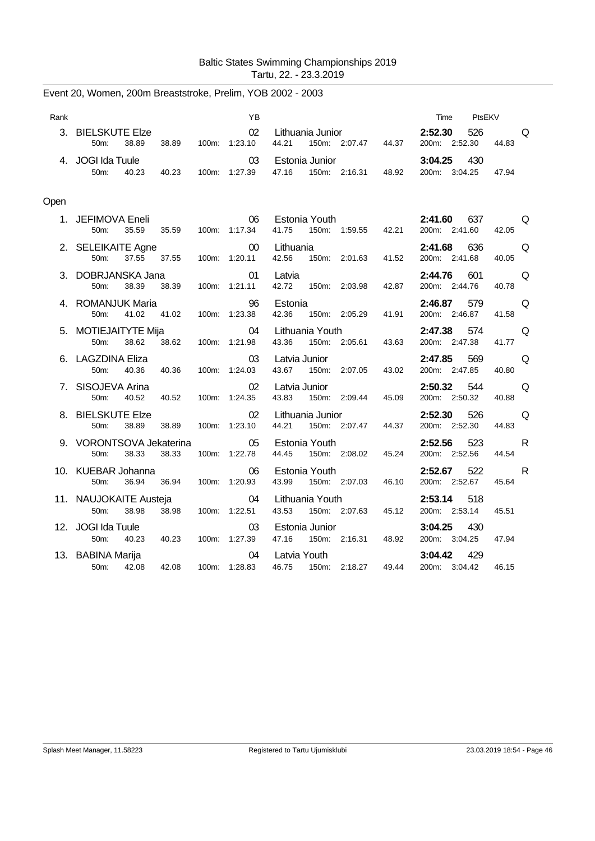| Rank |                                                        |       | YB                       |                                                        | PtsEKV<br>Time                                                                                                                                                      |
|------|--------------------------------------------------------|-------|--------------------------|--------------------------------------------------------|---------------------------------------------------------------------------------------------------------------------------------------------------------------------|
|      | 3. BIELSKUTE Elze<br>50m:<br>38.89                     | 38.89 | 02<br>100m: 1:23.10      | Lithuania Junior<br>150m: 2:07.47 44.37<br>44.21       | 2:52.30<br>526<br><b>O</b><br>200m: 2:52.30<br>44.83                                                                                                                |
| 4.   | JOGI Ida Tuule<br>50m:<br>40.23                        | 40.23 | 03<br>100m: 1:27.39      | Estonia Junior<br>47.16<br>150m: 2:16.31 48.92         | $3:04.25$ 430<br>200m: 3:04.25<br>47.94                                                                                                                             |
| Open |                                                        |       |                          |                                                        |                                                                                                                                                                     |
|      | 1. JEFIMOVA Eneli<br>35.59<br>50m:                     | 35.59 | 06<br>100m: 1:17.34      | Estonia Youth <b>Example</b><br>41.75<br>150m: 1:59.55 | 2:41.60<br>637<br>a di contro di contro di contro di contro di contro di contro di contro di contro di contro di contro di contr<br>42.21<br>200m: 2:41.60<br>42.05 |
|      | 2. SELEIKAITE Agne<br>50m:<br>37.55                    | 37.55 | $00 \,$<br>100m: 1:20.11 | Lithuania<br>42.56<br>150m: 2:01.63                    | 636<br>2:41.68<br>Q<br>41.52<br>200m: 2:41.68<br>40.05                                                                                                              |
|      | 3. DOBRJANSKA Jana<br>50m:<br>38.39                    | 38.39 | 01<br>100m: 1:21.11      | Latvia<br>42.72<br>150m: 2:03.98                       | 2:44.76<br>601<br>Q<br>42.87<br>200m: 2:44.76<br>40.78                                                                                                              |
|      | 4. ROMANJUK Maria<br>50m:<br>41.02                     | 41.02 | 96<br>100m: 1:23.38      | Estonia<br>42.36<br>150m: 2:05.29                      | Q<br>2:46.87<br>579<br>41.91<br>200m: 2:46.87<br>41.58                                                                                                              |
|      | 5. MOTIEJAITYTE Mija<br>50 <sub>m</sub> :<br>38.62     | 38.62 | 04<br>100m: 1:21.98      | Lithuania Youth<br>43.36<br>150m: 2:05.61              | 2:47.38<br>574<br>Q<br>43.63<br>200m: 2:47.38<br>41.77                                                                                                              |
|      | 6. LAGZDINA Eliza<br>50m:<br>40.36                     | 40.36 | 03<br>100m: 1:24.03      | Latvia Junior<br>43.67<br>150m: 2:07.05<br>43.02       | 569<br>2:47.85<br>Q<br>200m: 2:47.85<br>40.80                                                                                                                       |
|      | 7. SISOJEVA Arina<br>50m:<br>40.52                     | 40.52 | 02<br>100m: 1:24.35      | Latvia Junior<br>43.83<br>150m: 2:09.44                | 2:50.32<br>544<br>Q<br>200m: 2:50.32<br>45.09<br>40.88                                                                                                              |
|      | 8. BIELSKUTE Elze<br>38.89<br>50m:                     | 38.89 | 02<br>100m: 1:23.10      | Lithuania Junior<br>44.21<br>150m: 2:07.47             | 2:52.30<br>526<br>Q<br>44.37<br>200m: 2:52.30<br>44.83                                                                                                              |
|      | 9. VORONTSOVA Jekaterina<br>38.33<br>50 <sub>m</sub> : | 38.33 | 05<br>100m: 1:22.78      | Estonia Youth<br>44.45<br>150m: 2:08.02                | 2:52.56<br>523<br><b>R</b><br>45.24<br>200m: 2:52.56<br>44.54                                                                                                       |
|      | 10. KUEBAR Johanna<br>50 <sub>m</sub> :<br>36.94       | 36.94 | 06<br>100m: 1:20.93      | Estonia Youth<br>43.99<br>150m: 2:07.03<br>46.10       | 522<br>R<br>2:52.67<br>200m: 2:52.67<br>45.64                                                                                                                       |
|      | 11. NAUJOKAITE Austeja<br>50 <sub>m</sub> :<br>38.98   | 38.98 | 04<br>100m: 1:22.51      | Lithuania Youth<br>43.53<br>150m: 2:07.63              | 2:53.14<br>518<br>45.12<br>200m: 2:53.14<br>45.51                                                                                                                   |
|      | 12. JOGI Ida Tuule<br>50m:<br>40.23                    | 40.23 | 03<br>100m: 1:27.39      | Estonia Junior<br>47.16 150m: 2:16.31                  | 3:04.25<br>430<br>48.92<br>200m: 3:04.25<br>47.94                                                                                                                   |
|      | 13. BABINA Marija<br>50m: 42.08                        | 42.08 | 04<br>100m: 1:28.83      | Latvia Youth<br>49.44<br>46.75<br>150m: 2:18.27        | 3:04.42<br>429<br>200m: 3:04.42<br>46.15                                                                                                                            |

Event 20, Women, 200m Breaststroke, Prelim, YOB 2002 - 2003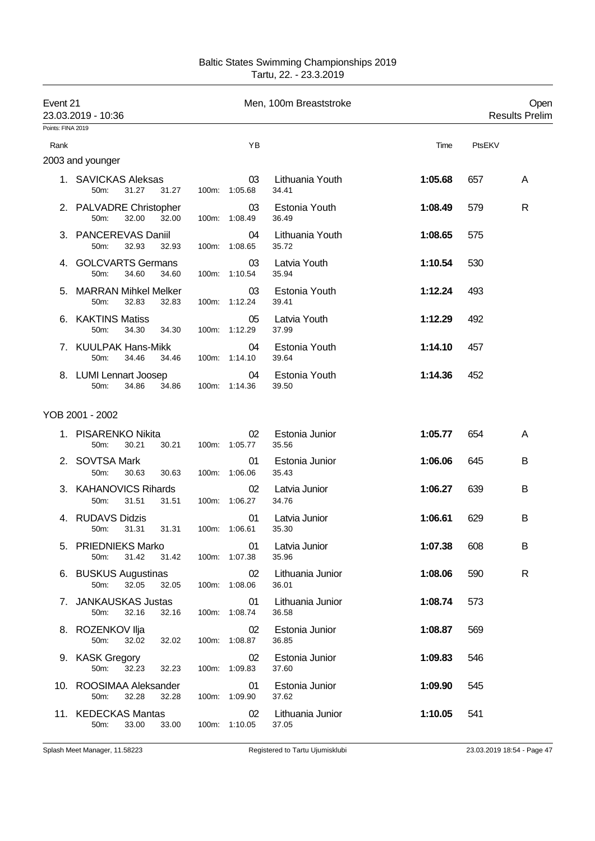| Event 21<br>Points: FINA 2019 | 23.03.2019 - 10:36                                        |                      |                     | Men, 100m Breaststroke    |         |        | Open<br><b>Results Prelim</b> |
|-------------------------------|-----------------------------------------------------------|----------------------|---------------------|---------------------------|---------|--------|-------------------------------|
| Rank                          |                                                           |                      | YB                  |                           | Time    | PtsEKV |                               |
|                               | 2003 and younger                                          |                      |                     |                           |         |        |                               |
|                               | 1. SAVICKAS Aleksas<br>31.27<br>50m:                      | 31.27                | 03<br>100m: 1:05.68 | Lithuania Youth<br>34.41  | 1:05.68 | 657    | A                             |
|                               | 2. PALVADRE Christopher<br>50m:<br>32.00<br>32.00         |                      | 03<br>100m: 1:08.49 | Estonia Youth<br>36.49    | 1:08.49 | 579    | $\mathsf{R}$                  |
|                               | 3. PANCEREVAS Daniil<br>50m:<br>32.93                     | 32.93                | 04<br>100m: 1:08.65 | Lithuania Youth<br>35.72  | 1:08.65 | 575    |                               |
|                               | 4. GOLCVARTS Germans<br>50m:<br>34.60                     | 34.60                | 03<br>100m: 1:10.54 | Latvia Youth<br>35.94     | 1:10.54 | 530    |                               |
|                               | <b>MARRAN Mihkel Melker</b><br>50 <sub>m</sub> :<br>32.83 | 32.83                | 03<br>100m: 1:12.24 | Estonia Youth<br>39.41    | 1:12.24 | 493    |                               |
|                               | 6. KAKTINS Matiss<br>50m:<br>34.30                        | 34.30                | 05<br>100m: 1:12.29 | Latvia Youth<br>37.99     | 1:12.29 | 492    |                               |
|                               | 7. KUULPAK Hans-Mikk<br>50m:<br>34.46                     | 34.46                | 04<br>100m: 1:14.10 | Estonia Youth<br>39.64    | 1:14.10 | 457    |                               |
|                               | 8. LUMI Lennart Joosep<br>50 <sub>m</sub> :<br>34.86      | 34.86                | 04<br>100m: 1:14.36 | Estonia Youth<br>39.50    | 1:14.36 | 452    |                               |
|                               | YOB 2001 - 2002                                           |                      |                     |                           |         |        |                               |
|                               | 1. PISARENKO Nikita<br>50m:<br>30.21<br>30.21             |                      | 02<br>100m: 1:05.77 | Estonia Junior<br>35.56   | 1:05.77 | 654    | A                             |
|                               | 2. SOVTSA Mark<br>50m:<br>30.63                           | 30.63                | 01<br>100m: 1:06.06 | Estonia Junior<br>35.43   | 1:06.06 | 645    | B                             |
|                               | 3. KAHANOVICS Rihards<br>31.51<br>31.51<br>50m:           |                      | 02<br>100m: 1:06.27 | Latvia Junior<br>34.76    | 1:06.27 | 639    | B                             |
|                               | 4. RUDAVS Didzis<br>50m:<br>31.31                         | 31.31  100m: 1:06.61 | 01                  | Latvia Junior<br>35.30    | 1:06.61 | 629    | B                             |
|                               | 5. PRIEDNIEKS Marko<br>50m:<br>31.42                      | 31.42                | 01<br>100m: 1:07.38 | Latvia Junior<br>35.96    | 1:07.38 | 608    | B                             |
|                               | 6. BUSKUS Augustinas<br>50m:<br>32.05                     | 32.05                | 02<br>100m: 1:08.06 | Lithuania Junior<br>36.01 | 1:08.06 | 590    | R                             |
|                               | 7. JANKAUSKAS Justas<br>32.16<br>50m:                     | 32.16                | 01<br>100m: 1:08.74 | Lithuania Junior<br>36.58 | 1:08.74 | 573    |                               |
|                               | 8. ROZENKOV Ilja<br>50m:<br>32.02                         | 32.02                | 02<br>100m: 1:08.87 | Estonia Junior<br>36.85   | 1:08.87 | 569    |                               |
|                               | 9. KASK Gregory<br>50m:<br>32.23                          | 32.23                | 02<br>100m: 1:09.83 | Estonia Junior<br>37.60   | 1:09.83 | 546    |                               |
|                               | 10. ROOSIMAA Aleksander<br>50m:<br>32.28                  | 32.28                | 01<br>100m: 1:09.90 | Estonia Junior<br>37.62   | 1:09.90 | 545    |                               |
|                               | 11. KEDECKAS Mantas<br>50m:<br>33.00                      | 33.00                | 02<br>100m: 1:10.05 | Lithuania Junior<br>37.05 | 1:10.05 | 541    |                               |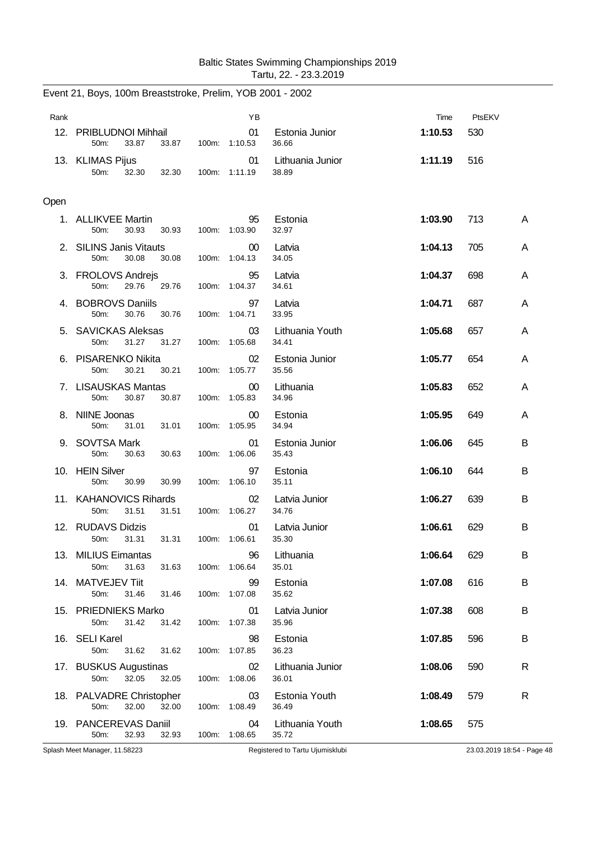| Rank |                                                          | YB                               |                           | Time    | PtsEKV |   |
|------|----------------------------------------------------------|----------------------------------|---------------------------|---------|--------|---|
|      | 12. PRIBLUDNOI Mihhail<br>33.87<br>33.87<br>50m:         | 01<br>100m: 1:10.53              | Estonia Junior<br>36.66   | 1:10.53 | 530    |   |
|      | 13. KLIMAS Pijus<br>50m:<br>32.30<br>32.30               | 01<br>100m: 1:11.19              | Lithuania Junior<br>38.89 | 1:11.19 | 516    |   |
| Open |                                                          |                                  |                           |         |        |   |
|      | 1. ALLIKVEE Martin<br>50m:<br>30.93<br>30.93             | 95<br>100m: 1:03.90              | Estonia<br>32.97          | 1:03.90 | 713    | A |
|      | 2. SILINS Janis Vitauts<br>30.08<br>30.08<br>50m:        | $00\,$<br>100m: 1:04.13          | Latvia<br>34.05           | 1:04.13 | 705    | A |
|      | 3. FROLOVS Andrejs<br>50m:<br>29.76<br>29.76             | 95<br>100m: 1:04.37              | Latvia<br>34.61           | 1:04.37 | 698    | A |
|      | 4. BOBROVS Daniils<br>50m:<br>30.76<br>30.76             | 97<br>100m: 1:04.71              | Latvia<br>33.95           | 1:04.71 | 687    | A |
|      | 5. SAVICKAS Aleksas<br>31.27<br>31.27<br>50m:            | 03<br>100m: 1:05.68              | Lithuania Youth<br>34.41  | 1:05.68 | 657    | A |
|      | 6. PISARENKO Nikita<br>50m:<br>30.21<br>30.21            | 02<br>100m: 1:05.77              | Estonia Junior<br>35.56   | 1:05.77 | 654    | A |
|      | 7. LISAUSKAS Mantas<br>50m:<br>30.87<br>30.87            | $00\,$<br>100m: 1:05.83          | Lithuania<br>34.96        | 1:05.83 | 652    | A |
|      | 8. NIINE Joonas<br>50m:<br>31.01<br>31.01                | 00 <sup>°</sup><br>100m: 1:05.95 | Estonia<br>34.94          | 1:05.95 | 649    | A |
|      | 9. SOVTSA Mark<br>50m:<br>30.63<br>30.63                 | 01<br>100m: 1:06.06              | Estonia Junior<br>35.43   | 1:06.06 | 645    | B |
|      | 10. HEIN Silver<br>50m:<br>30.99<br>30.99                | 97<br>100m: 1:06.10              | Estonia<br>35.11          | 1:06.10 | 644    | B |
|      | 11. KAHANOVICS Rihards<br>31.51<br>50m:<br>31.51         | 02<br>100m: 1:06.27              | Latvia Junior<br>34.76    | 1:06.27 | 639    | B |
|      | 12. RUDAVS Didzis<br>50m:<br>31.31<br>31.31              | 01<br>100m: 1:06.61              | Latvia Junior<br>35.30    | 1:06.61 | 629    | B |
|      | 13. MILIUS Eimantas<br>50m:<br>31.63<br>31.63            | 96<br>100m: 1:06.64              | Lithuania<br>35.01        | 1:06.64 | 629    | B |
|      | 14. MATVEJEV Tiit<br>31.46<br>50 <sub>m</sub> :<br>31.46 | 99<br>100m: 1:07.08              | Estonia<br>35.62          | 1:07.08 | 616    | B |
|      | 15. PRIEDNIEKS Marko<br>50m:<br>31.42<br>31.42           | 01<br>100m: 1:07.38              | Latvia Junior<br>35.96    | 1:07.38 | 608    | B |
|      | 16. SELI Karel<br>50m:<br>31.62<br>31.62                 | 98<br>100m: 1:07.85              | Estonia<br>36.23          | 1:07.85 | 596    | B |
|      | 17. BUSKUS Augustinas<br>32.05<br>50m:<br>32.05          | 02<br>100m: 1:08.06              | Lithuania Junior<br>36.01 | 1:08.06 | 590    | R |
|      | 18. PALVADRE Christopher<br>50m:<br>32.00<br>32.00       | 03<br>100m: 1:08.49              | Estonia Youth<br>36.49    | 1:08.49 | 579    | R |
|      | 19. PANCEREVAS Daniil<br>32.93<br>50m:<br>32.93          | 04<br>100m: 1:08.65              | Lithuania Youth<br>35.72  | 1:08.65 | 575    |   |

Event 21, Boys, 100m Breaststroke, Prelim, YOB 2001 - 2002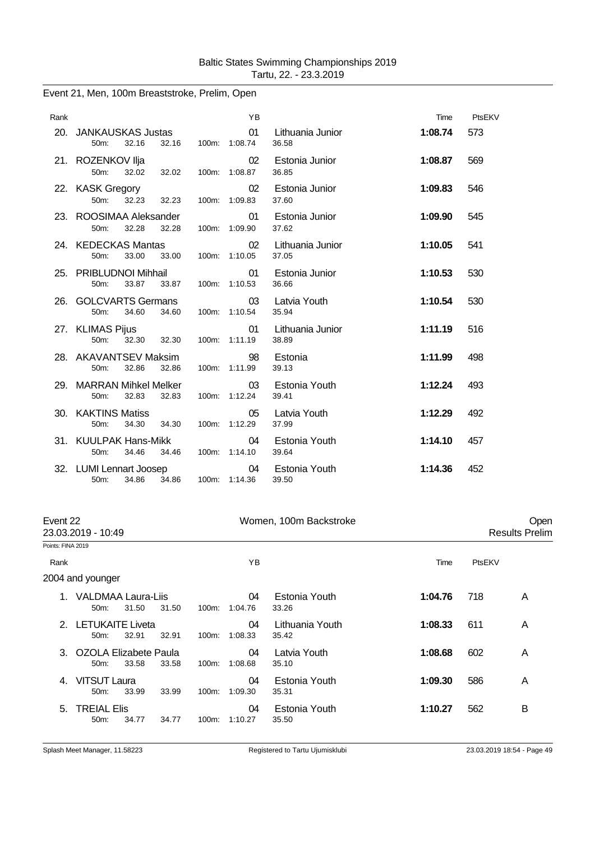Event 21, Men, 100m Breaststroke, Prelim, Open

| Rank |                                                        |                | YB                  |                           | Time    | PtsEKV |
|------|--------------------------------------------------------|----------------|---------------------|---------------------------|---------|--------|
| 20.  | <b>JANKAUSKAS Justas</b><br>32.16<br>50 <sub>m</sub> : | 32.16          | 01<br>100m: 1:08.74 | Lithuania Junior<br>36.58 | 1:08.74 | 573    |
|      | 21. ROZENKOV Ilja<br>50m:<br>32.02                     | 32.02          | 02<br>100m: 1:08.87 | Estonia Junior<br>36.85   | 1:08.87 | 569    |
|      | 22. KASK Gregory<br>32.23<br>50m:                      | 32.23          | 02<br>100m: 1:09.83 | Estonia Junior<br>37.60   | 1:09.83 | 546    |
|      | 23. ROOSIMAA Aleksander<br>50 <sub>m</sub> :<br>32.28  | 32.28          | 01<br>100m: 1:09.90 | Estonia Junior<br>37.62   | 1:09.90 | 545    |
|      | 24. KEDECKAS Mantas<br>33.00<br>50 <sub>m</sub> :      | 33.00          | 02<br>100m: 1:10.05 | Lithuania Junior<br>37.05 | 1:10.05 | 541    |
|      | 25. PRIBLUDNOI Mihhail<br>50m:<br>33.87 33.87          |                | 01<br>100m: 1:10.53 | Estonia Junior<br>36.66   | 1:10.53 | 530    |
| 26.  | <b>GOLCVARTS Germans</b><br>34.60<br>$50m$ :           | 34.60          | 03<br>100m: 1:10.54 | Latvia Youth<br>35.94     | 1:10.54 | 530    |
|      | 27. KLIMAS Pijus<br>50m:<br>32.30                      | 32.30          | 01<br>100m: 1:11.19 | Lithuania Junior<br>38.89 | 1:11.19 | 516    |
|      | 28. AKAVANTSEV Maksim<br>32.86<br>50 <sub>m</sub> :    | 32.86          | 98<br>100m: 1:11.99 | Estonia<br>39.13          | 1:11.99 | 498    |
|      | 29. MARRAN Mihkel Melker<br>32.83<br>$50m$ :           | 32.83          | 03<br>100m: 1:12.24 | Estonia Youth<br>39.41    | 1:12.24 | 493    |
| 30.  | <b>KAKTINS Matiss</b><br>50 <sub>m</sub> :<br>34.30    | 34.30          | 05<br>100m: 1:12.29 | Latvia Youth<br>37.99     | 1:12.29 | 492    |
|      | 31. KUULPAK Hans-Mikk<br>34.46<br>50 <sub>m</sub> :    | 34.46          | 04<br>100m: 1:14.10 | Estonia Youth<br>39.64    | 1:14.10 | 457    |
| 32.  | <b>LUMI Lennart Joosep</b><br>34.86<br>50m:            | 34.86<br>100m: | 04<br>1:14.36       | Estonia Youth<br>39.50    | 1:14.36 | 452    |

|                   | Event 22                            |       |       |       |               | Women, 100m Backstroke   |         |        | Open                  |
|-------------------|-------------------------------------|-------|-------|-------|---------------|--------------------------|---------|--------|-----------------------|
|                   | 23.03.2019 - 10:49                  |       |       |       |               |                          |         |        | <b>Results Prelim</b> |
| Points: FINA 2019 |                                     |       |       |       |               |                          |         |        |                       |
| Rank              |                                     |       |       |       | ΥB            |                          | Time    | PtsEKV |                       |
|                   | 2004 and younger                    |       |       |       |               |                          |         |        |                       |
|                   | VALDMAA Laura-Liis<br>$50m$ :       | 31.50 | 31.50 | 100m: | 04<br>1:04.76 | Estonia Youth<br>33.26   | 1:04.76 | 718    | A                     |
|                   | 2. LETUKAITE Liveta<br>$50m$ :      | 32.91 | 32.91 | 100m: | 04<br>1:08.33 | Lithuania Youth<br>35.42 | 1:08.33 | 611    | A                     |
|                   | 3. OZOLA Elizabete Paula<br>$50m$ : | 33.58 | 33.58 | 100m: | 04<br>1:08.68 | Latvia Youth<br>35.10    | 1:08.68 | 602    | A                     |
| 4.                | VITSUT Laura<br>50m:                | 33.99 | 33.99 | 100m: | 04<br>1:09.30 | Estonia Youth<br>35.31   | 1:09.30 | 586    | A                     |
| 5.                | <b>TREIAL Elis</b><br>$50m$ :       | 34.77 | 34.77 | 100m: | 04<br>1:10.27 | Estonia Youth<br>35.50   | 1:10.27 | 562    | B                     |
|                   |                                     |       |       |       |               |                          |         |        |                       |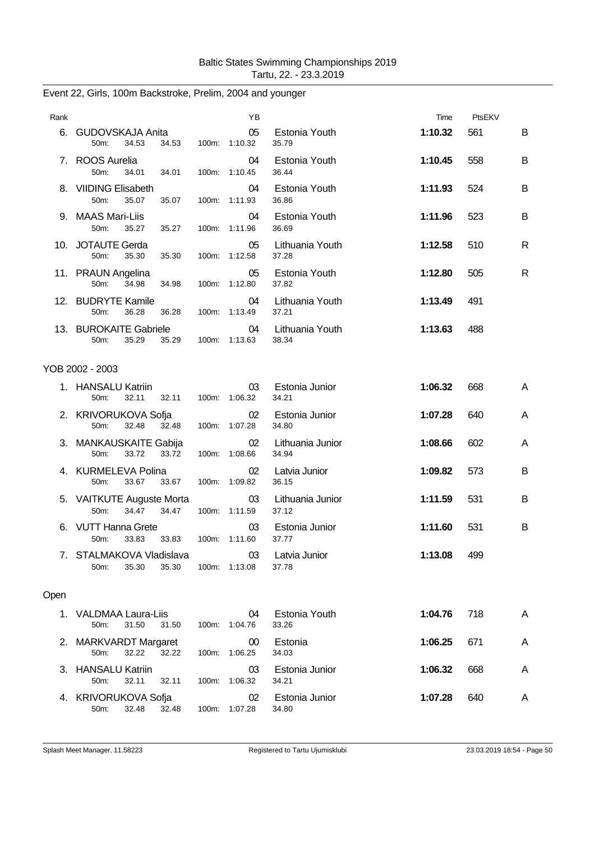| Rank |                                                             |       | ΥB                  |                           | Time    | PtsEKV |   |
|------|-------------------------------------------------------------|-------|---------------------|---------------------------|---------|--------|---|
|      | 6. GUDOVSKAJA Anita<br>34.53<br>50m:<br>34.53               |       | 05<br>100m: 1:10.32 | Estonia Youth<br>35.79    | 1:10.32 | 561    | B |
|      | 7. ROOS Aurelia<br>50m:<br>34.01<br>34.01                   | 100m: | 04<br>1:10.45       | Estonia Youth<br>36.44    | 1:10.45 | 558    | B |
|      | 8. VIIDING Elisabeth<br>50 <sub>m</sub> :<br>35.07<br>35.07 |       | 04<br>100m: 1:11.93 | Estonia Youth<br>36.86    | 1:11.93 | 524    | B |
|      | 9. MAAS Mari-Liis<br>50m:<br>35.27<br>35.27                 | 100m: | 04<br>1:11.96       | Estonia Youth<br>36.69    | 1:11.96 | 523    | B |
|      | 10. JOTAUTE Gerda<br>50m:<br>35.30<br>35.30                 | 100m: | 05<br>1:12.58       | Lithuania Youth<br>37.28  | 1:12.58 | 510    | R |
|      | 11. PRAUN Angelina<br>34.98<br>50 <sub>m</sub> :<br>34.98   |       | 05<br>100m: 1:12.80 | Estonia Youth<br>37.82    | 1:12.80 | 505    | R |
|      | 12. BUDRYTE Kamile<br>50m:<br>36.28<br>36.28                |       | 04<br>100m: 1:13.49 | Lithuania Youth<br>37.21  | 1:13.49 | 491    |   |
|      | 13. BUROKAITE Gabriele<br>35.29<br>50m:<br>35.29            |       | 04<br>100m: 1:13.63 | Lithuania Youth<br>38.34  | 1:13.63 | 488    |   |
|      | YOB 2002 - 2003                                             |       |                     |                           |         |        |   |
|      | 1. HANSALU Katriin<br>50m:<br>32.11<br>32.11                |       | 03<br>100m: 1:06.32 | Estonia Junior<br>34.21   | 1:06.32 | 668    | A |
|      | 2. KRIVORUKOVA Sofja<br>50m:<br>32.48<br>32.48              |       | 02<br>100m: 1:07.28 | Estonia Junior<br>34.80   | 1:07.28 | 640    | A |
|      | 3. MANKAUSKAITE Gabija<br>50m:<br>33.72<br>33.72            |       | 02<br>100m: 1:08.66 | Lithuania Junior<br>34.94 | 1:08.66 | 602    | A |
|      | 4. KURMELEVA Polina<br>50m:<br>33.67<br>33.67               |       | 02<br>100m: 1:09.82 | Latvia Junior<br>36.15    | 1:09.82 | 573    | B |
|      | 5. VAITKUTE Auguste Morta<br>50m:<br>34.47<br>34.47         |       | 03<br>100m: 1:11.59 | Lithuania Junior<br>37.12 | 1:11.59 | 531    | B |
|      | 6. VUTT Hanna Grete<br>50m:<br>33.83<br>33.83               | 100m: | 03<br>1:11.60       | Estonia Junior<br>37.77   | 1:11.60 | 531    | B |
|      | 7. STALMAKOVA Vladislava<br>35.30<br>50m:<br>35.30          |       | 100m: 1:13.08       | 03 Latvia Junior<br>37.78 | 1:13.08 | 499    |   |
| Open |                                                             |       |                     |                           |         |        |   |
|      | 1. VALDMAA Laura-Liis<br>31.50<br>50m:<br>31.50             |       | 04<br>100m: 1:04.76 | Estonia Youth<br>33.26    | 1:04.76 | 718    | A |
|      | 2. MARKVARDT Margaret<br>32.22<br>32.22<br>50m:             |       | 00<br>100m: 1:06.25 | Estonia<br>34.03          | 1:06.25 | 671    | A |
|      | 3. HANSALU Katriin<br>50m:<br>32.11<br>32.11                |       | 03<br>100m: 1:06.32 | Estonia Junior<br>34.21   | 1:06.32 | 668    | A |
|      | 4. KRIVORUKOVA Sofja<br>50m:<br>32.48<br>32.48              |       | 02<br>100m: 1:07.28 | Estonia Junior<br>34.80   | 1:07.28 | 640    | A |

Event 22, Girls, 100m Backstroke, Prelim, 2004 and younger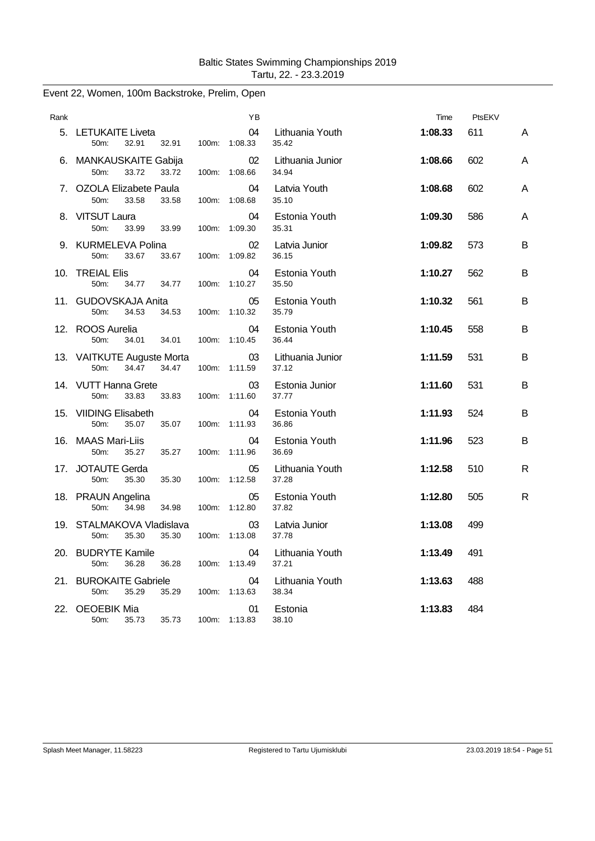| Rank |                                                      |       | ΥB                  |                           | Time    | PtsEKV |   |
|------|------------------------------------------------------|-------|---------------------|---------------------------|---------|--------|---|
|      | 5. LETUKAITE Liveta<br>32.91<br>50m:<br>32.91        |       | 04<br>100m: 1:08.33 | Lithuania Youth<br>35.42  | 1:08.33 | 611    | A |
|      | 6. MANKAUSKAITE Gabija<br>50m:<br>33.72<br>33.72     |       | 02<br>100m: 1:08.66 | Lithuania Junior<br>34.94 | 1:08.66 | 602    | Α |
|      | 7. OZOLA Elizabete Paula<br>33.58<br>50m:<br>33.58   |       | 04<br>100m: 1:08.68 | Latvia Youth<br>35.10     | 1:08.68 | 602    | Α |
|      | 8. VITSUT Laura<br>50m:<br>33.99<br>33.99            |       | 04<br>100m: 1:09.30 | Estonia Youth<br>35.31    | 1:09.30 | 586    | Α |
|      | 9. KURMELEVA Polina<br>50m:<br>33.67<br>33.67        |       | 02<br>100m: 1:09.82 | Latvia Junior<br>36.15    | 1:09.82 | 573    | В |
|      | 10. TREIAL Elis<br>50m:<br>34.77<br>34.77            |       | 04<br>100m: 1:10.27 | Estonia Youth<br>35.50    | 1:10.27 | 562    | В |
|      | 11. GUDOVSKAJA Anita<br>34.53<br>34.53<br>50m:       |       | 05<br>100m: 1:10.32 | Estonia Youth<br>35.79    | 1:10.32 | 561    | B |
|      | 12. ROOS Aurelia<br>50m:<br>34.01<br>34.01           | 100m: | 04<br>1:10.45       | Estonia Youth<br>36.44    | 1:10.45 | 558    | в |
|      | 13. VAITKUTE Auguste Morta<br>50m:<br>34.47<br>34.47 | 100m: | 03<br>1:11.59       | Lithuania Junior<br>37.12 | 1:11.59 | 531    | B |
|      | 14. VUTT Hanna Grete<br>50m:<br>33.83<br>33.83       |       | 03<br>100m: 1:11.60 | Estonia Junior<br>37.77   | 1:11.60 | 531    | B |
|      | 15. VIIDING Elisabeth<br>50m:<br>35.07<br>35.07      | 100m: | 04<br>1:11.93       | Estonia Youth<br>36.86    | 1:11.93 | 524    | в |
|      | 16. MAAS Mari-Liis<br>50m:<br>35.27<br>35.27         | 100m: | 04<br>1:11.96       | Estonia Youth<br>36.69    | 1:11.96 | 523    | в |
|      | 17. JOTAUTE Gerda<br>50m:<br>35.30<br>35.30          | 100m: | 05<br>1:12.58       | Lithuania Youth<br>37.28  | 1:12.58 | 510    | R |
|      | 18. PRAUN Angelina<br>50m:<br>34.98<br>34.98         | 100m: | 05<br>1:12.80       | Estonia Youth<br>37.82    | 1:12.80 | 505    | R |
|      | 19. STALMAKOVA Vladislava<br>50m:<br>35.30<br>35.30  | 100m: | 03<br>1:13.08       | Latvia Junior<br>37.78    | 1:13.08 | 499    |   |
|      | 20. BUDRYTE Kamile<br>50m:<br>36.28<br>36.28         | 100m: | 04<br>1:13.49       | Lithuania Youth<br>37.21  | 1:13.49 | 491    |   |
| 21.  | <b>BUROKAITE Gabriele</b><br>35.29<br>50m:<br>35.29  | 100m: | 04<br>1:13.63       | Lithuania Youth<br>38.34  | 1:13.63 | 488    |   |
|      | 22. OEOEBIK Mia<br>35.73<br>35.73<br>50m:            |       | 01<br>100m: 1:13.83 | Estonia<br>38.10          | 1:13.83 | 484    |   |

# Event 22, Women, 100m Backstroke, Prelim, Open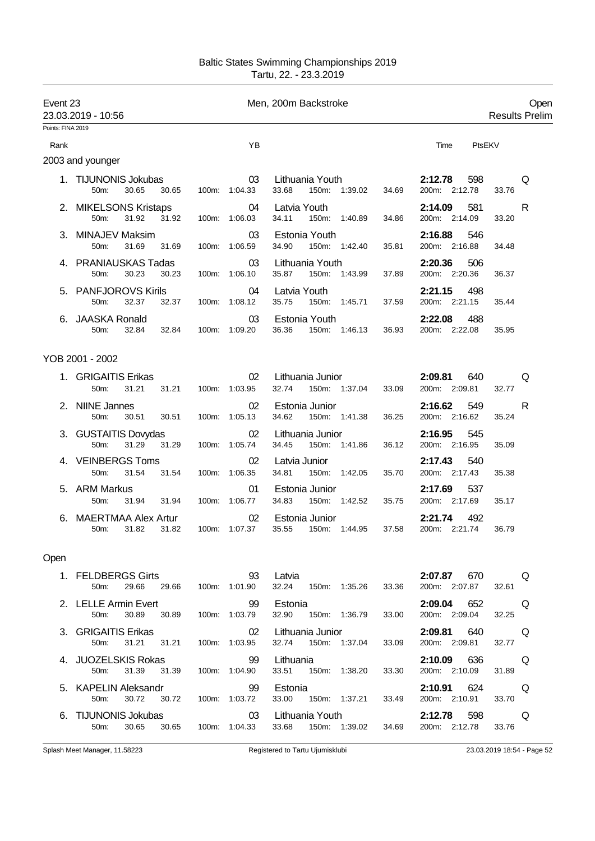| Event 23          | 23.03.2019 - 10:56                                                             | Men, 200m Backstroke      | Open<br><b>Results Prelim</b>                           |                                                |
|-------------------|--------------------------------------------------------------------------------|---------------------------|---------------------------------------------------------|------------------------------------------------|
| Points: FINA 2019 |                                                                                |                           |                                                         |                                                |
| Rank              |                                                                                | YB                        |                                                         | PtsEKV<br>Time                                 |
|                   | 2003 and younger                                                               |                           |                                                         |                                                |
|                   | 1. TIJUNONIS Jokubas<br>50m:<br>30.65<br>30.65                                 | 03<br>100m: 1:04.33       | Lithuania Youth<br>33.68<br>150m: 1:39.02<br>34.69      | 2:12.78<br>598<br>Q<br>200m: 2:12.78<br>33.76  |
|                   | 2. MIKELSONS Kristaps<br>50m:<br>31.92<br>31.92                                | 04<br>100m: 1:06.03       | Latvia Youth<br>34.11<br>150m: 1:40.89<br>34.86         | 581<br>2:14.09<br>R<br>200m: 2:14.09<br>33.20  |
|                   | 3. MINAJEV Maksim<br>50m:<br>31.69<br>31.69                                    | 03<br>100m: 1:06.59       | Estonia Youth<br>34.90<br>150m: 1:42.40<br>35.81        | 2:16.88<br>546<br>200m: 2:16.88<br>34.48       |
|                   | 4. PRANIAUSKAS Tadas<br>30.23<br>30.23<br>50m:                                 | 03<br>100m: 1:06.10       | Lithuania Youth<br>35.87<br>150m: 1:43.99<br>37.89      | 2:20.36<br>506<br>200m: 2:20.36<br>36.37       |
|                   | 5. PANFJOROVS Kirils<br>50m:<br>32.37<br>32.37                                 | 04<br>100m: 1:08.12       | Latvia Youth<br>35.75<br>150m: 1:45.71<br>37.59         | 2:21.15<br>498<br>200m: 2:21.15<br>35.44       |
|                   | 6. JAASKA Ronald<br>50m:<br>32.84<br>32.84                                     | 03<br>100m: 1:09.20       | Estonia Youth<br>36.36<br>150m: 1:46.13<br>36.93        | 2:22.08<br>488<br>200m: 2:22.08<br>35.95       |
|                   | YOB 2001 - 2002                                                                |                           |                                                         |                                                |
|                   | 1. GRIGAITIS Erikas<br>50 <sub>m</sub><br>31.21<br>31.21                       | 02<br>100m: 1:03.95       | Lithuania Junior<br>32.74<br>150m: 1:37.04<br>33.09     | 2:09.81<br>640<br>Q<br>200m: 2:09.81<br>32.77  |
|                   | 2. NIINE Jannes<br>50m:<br>30.51<br>30.51                                      | 02<br>100m: 1:05.13       | Estonia Junior<br>34.62<br>150m: 1:41.38<br>36.25       | 2:16.62<br>549<br>R<br>200m: 2:16.62<br>35.24  |
|                   | 3. GUSTAITIS Dovydas<br>31.29<br>50 <sub>m</sub> :<br>31.29                    | 02<br>100m: 1:05.74       | Lithuania Junior<br>34.45<br>150m: 1:41.86<br>36.12     | 2:16.95<br>545<br>200m: 2:16.95<br>35.09       |
|                   | 4. VEINBERGS Toms<br>31.54<br>50m:<br>31.54                                    | 02<br>100m: 1:06.35       | Latvia Junior<br>34.81<br>150m: 1:42.05<br>35.70        | 2:17.43<br>540<br>200m: 2:17.43<br>35.38       |
|                   | 5. ARM Markus<br>50 <sub>m</sub> :<br>31.94<br>31.94                           | 01<br>100m: 1:06.77       | Estonia Junior<br>150m: 1:42.52<br>34.83<br>35.75       | 2:17.69<br>537<br>200m: 2:17.69<br>35.17       |
|                   | 6. MAERTMAA Alex Artur<br>50m:<br>31.82<br>31.82                               | 02<br>100m: 1:07.37       | Estonia Junior<br>35.55<br>150m: 1:44.95<br>37.58       | 2:21.74<br>492<br>200m: 2:21.74<br>36.79       |
| Open              |                                                                                |                           |                                                         |                                                |
|                   | 1. FELDBERGS Girts 93<br>50m: 29.66 29.66 100m: 1:01.90                        |                           | <b>123 Santa Latvia</b><br>32.24 150m: 1:35.26<br>33.36 | 2:07.87 670 Q<br>200m: 2:07.87 32.61           |
|                   | 2. LELLE Armin Evert 99 Estonia<br>50m:                                        | 30.89 30.89 100m: 1:03.79 | 32.90  150m: 1:36.79<br>33.00                           | $2:09.04$ 652 Q<br>200m: 2:09.04 32.25         |
|                   | 3. GRIGAITIS Erikas<br>50m: 31.21 31.21 100m: 1:03.95                          | 02                        | Lithuania Junior<br>32.74  150m: 1:37.04<br>33.09       | 2:09.81 640 Q<br>200m: 2:09.81 32.77           |
|                   | 4. JUOZELSKIS Rokas 99<br>50m: 31.39 31.39 100m: 1:04.90                       | $\sim$ 99                 | Lithuania<br>33.51  150m: 1:38.20<br>33.30              | 2:10.09 636 Q<br>200m: 2:10.09 31.89           |
|                   | 5. KAPELIN Aleksandr                             99   Estonia<br>50m:<br>30.72 | 30.72 100m: 1:03.72       | 33.00 150m: 1:37.21<br>33.49                            | <b>2:10.91</b> 624 Q<br>200m: 2:10.91<br>33.70 |

6. TIJUNONIS Jokubas 03 Lithuania Youth **2:12.78** 598 Q

Splash Meet Manager, 11.58223 **Registered to Tartu Ujumisklubi** 23.03.2019 18:54 - Page 52

150m: 1:39.02 34.69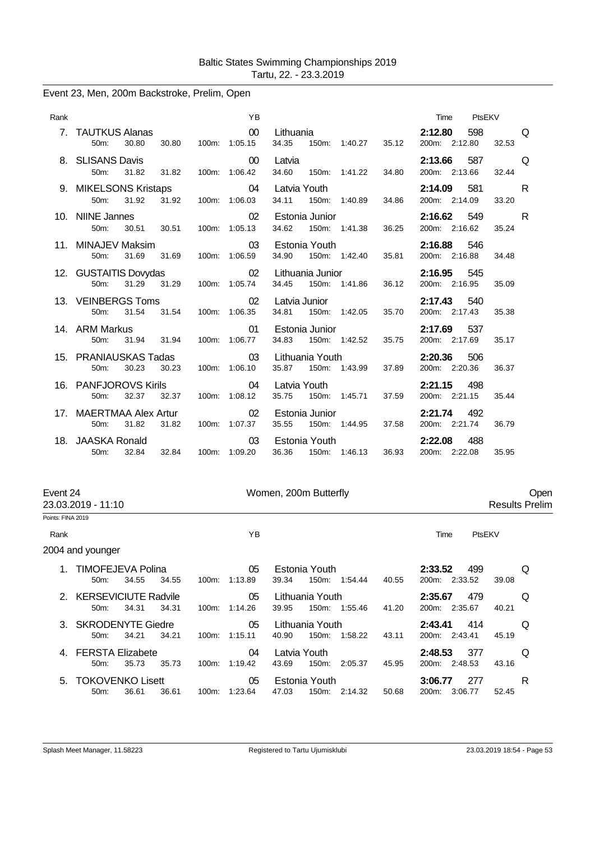|  |  |  | Event 23, Men, 200m Backstroke, Prelim, Open |  |  |
|--|--|--|----------------------------------------------|--|--|
|--|--|--|----------------------------------------------|--|--|

| Rank |                                                       |       | <b>YB</b>                        |                           |                |                                                |       | Time                     | PtsEKV |       |   |
|------|-------------------------------------------------------|-------|----------------------------------|---------------------------|----------------|------------------------------------------------|-------|--------------------------|--------|-------|---|
|      | 7. TAUTKUS Alanas<br>30.80<br>$50m$ :                 | 30.80 | $\sim$ 00<br>100m: 1:05.15       | Lithuania<br>34.35        |                | 150m: 1:40.27                                  | 35.12 | 2:12.80<br>200m: 2:12.80 | 598    | 32.53 | Q |
|      | 8. SLISANS Davis<br>50m:<br>31.82                     | 31.82 | $00\,$<br>100m: 1:06.42          | Latvia<br>34.60           |                | 150m: 1:41.22                                  | 34.80 | 2:13.66<br>200m: 2:13.66 | 587    | 32.44 | Q |
|      | 9. MIKELSONS Kristaps<br>31.92<br>$50m$ :             | 31.92 | 04<br>100m: 1:06.03              | Latvia Youth<br>34.11     |                | 150m: 1:40.89                                  | 34.86 | 2:14.09<br>200m: 2:14.09 | 581    | 33.20 | R |
|      | 10. NIINE Jannes<br>50m:                              |       | 02<br>30.51 30.51 100m: 1:05.13  | 34.62                     | Estonia Junior | 150m: 1:41.38                                  | 36.25 | 2:16.62<br>200m: 2:16.62 | 549    | 35.24 | R |
|      | 11. MINAJEV Maksim<br>31.69<br>50 <sub>m</sub> :      | 31.69 | 03<br>100m: 1:06.59              | Estonia Youth<br>34.90    |                | 150m: 1:42.40                                  | 35.81 | 2:16.88<br>200m: 2:16.88 | 546    | 34.48 |   |
|      | 12. GUSTAITIS Dovydas<br>31.29 31.29<br>$50m$ :       |       | 02<br>100m: 1:05.74              | Lithuania Junior<br>34.45 |                | 150m: 1:41.86                                  | 36.12 | 2:16.95<br>200m: 2:16.95 | 545    | 35.09 |   |
|      | 13. VEINBERGS Toms<br>31.54<br>$50m$ :                | 31.54 | 02<br>100m: 1:06.35              | Latvia Junior<br>34.81    |                | 150m: 1:42.05                                  | 35.70 | 2:17.43<br>200m: 2:17.43 | 540    | 35.38 |   |
|      | 14. ARM Markus<br>31.94<br>$50m$ :                    | 31.94 | 01<br>100m: 1:06.77              | 34.83                     |                | Estonia Junior <b>Example</b><br>150m: 1:42.52 | 35.75 | 2:17.69<br>200m: 2:17.69 | 537    | 35.17 |   |
|      | 15. PRANIAUSKAS Tadas<br>30.23<br>50 <sub>m</sub> :   | 30.23 | 03<br>100m: 1:06.10              | Lithuania Youth           |                | 35.87 150m: 1:43.99                            | 37.89 | 2:20.36<br>200m: 2:20.36 | 506    | 36.37 |   |
|      | 16. PANFJOROVS Kirils<br>32.37<br>50 <sub>m</sub> :   | 32.37 | 04<br>100m: 1:08.12              | Latvia Youth<br>35.75     |                | 150m: 1:45.71                                  | 37.59 | 2:21.15<br>200m: 2:21.15 | 498    | 35.44 |   |
|      | 17. MAERTMAA Alex Artur<br>31.82<br>50 <sub>m</sub> : | 31.82 | 02 <sup>°</sup><br>100m: 1:07.37 |                           | Estonia Junior | 35.55 150m: 1:44.95                            | 37.58 | 2:21.74<br>200m: 2:21.74 | 492    | 36.79 |   |
|      | 18. JAASKA Ronald<br>32.84<br>$50m$ :                 | 32.84 | 03<br>100m: 1:09.20              |                           | Estonia Youth  | 36.36 150m: 1:46.13                            | 36.93 | 2:22.08<br>200m: 2:22.08 | 488    | 35.95 |   |

| Event 24          | 23.03.2019 - 11:10              |       |       |       | Women, 200m Butterfly |       |                       |               |       | Open<br><b>Results Prelim</b>   |        |   |  |
|-------------------|---------------------------------|-------|-------|-------|-----------------------|-------|-----------------------|---------------|-------|---------------------------------|--------|---|--|
| Points: FINA 2019 |                                 |       |       |       |                       |       |                       |               |       |                                 |        |   |  |
| Rank              |                                 |       |       |       | YB                    |       |                       |               |       | Time                            | PtsEKV |   |  |
|                   | 2004 and younger                |       |       |       |                       |       |                       |               |       |                                 |        |   |  |
|                   | 1. TIMOFEJEVA Polina<br>50m     | 34.55 | 34.55 | 100m: | 05<br>1:13.89         | 39.34 | Estonia Youth         | 150m: 1:54.44 | 40.55 | 2:33.52<br>499<br>200m: 2:33.52 | 39.08  | Q |  |
|                   | 2. KERSEVICIUTE Radvile<br>50m  | 34.31 | 34.31 |       | 05<br>100m: 1:14.26   | 39.95 | Lithuania Youth       | 150m: 1:55.46 | 41.20 | 2:35.67<br>479<br>200m: 2:35.67 | 40.21  | Q |  |
|                   | 3. SKRODENYTE Giedre<br>$50m$ : | 34.21 | 34.21 |       | 05<br>100m: 1:15.11   | 40.90 | Lithuania Youth       | 150m: 1:58.22 | 43.11 | 414<br>2:43.41<br>200m: 2:43.41 | 45.19  | Q |  |
|                   | 4. FERSTA Elizabete<br>50m:     | 35.73 | 35.73 |       | 04<br>100m: 1:19.42   | 43.69 | Latvia Youth<br>150m: | 2:05.37       | 45.95 | 2:48.53<br>377<br>200m: 2:48.53 | 43.16  | Q |  |
|                   | 5. TOKOVENKO Lisett<br>50m:     | 36.61 | 36.61 |       | 05<br>100m: 1:23.64   | 47.03 | Estonia Youth         | 150m: 2:14.32 | 50.68 | 3:06.77<br>277<br>200m: 3:06.77 | 52.45  | R |  |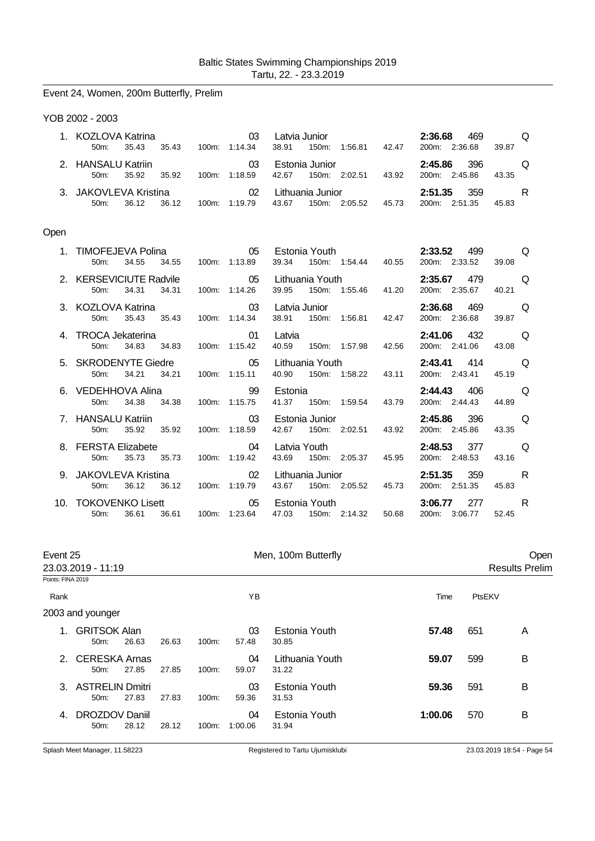|      | Event 24, Women, 200m Butterfly, Prelim                     |               |    |                                              |               |       |                                 |       |   |
|------|-------------------------------------------------------------|---------------|----|----------------------------------------------|---------------|-------|---------------------------------|-------|---|
|      | YOB 2002 - 2003                                             |               |    |                                              |               |       |                                 |       |   |
|      | 1. KOZLOVA Katrina<br>50 <sub>m</sub> :<br>35.43<br>35.43   | 100m: 1:14.34 | 03 | Latvia Junior <b>Exercise State</b><br>38.91 | 150m: 1:56.81 | 42.47 | 2:36.68<br>469<br>200m: 2:36.68 | 39.87 | Q |
|      | 2. HANSALU Katriin<br>35.92<br>50 <sub>m</sub> :<br>35.92   | 100m: 1:18.59 | 03 | Estonia Junior<br>42.67                      | 150m: 2:02.51 | 43.92 | 396<br>2:45.86<br>200m: 2:45.86 | 43.35 | Q |
|      | 3. JAKOVLEVA Kristina<br>50m:<br>36.12<br>36.12             | 100m: 1:19.79 | 02 | Lithuania Junior<br>43.67                    | 150m: 2:05.52 | 45.73 | 2:51.35<br>359<br>200m: 2:51.35 | 45.83 | R |
| Open |                                                             |               |    |                                              |               |       |                                 |       |   |
|      | 1. TIMOFEJEVA Polina<br>50m:<br>34.55<br>34.55              | 100m: 1:13.89 | 05 | Estonia Youth <b>Example</b><br>39.34        | 150m: 1:54.44 | 40.55 | 2:33.52<br>499<br>200m: 2:33.52 | 39.08 | Q |
|      | 2. KERSEVICIUTE Radvile<br>$50m$ :<br>34.31<br>34.31        | 100m: 1:14.26 | 05 | Lithuania Youth<br>39.95                     | 150m: 1:55.46 | 41.20 | 2:35.67<br>479<br>200m: 2:35.67 | 40.21 | Q |
|      | 3. KOZLOVA Katrina<br>35.43<br>35.43<br>50m:                | 100m: 1:14.34 | 03 | Latvia Junior<br>38.91<br>150m:              | 1:56.81       | 42.47 | 2:36.68<br>469<br>200m: 2:36.68 | 39.87 | Q |
|      | 4. TROCA Jekaterina<br>50m:<br>34.83<br>34.83               | 100m: 1:15.42 | 01 | Latvia<br>40.59                              | 150m: 1:57.98 | 42.56 | 432<br>2:41.06<br>200m: 2:41.06 | 43.08 | Q |
|      | 5. SKRODENYTE Giedre<br>50 <sub>m</sub> :<br>34.21<br>34.21 | 100m: 1:15.11 | 05 | Lithuania Youth<br>40.90                     | 150m: 1:58.22 | 43.11 | 2:43.41<br>414<br>200m: 2:43.41 | 45.19 | Q |
|      | 6. VEDEHHOVA Alina<br>34.38<br>34.38<br>50m:                | 100m: 1:15.75 | 99 | Estonia<br>41.37                             | 150m: 1:59.54 | 43.79 | 2:44.43<br>406<br>200m: 2:44.43 | 44.89 | Q |
|      | 7. HANSALU Katriin<br>35.92<br>35.92<br>50m:                | 100m: 1:18.59 | 03 | Estonia Junior<br>42.67<br>150m: 2:02.51     |               | 43.92 | 2:45.86<br>396<br>200m: 2:45.86 | 43.35 | Q |
|      | 8. FERSTA Elizabete<br>50m:<br>35.73<br>35.73               | 100m: 1:19.42 | 04 | Latvia Youth<br>43.69                        | 150m: 2:05.37 | 45.95 | 2:48.53<br>377<br>200m: 2:48.53 | 43.16 | Q |
|      | 9. JAKOVLEVA Kristina<br>36.12<br>36.12<br>50m:             | 100m: 1:19.79 | 02 | Lithuania Junior<br>43.67                    | 150m: 2:05.52 | 45.73 | 359<br>2:51.35<br>200m: 2:51.35 | 45.83 | R |
|      | 10. TOKOVENKO Lisett<br>36.61<br>36.61<br>50m:              | 100m: 1:23.64 | 05 | Estonia Youth<br>47.03<br>150m: 2:14.32      |               | 50.68 | 3:06.77<br>277<br>200m: 3:06.77 | 52.45 | R |

| Event 25          | 23.03.2019 - 11:19                         |       |       |       |               | Men, 100m Butterfly      |         |        | Open<br><b>Results Prelim</b> |
|-------------------|--------------------------------------------|-------|-------|-------|---------------|--------------------------|---------|--------|-------------------------------|
| Points: FINA 2019 |                                            |       |       |       |               |                          |         |        |                               |
| Rank              |                                            |       |       |       | ΥB            |                          | Time    | PtsEKV |                               |
|                   | 2003 and younger                           |       |       |       |               |                          |         |        |                               |
| 1.                | <b>GRITSOK Alan</b><br>50 <sub>m</sub> :   | 26.63 | 26.63 | 100m: | 03<br>57.48   | Estonia Youth<br>30.85   | 57.48   | 651    | A                             |
| 2                 | <b>CERESKA Arnas</b><br>$50m$ :            | 27.85 | 27.85 | 100m: | 04<br>59.07   | Lithuania Youth<br>31.22 | 59.07   | 599    | B                             |
|                   | 3. ASTRELIN Dmitri<br>50 <sub>m</sub> :    | 27.83 | 27.83 | 100m: | 03<br>59.36   | Estonia Youth<br>31.53   | 59.36   | 591    | B                             |
| 4.                | <b>DROZDOV Daniil</b><br>50 <sub>m</sub> : | 28.12 | 28.12 | 100m: | 04<br>1:00.06 | Estonia Youth<br>31.94   | 1:00.06 | 570    | B                             |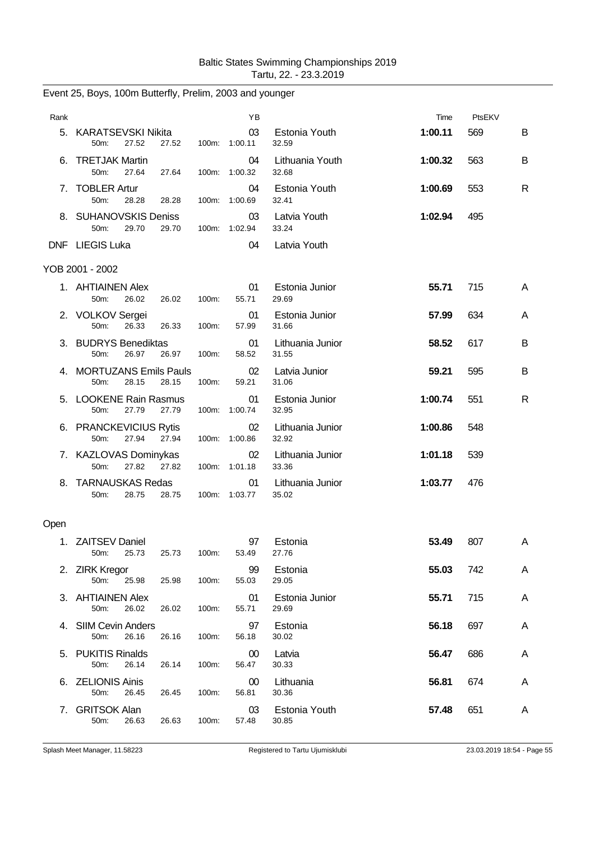| Rank |                                                              |       | YB                  |                           | Time    | PtsEKV |   |
|------|--------------------------------------------------------------|-------|---------------------|---------------------------|---------|--------|---|
| 5.   | <b>KARATSEVSKI Nikita</b><br>27.52<br>27.52<br>50m:          |       | 03<br>100m: 1:00.11 | Estonia Youth<br>32.59    | 1:00.11 | 569    | В |
| 6.   | <b>TRETJAK Martin</b><br>50m:<br>27.64<br>27.64              | 100m: | 04<br>1:00.32       | Lithuania Youth<br>32.68  | 1:00.32 | 563    | В |
|      | 7. TOBLER Artur<br>50m:<br>28.28<br>28.28                    | 100m: | 04<br>1:00.69       | Estonia Youth<br>32.41    | 1:00.69 | 553    | R |
|      | 8. SUHANOVSKIS Deniss<br>50m:<br>29.70<br>29.70              |       | 03<br>100m: 1:02.94 | Latvia Youth<br>33.24     | 1:02.94 | 495    |   |
|      | DNF LIEGIS Luka                                              |       | 04                  | Latvia Youth              |         |        |   |
|      | YOB 2001 - 2002                                              |       |                     |                           |         |        |   |
|      | 1. AHTIAINEN Alex<br>50m:<br>26.02<br>26.02                  | 100m: | 01<br>55.71         | Estonia Junior<br>29.69   | 55.71   | 715    | A |
|      | 2. VOLKOV Sergei<br>50m:<br>26.33<br>26.33                   | 100m: | 01<br>57.99         | Estonia Junior<br>31.66   | 57.99   | 634    | A |
|      | 3. BUDRYS Benediktas<br>50m:<br>26.97<br>26.97               | 100m: | 01<br>58.52         | Lithuania Junior<br>31.55 | 58.52   | 617    | в |
|      | 4. MORTUZANS Emils Pauls<br>50m:<br>28.15<br>28.15           | 100m: | 02<br>59.21         | Latvia Junior<br>31.06    | 59.21   | 595    | В |
|      | 5. LOOKENE Rain Rasmus<br>50m:<br>27.79<br>27.79             | 100m: | 01<br>1:00.74       | Estonia Junior<br>32.95   | 1:00.74 | 551    | R |
|      | 6. PRANCKEVICIUS Rytis<br>27.94<br>50m:<br>27.94             |       | 02<br>100m: 1:00.86 | Lithuania Junior<br>32.92 | 1:00.86 | 548    |   |
|      | 7. KAZLOVAS Dominykas<br>27.82<br>27.82<br>50 <sub>m</sub> : |       | 02<br>100m: 1:01.18 | Lithuania Junior<br>33.36 | 1:01.18 | 539    |   |
| 8.   | <b>TARNAUSKAS Redas</b><br>50m:<br>28.75<br>28.75            |       | 01<br>100m: 1:03.77 | Lithuania Junior<br>35.02 | 1:03.77 | 476    |   |
| Open |                                                              |       |                     |                           |         |        |   |
| 1.   | <b>ZAITSEV Daniel</b><br>50m:<br>25.73<br>25.73              | 100m: | 97<br>53.49         | Estonia<br>27.76          | 53.49   | 807    | A |
|      | 2. ZIRK Kregor<br>50m:<br>25.98<br>25.98                     | 100m: | 99<br>55.03         | Estonia<br>29.05          | 55.03   | 742    | A |
|      | 3. AHTIAINEN Alex<br>26.02<br>50m:<br>26.02                  | 100m: | 01<br>55.71         | Estonia Junior<br>29.69   | 55.71   | 715    | A |
|      | 4. SIIM Cevin Anders<br>26.16<br>50m:<br>26.16               | 100m: | 97<br>56.18         | Estonia<br>30.02          | 56.18   | 697    | A |
|      | 5. PUKITIS Rinalds<br>50m:<br>26.14<br>26.14                 | 100m: | 00<br>56.47         | Latvia<br>30.33           | 56.47   | 686    | A |
| 6.   | <b>ZELIONIS Ainis</b><br>50m:<br>26.45<br>26.45              | 100m: | 00<br>56.81         | Lithuania<br>30.36        | 56.81   | 674    | A |
| 7.   | <b>GRITSOK Alan</b><br>50m:<br>26.63<br>26.63                | 100m: | 03<br>57.48         | Estonia Youth<br>30.85    | 57.48   | 651    | A |

Event 25, Boys, 100m Butterfly, Prelim, 2003 and younger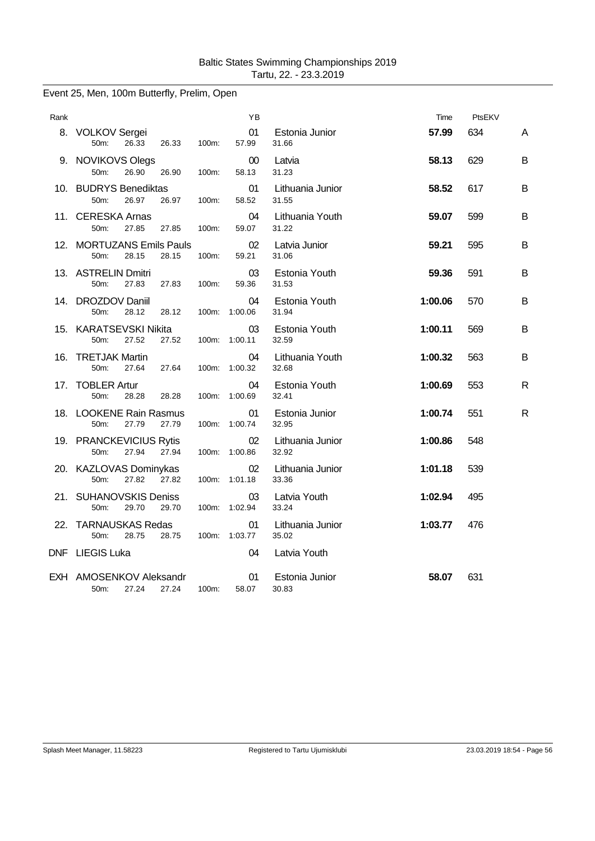## Event 25, Men, 100m Butterfly, Prelim, Open

| Rank |                                                     |       | ΥB                  |                           | Time    | PtsEKV |              |
|------|-----------------------------------------------------|-------|---------------------|---------------------------|---------|--------|--------------|
|      | 8. VOLKOV Sergei<br>50m:<br>26.33<br>26.33          | 100m: | 01<br>57.99         | Estonia Junior<br>31.66   | 57.99   | 634    | A            |
|      | 9. NOVIKOVS Olegs<br>26.90<br>50m:<br>26.90         | 100m: | 00<br>58.13         | Latvia<br>31.23           | 58.13   | 629    | B            |
|      | 10. BUDRYS Benediktas<br>26.97<br>50m:<br>26.97     | 100m: | 01<br>58.52         | Lithuania Junior<br>31.55 | 58.52   | 617    | B            |
|      | 11. CERESKA Arnas<br>27.85<br>50m:<br>27.85         | 100m: | 04<br>59.07         | Lithuania Youth<br>31.22  | 59.07   | 599    | B            |
|      | 12. MORTUZANS Emils Pauls<br>50m:<br>28.15<br>28.15 | 100m: | 02<br>59.21         | Latvia Junior<br>31.06    | 59.21   | 595    | B            |
|      | 13. ASTRELIN Dmitri<br>50m:<br>27.83<br>27.83       | 100m: | 03<br>59.36         | Estonia Youth<br>31.53    | 59.36   | 591    | B            |
|      | 14. DROZDOV Daniil<br>50m:<br>28.12<br>28.12        |       | 04<br>100m: 1:00.06 | Estonia Youth<br>31.94    | 1:00.06 | 570    | B            |
|      | 15. KARATSEVSKI Nikita<br>50m:<br>27.52<br>27.52    |       | 03<br>100m: 1:00.11 | Estonia Youth<br>32.59    | 1:00.11 | 569    | B            |
|      | 16. TRETJAK Martin<br>50m:<br>27.64<br>27.64        |       | 04<br>100m: 1:00.32 | Lithuania Youth<br>32.68  | 1:00.32 | 563    | B            |
|      | 17. TOBLER Artur<br>50m:<br>28.28<br>28.28          |       | 04<br>100m: 1:00.69 | Estonia Youth<br>32.41    | 1:00.69 | 553    | R            |
|      | 18. LOOKENE Rain Rasmus<br>50m:<br>27.79<br>27.79   |       | 01<br>100m: 1:00.74 | Estonia Junior<br>32.95   | 1:00.74 | 551    | $\mathsf{R}$ |
|      | 19. PRANCKEVICIUS Rytis<br>50m:<br>27.94<br>27.94   |       | 02<br>100m: 1:00.86 | Lithuania Junior<br>32.92 | 1:00.86 | 548    |              |
|      | 20. KAZLOVAS Dominykas<br>50m:<br>27.82<br>27.82    |       | 02<br>100m: 1:01.18 | Lithuania Junior<br>33.36 | 1:01.18 | 539    |              |
|      | 21. SUHANOVSKIS Deniss<br>50m:<br>29.70<br>29.70    |       | 03<br>100m: 1:02.94 | Latvia Youth<br>33.24     | 1:02.94 | 495    |              |
|      | 22. TARNAUSKAS Redas<br>28.75<br>50m:<br>28.75      |       | 01<br>100m: 1:03.77 | Lithuania Junior<br>35.02 | 1:03.77 | 476    |              |
|      | DNF LIEGIS Luka                                     |       | 04                  | Latvia Youth              |         |        |              |
|      | EXH AMOSENKOV Aleksandr<br>50m:<br>27.24<br>27.24   | 100m: | 01<br>58.07         | Estonia Junior<br>30.83   | 58.07   | 631    |              |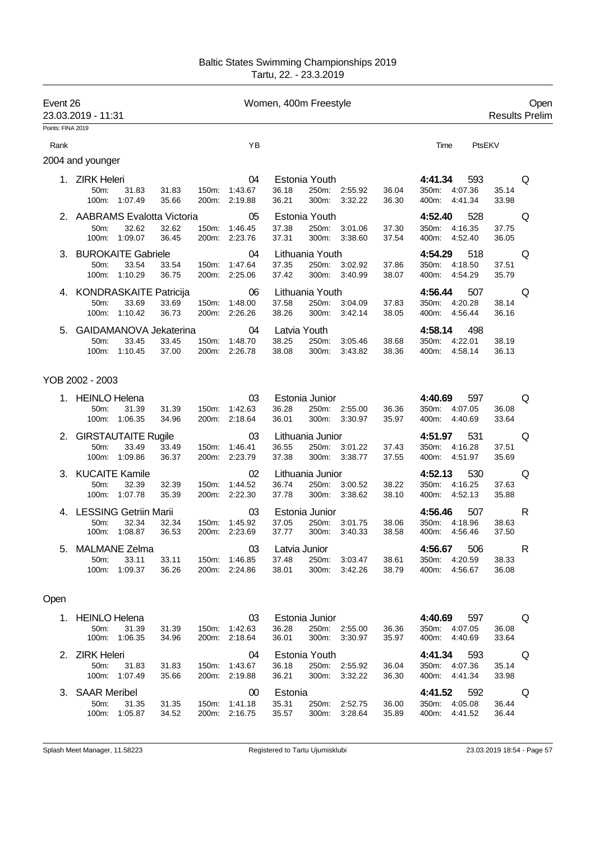| Event 26          | 23.03.2019 - 11:31                                    |                  |                |       |                                      | Women, 400m Freestyle           |                                  |                                |                |                                                     |                            | Open<br><b>Results Prelim</b> |
|-------------------|-------------------------------------------------------|------------------|----------------|-------|--------------------------------------|---------------------------------|----------------------------------|--------------------------------|----------------|-----------------------------------------------------|----------------------------|-------------------------------|
| Points: FINA 2019 |                                                       |                  |                |       |                                      |                                 |                                  |                                |                |                                                     |                            |                               |
| Rank              |                                                       |                  |                |       | YB                                   |                                 |                                  |                                |                | Time<br>PtsEKV                                      |                            |                               |
|                   | 2004 and younger                                      |                  |                |       |                                      |                                 |                                  |                                |                |                                                     |                            |                               |
|                   | 1. ZIRK Heleri<br>50m:<br>100m: 1:07.49               | 31.83            | 31.83<br>35.66 |       | 04<br>150m: 1:43.67<br>200m: 2:19.88 | 36.18<br>36.21                  | Estonia Youth<br>250m:<br>300m:  | 2:55.92<br>3:32.22             | 36.04<br>36.30 | 4:41.34<br>593<br>350m: 4:07.36<br>400m: 4:41.34    | 35.14<br>33.98             | Q                             |
|                   | 2. AABRAMS Evalotta Victoria<br>50m:<br>100m: 1:09.07 | 32.62            | 32.62<br>36.45 |       | 05<br>150m: 1:46.45<br>200m: 2:23.76 | 37.38<br>37.31                  | Estonia Youth<br>250m:<br>300m:  | 3:01.06<br>3:38.60             | 37.30<br>37.54 | 4:52.40<br>528<br>350m: 4:16.35<br>4:52.40<br>400m: | 37.75<br>36.05             | Q                             |
|                   | 3. BUROKAITE Gabriele<br>50m:<br>100m: 1:10.29        | 33.54            | 33.54<br>36.75 |       | 04<br>150m: 1:47.64<br>200m: 2:25.06 | 37.35<br>37.42                  | Lithuania Youth<br>300m:         | 250m: 3:02.92<br>3:40.99       | 37.86<br>38.07 | 4:54.29<br>518<br>350m: 4:18.50<br>400m: 4:54.29    | 37.51<br>35.79             | Q                             |
|                   | 4. KONDRASKAITE Patricija<br>50m:<br>100m: 1:10.42    | 33.69            | 33.69<br>36.73 |       | 06<br>150m: 1:48.00<br>200m: 2:26.26 | 37.58<br>38.26                  | Lithuania Youth<br>300m:         | 250m: 3:04.09<br>3:42.14       | 37.83<br>38.05 | 4:56.44<br>507<br>350m: 4:20.28<br>400m: 4:56.44    | 38.14<br>36.16             | Q                             |
| 5.                | GAIDAMANOVA Jekaterina<br>50m:<br>100m: 1:10.45       | 33.45            | 33.45<br>37.00 |       | 04<br>150m: 1:48.70<br>200m: 2:26.78 | Latvia Youth<br>38.25<br>38.08  | 250m:<br>300m:                   | 3:05.46<br>3:43.82             | 38.68<br>38.36 | 4:58.14<br>498<br>350m: 4:22.01<br>400m: 4:58.14    | 38.19<br>36.13             |                               |
|                   | YOB 2002 - 2003                                       |                  |                |       |                                      |                                 |                                  |                                |                |                                                     |                            |                               |
|                   | 1. HEINLO Helena<br>50m:<br>100m: 1:06.35             | 31.39            | 31.39<br>34.96 |       | 03<br>150m: 1:42.63<br>200m: 2:18.64 | 36.28<br>36.01                  | Estonia Junior<br>250m:<br>300m: | 2:55.00<br>3:30.97             | 36.36<br>35.97 | 4:40.69<br>597<br>350m: 4:07.05<br>400m: 4:40.69    | 36.08<br>33.64             | Q                             |
|                   | 2. GIRSTAUTAITE Rugile<br>50m:<br>100m: 1:09.86       | 33.49            | 33.49<br>36.37 | 150m: | 03<br>1:46.41<br>200m: 2:23.79       | 36.55<br>37.38                  | Lithuania Junior                 | 250m: 3:01.22<br>300m: 3:38.77 | 37.43<br>37.55 | 531<br>4:51.97<br>350m: 4:16.28<br>400m: 4:51.97    | 37.51<br>35.69             | Q                             |
|                   | 3. KUCAITE Kamile<br>50m:<br>100m: 1:07.78            | 32.39            | 32.39<br>35.39 | 150m: | 02<br>1:44.52<br>200m: 2:22.30       | 36.74<br>37.78                  | Lithuania Junior<br>300m:        | 250m: 3:00.52<br>3:38.62       | 38.22<br>38.10 | 4:52.13<br>530<br>350m: 4:16.25<br>400m: 4:52.13    | 37.63<br>35.88             | Q                             |
|                   | 4. LESSING Getriin Marii<br>50m:<br>100m: 1:08.87     | 32.34            | 32.34<br>36.53 |       | 03<br>150m: 1:45.92<br>200m: 2:23.69 | 37.05<br>37.77                  | Estonia Junior<br>250m:<br>300m: | 3:01.75<br>3:40.33             | 38.06<br>38.58 | 507<br>4:56.46<br>350m: 4:18.96<br>400m: 4:56.46    | 38.63<br>37.50             | R                             |
|                   | 5. MALMANE Zelma<br>50m:<br>100m: 1:09.37             | 33.11            | 33.11<br>36.26 |       | 03<br>150m: 1:46.85<br>200m: 2:24.86 | Latvia Junior<br>37.48<br>38.01 | 250m:<br>300m:                   | 3:03.47<br>3:42.26             | 38.61<br>38.79 | 4:56.67 506<br>350m: 4:20.59<br>400m: 4:56.67       | <b>R</b><br>38.33<br>36.08 |                               |
| Open              |                                                       |                  |                |       |                                      |                                 |                                  |                                |                |                                                     |                            |                               |
|                   | 1. HEINLO Helena<br>50m:<br>100m:                     | 31.39<br>1:06.35 | 31.39<br>34.96 |       | 03<br>150m: 1:42.63<br>200m: 2:18.64 | 36.28<br>36.01                  | Estonia Junior<br>250m:<br>300m: | 2:55.00<br>3:30.97             | 36.36<br>35.97 | 4:40.69<br>597<br>350m: 4:07.05<br>400m: 4:40.69    | 36.08<br>33.64             | Q                             |
|                   | 2. ZIRK Heleri<br>50m:<br>100m: 1:07.49               | 31.83            | 31.83<br>35.66 | 150m. | 04<br>1:43.67<br>200m: 2:19.88       | 36.18<br>36.21                  | Estonia Youth<br>250m:<br>300m:  | 2:55.92<br>3:32.22             | 36.04<br>36.30 | 4:41.34<br>593<br>350m: 4:07.36<br>400m:<br>4:41.34 | 35.14<br>33.98             | Q                             |
|                   | 3. SAAR Meribel<br>50m:<br>100m: 1:05.87              | 31.35            | 31.35<br>34.52 | 150m. | 00<br>1:41.18<br>200m: 2:16.75       | Estonia<br>35.31<br>35.57       | 250m:<br>300m:                   | 2:52.75<br>3:28.64             | 36.00<br>35.89 | 4:41.52<br>592<br>350m: 4:05.08<br>4:41.52<br>400m: | 36.44<br>36.44             | Q                             |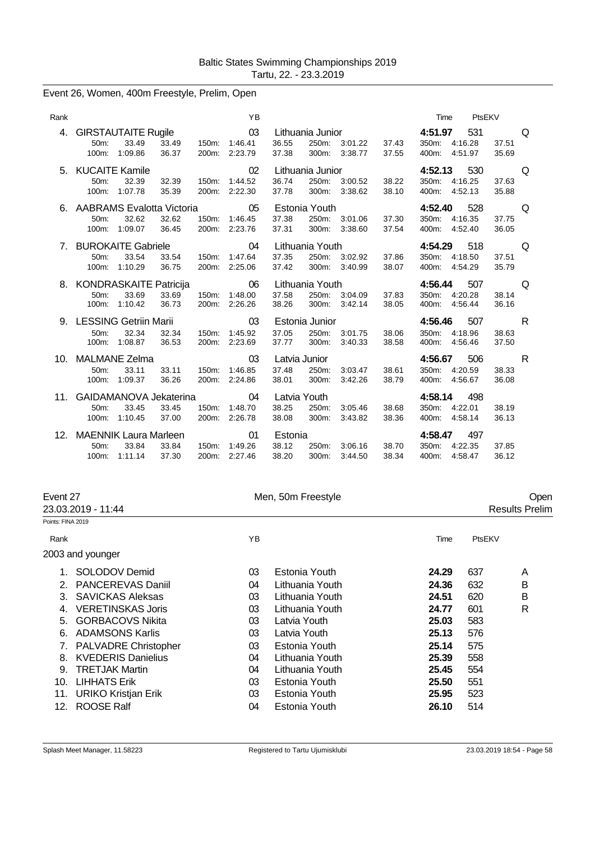| Event 26, Women, 400m Freestyle, Prelim, Open |  |  |  |  |  |  |
|-----------------------------------------------|--|--|--|--|--|--|
|-----------------------------------------------|--|--|--|--|--|--|

| Rank |                                                                                               |                | YB                       |                                 |                                    |                    |                | Time                      | PtsEKV                    |                                |  |
|------|-----------------------------------------------------------------------------------------------|----------------|--------------------------|---------------------------------|------------------------------------|--------------------|----------------|---------------------------|---------------------------|--------------------------------|--|
| 4.   | <b>GIRSTAUTAITE Rugile</b><br>50m:<br>33.49<br>33.49<br>36.37<br>100m:<br>1:09.86             | 150m:<br>200m: | 03<br>1:46.41<br>2:23.79 | 36.55<br>37.38                  | Lithuania Junior<br>250m:<br>300m: | 3:01.22<br>3:38.77 | 37.43<br>37.55 | 4:51.97<br>350m:<br>400m: | 531<br>4:16.28<br>4:51.97 | Q<br>37.51<br>35.69            |  |
|      | 5. KUCAITE Kamile<br>32.39<br>32.39<br>$50m$ :<br>1:07.78<br>35.39<br>100m:                   | 150m:<br>200m: | 02<br>1:44.52<br>2:22.30 | 36.74<br>37.78                  | Lithuania Junior<br>250m:<br>300m: | 3:00.52<br>3:38.62 | 38.22<br>38.10 | 4:52.13<br>350m:<br>400m: | 530<br>4:16.25<br>4:52.13 | Q<br>37.63<br>35.88            |  |
|      | 6. AABRAMS Evalotta Victoria<br>32.62<br>32.62<br>50m:<br>1:09.07<br>100m:<br>36.45           | 150m:<br>200m: | 05<br>1:46.45<br>2:23.76 | 37.38<br>37.31                  | Estonia Youth<br>250m:<br>300m:    | 3:01.06<br>3:38.60 | 37.30<br>37.54 | 4:52.40<br>350m:<br>400m: | 528<br>4:16.35<br>4:52.40 | O<br>37.75<br>36.05            |  |
|      | 7. BUROKAITE Gabriele<br>33.54<br>33.54<br>50m:<br>36.75<br>100m:<br>1:10.29                  | 150m:<br>200m: | 04<br>1:47.64<br>2:25.06 | 37.35<br>37.42                  | Lithuania Youth<br>250m:<br>300m:  | 3:02.92<br>3:40.99 | 37.86<br>38.07 | 4:54.29<br>350m:<br>400m: | 518<br>4:18.50<br>4:54.29 | Q<br>37.51<br>35.79            |  |
|      | 8. KONDRASKAITE Patricija<br>33.69<br>50 <sub>m</sub> :<br>33.69<br>1:10.42<br>36.73<br>100m: | 150m:<br>200m: | 06<br>1:48.00<br>2:26.26 | 37.58<br>38.26                  | Lithuania Youth<br>250m:<br>300m:  | 3:04.09<br>3:42.14 | 37.83<br>38.05 | 4:56.44<br>350m:<br>400m: | 507<br>4:20.28<br>4:56.44 | Q<br>38.14<br>36.16            |  |
|      | 9. LESSING Getriin Marii<br>50m:<br>32.34<br>32.34<br>36.53<br>1:08.87<br>100m:               | 150m:<br>200m: | 03<br>1:45.92<br>2:23.69 | 37.05<br>37.77                  | Estonia Junior<br>250m:<br>300m:   | 3:01.75<br>3:40.33 | 38.06<br>38.58 | 4:56.46<br>350m:<br>400m: | 507<br>4:18.96<br>4:56.46 | R<br>38.63<br>37.50            |  |
| 10.  | MALMANE Zelma<br>33.11<br>33.11<br>$50m$ :<br>36.26<br>1:09.37<br>100m:                       | 150m:<br>200m: | 03<br>1:46.85<br>2:24.86 | Latvia Junior<br>37.48<br>38.01 | 250m:<br>300m:                     | 3:03.47<br>3:42.26 | 38.61<br>38.79 | 4:56.67<br>350m:<br>400m: | 506<br>4:20.59<br>4:56.67 | $\mathsf{R}$<br>38.33<br>36.08 |  |
| 11.  | GAIDAMANOVA Jekaterina<br>33.45<br>33.45<br>50m:<br>37.00<br>100m:<br>1:10.45                 | 150m:<br>200m: | 04<br>1:48.70<br>2:26.78 | Latvia Youth<br>38.25<br>38.08  | 250m:<br>300m:                     | 3:05.46<br>3:43.82 | 38.68<br>38.36 | 4:58.14<br>350m:<br>400m: | 498<br>4:22.01<br>4:58.14 | 38.19<br>36.13                 |  |
| 12.  | <b>MAENNIK Laura Marleen</b><br>33.84<br>33.84<br>50m:<br>37.30<br>100m:<br>1:11.14           | 150m:<br>200m: | 01<br>1:49.26<br>2:27.46 | Estonia<br>38.12<br>38.20       | 250m:<br>300m:                     | 3:06.16<br>3:44.50 | 38.70<br>38.34 | 4:58.47<br>350m:<br>400m: | 497<br>4:22.35<br>4:58.47 | 37.85<br>36.12                 |  |

|                            |                                                                                                                     |                 |                    |        | Open                  |
|----------------------------|---------------------------------------------------------------------------------------------------------------------|-----------------|--------------------|--------|-----------------------|
|                            |                                                                                                                     |                 |                    |        | <b>Results Prelim</b> |
|                            |                                                                                                                     |                 |                    |        |                       |
|                            | YB                                                                                                                  |                 | Time               | PtsEKV |                       |
|                            |                                                                                                                     |                 |                    |        |                       |
| SOLODOV Demid              | 03                                                                                                                  | Estonia Youth   | 24.29              | 637    | A                     |
| PANCEREVAS Daniil          | 04                                                                                                                  | Lithuania Youth | 24.36              | 632    | B                     |
| <b>SAVICKAS Aleksas</b>    | 03                                                                                                                  | Lithuania Youth | 24.51              | 620    | B                     |
| <b>VERETINSKAS Joris</b>   | 03                                                                                                                  | Lithuania Youth | 24.77              | 601    | R                     |
| <b>GORBACOVS Nikita</b>    | 03                                                                                                                  | Latvia Youth    | 25.03              | 583    |                       |
| <b>ADAMSONS Karlis</b>     | 03                                                                                                                  | Latvia Youth    | 25.13              | 576    |                       |
| PALVADRE Christopher       | 03                                                                                                                  | Estonia Youth   | 25.14              | 575    |                       |
| <b>KVEDERIS Danielius</b>  | 04                                                                                                                  | Lithuania Youth | 25.39              | 558    |                       |
| <b>TRETJAK Martin</b>      | 04                                                                                                                  | Lithuania Youth | 25.45              | 554    |                       |
| <b>LIHHATS Erik</b>        | 03                                                                                                                  | Estonia Youth   | 25.50              | 551    |                       |
| <b>URIKO Kristjan Erik</b> | 03                                                                                                                  | Estonia Youth   | 25.95              | 523    |                       |
| <b>ROOSE Ralf</b>          | 04                                                                                                                  | Estonia Youth   | 26.10              | 514    |                       |
|                            | Event 27<br>23.03.2019 - 11:44<br>Points: FINA 2019<br>2003 and younger<br>$2_{-}$<br>3.<br>7.<br>10.<br>11.<br>12. |                 | Men, 50m Freestyle |        |                       |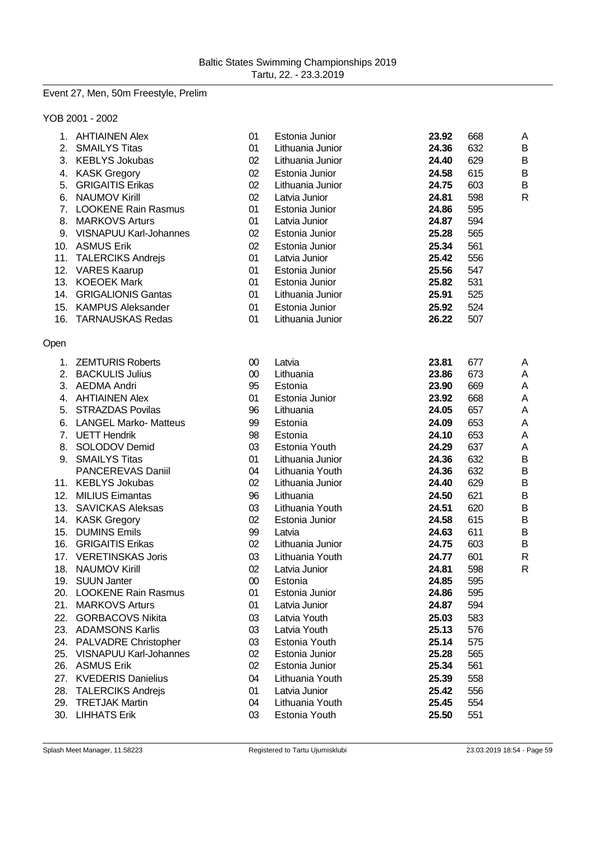# Event 27, Men, 50m Freestyle, Prelim

## YOB 2001 - 2002

|      | 1. AHTIAINEN Alex             | 01     | Estonia Junior   | 23.92 | 668 | A            |
|------|-------------------------------|--------|------------------|-------|-----|--------------|
|      | 2. SMAILYS Titas              | 01     | Lithuania Junior | 24.36 | 632 | B            |
|      | 3. KEBLYS Jokubas             | 02     | Lithuania Junior | 24.40 | 629 | B            |
|      | 4. KASK Gregory               | 02     | Estonia Junior   | 24.58 | 615 | B            |
|      | 5. GRIGAITIS Erikas           | 02     | Lithuania Junior | 24.75 | 603 | B            |
|      | 6. NAUMOV Kirill              | 02     | Latvia Junior    | 24.81 | 598 | $\mathsf{R}$ |
|      | 7. LOOKENE Rain Rasmus        | 01     | Estonia Junior   | 24.86 | 595 |              |
|      | 8. MARKOVS Arturs             | 01     | Latvia Junior    | 24.87 | 594 |              |
|      | 9. VISNAPUU Karl-Johannes     | 02     | Estonia Junior   | 25.28 | 565 |              |
|      | 10. ASMUS Erik                | 02     | Estonia Junior   | 25.34 | 561 |              |
|      | 11. TALERCIKS Andrejs         | 01     | Latvia Junior    | 25.42 | 556 |              |
|      | 12. VARES Kaarup              | 01     | Estonia Junior   | 25.56 | 547 |              |
|      | 13. KOEOEK Mark               | 01     | Estonia Junior   | 25.82 | 531 |              |
|      | 14. GRIGALIONIS Gantas        | 01     | Lithuania Junior | 25.91 | 525 |              |
|      | 15. KAMPUS Aleksander         | 01     | Estonia Junior   | 25.92 | 524 |              |
|      | 16. TARNAUSKAS Redas          | 01     | Lithuania Junior | 26.22 | 507 |              |
|      |                               |        |                  |       |     |              |
| Open |                               |        |                  |       |     |              |
|      | 1. ZEMTURIS Roberts           | $00\,$ | Latvia           | 23.81 | 677 | A            |
|      | 2. BACKULIS Julius            | $00\,$ | Lithuania        | 23.86 | 673 | A            |
|      | 3. AEDMA Andri                | 95     | Estonia          | 23.90 | 669 | A            |
|      | 4. AHTIAINEN Alex             | 01     | Estonia Junior   | 23.92 | 668 | A            |
|      | 5. STRAZDAS Povilas           | 96     | Lithuania        | 24.05 | 657 | A            |
|      | 6. LANGEL Marko- Matteus      | 99     | Estonia          | 24.09 | 653 | A            |
|      | 7. UETT Hendrik               | 98     | Estonia          | 24.10 | 653 | A            |
|      | 8. SOLODOV Demid              | 03     | Estonia Youth    | 24.29 | 637 | A            |
|      | 9. SMAILYS Titas              | 01     | Lithuania Junior | 24.36 | 632 | B            |
|      | PANCEREVAS Daniil             | 04     | Lithuania Youth  | 24.36 | 632 | B            |
|      | 11. KEBLYS Jokubas            | 02     | Lithuania Junior | 24.40 | 629 | B            |
|      | 12. MILIUS Eimantas           | 96     | Lithuania        | 24.50 | 621 | B            |
|      | 13. SAVICKAS Aleksas          | 03     | Lithuania Youth  | 24.51 | 620 | B            |
|      | 14. KASK Gregory              | 02     | Estonia Junior   | 24.58 | 615 | B            |
|      | 15. DUMINS Emils              | 99     | Latvia           | 24.63 | 611 | B            |
|      | 16. GRIGAITIS Erikas          | 02     | Lithuania Junior | 24.75 | 603 | B            |
|      | 17. VERETINSKAS Joris         | 03     | Lithuania Youth  | 24.77 | 601 | R            |
|      | 18. NAUMOV Kirill             | 02     | Latvia Junior    | 24.81 | 598 | R            |
|      | 19. SUUN Janter               | 00     | Estonia          | 24.85 | 595 |              |
|      | 20. LOOKENE Rain Rasmus       | 01     | Estonia Junior   | 24.86 | 595 |              |
| 21.  | <b>MARKOVS Arturs</b>         | 01     | Latvia Junior    | 24.87 | 594 |              |
| 22.  | <b>GORBACOVS Nikita</b>       | 03     | Latvia Youth     | 25.03 | 583 |              |
|      | 23. ADAMSONS Karlis           | 03     | Latvia Youth     | 25.13 | 576 |              |
|      | 24. PALVADRE Christopher      | 03     | Estonia Youth    | 25.14 | 575 |              |
| 25.  | <b>VISNAPUU Karl-Johannes</b> | 02     | Estonia Junior   | 25.28 | 565 |              |
|      | 26. ASMUS Erik                | 02     | Estonia Junior   | 25.34 | 561 |              |
|      | 27. KVEDERIS Danielius        | 04     | Lithuania Youth  | 25.39 | 558 |              |
|      | 28. TALERCIKS Andrejs         | 01     | Latvia Junior    | 25.42 | 556 |              |
|      | 29. TRETJAK Martin            | 04     | Lithuania Youth  | 25.45 | 554 |              |
|      | 30. LIHHATS Erik              | 03     | Estonia Youth    | 25.50 | 551 |              |
|      |                               |        |                  |       |     |              |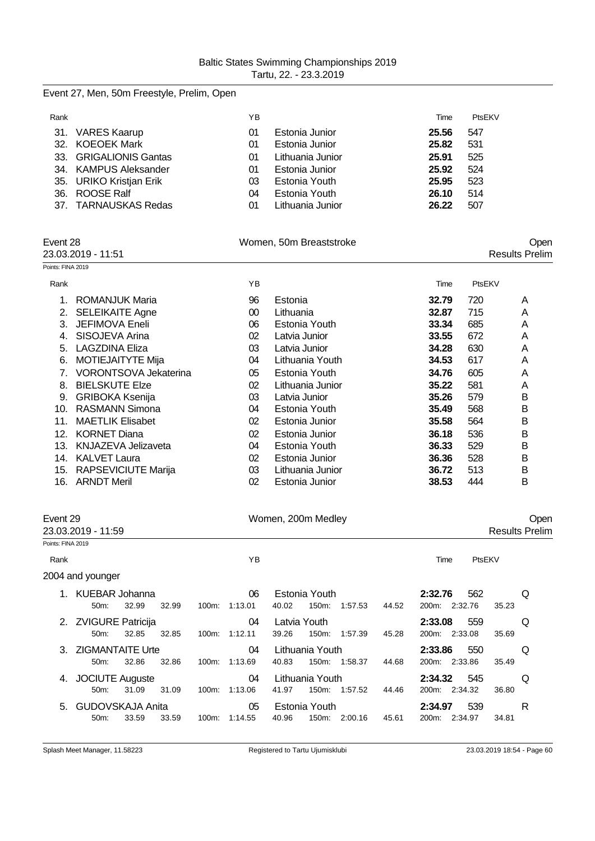| Event 27, Men, 50m Freestyle, Prelim, Open |  |  |  |  |  |  |
|--------------------------------------------|--|--|--|--|--|--|
|--------------------------------------------|--|--|--|--|--|--|

| Rank |                         | ΥB |                  | Time  | PtsEKV |
|------|-------------------------|----|------------------|-------|--------|
|      | 31. VARES Kaarup        | 01 | Estonia Junior   | 25.56 | 547    |
|      | 32. KOEOEK Mark         | 01 | Estonia Junior   | 25.82 | 531    |
|      | 33. GRIGALIONIS Gantas  | 01 | Lithuania Junior | 25.91 | 525    |
|      | 34. KAMPUS Aleksander   | 01 | Estonia Junior   | 25.92 | 524    |
|      | 35. URIKO Kristjan Erik | 03 | Estonia Youth    | 25.95 | 523    |
|      | 36. ROOSE Ralf          | 04 | Estonia Youth    | 26.10 | 514    |
|      | 37. TARNAUSKAS Redas    | 01 | Lithuania Junior | 26.22 | 507    |

|                   | Event 28                     |    | Women, 50m Breaststroke |       |        | Open                  |
|-------------------|------------------------------|----|-------------------------|-------|--------|-----------------------|
|                   | 23.03.2019 - 11:51           |    |                         |       |        | <b>Results Prelim</b> |
| Points: FINA 2019 |                              |    |                         |       |        |                       |
| Rank              |                              | YB |                         | Time  | PtsEKV |                       |
| 1.                | ROMANJUK Maria               | 96 | Estonia                 | 32.79 | 720    | A                     |
| 2.                | <b>SELEIKAITE Agne</b>       | 00 | Lithuania               | 32.87 | 715    | A                     |
| 3.                | JEFIMOVA Eneli               | 06 | Estonia Youth           | 33.34 | 685    | A                     |
| 4.                | SISOJEVA Arina               | 02 | Latvia Junior           | 33.55 | 672    | A                     |
| 5.                | <b>LAGZDINA Eliza</b>        | 03 | Latvia Junior           | 34.28 | 630    | Α                     |
| 6.                | MOTIEJAITYTE Mija            | 04 | Lithuania Youth         | 34.53 | 617    | A                     |
| 7.                | <b>VORONTSOVA Jekaterina</b> | 05 | Estonia Youth           | 34.76 | 605    | A                     |
| 8.                | <b>BIELSKUTE Elze</b>        | 02 | Lithuania Junior        | 35.22 | 581    | A                     |
| 9.                | <b>GRIBOKA Ksenija</b>       | 03 | Latvia Junior           | 35.26 | 579    | в                     |
| 10.               | <b>RASMANN Simona</b>        | 04 | Estonia Youth           | 35.49 | 568    | B                     |
| 11.               | <b>MAETLIK Elisabet</b>      | 02 | Estonia Junior          | 35.58 | 564    | B                     |
| 12.               | <b>KORNET Diana</b>          | 02 | Estonia Junior          | 36.18 | 536    | B                     |
| 13.               | <b>KNJAZEVA Jelizaveta</b>   | 04 | Estonia Youth           | 36.33 | 529    | B                     |
| 14.               | <b>KALVET Laura</b>          | 02 | Estonia Junior          | 36.36 | 528    | В                     |
| 15.               | <b>RAPSEVICIUTE Marija</b>   | 03 | Lithuania Junior        | 36.72 | 513    | B                     |
| 16.               | <b>ARNDT Meril</b>           | 02 | Estonia Junior          | 38.53 | 444    | B                     |

| Event 29<br>23.03.2019 - 11:59 |                                        |       |       | Women, 200m Medley |               |                       |                        |               | Oper<br><b>Results Prelim</b> |                                 |        |   |
|--------------------------------|----------------------------------------|-------|-------|--------------------|---------------|-----------------------|------------------------|---------------|-------------------------------|---------------------------------|--------|---|
| Points: FINA 2019              |                                        |       |       |                    |               |                       |                        |               |                               |                                 |        |   |
| Rank                           |                                        |       |       |                    | YB            |                       |                        |               |                               | Time                            | PtsEKV |   |
|                                | 2004 and younger                       |       |       |                    |               |                       |                        |               |                               |                                 |        |   |
|                                | KUEBAR Johanna<br>$50m$ :              | 32.99 | 32.99 | 100m:              | 06<br>1:13.01 | 40.02                 | Estonia Youth<br>150m: | 1:57.53       | 44.52                         | 2:32.76<br>562<br>200m: 2:32.76 | 35.23  | Q |
|                                | 2. ZVIGURE Patricija<br>50m            | 32.85 | 32.85 | 100m:              | 04<br>1:12.11 | Latvia Youth<br>39.26 | 150m:                  | 1:57.39       | 45.28                         | 2:33.08<br>559<br>200m: 2:33.08 | 35.69  | Q |
|                                | 3. ZIGMANTAITE Urte<br>$50m$ :         | 32.86 | 32.86 | 100m:              | 04<br>1:13.69 | 40.83                 | Lithuania Youth        | 150m: 1:58.37 | 44.68                         | 2:33.86<br>550<br>200m: 2:33.86 | 35.49  | Q |
| 4.                             | <b>JOCIUTE Auguste</b><br>50m:         | 31.09 | 31.09 | 100m:              | 04<br>1:13.06 | 41.97                 | Lithuania Youth        | 150m: 1:57.52 | 44.46                         | 545<br>2:34.32<br>200m: 2:34.32 | 36.80  | Q |
|                                | 5. GUDOVSKAJA Anita<br>50 <sub>m</sub> | 33.59 | 33.59 | 100m:              | 05<br>1:14.55 | 40.96                 | Estonia Youth<br>150m: | 2:00.16       | 45.61                         | 539<br>2:34.97<br>200m: 2:34.97 | 34.81  | R |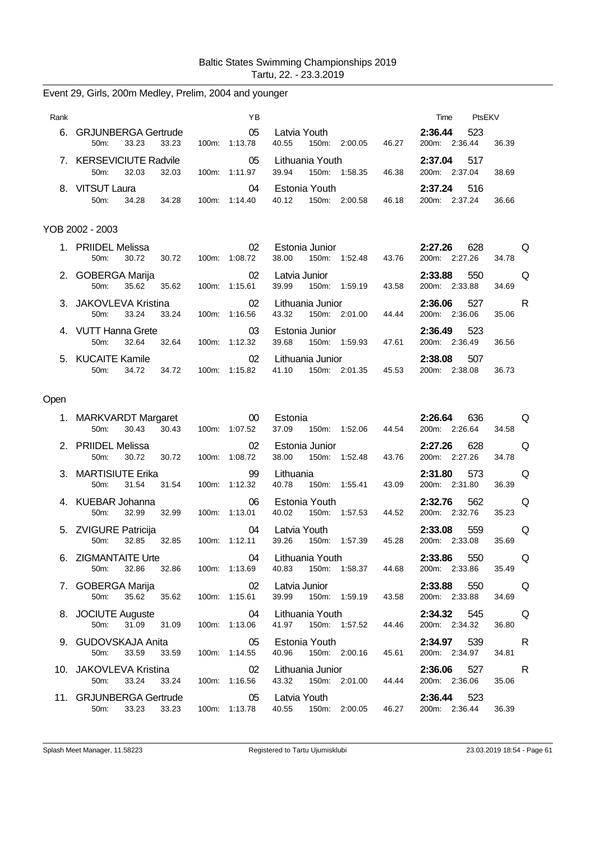| Rank |                                                               | ΥB                              |                                                                      | PtsEKV<br>Time                                                                                                                                                     |
|------|---------------------------------------------------------------|---------------------------------|----------------------------------------------------------------------|--------------------------------------------------------------------------------------------------------------------------------------------------------------------|
|      | 6. GRJUNBERGA Gertrude<br>50 <sub>m</sub> :<br>33.23<br>33.23 | 05<br>100m: 1:13.78             | Latvia Youth <b>Sandware Common Street</b><br>40.55<br>150m: 2:00.05 | 2:36.44<br>523<br>46.27<br>200m: 2:36.44<br>36.39                                                                                                                  |
|      | 7. KERSEVICIUTE Radvile<br>32.03<br>50m:<br>32.03             | 05<br>100m: 1:11.97             | Lithuania Youth<br>39.94<br>150m: 1:58.35                            | 2:37.04<br>517<br>46.38<br>200m: 2:37.04<br>38.69                                                                                                                  |
|      | 8. VITSUT Laura<br>34.28<br>50m:<br>34.28                     | 04<br>100m: 1:14.40             | Estonia Youth<br>40.12<br>150m: 2:00.58                              | 2:37.24<br>516<br>46.18<br>200m: 2:37.24<br>36.66                                                                                                                  |
|      | YOB 2002 - 2003                                               |                                 |                                                                      |                                                                                                                                                                    |
|      | 1. PRIIDEL Melissa<br>30.72<br>30.72<br>50m:                  | 02<br>100m: 1:08.72             | Estonia Junior<br>38.00<br>150m: 1:52.48                             | 2:27.26<br>628<br>Q<br>43.76<br>200m: 2:27.26<br>34.78                                                                                                             |
|      | 2. GOBERGA Marija<br>35.62<br>50 <sub>m</sub> :<br>35.62      | 02<br>100m: 1:15.61             | Latvia Junior<br>39.99<br>150m: 1:59.19                              | 2:33.88<br>550<br>Q<br>43.58<br>200m: 2:33.88<br>34.69                                                                                                             |
|      | 3. JAKOVLEVA Kristina<br>33.24<br>50m:<br>33.24               | 02<br>100m: 1:16.56             | Lithuania Junior<br>43.32<br>150m: 2:01.00                           | 527<br>2:36.06<br>a Roman Roman Roman Roman Roman Roman Roman Roman Roman Roman Roman Roman Roman Roman Roman Roman Roman Roman<br>200m: 2:36.06<br>44.44<br>35.06 |
|      | 4. VUTT Hanna Grete<br>50m:<br>32.64<br>32.64                 | 03<br>100m: 1:12.32             | Estonia Junior<br>39.68<br>150m: 1:59.93                             | 2:36.49<br>523<br>47.61<br>200m: 2:36.49<br>36.56                                                                                                                  |
|      | 5. KUCAITE Kamile<br>50m:<br>34.72<br>34.72                   | 02<br>100m: 1:15.82             | Lithuania Junior<br>41.10<br>150m: 2:01.35                           | 2:38.08<br>507<br>200m: 2:38.08<br>45.53<br>36.73                                                                                                                  |
| Open |                                                               |                                 |                                                                      |                                                                                                                                                                    |
|      | 1. MARKVARDT Margaret<br>30.43<br>50m:<br>30.43               | 00<br>100m: 1:07.52             | Estonia<br>37.09 150m: 1:52.06                                       | 2:26.64<br>636<br>Q<br>200m: 2:26.64<br>44.54<br>34.58                                                                                                             |
|      | 2. PRIIDEL Melissa<br>50m:<br>30.72                           | 02                              | Estonia Junior                                                       | 628<br>Q<br>2:27.26                                                                                                                                                |
|      |                                                               |                                 |                                                                      |                                                                                                                                                                    |
|      | 30.72<br>3. MARTISIUTE Erika                                  | 100m: 1:08.72<br>99             | 38.00<br>150m: 1:52.48<br>Lithuania                                  | 43.76<br>200m: 2:27.26<br>34.78<br>2:31.80<br>573<br>Q                                                                                                             |
|      | 31.54<br>50m:<br>31.54<br>4. KUEBAR Johanna                   | 100m: 1:12.32<br>06             | 40.78<br>150m:<br>1:55.41<br>Estonia Youth                           | 43.09<br>200m: 2:31.80<br>36.39<br>2:32.76<br>Q<br>562                                                                                                             |
|      | 32.99<br>32.99<br>50m:<br>5. ZVIGURE Patricija                | 100m: 1:13.01<br>04             | 40.02<br>150m: 1:57.53<br>Latvia Youth                               | 200m: 2:32.76<br>35.23<br>44.52<br>Q<br>2:33.08<br>559                                                                                                             |
|      | 50m:<br>32.85<br>32.85<br>6. ZIGMANTAITE Urte                 | 100m: 1:12.11                   | 39.26<br>150m: 1:57.39<br>04 Lithuania Youth                         | 45.28<br>200m: 2:33.08<br>35.69<br>2:33.86<br>550 Q                                                                                                                |
|      | 50m:<br>7. GOBERGA Marija                                     | 32.86 32.86 100m: 1:13.69<br>02 | 40.83<br>150m: 1:58.37 44.68<br>Latvia Junior                        | 200m: 2:33.86<br>35.49<br>2:33.88 550 Q                                                                                                                            |
|      | 50m:<br>35.62 35.62<br>8. JOCIUTE Auguste                     | 100m: 1:15.61<br>04             | 150m: 1:59.19<br>39.99<br>Lithuania Youth                            | 200m: 2:33.88<br>43.58<br>34.69<br><b>O</b><br>2:34.32 545                                                                                                         |
|      | 31.09 31.09<br>50m:<br>9. GUDOVSKAJA Anita                    | 100m: 1:13.06<br>05             | 41.97  150m: 1:57.52<br>Estonia Youth                                | 200m: 2:34.32<br>36.80<br>44.46<br>2:34.97 539<br><b>Example</b> R                                                                                                 |
|      | 33.59<br>33.59<br>50m:<br>10. JAKOVLEVA Kristina              | 100m: 1:14.55<br>02             | 40.96 150m: 2:00.16<br>Lithuania Junior                              | 45.61<br>200m: 2:34.97<br>34.81<br>2:36.06 527<br><b>Example</b> R                                                                                                 |
|      | 33.24<br>50m:<br>11. GRJUNBERGA Gertrude                      | 33.24 100m: 1:16.56<br>05       | 43.32 150m: 2:01.00 44.44<br>Latvia Youth                            | 200m: 2:36.06<br>35.06<br>2:36.44 523                                                                                                                              |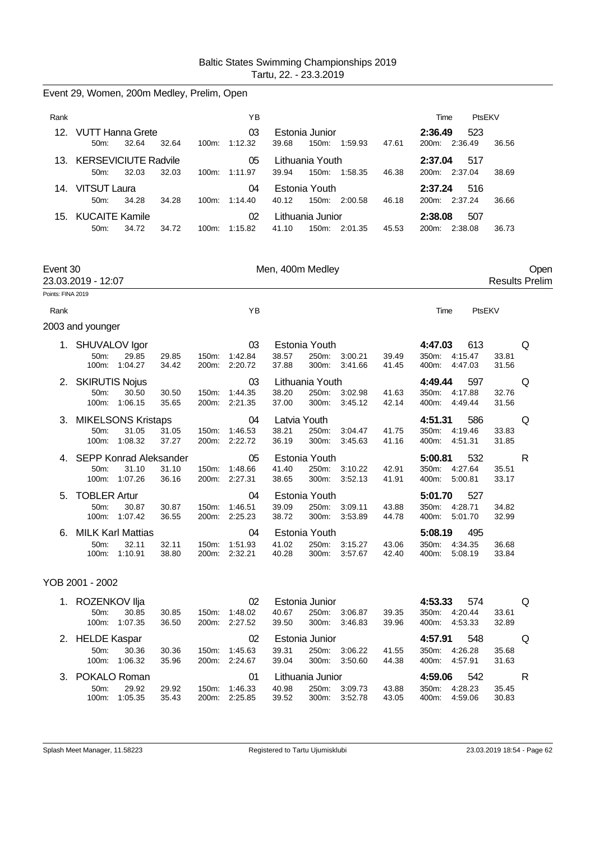|                   | Event 29, Women, 200m Medley, Prelim, Open |                                                    |                |       |                                      |                                |                                   |                    |                |                                                 |                       |                               |
|-------------------|--------------------------------------------|----------------------------------------------------|----------------|-------|--------------------------------------|--------------------------------|-----------------------------------|--------------------|----------------|-------------------------------------------------|-----------------------|-------------------------------|
| Rank              |                                            |                                                    |                |       | ΥB                                   |                                |                                   |                    |                | Time                                            | PtsEKV                |                               |
| 12.               | <b>VUTT Hanna Grete</b><br>50m:            | 32.64                                              | 32.64          |       | 03<br>100m: 1:12.32                  | 39.68                          | Estonia Junior<br>150m:           | 1:59.93            | 47.61          | 2:36.49<br>200m: 2:36.49                        | 523<br>36.56          |                               |
|                   | 13. KERSEVICIUTE Radvile<br>50m:           | 32.03                                              | 32.03          |       | 05<br>100m: 1:11.97                  | 39.94                          | Lithuania Youth<br>150m:          | 1:58.35            | 46.38          | 2:37.04<br>200m: 2:37.04                        | 517<br>38.69          |                               |
|                   | 14. VITSUT Laura<br>50m:                   | 34.28                                              | 34.28          |       | 04<br>100m: 1:14.40                  | 40.12                          | Estonia Youth                     | 150m: 2:00.58      | 46.18          | 2:37.24<br>200m: 2:37.24                        | 516<br>36.66          |                               |
|                   | 15. KUCAITE Kamile<br>50m:                 | 34.72                                              | 34.72          |       | 02<br>100m: 1:15.82                  | 41.10                          | Lithuania Junior                  | 150m: 2:01.35      | 45.53          | 2:38.08<br>200m: 2:38.08                        | 507<br>36.73          |                               |
| Event 30          | 23.03.2019 - 12:07                         |                                                    |                |       |                                      | Men, 400m Medley               |                                   |                    |                |                                                 |                       | Open<br><b>Results Prelim</b> |
| Points: FINA 2019 |                                            |                                                    |                |       |                                      |                                |                                   |                    |                |                                                 |                       |                               |
| Rank              |                                            |                                                    |                |       | YB                                   |                                |                                   |                    |                | Time                                            | PtsEKV                |                               |
|                   | 2003 and younger                           |                                                    |                |       |                                      |                                |                                   |                    |                |                                                 |                       |                               |
|                   | 1. SHUVALOV Igor<br>50m:                   | 29.85<br>100m: 1:04.27                             | 29.85<br>34.42 | 150m: | 03<br>1:42.84<br>200m: 2:20.72       | 38.57<br>37.88                 | Estonia Youth<br>250m:<br>300m:   | 3:00.21<br>3:41.66 | 39.49<br>41.45 | 4:47.03<br>350m:<br>4:15.47<br>4:47.03<br>400m: | 613<br>33.81<br>31.56 | Q                             |
|                   | 2. SKIRUTIS Nojus<br>50m:                  | 30.50<br>100m: 1:06.15                             | 30.50<br>35.65 | 150m: | 03<br>1:44.35<br>200m: 2:21.35       | 38.20<br>37.00                 | Lithuania Youth<br>250m:<br>300m: | 3:02.98<br>3:45.12 | 41.63<br>42.14 | 4:49.44<br>350m: 4:17.88<br>400m: 4:49.44       | 597<br>32.76<br>31.56 | Q                             |
|                   | 3. MIKELSONS Kristaps<br>50m:<br>100m:     | 31.05<br>1:08.32                                   | 31.05<br>37.27 |       | 04<br>150m: 1:46.53<br>200m: 2:22.72 | Latvia Youth<br>38.21<br>36.19 | 250m:<br>300m:                    | 3:04.47<br>3:45.63 | 41.75<br>41.16 | 4:51.31<br>350m:<br>4:19.46<br>4:51.31<br>400m: | 586<br>33.83<br>31.85 | Q                             |
| 4.                | 50m:                                       | SEPP Konrad Aleksander<br>31.10<br>100m: 1:07.26   | 31.10<br>36.16 |       | 05<br>150m: 1:48.66<br>200m: 2:27.31 | 41.40<br>38.65                 | Estonia Youth<br>250m:<br>300m:   | 3:10.22<br>3:52.13 | 42.91<br>41.91 | 5:00.81<br>350m: 4:27.64<br>400m: 5:00.81       | 532<br>35.51<br>33.17 | $\mathsf{R}$                  |
| 5.                | <b>TOBLER Artur</b><br>50m:                | 30.87<br>100m: 1:07.42                             | 30.87<br>36.55 | 150m: | 04<br>1:46.51<br>200m: 2:25.23       | 39.09<br>38.72                 | Estonia Youth<br>250m:<br>300m:   | 3:09.11<br>3:53.89 | 43.88<br>44.78 | 5:01.70<br>350m: 4:28.71<br>400m: 5:01.70       | 527<br>34.82<br>32.99 |                               |
| 6.                | 50m:                                       | <b>MILK Karl Mattias</b><br>32.11<br>100m: 1:10.91 | 32.11<br>38.80 | 150m: | 04<br>1:51.93<br>200m: 2:32.21       | 41.02<br>40.28                 | Estonia Youth<br>250m:<br>300m:   | 3:15.27<br>3:57.67 | 43.06<br>42.40 | 5:08.19<br>350m: 4:34.35<br>400m:<br>5:08.19    | 495<br>36.68<br>33.84 |                               |
|                   | YOB 2001 - 2002                            |                                                    |                |       |                                      |                                |                                   |                    |                |                                                 |                       |                               |

### 1. ROZENKOV Ilja 02 Estonia Junior **4:53.33** 574 Q 50m: 30.85 30.85 150m: 1:48.02 40.67 250m: 3:06.87 39.35 350m: 4:20.44 33.61 400m: 4:53.33 2. HELDE Kaspar 02 Estonia Junior **4:57.91** 548 Q 50m: 30.36 30.36 150m: 1:45.63 39.31 250m: 3:06.22 41.55 350m: 4:26.28 35.68 100m: 1:06.32 35.96 200m: 2:24.67 39.04 300m: 3:50.60 44.38 400m: 4:57.91 31.63 3. POKALO Roman 01 Lithuania Junior **4:59.06** 542 R 50m: 29.92 29.92 150m: 1:46.33 40.98 250m: 3:09.73 43.88 350m: 4:28.23 35.45 150m: 1:46.33<br>200m: 2:25.85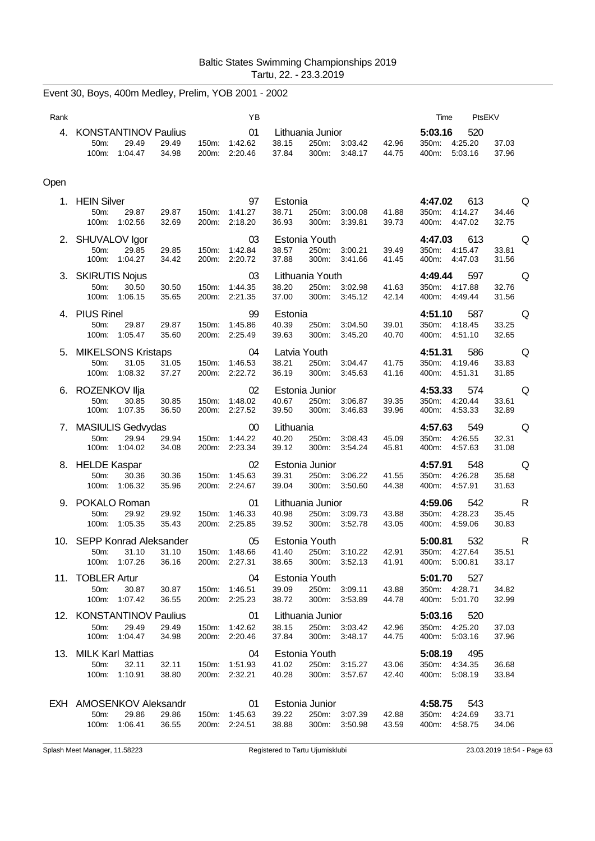Event 30, Boys, 400m Medley, Prelim, YOB 2001 - 2002

| Rank |                                                                              | ΥB                                      |                                                                                                              | Time<br>PtsEKV                                                                                                                                                                       |
|------|------------------------------------------------------------------------------|-----------------------------------------|--------------------------------------------------------------------------------------------------------------|--------------------------------------------------------------------------------------------------------------------------------------------------------------------------------------|
|      | 4. KONSTANTINOV Paulius<br>29.49<br>50m:<br>29.49<br>100m: 1:04.47<br>34.98  | 01<br>150m: 1:42.62<br>200m: 2:20.46    | Lithuania Junior<br>38.15<br>42.96<br>250m: 3:03.42<br>37.84<br>300m: 3:48.17<br>44.75                       | 5:03.16<br>520<br>350m: 4:25.20<br>37.03<br>400m: 5:03.16<br>37.96                                                                                                                   |
| Open |                                                                              |                                         |                                                                                                              |                                                                                                                                                                                      |
|      | 1. HEIN Silver<br>50m:<br>29.87<br>29.87<br>100m: 1:02.56<br>32.69           | 97<br>150m: 1:41.27<br>200m: 2:18.20    | Estonia<br>38.71<br>250m: 3:00.08<br>41.88<br>36.93<br>300m:<br>3:39.81<br>39.73                             | 4:47.02<br>613<br>a da que de la contrad<br>350m: 4:14.27<br>34.46<br>400m: 4:47.02<br>32.75                                                                                         |
|      | 2. SHUVALOV Igor<br>50m:<br>29.85<br>29.85<br>100m: 1:04.27<br>34.42         | 03<br>150m:<br>1:42.84<br>200m: 2:20.72 | Estonia Youth<br>38.57<br>250m: 3:00.21<br>39.49<br>37.88<br>300m:<br>41.45<br>3:41.66                       | 4:47.03<br>613<br>Q<br>350m: 4:15.47<br>33.81<br>400m: 4:47.03<br>31.56                                                                                                              |
|      | 3. SKIRUTIS Nojus<br>50m:<br>30.50<br>30.50<br>100m: 1:06.15<br>35.65        | 03<br>150m: 1:44.35<br>200m: 2:21.35    | Lithuania Youth<br>250m: 3:02.98<br>41.63<br>38.20<br>37.00<br>300m: 3:45.12<br>42.14                        | 597<br><b>O</b><br>4:49.44<br>350m: 4:17.88<br>32.76<br>31.56<br>400m: 4:49.44                                                                                                       |
|      | 4. PIUS Rinel<br>50m:<br>29.87<br>29.87<br>100m: 1:05.47<br>35.60            | 99<br>150m: 1:45.86<br>200m: 2:25.49    | Estonia<br>40.39<br>39.01<br>250m:<br>3:04.50<br>39.63<br>300m:<br>3:45.20<br>40.70                          | 4:51.10<br>587<br>Q<br>350m: 4:18.45<br>33.25<br>400m: 4:51.10<br>32.65                                                                                                              |
|      | 5. MIKELSONS Kristaps<br>50m:<br>31.05<br>31.05<br>37.27<br>100m: 1:08.32    | 04<br>150m: 1:46.53<br>200m: 2:22.72    | Latvia Youth<br>38.21<br>250m:<br>3:04.47<br>41.75<br>36.19<br>300m:<br>3:45.63<br>41.16                     | 4:51.31<br>586<br><b>Q</b><br>350m: 4:19.46<br>33.83<br>400m:<br>4:51.31<br>31.85                                                                                                    |
|      | 6. ROZENKOV Ilja<br>50m:<br>30.85<br>30.85<br>100m:<br>1:07.35<br>36.50      | 02<br>150m: 1:48.02<br>200m: 2:27.52    | Estonia Junior<br>40.67<br>39.35<br>250m: 3:06.87<br>39.50<br>300m:<br>3:46.83<br>39.96                      | <b>O</b><br>4:53.33<br>574<br>350m: 4:20.44<br>33.61<br>400m: 4:53.33<br>32.89                                                                                                       |
|      | 7. MASIULIS Gedvydas<br>50m:<br>29.94<br>29.94<br>100m: 1:04.02<br>34.08     | 00<br>1:44.22<br>150m:<br>200m: 2:23.34 | Lithuania<br>40.20<br>250m:<br>3:08.43<br>45.09<br>39.12<br>300m:<br>3:54.24<br>45.81                        | in a comparable a contract de la comparable de la comparable de la comparable de la comparable de la comparabl<br>4:57.63<br>549<br>350m: 4:26.55<br>32.31<br>400m: 4:57.63<br>31.08 |
|      | 8. HELDE Kaspar<br>50m:<br>30.36<br>30.36<br>100m: 1:06.32<br>35.96          | 02<br>150m:<br>1:45.63<br>200m: 2:24.67 | Estonia Junior<br>250m: 3:06.22<br>39.31<br>41.55<br>39.04<br>300m: 3:50.60<br>44.38                         | <b>O</b><br>4:57.91<br>548<br>350m: 4:26.28<br>35.68<br>400m: 4:57.91<br>31.63                                                                                                       |
|      | 9. POKALO Roman<br>50m:<br>29.92<br>29.92<br>100m:<br>1:05.35<br>35.43       | 01<br>1:46.33<br>150m:<br>200m: 2:25.85 | Lithuania Junior<br>40.98<br>250m: 3:09.73<br>43.88<br>39.52<br>300m:<br>3:52.78<br>43.05                    | 4:59.06<br>542<br><b>R</b><br>35.45<br>350m: 4:28.23<br>400m: 4:59.06<br>30.83                                                                                                       |
|      | 10. SEPP Konrad Aleksander<br>100m: 1:07.26<br>36.16                         | 05<br>200m: 2:27.31                     | Estonia Youth<br>50m: 31.10 31.10 150m: 1:48.66 41.40 250m: 3:10.22 42.91<br>38.65<br>300m: 3:52.13<br>41.91 | 5:00.81<br>532<br>$\mathsf{R}$<br>350m: 4:27.64 35.51<br>400m: 5:00.81<br>33.17                                                                                                      |
|      | 11. TOBLER Artur<br>50m:<br>30.87<br>30.87<br>100m: 1:07.42<br>36.55         | 04<br>150m: 1:46.51<br>200m: 2:25.23    | Estonia Youth<br>39.09<br>250m: 3:09.11<br>43.88<br>38.72<br>300m: 3:53.89<br>44.78                          | 527<br>5:01.70<br>350m: 4:28.71<br>34.82<br>400m: 5:01.70<br>32.99                                                                                                                   |
|      | 12. KONSTANTINOV Paulius<br>50m:<br>29.49<br>29.49<br>100m: 1:04.47<br>34.98 | 01<br>150m: 1:42.62<br>200m: 2:20.46    | Lithuania Junior<br>38.15<br>250m: 3:03.42<br>42.96<br>37.84<br>300m: 3:48.17<br>44.75                       | 5:03.16<br>520<br>350m: 4:25.20<br>37.03<br>400m: 5:03.16<br>37.96                                                                                                                   |
|      | 13. MILK Karl Mattias<br>50m:<br>32.11<br>32.11<br>100m: 1:10.91<br>38.80    | 04<br>150m: 1:51.93<br>200m: 2:32.21    | Estonia Youth<br>41.02<br>250m: 3:15.27<br>43.06<br>40.28<br>300m: 3:57.67<br>42.40                          | <b>5:08.19</b> 495<br>350m: 4:34.35<br>36.68<br>400m: 5:08.19<br>33.84                                                                                                               |
|      | EXH AMOSENKOV Aleksandr<br>50m:<br>29.86<br>29.86<br>100m: 1:06.41<br>36.55  | 01<br>150m: 1:45.63<br>200m: 2:24.51    | Estonia Junior<br>39.22<br>250m: 3:07.39<br>42.88<br>38.88<br>300m: 3:50.98<br>43.59                         | 4:58.75 543<br>350m: 4:24.69<br>33.71<br>400m: 4:58.75<br>34.06                                                                                                                      |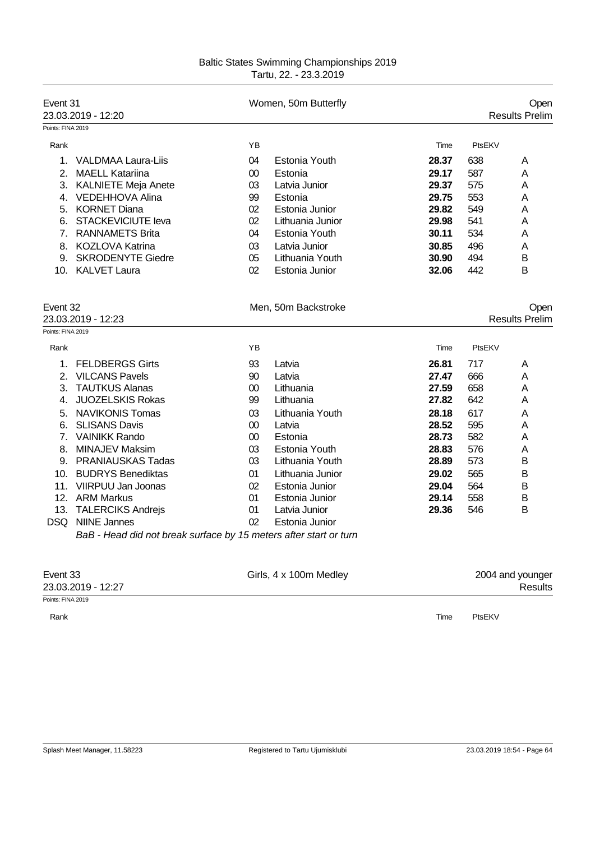| Event 31<br>23.03.2019 - 12:20 |                                                                   |        | Women, 50m Butterfly   |       | Open<br><b>Results Prelim</b> |                       |
|--------------------------------|-------------------------------------------------------------------|--------|------------------------|-------|-------------------------------|-----------------------|
| Points: FINA 2019              |                                                                   |        |                        |       |                               |                       |
| Rank                           |                                                                   | YB     |                        | Time  | PtsEKV                        |                       |
|                                | 1. VALDMAA Laura-Liis                                             | 04     | Estonia Youth          | 28.37 | 638                           | A                     |
|                                | 2. MAELL Katariina                                                | $00\,$ | Estonia                | 29.17 | 587                           | Α                     |
|                                | 3. KALNIETE Meja Anete                                            | 03     | Latvia Junior          | 29.37 | 575                           | Α                     |
|                                | 4. VEDEHHOVA Alina                                                | 99     | Estonia                | 29.75 | 553                           | Α                     |
|                                | 5. KORNET Diana                                                   | 02     | Estonia Junior         | 29.82 | 549                           | Α                     |
|                                | 6. STACKEVICIUTE leva                                             | 02     | Lithuania Junior       | 29.98 | 541                           | Α                     |
|                                | 7. RANNAMETS Brita                                                | 04     | Estonia Youth          | 30.11 | 534                           | Α                     |
|                                | 8. KOZLOVA Katrina                                                | 03     | Latvia Junior          | 30.85 | 496                           | Α                     |
|                                | 9. SKRODENYTE Giedre                                              | 05     | Lithuania Youth        | 30.90 | 494                           | В                     |
|                                | 10. KALVET Laura                                                  | 02     | Estonia Junior         | 32.06 | 442                           | В                     |
|                                |                                                                   |        |                        |       |                               |                       |
| Event 32                       |                                                                   |        | Men, 50m Backstroke    |       |                               | Open                  |
|                                | 23.03.2019 - 12:23                                                |        |                        |       |                               | <b>Results Prelim</b> |
| Points: FINA 2019              |                                                                   |        |                        |       |                               |                       |
| Rank                           |                                                                   | ΥB     |                        | Time  | PtsEKV                        |                       |
|                                | 1. FELDBERGS Girts                                                | 93     | Latvia                 | 26.81 | 717                           | Α                     |
|                                | 2. VILCANS Pavels                                                 | 90     | Latvia                 | 27.47 | 666                           | Α                     |
|                                | 3. TAUTKUS Alanas                                                 | $00\,$ | Lithuania              | 27.59 | 658                           | Α                     |
| 4.                             | <b>JUOZELSKIS Rokas</b>                                           | 99     | Lithuania              | 27.82 | 642                           | Α                     |
|                                | 5. NAVIKONIS Tomas                                                | 03     | Lithuania Youth        | 28.18 | 617                           | Α                     |
|                                | 6. SLISANS Davis                                                  | $00\,$ | Latvia                 | 28.52 | 595                           | Α                     |
|                                | 7. VAINIKK Rando                                                  | $00\,$ | Estonia                | 28.73 | 582                           | Α                     |
|                                | 8. MINAJEV Maksim                                                 | 03     | Estonia Youth          | 28.83 | 576                           | Α                     |
|                                | 9. PRANIAUSKAS Tadas                                              | 03     | Lithuania Youth        | 28.89 | 573                           | В                     |
|                                | 10. BUDRYS Benediktas                                             | 01     | Lithuania Junior       | 29.02 | 565                           | В                     |
|                                | 11. VIIRPUU Jan Joonas                                            | 02     | Estonia Junior         | 29.04 | 564                           | B                     |
|                                | 12. ARM Markus                                                    | 01     | Estonia Junior         | 29.14 | 558                           | В                     |
|                                | 13. TALERCIKS Andrejs                                             | 01     | Latvia Junior          | 29.36 | 546                           | В                     |
|                                | DSQ NIINE Jannes                                                  | 02     | Estonia Junior         |       |                               |                       |
|                                | BaB - Head did not break surface by 15 meters after start or turn |        |                        |       |                               |                       |
|                                |                                                                   |        |                        |       |                               |                       |
| Event 33                       |                                                                   |        | Girls, 4 x 100m Medley |       |                               | 2004 and younger      |
|                                | 23.03.2019 - 12:27                                                |        |                        |       |                               | <b>Results</b>        |

Points: FINA 2019

Rank Time PtsEKV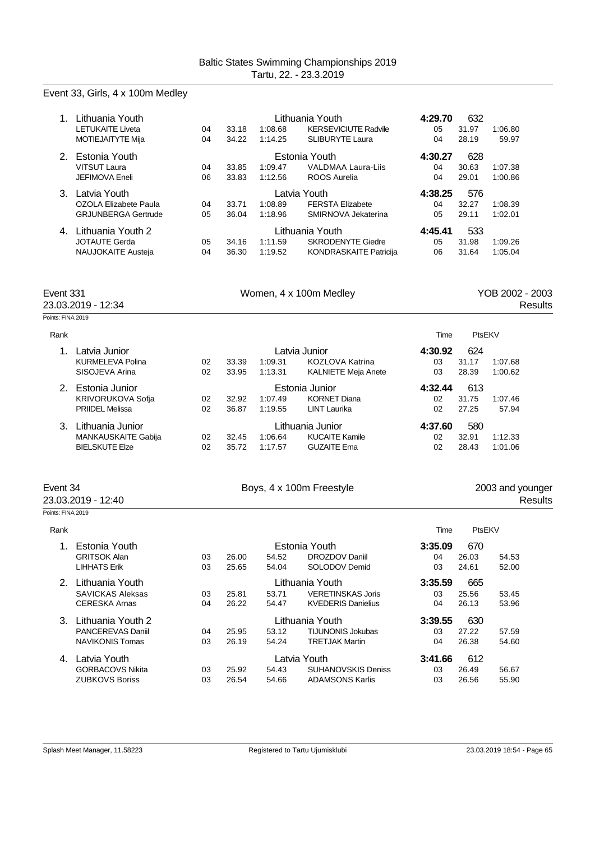## Event 33, Girls, 4 x 100m Medley

| 1.                              | Lithuania Youth<br><b>LETUKAITE Liveta</b><br>MOTIEJAITYTE Mija        | 04<br>04 | 33.18<br>34.22 | 1:08.68<br>1:14.25 | Lithuania Youth<br><b>KERSEVICIUTE Radvile</b><br><b>SLIBURYTE Laura</b> | 4:29.70<br>05<br>04 | 632<br>31.97<br>28.19 | 1:06.80<br>59.97           |
|---------------------------------|------------------------------------------------------------------------|----------|----------------|--------------------|--------------------------------------------------------------------------|---------------------|-----------------------|----------------------------|
|                                 | 2. Estonia Youth<br><b>VITSUT Laura</b><br><b>JEFIMOVA Eneli</b>       | 04<br>06 | 33.85<br>33.83 | 1:09.47<br>1:12.56 | Estonia Youth<br><b>VALDMAA Laura-Liis</b><br><b>ROOS Aurelia</b>        | 4:30.27<br>04<br>04 | 628<br>30.63<br>29.01 | 1:07.38<br>1:00.86         |
|                                 | 3. Latvia Youth<br>OZOLA Elizabete Paula<br><b>GRJUNBERGA Gertrude</b> | 04<br>05 | 33.71<br>36.04 | 1:08.89<br>1:18.96 | Latvia Youth<br><b>FERSTA Elizabete</b><br>SMIRNOVA Jekaterina           | 4:38.25<br>04<br>05 | 576<br>32.27<br>29.11 | 1:08.39<br>1:02.01         |
|                                 | 4. Lithuania Youth 2<br><b>JOTAUTE Gerda</b><br>NAUJOKAITE Austeja     | 05<br>04 | 34.16<br>36.30 | 1:11.59<br>1:19.52 | Lithuania Youth<br><b>SKRODENYTE Giedre</b><br>KONDRASKAITE Patricija    | 4:45.41<br>05<br>06 | 533<br>31.98<br>31.64 | 1:09.26<br>1:05.04         |
| Event 331<br>23.03.2019 - 12:34 |                                                                        |          |                |                    |                                                                          |                     |                       |                            |
|                                 |                                                                        |          |                |                    | Women, 4 x 100m Medley                                                   |                     |                       | YOB 2002 - 2003<br>Results |
| Points: FINA 2019               |                                                                        |          |                |                    |                                                                          |                     |                       |                            |
| Rank                            |                                                                        |          |                |                    |                                                                          | Time                | PtsEKV                |                            |
| $1_{-}$                         | Latvia Junior<br><b>KURMELEVA Polina</b><br>SISOJEVA Arina             | 02<br>02 | 33.39<br>33.95 | 1:09.31<br>1:13.31 | Latvia Junior<br><b>KOZLOVA Katrina</b><br><b>KALNIETE Meja Anete</b>    | 4:30.92<br>03<br>03 | 624<br>31.17<br>28.39 | 1:07.68<br>1:00.62         |
|                                 | 2. Estonia Junior<br>KRIVORUKOVA Sofia<br><b>PRIIDEL Melissa</b>       | 02<br>02 | 32.92<br>36.87 | 1:07.49<br>1:19.55 | Estonia Junior<br><b>KORNET Diana</b><br><b>LINT Laurika</b>             | 4:32.44<br>02<br>02 | 613<br>31.75<br>27.25 | 1:07.46<br>57.94           |

| Event 34<br>23.03.2019 - 12:40 | Boys, 4 x 100m Freestyle |      | 2003 and younger<br>Results |  |  |
|--------------------------------|--------------------------|------|-----------------------------|--|--|
| Points: FINA 2019              |                          |      |                             |  |  |
| Rank                           |                          | Time | PtsEKV                      |  |  |

|    | Estonia Youth            |    |       |       | Estonia Youth             | 670<br>3:35.09 |       |       |  |
|----|--------------------------|----|-------|-------|---------------------------|----------------|-------|-------|--|
|    | <b>GRITSOK Alan</b>      | 03 | 26.00 | 54.52 | DROZDOV Daniil            | 04             | 26.03 | 54.53 |  |
|    | <b>LIHHATS Erik</b>      | 03 | 25.65 | 54.04 | SOLODOV Demid             | 03             | 24.61 | 52.00 |  |
| 2. | Lithuania Youth          |    |       |       | Lithuania Youth           | 3:35.59        | 665   |       |  |
|    | <b>SAVICKAS Aleksas</b>  | 03 | 25.81 | 53.71 | <b>VERETINSKAS Joris</b>  | 03             | 25.56 | 53.45 |  |
|    | <b>CERESKA Arnas</b>     | 04 | 26.22 | 54.47 | <b>KVEDERIS Danielius</b> | 04             | 26.13 | 53.96 |  |
| 3. | Lithuania Youth 2        |    |       |       | Lithuania Youth           | 3:39.55        | 630   |       |  |
|    | <b>PANCEREVAS Daniil</b> | 04 | 25.95 | 53.12 | <b>TIJUNONIS Jokubas</b>  | 03             | 27.22 | 57.59 |  |
|    | <b>NAVIKONIS Tomas</b>   | 03 | 26.19 | 54.24 | <b>TRETJAK Martin</b>     | 04             | 26.38 | 54.60 |  |
| 4. | Latvia Youth             |    |       |       | Latvia Youth.             | 3:41.66        | 612   |       |  |
|    | <b>GORBACOVS Nikita</b>  | 03 | 25.92 | 54.43 | <b>SUHANOVSKIS Deniss</b> | 03             | 26.49 | 56.67 |  |
|    | <b>ZUBKOVS Boriss</b>    | 03 | 26.54 | 54.66 | <b>ADAMSONS Karlis</b>    | 03             | 26.56 | 55.90 |  |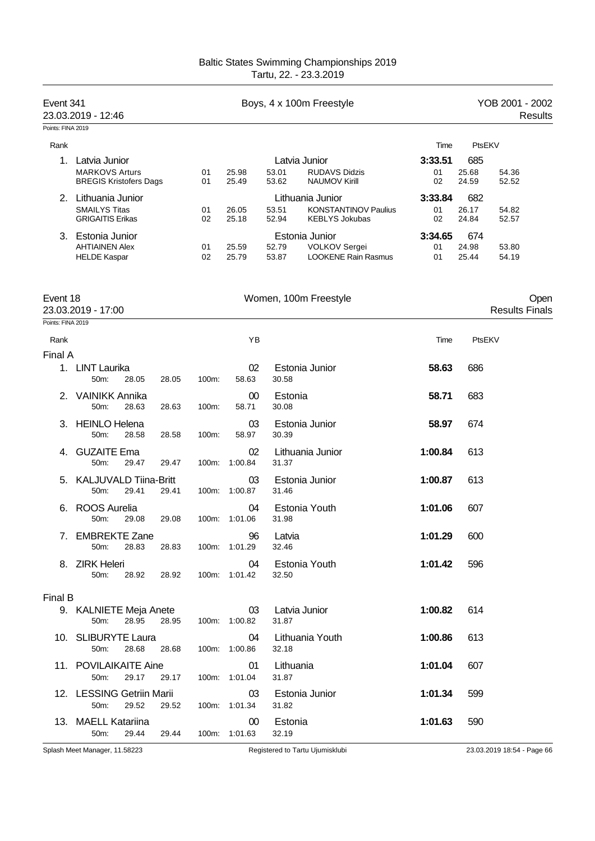| Event 341         | 23.03.2019 - 12:46                                                      |                |                     | Boys, 4 x 100m Freestyle                                                                   |                     | YOB 2001 - 2002<br>Results              |
|-------------------|-------------------------------------------------------------------------|----------------|---------------------|--------------------------------------------------------------------------------------------|---------------------|-----------------------------------------|
| Points: FINA 2019 |                                                                         |                |                     |                                                                                            |                     |                                         |
| Rank              |                                                                         |                |                     |                                                                                            | Time                | PtsEKV                                  |
| 1.                | Latvia Junior<br><b>MARKOVS Arturs</b><br><b>BREGIS Kristofers Dags</b> | 01<br>01       | 25.98<br>25.49      | Latvia Junior<br>53.01<br><b>RUDAVS Didzis</b><br>53.62<br><b>NAUMOV Kirill</b>            | 3:33.51<br>01<br>02 | 685<br>25.68<br>54.36<br>24.59<br>52.52 |
|                   | 2. Lithuania Junior<br><b>SMAILYS Titas</b><br><b>GRIGAITIS Erikas</b>  | 01<br>02       | 26.05<br>25.18      | Lithuania Junior<br>53.51<br><b>KONSTANTINOV Paulius</b><br>52.94<br><b>KEBLYS Jokubas</b> | 3:33.84<br>01<br>02 | 682<br>26.17<br>54.82<br>24.84<br>52.57 |
|                   | 3. Estonia Junior<br><b>AHTIAINEN Alex</b><br><b>HELDE Kaspar</b>       | 01<br>02       | 25.59<br>25.79      | Estonia Junior<br>VOLKOV Sergei<br>52.79<br><b>LOOKENE Rain Rasmus</b><br>53.87            | 3:34.65<br>01<br>01 | 674<br>24.98<br>53.80<br>25.44<br>54.19 |
| Event 18          | 23.03.2019 - 17:00                                                      |                |                     | Women, 100m Freestyle                                                                      |                     | Open<br><b>Results Finals</b>           |
| Points: FINA 2019 |                                                                         |                |                     |                                                                                            |                     |                                         |
| Rank              |                                                                         |                | YB                  |                                                                                            | Time                | PtsEKV                                  |
| Final A           |                                                                         |                |                     |                                                                                            |                     |                                         |
| 1.                | <b>LINT Laurika</b><br>50m:<br>28.05                                    | 28.05<br>100m: | 02<br>58.63         | Estonia Junior<br>30.58                                                                    | 58.63               | 686                                     |
| 2.                | <b>VAINIKK Annika</b><br>50m:<br>28.63                                  | 28.63<br>100m: | 00<br>58.71         | Estonia<br>30.08                                                                           | 58.71               | 683                                     |
| 3.                | <b>HEINLO Helena</b><br>50m:<br>28.58                                   | 28.58<br>100m: | 03<br>58.97         | Estonia Junior<br>30.39                                                                    | 58.97               | 674                                     |
| 4.                | <b>GUZAITE Ema</b><br>50m:<br>29.47                                     | 29.47<br>100m: | 02<br>1:00.84       | Lithuania Junior<br>31.37                                                                  | 1:00.84             | 613                                     |
| 5.                | <b>KALJUVALD Tiina-Britt</b><br>50m:<br>29.41                           | 29.41<br>100m: | 03<br>1:00.87       | Estonia Junior<br>31.46                                                                    | 1:00.87             | 613                                     |
| 6.                | <b>ROOS Aurelia</b><br>50m:<br>29.08                                    | 29.08          | 04<br>100m: 1:01.06 | Estonia Youth<br>31.98                                                                     | 1:01.06             | 607                                     |
|                   | 7. EMBREKTE Zane<br>50m:<br>28.83                                       | 28.83          | 96<br>100m: 1:01.29 | Latvia<br>32.46                                                                            | 1:01.29             | 600                                     |
|                   | 8. ZIRK Heleri<br>28.92<br>50m:                                         | 28.92          | 04<br>100m: 1:01.42 | Estonia Youth<br>32.50                                                                     | 1:01.42             | 596                                     |
|                   |                                                                         |                |                     |                                                                                            |                     |                                         |
| Final B           | 9. KALNIETE Meja Anete<br>50m:<br>28.95                                 | 28.95          | 03<br>100m: 1:00.82 | Latvia Junior<br>31.87                                                                     | 1:00.82             | 614                                     |
|                   | 10. SLIBURYTE Laura<br>50m:<br>28.68                                    | 28.68          | 04<br>100m: 1:00.86 | Lithuania Youth<br>32.18                                                                   | 1:00.86             | 613                                     |
|                   | 11. POVILAIKAITE Aine<br>50m:<br>29.17                                  | 29.17          | 01<br>100m: 1:01.04 | Lithuania<br>31.87                                                                         | 1:01.04             | 607                                     |
|                   | 12. LESSING Getriin Marii<br>50m:<br>29.52                              | 29.52          | 03<br>100m: 1:01.34 | Estonia Junior<br>31.82                                                                    | 1:01.34             | 599                                     |
|                   | 13. MAELL Katariina<br>29.44<br>50m:                                    | 29.44          | 00<br>100m: 1:01.63 | Estonia<br>32.19                                                                           | 1:01.63             | 590                                     |
|                   | Splash Meet Manager, 11.58223                                           |                |                     | Registered to Tartu Ujumisklubi                                                            |                     | 23.03.2019 18:54 - Page 66              |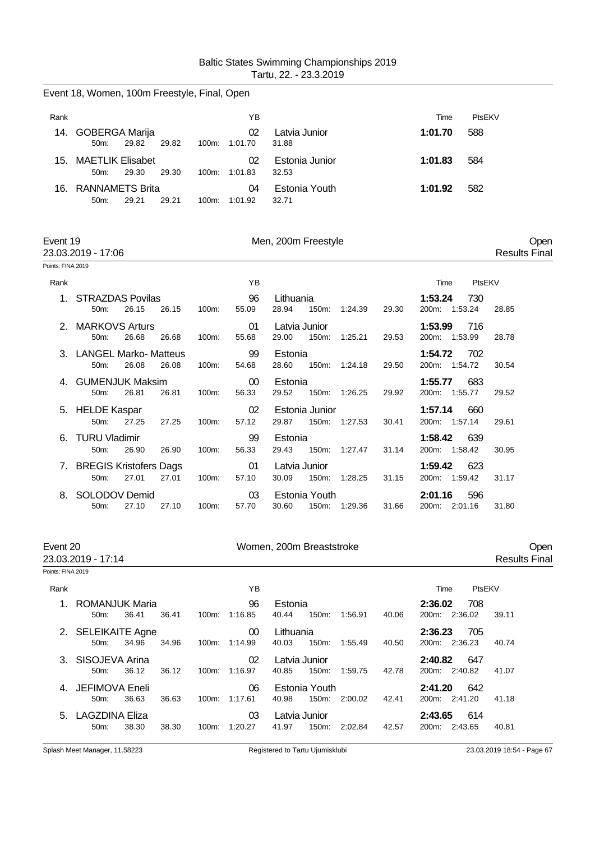| Event 18, Women, 100m Freestyle, Final, Open |                                    |       |       |          |               |                         |         |        |  |  |  |  |
|----------------------------------------------|------------------------------------|-------|-------|----------|---------------|-------------------------|---------|--------|--|--|--|--|
| Rank                                         |                                    |       |       |          | ΥB            |                         | Time    | PtsFKV |  |  |  |  |
| 14.                                          | <b>GOBERGA Marija</b><br>50m       | 29.82 | 29.82 | $100m$ : | 02<br>1:01.70 | Latvia Junior<br>31.88  | 1:01.70 | 588    |  |  |  |  |
| 15.                                          | <b>MAETLIK Elisabet</b><br>$50m$ : | 29.30 | 29.30 | $100m$ : | 02<br>1:01.83 | Estonia Junior<br>32.53 | 1:01.83 | 584    |  |  |  |  |
| 16.                                          | RANNAMETS Brita<br>$50m$ :         | 29.21 | 29.21 | $100m$ : | 04<br>1:01.92 | Estonia Youth<br>32.71  | 1:01.92 | 582    |  |  |  |  |

| Event 1 |  |
|---------|--|
|---------|--|

23.03.2019 - 17:06

Event 19 Men, 200m Freestyle Communication of the Communication of the Communication of the Open Communication of the Open Communication of the Open Communication of the Open Communication of the Open Communication of the

Points: FINA 2019

| Rank |                                                               |          | YB               |                                          |                  | PtsEKV<br>Time                                           |
|------|---------------------------------------------------------------|----------|------------------|------------------------------------------|------------------|----------------------------------------------------------|
|      | <b>STRAZDAS Povilas</b><br>26.15<br>26.15<br>$50m$ :          | $100m$ : | 96<br>55.09      | Lithuania<br>150m:<br>28.94              | 29.30<br>1:24.39 | 730<br>1:53.24<br>200m:<br>1:53.24<br>28.85              |
| 2    | <b>MARKOVS Arturs</b><br>26.68<br>26.68<br>$50m$ :            | 100m:    | 01<br>55.68      | Latvia Junior<br>150m:<br>29.00          | 1:25.21<br>29.53 | 1:53.99<br>716<br>200m:<br>1:53.99<br>28.78              |
| 3.   | <b>LANGEL Marko- Matteus</b><br>26.08<br>26.08<br>50m:        | 100m:    | 99<br>54.68      | Estonia<br>28.60<br>150m:                | 1:24.18<br>29.50 | 1:54.72<br>702<br>200m: 1:54.72<br>30.54                 |
|      | <b>GUMENJUK Maksim</b><br>26.81<br>26.81<br>50 <sub>m</sub> : | 100m:    | $00 \,$<br>56.33 | Estonia<br>150m:<br>29.52                | 1:26.25<br>29.92 | 1:55.77<br>683<br>1:55.77<br>200 <sub>m</sub> :<br>29.52 |
|      | 5. HELDE Kaspar<br>27.25<br>$50m$ :<br>27.25                  | 100m:    | 02<br>57.12      | Estonia Junior<br>150m: 1:27.53<br>29.87 | 30.41            | 1:57.14<br>660<br>200m: 1:57.14<br>29.61                 |
| 6.   | <b>TURU Vladimir</b><br>26.90<br>26.90<br>$50m$ :             | 100m:    | 99<br>56.33      | Estonia<br>150m:<br>29.43                | 31.14<br>1:27.47 | 1:58.42<br>639<br>200 <sub>m</sub> :<br>1:58.42<br>30.95 |
|      | 7. BREGIS Kristofers Dags<br>27.01<br>50m:<br>27.01           | 100m:    | 01<br>57.10      | Latvia Junior<br>30.09<br>150m:          | 1:28.25<br>31.15 | 623<br>1:59.42<br>200m:<br>1:59.42<br>31.17              |
| 8.   | SOLODOV Demid<br>27.10<br>50m:<br>27.10                       | 100m:    | 03<br>57.70      | Estonia Youth<br>150m:<br>30.60          | 1:29.36<br>31.66 | 2:01.16<br>596<br>200m:<br>2:01.16<br>31.80              |

| Event 20<br>23.03.2019 - 17:14 |                                            |       |       | Women, 200m Breaststroke |                            |                    |                        |         |       |                                    | Open<br><b>Results Final</b> |  |
|--------------------------------|--------------------------------------------|-------|-------|--------------------------|----------------------------|--------------------|------------------------|---------|-------|------------------------------------|------------------------------|--|
| Points: FINA 2019              |                                            |       |       |                          |                            |                    |                        |         |       |                                    |                              |  |
| Rank                           |                                            |       |       |                          | YB                         |                    |                        |         |       | PtsEKV<br>Time                     |                              |  |
|                                | ROMANJUK Maria<br>50m:                     | 36.41 | 36.41 | 100m:                    | 96<br>1:16.85              | Estonia<br>40.44   | 150m:                  | 1:56.91 | 40.06 | 2:36.02<br>708<br>200m: 2:36.02    | 39.11                        |  |
|                                | 2. SELEIKAITE Agne<br>$50m$ :              | 34.96 | 34.96 | 100m:                    | 00 <sup>°</sup><br>1.14.99 | Lithuania<br>40.03 | 150m:                  | 1:55.49 | 40.50 | 2:36.23<br>705<br>200m: 2:36.23    | 40.74                        |  |
|                                | 3. SISOJEVA Arina<br>$50m$ :               | 36.12 | 36.12 |                          | 02<br>100m: 1:16.97        | 40.85              | Latvia Junior<br>150m: | 1:59.75 | 42.78 | 2:40.82<br>647<br>200m: 2:40.82    | 41.07                        |  |
|                                | 4. JEFIMOVA Eneli<br>$50m$ :               | 36.63 | 36.63 | $100m$ :                 | 06<br>1:17.61              | 40.98              | Estonia Youth<br>150m: | 2:00.02 | 42.41 | 2:41.20<br>642<br>200m: 2:41.20    | 41.18                        |  |
| 5.                             | <b>LAGZDINA Eliza</b><br>50 <sub>m</sub> : | 38.30 | 38.30 | 100m:                    | 03<br>1:20.27              | 41.97              | Latvia Junior<br>150m: | 2:02.84 | 42.57 | 2:43.65<br>614<br>200m:<br>2:43.65 | 40.81                        |  |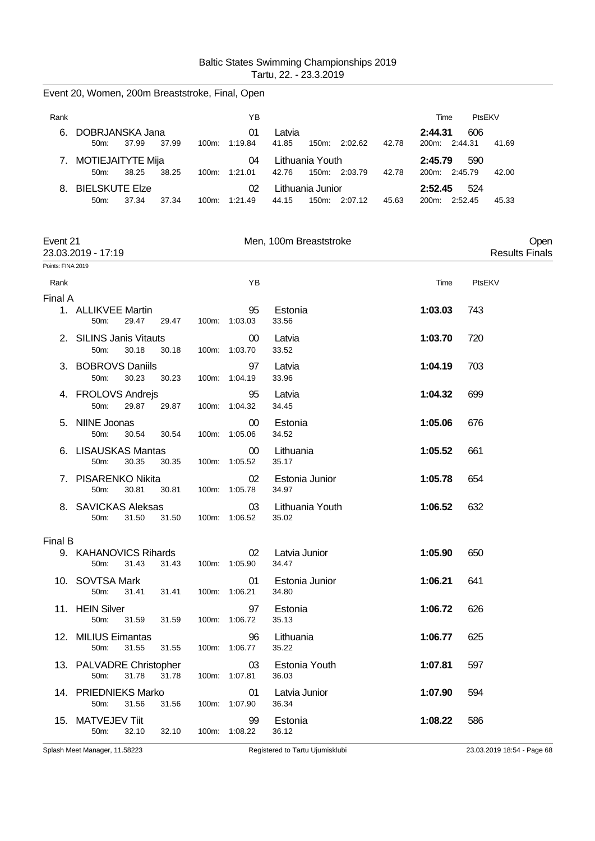|                   | Event 20, Women, 200m Breaststroke, Final, Open |                |                         |                                            |                          |                          |        |                       |      |
|-------------------|-------------------------------------------------|----------------|-------------------------|--------------------------------------------|--------------------------|--------------------------|--------|-----------------------|------|
| Rank              |                                                 |                | ΥB                      |                                            |                          | Time                     | PtsEKV |                       |      |
|                   | 6. DOBRJANSKA Jana<br>50m:<br>37.99             | 37.99          | 01<br>100m: 1:19.84     | Latvia<br>41.85<br>150m: 2:02.62           | 42.78                    | 2:44.31<br>200m: 2:44.31 | 606    | 41.69                 |      |
|                   | 7. MOTIEJAITYTE Mija<br>50m:<br>38.25           | 38.25          | 04<br>100m: 1:21.01     | Lithuania Youth<br>42.76<br>150m: 2:03.79  | 2:45.79<br>200m: 2:45.79 | 590                      | 42.00  |                       |      |
|                   | 8. BIELSKUTE Elze<br>50m:<br>37.34              | 37.34          | 02<br>100m: 1:21.49     | Lithuania Junior<br>44.15<br>150m: 2:07.12 | 45.63                    | 2:52.45<br>200m: 2:52.45 | 524    | 45.33                 |      |
| Event 21          | 23.03.2019 - 17:19                              |                |                         | Men, 100m Breaststroke                     |                          |                          |        | <b>Results Finals</b> | Open |
| Points: FINA 2019 |                                                 |                |                         |                                            |                          |                          |        |                       |      |
| Rank              |                                                 |                | YB                      |                                            |                          | Time                     | PtsEKV |                       |      |
| Final A           | 1. ALLIKVEE Martin<br>29.47<br>50m:             | 29.47          | 95<br>100m: 1:03.03     | Estonia<br>33.56                           |                          | 1:03.03                  | 743    |                       |      |
|                   | 2. SILINS Janis Vitauts<br>30.18<br>50m:        | 30.18          | 00<br>100m: 1:03.70     | Latvia<br>33.52                            |                          | 1:03.70                  | 720    |                       |      |
|                   | 3. BOBROVS Daniils<br>30.23<br>50m:             | 30.23          | 97<br>100m: 1:04.19     | Latvia<br>33.96                            |                          |                          |        |                       |      |
|                   | 4. FROLOVS Andrejs<br>50m:                      | 29.87<br>29.87 | 95<br>100m: 1:04.32     | Latvia<br>34.45                            | 1:04.32                  | 699                      |        |                       |      |
|                   | 5. NIINE Joonas<br>50m:<br>30.54                | 30.54          | $00\,$<br>100m: 1:05.06 | Estonia<br>34.52                           |                          | 1:05.06                  | 676    |                       |      |
|                   | 6. LISAUSKAS Mantas<br>30.35<br>50m:            | 30.35          | $00\,$<br>100m: 1:05.52 | Lithuania<br>35.17                         |                          | 1:05.52                  | 661    |                       |      |
|                   | 7. PISARENKO Nikita<br>50m:<br>30.81            | 30.81          | 02<br>100m: 1:05.78     | Estonia Junior<br>34.97                    |                          | 1:05.78                  | 654    |                       |      |
|                   | 8. SAVICKAS Aleksas<br>31.50<br>50m:            | 31.50          | 03<br>100m: 1:06.52     | Lithuania Youth<br>35.02                   |                          | 1:06.52                  | 632    |                       |      |
| Final B           |                                                 |                |                         |                                            |                          |                          |        |                       |      |
|                   | 9. KAHANOVICS Rihards<br>31.43<br>50m:          | 31.43          | 100m: 1:05.90           | 02 Latvia Junior<br>34.47                  |                          | 1:05.90                  | 650    |                       |      |
|                   | 10. SOVTSA Mark<br>50m:                         | 31.41<br>31.41 | 01<br>100m: 1:06.21     | Estonia Junior<br>34.80                    |                          | 1:06.21                  | 641    |                       |      |
|                   | 11. HEIN Silver<br>50m:                         | 31.59<br>31.59 | 97<br>100m: 1:06.72     | Estonia<br>35.13                           |                          | 1:06.72                  | 626    |                       |      |
|                   | 12. MILIUS Eimantas<br>50m:<br>31.55            | 31.55          | 96<br>100m: 1:06.77     | Lithuania<br>35.22                         |                          | 1:06.77                  | 625    |                       |      |
|                   | 13. PALVADRE Christopher<br>31.78<br>50m:       | 31.78          | 03<br>100m: 1:07.81     | Estonia Youth<br>36.03                     |                          | 1:07.81                  | 597    |                       |      |
|                   | 14. PRIEDNIEKS Marko<br>31.56<br>50m:           | 31.56          | 01<br>100m: 1:07.90     | Latvia Junior<br>36.34                     |                          | 1:07.90                  | 594    |                       |      |
|                   | 15. MATVEJEV Tiit<br>32.10<br>50m:              | 32.10          | 99<br>100m: 1:08.22     | Estonia<br>36.12                           |                          | 1:08.22                  | 586    |                       |      |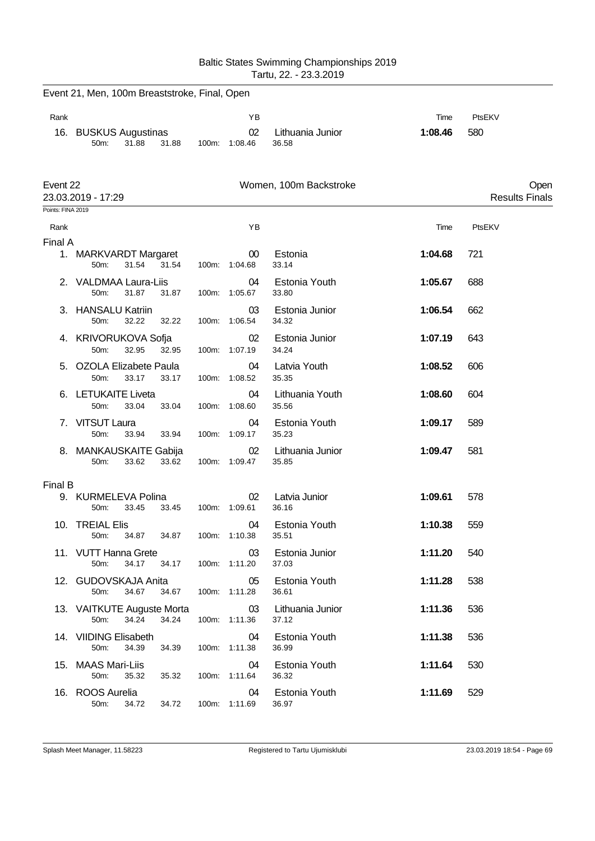|                   |                                                      |       |                                  | Tartu, 22. - 23.3.2019    |         |                               |
|-------------------|------------------------------------------------------|-------|----------------------------------|---------------------------|---------|-------------------------------|
|                   | Event 21, Men, 100m Breaststroke, Final, Open        |       |                                  |                           |         |                               |
| Rank              |                                                      |       | ΥB                               |                           | Time    | PtsEKV                        |
|                   | 16. BUSKUS Augustinas<br>31.88<br>31.88<br>50m:      | 100m: | 02<br>1:08.46                    | Lithuania Junior<br>36.58 | 1:08.46 | 580                           |
| Event 22          | 23.03.2019 - 17:29                                   |       |                                  | Women, 100m Backstroke    |         | Open<br><b>Results Finals</b> |
| Points: FINA 2019 |                                                      |       |                                  |                           |         |                               |
| Rank              |                                                      |       | ΥB                               |                           | Time    | PtsEKV                        |
| Final A           | 1. MARKVARDT Margaret<br>50m:<br>31.54<br>31.54      |       | 00 <sup>°</sup><br>100m: 1:04.68 | Estonia<br>33.14          | 1:04.68 | 721                           |
|                   | VALDMAA Laura-Liis<br>50m:<br>31.87<br>31.87         |       | 04<br>100m: 1:05.67              | Estonia Youth<br>33.80    | 1:05.67 | 688                           |
|                   | 3. HANSALU Katriin<br>50m:<br>32.22<br>32.22         |       | 03<br>100m: 1:06.54              | Estonia Junior<br>34.32   | 1:06.54 | 662                           |
|                   | 4. KRIVORUKOVA Sofja<br>50m:<br>32.95<br>32.95       |       | 02<br>100m: 1:07.19              | Estonia Junior<br>34.24   | 1:07.19 | 643                           |
|                   | OZOLA Elizabete Paula<br>50m:<br>33.17<br>33.17      |       | 04<br>100m: 1:08.52              | Latvia Youth<br>35.35     | 1:08.52 | 606                           |
|                   | 6. LETUKAITE Liveta<br>50m:<br>33.04<br>33.04        | 100m: | 04<br>1:08.60                    | Lithuania Youth<br>35.56  | 1:08.60 | 604                           |
| 7.                | VITSUT Laura<br>50m:<br>33.94<br>33.94               |       | 04<br>100m: 1:09.17              | Estonia Youth<br>35.23    | 1:09.17 | 589                           |
|                   | 8. MANKAUSKAITE Gabija<br>50m:<br>33.62<br>33.62     |       | 02<br>100m: 1:09.47              | Lithuania Junior<br>35.85 | 1:09.47 | 581                           |
| Final B           |                                                      |       |                                  |                           |         |                               |
|                   | 9. KURMELEVA Polina<br>33.45<br>33.45<br>50m:        |       | 02<br>100m: 1:09.61              | Latvia Junior<br>36.16    | 1:09.61 | 578                           |
|                   | 10. TREIAL Elis<br>50m:<br>34.87<br>34.87            |       | 04<br>100m: 1:10.38              | Estonia Youth<br>35.51    | 1:10.38 | 559                           |
|                   | 11. VUTT Hanna Grete<br>34.17<br>50m:<br>34.17       |       | 03<br>100m: 1:11.20              | Estonia Junior<br>37.03   | 1:11.20 | 540                           |
|                   | 12. GUDOVSKAJA Anita<br>34.67<br>34.67<br>50m:       |       | 05<br>100m: 1:11.28              | Estonia Youth<br>36.61    | 1:11.28 | 538                           |
|                   | 13. VAITKUTE Auguste Morta<br>34.24<br>34.24<br>50m: |       | 03<br>100m: 1:11.36              | Lithuania Junior<br>37.12 | 1:11.36 | 536                           |
|                   | 14. VIIDING Elisabeth<br>50m:<br>34.39<br>34.39      |       | 04<br>100m: 1:11.38              | Estonia Youth<br>36.99    | 1:11.38 | 536                           |
|                   | 15. MAAS Mari-Liis<br>50m:<br>35.32<br>35.32         |       | 04<br>100m: 1:11.64              | Estonia Youth<br>36.32    | 1:11.64 | 530                           |
|                   | 16. ROOS Aurelia<br>50m:<br>34.72<br>34.72           |       | 04<br>100m: 1:11.69              | Estonia Youth<br>36.97    | 1:11.69 | 529                           |

Baltic States Swimming Championships 2019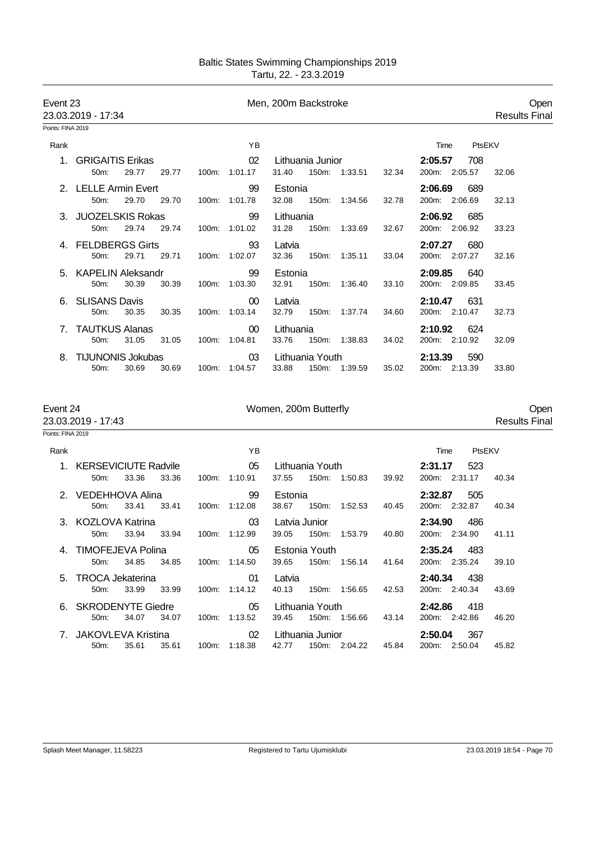| Event 23          | 23.03.2019 - 17:34                                        | Men, 200m Backstroke |                                                                                                                       |                              |  |  |  |  |
|-------------------|-----------------------------------------------------------|----------------------|-----------------------------------------------------------------------------------------------------------------------|------------------------------|--|--|--|--|
| Points: FINA 2019 |                                                           |                      |                                                                                                                       |                              |  |  |  |  |
| Rank              |                                                           | ΥB                   | PtsEKV<br>Time                                                                                                        |                              |  |  |  |  |
| 1.                | <b>GRIGAITIS Erikas</b><br>50m:<br>29.77<br>29.77         | 02<br>100m: 1:01.17  | 2:05.57<br>Lithuania Junior<br>708<br>31.40<br>150m: 1:33.51<br>200m: 2:05.57<br>32.34                                | 32.06                        |  |  |  |  |
|                   | 2. LELLE Armin Evert<br>29.70<br>50m:<br>29.70            | 99<br>100m: 1:01.78  | 2:06.69<br>Estonia<br>689<br>32.08<br>150m: 1:34.56<br>32.78<br>200m: 2:06.69                                         | 32.13                        |  |  |  |  |
|                   | 3. JUOZELSKIS Rokas<br>29.74<br>29.74<br>50m:             | 99<br>100m: 1:01.02  | Lithuania<br>2:06.92<br>685<br>31.28<br>150m: 1:33.69<br>32.67<br>200m: 2:06.92                                       | 33.23                        |  |  |  |  |
|                   | 4. FELDBERGS Girts<br>50m:<br>29.71<br>29.71              | 93<br>100m: 1:02.07  | Latvia<br>2:07.27<br>680<br>32.36<br>200m: 2:07.27<br>150m: 1:35.11<br>33.04                                          | 32.16                        |  |  |  |  |
|                   | 5. KAPELIN Aleksandr<br>30.39<br>30.39<br>50m:            | 99<br>100m: 1:03.30  | 2:09.85<br>Estonia<br>640<br>32.91<br>150m: 1:36.40<br>33.10<br>200m: 2:09.85                                         | 33.45                        |  |  |  |  |
|                   | 6. SLISANS Davis<br>30.35<br>50 <sub>m</sub> :<br>30.35   | 00<br>100m: 1:03.14  | 2:10.47<br>631<br>Latvia<br>32.79<br>150m:<br>1:37.74<br>34.60<br>200m: 2:10.47                                       | 32.73                        |  |  |  |  |
|                   | 7. TAUTKUS Alanas<br>50m:<br>31.05<br>31.05               | 00<br>100m: 1:04.81  | 2:10.92<br>Lithuania<br>624<br>33.76<br>200m: 2:10.92<br>150m: 1:38.83<br>34.02                                       | 32.09                        |  |  |  |  |
|                   | 8. TIJUNONIS Jokubas<br>50m:<br>30.69<br>30.69            | 03<br>100m: 1:04.57  | 2:13.39<br>Lithuania Youth<br>590<br>33.88<br>150m: 1:39.59<br>35.02<br>200m: 2:13.39                                 | 33.80                        |  |  |  |  |
| Event 24          | 23.03.2019 - 17:43                                        |                      | Women, 200m Butterfly                                                                                                 | Open<br><b>Results Final</b> |  |  |  |  |
| Points: FINA 2019 |                                                           |                      |                                                                                                                       |                              |  |  |  |  |
| Rank              | 1. KERSEVICIUTE Radvile                                   | ΥB<br>05             | PtsEKV<br>Time<br>Lithuania Youth<br>2:31.17<br>523                                                                   |                              |  |  |  |  |
|                   | 33.36<br>33.36<br>50m:                                    | 100m: 1:10.91        | 37.55<br>150m: 1:50.83<br>200m: 2:31.17<br>39.92                                                                      | 40.34                        |  |  |  |  |
|                   | 2. VEDEHHOVA Alina<br>50m:<br>33.41<br>33.41              | 99<br>100m: 1:12.08  | Estonia<br>2:32.87<br>505<br>38.67<br>150m: 1:52.53<br>200m: 2:32.87<br>40.45                                         | 40.34                        |  |  |  |  |
|                   | 3. KOZLOVA Katrina<br>50m:<br>33.94<br>33.94              | 03<br>100m: 1:12.99  | Latvia Junior<br>2:34.90<br>486<br>39.05<br>150m:<br>1:53.79<br>40.80<br>200m: 2:34.90                                | 41.11                        |  |  |  |  |
|                   | 4. TIMOFEJEVA Polina<br>50m:<br>34.85 34.85 100m: 1:14.50 | 05                   | Estonia Youth<br>2:35.24 483<br>39.65<br>150m: 1:56.14<br>200m: 2:35.24<br>41.64                                      | 39.10                        |  |  |  |  |
|                   | 5. TROCA Jekaterina<br>50m: 33.99 33.99                   | 01<br>100m: 1:14.12  | 2:40.34<br>438<br>Latvia<br>40.13 150m: 1:56.65<br>42.53<br>200m: 2:40.34                                             | 43.69                        |  |  |  |  |
|                   | 6. SKRODENYTE Giedre<br>50m:<br>34.07<br>34.07            | 100m: 1:13.52        | Lithuania Youth<br>05<br><b>2:42.86</b> 418<br>39.45<br>150m: 1:56.66<br>43.14<br>200m: 2:42.86                       | 46.20                        |  |  |  |  |
|                   | 7. JAKOVLEVA Kristina                                     | 02                   | Lithuania Junior<br>2:50.04<br>367<br>50m: 35.61 35.61 100m: 1:18.38 42.77 150m: 2:04.22 45.84<br>200m: 2:50.04 45.82 |                              |  |  |  |  |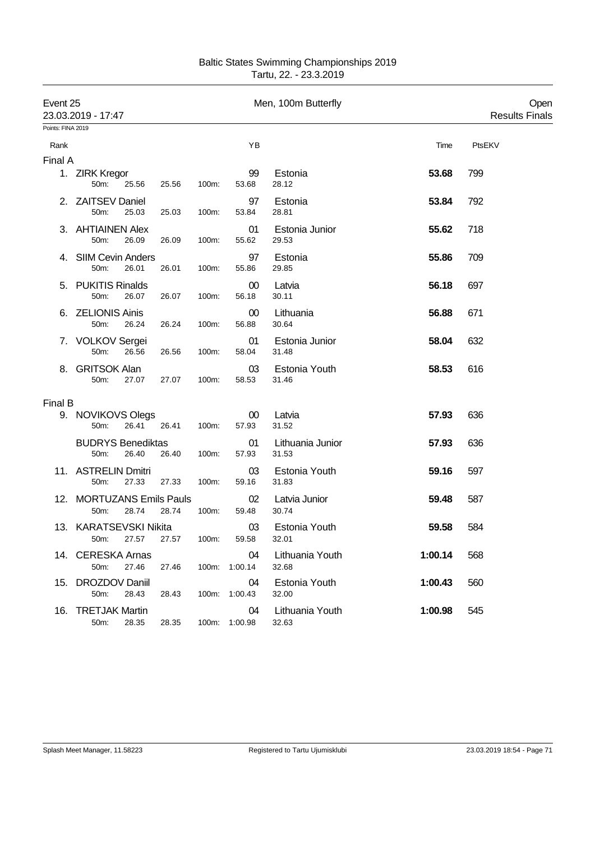| Event 25<br>23.03.2019 - 17:47 |                                   |            |       |       |                     | Men, 100m Butterfly       |         | Open<br><b>Results Finals</b> |
|--------------------------------|-----------------------------------|------------|-------|-------|---------------------|---------------------------|---------|-------------------------------|
| Points: FINA 2019              |                                   |            |       |       |                     |                           |         |                               |
| Rank                           |                                   |            |       |       | YB                  |                           | Time    | PtsEKV                        |
| Final A                        |                                   |            |       |       |                     |                           |         |                               |
|                                | 1. ZIRK Kregor<br>50m:            | 25.56      | 25.56 | 100m: | 99<br>53.68         | Estonia<br>28.12          | 53.68   | 799                           |
|                                | 2. ZAITSEV Daniel<br>50m:         | 25.03      | 25.03 | 100m: | 97<br>53.84         | Estonia<br>28.81          | 53.84   | 792                           |
|                                | 3. AHTIAINEN Alex<br>50m:         | 26.09      | 26.09 | 100m: | 01<br>55.62         | Estonia Junior<br>29.53   | 55.62   | 718                           |
| 4.                             | <b>SIIM Cevin Anders</b><br>50m:  | 26.01      | 26.01 | 100m: | 97<br>55.86         | Estonia<br>29.85          | 55.86   | 709                           |
|                                | 5. PUKITIS Rinalds<br>50m:        | 26.07      | 26.07 | 100m: | 00<br>56.18         | Latvia<br>30.11           | 56.18   | 697                           |
|                                | 6. ZELIONIS Ainis<br>50m:         | 26.24      | 26.24 | 100m: | 00<br>56.88         | Lithuania<br>30.64        | 56.88   | 671                           |
|                                | 7. VOLKOV Sergei<br>50m:          | 26.56      | 26.56 | 100m: | 01<br>58.04         | Estonia Junior<br>31.48   | 58.04   | 632                           |
| 8.                             | <b>GRITSOK Alan</b><br>50m:       | 27.07      | 27.07 | 100m: | 03<br>58.53         | Estonia Youth<br>31.46    | 58.53   | 616                           |
| Final B                        |                                   |            |       |       |                     |                           |         |                               |
|                                | 9. NOVIKOVS Olegs<br>50m:         | 26.41      | 26.41 | 100m: | 00<br>57.93         | Latvia<br>31.52           | 57.93   | 636                           |
|                                | <b>BUDRYS Benediktas</b><br>50m:  | 26.40      | 26.40 | 100m: | 01<br>57.93         | Lithuania Junior<br>31.53 | 57.93   | 636                           |
|                                | 11. ASTRELIN Dmitri<br>50m:       | 27.33      | 27.33 | 100m: | 03<br>59.16         | Estonia Youth<br>31.83    | 59.16   | 597                           |
|                                | 12. MORTUZANS Emils Pauls<br>50m: | 28.74      | 28.74 | 100m: | 02<br>59.48         | Latvia Junior<br>30.74    | 59.48   | 587                           |
|                                | 13. KARATSEVSKI Nikita            | 50m: 27.57 | 27.57 | 100m: | 03<br>59.58         | Estonia Youth<br>32.01    | 59.58   | 584                           |
|                                | 14. CERESKA Arnas<br>50m:         | 27.46      | 27.46 |       | 04<br>100m: 1:00.14 | Lithuania Youth<br>32.68  | 1:00.14 | 568                           |
|                                | 15. DROZDOV Daniil<br>50m:        | 28.43      | 28.43 |       | 04<br>100m: 1:00.43 | Estonia Youth<br>32.00    | 1:00.43 | 560                           |
|                                | 16. TRETJAK Martin<br>50m:        | 28.35      | 28.35 |       | 04<br>100m: 1:00.98 | Lithuania Youth<br>32.63  | 1:00.98 | 545                           |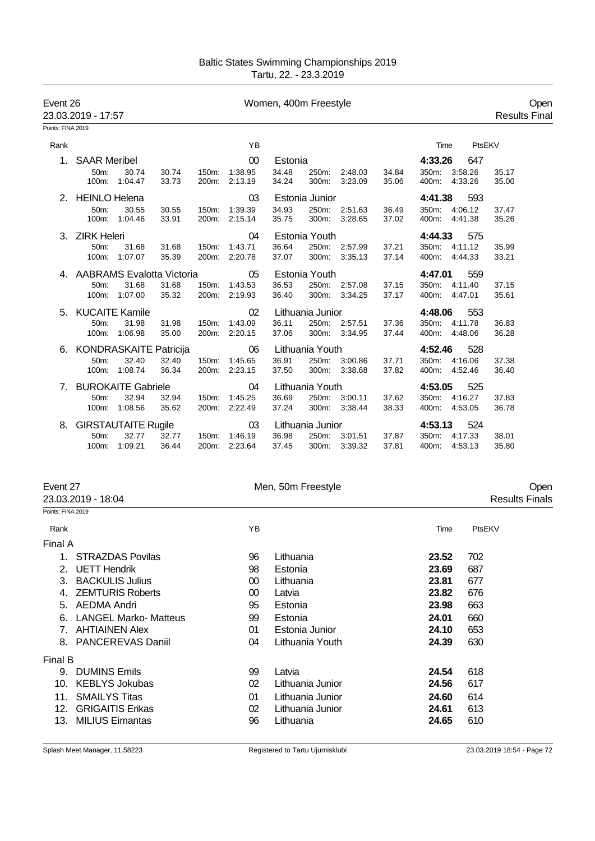| Event 26<br>23.03.2019 - 17:57 |                              |                            |                |                | Women, 400m Freestyle    |                |                  |                          |                |                                |         |                | Open<br><b>Results Final</b> |  |
|--------------------------------|------------------------------|----------------------------|----------------|----------------|--------------------------|----------------|------------------|--------------------------|----------------|--------------------------------|---------|----------------|------------------------------|--|
| Points: FINA 2019              |                              |                            |                |                |                          |                |                  |                          |                |                                |         |                |                              |  |
| Rank                           |                              |                            |                |                | YB                       |                |                  |                          |                | Time                           | PtsEKV  |                |                              |  |
|                                | 1. SAAR Meribel              |                            |                |                | 00                       | Estonia        |                  |                          |                | 4:33.26                        | 647     |                |                              |  |
|                                | 50 <sub>m</sub> :            | 30.74<br>100m: 1:04.47     | 30.74<br>33.73 | 150m:<br>200m: | 1:38.95<br>2:13.19       | 34.48<br>34.24 | 250m:<br>300m:   | 2:48.03<br>3:23.09       | 34.84<br>35.06 | 350m: 3:58.26<br>400m: 4:33.26 |         | 35.17<br>35.00 |                              |  |
|                                | 2. HEINLO Helena             |                            |                |                | 03                       |                | Estonia Junior   |                          |                | 4:41.38                        | 593     |                |                              |  |
|                                | $50m$ :                      | 30.55<br>100m: 1:04.46     | 30.55<br>33.91 | 150m:<br>200m: | 1:39.39<br>2:15.14       | 34.93<br>35.75 | 250m:<br>300m:   | 2:51.63<br>3:28.65       | 36.49<br>37.02 | 350m: 4:06.12<br>400m: 4:41.38 |         | 37.47<br>35.26 |                              |  |
|                                | 3. ZIRK Heleri               |                            |                | 04             | Estonia Youth            |                |                  |                          | 4:44.33        |                                |         |                |                              |  |
|                                | 50 <sub>m</sub> :            | 31.68<br>100m: 1:07.07     | 31.68<br>35.39 | 150m:          | 1:43.71<br>200m: 2:20.78 | 36.64<br>37.07 | 250m:            | 2:57.99<br>300m: 3:35.13 | 37.21<br>37.14 | 350m: 4:11.12<br>400m: 4:44.33 |         | 35.99<br>33.21 |                              |  |
|                                | 4. AABRAMS Evalotta Victoria |                            |                |                | 05<br>Estonia Youth      |                |                  |                          | 4:47.01<br>559 |                                |         |                |                              |  |
|                                | 50 <sub>m</sub> :            | 31.68                      | 31.68          | 150m:          | 1:43.53                  | 36.53          | 250m:            | 2:57.08                  | 37.15          | 350m:                          | 4:11.40 | 37.15          |                              |  |
|                                | $100m$ :                     | 1:07.00                    | 35.32          |                | 200m: 2:19.93            | 36.40          |                  | 300m: 3:34.25            | 37.17          | 400m: 4:47.01                  |         | 35.61          |                              |  |
|                                |                              | 5. KUCAITE Kamile          |                |                | 02                       |                | Lithuania Junior |                          |                | 4:48.06                        | 553     |                |                              |  |
|                                | 50m:                         | 31.98                      | 31.98          | 150m:          | 1:43.09                  | 36.11          |                  | 250m: 2:57.51            | 37.36          | 350m: 4:11.78                  |         | 36.83          |                              |  |
|                                | $100m$ :                     | 1:06.98                    | 35.00          |                | 200m: 2:20.15            | 37.06          |                  | 300m: 3:34.95            | 37.44          | 400m: 4:48.06                  |         | 36.28          |                              |  |
|                                | 6. KONDRASKAITE Patricija    |                            |                |                | 06                       |                | Lithuania Youth  |                          |                | 4:52.46                        | 528     |                |                              |  |
|                                | 50 <sub>m</sub> :            | 32.40                      | 32.40          |                | 150m: 1:45.65            | 36.91          |                  | 250m: 3:00.86            | 37.71          | 350m: 4:16.06                  |         | 37.38          |                              |  |
|                                |                              | 100m: 1:08.74              | 36.34          |                | 200m: 2:23.15            | 37.50          |                  | 300m: 3:38.68            | 37.82          | 400m: 4:52.46                  |         | 36.40          |                              |  |
| 7.                             |                              | <b>BUROKAITE Gabriele</b>  |                |                | 04                       |                | Lithuania Youth  |                          |                | 4:53.05                        |         |                |                              |  |
|                                | 50m:                         | 32.94                      | 32.94          | 150m:          | 1:45.25                  | 36.69          | 250m:            | 3:00.11                  | 37.62          | 350m: 4:16.27                  |         | 37.83          |                              |  |
|                                | $100m$ :                     | 1:08.56                    | 35.62          |                | 200m: 2:22.49            | 37.24          |                  | 300m: 3:38.44            | 38.33          | 400m: 4:53.05                  |         | 36.78          |                              |  |
| 8.                             |                              | <b>GIRSTAUTAITE Rugile</b> |                |                | 03                       |                | Lithuania Junior |                          |                | 4:53.13                        | 524     |                |                              |  |
|                                | $50m$ :                      | 32.77                      | 32.77          | 150m:          | 1:46.19                  | 36.98          | 250m:            | 3:01.51                  | 37.87          | 350m:                          | 4:17.33 | 38.01          |                              |  |
|                                | 100m:                        | 1:09.21                    | 36.44          | 200m:          | 2:23.64                  | 37.45          | 300m:            | 3:39.32                  | 37.81          | 400m: 4:53.13                  |         | 35.80          |                              |  |

| Open                  |
|-----------------------|
| <b>Results Finals</b> |
|                       |
|                       |
|                       |
|                       |
|                       |
|                       |
|                       |
|                       |
|                       |
|                       |
|                       |
|                       |
|                       |
|                       |
|                       |
|                       |
|                       |
|                       |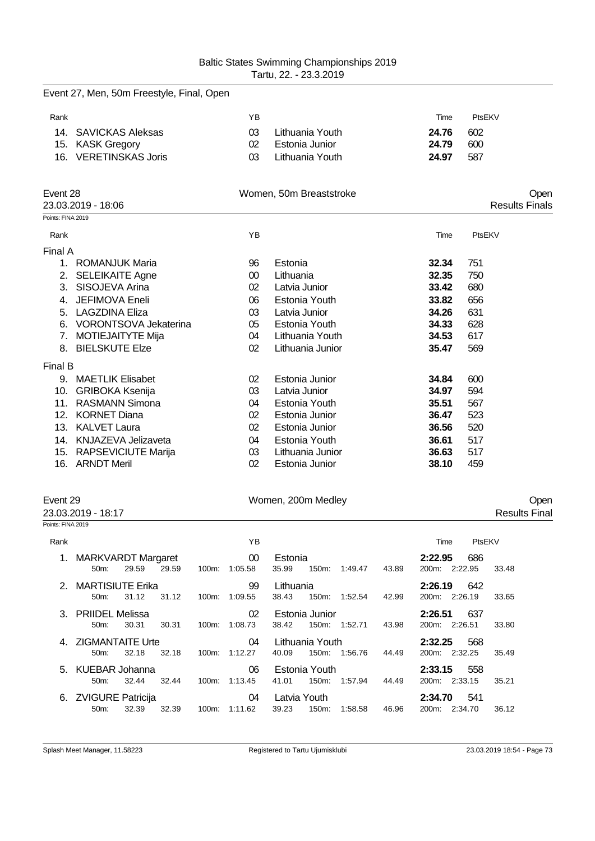|                   | Event 27, Men, 50m Freestyle, Final, Open |        |                         |       |                       |
|-------------------|-------------------------------------------|--------|-------------------------|-------|-----------------------|
| Rank              |                                           | YB     |                         | Time  | PtsEKV                |
| 14.               | <b>SAVICKAS Aleksas</b>                   | 03     | Lithuania Youth         | 24.76 | 602                   |
| 15.               | <b>KASK Gregory</b>                       | 02     | Estonia Junior          | 24.79 | 600                   |
| 16.               | <b>VERETINSKAS Joris</b>                  | 03     | Lithuania Youth         | 24.97 | 587                   |
| Event 28          |                                           |        | Women, 50m Breaststroke |       | Open                  |
|                   | 23.03.2019 - 18:06                        |        |                         |       | <b>Results Finals</b> |
| Points: FINA 2019 |                                           |        |                         |       |                       |
| Rank              |                                           | YB     |                         | Time  | PtsEKV                |
| Final A           |                                           |        |                         |       |                       |
| 1.                | <b>ROMANJUK Maria</b>                     | 96     | Estonia                 | 32.34 | 751                   |
| 2.                | <b>SELEIKAITE Agne</b>                    | $00\,$ | Lithuania               | 32.35 | 750                   |
| 3.                | SISOJEVA Arina                            | 02     | Latvia Junior           | 33.42 | 680                   |
| 4.                | JEFIMOVA Eneli                            | 06     | Estonia Youth           | 33.82 | 656                   |
| 5.                | <b>LAGZDINA Eliza</b>                     | 03     | Latvia Junior           | 34.26 | 631                   |
| 6.                | VORONTSOVA Jekaterina                     | 05     | Estonia Youth           | 34.33 | 628                   |
| 7.                | <b>MOTIEJAITYTE Mija</b>                  | 04     | Lithuania Youth         | 34.53 | 617                   |
|                   | 8. BIELSKUTE Elze                         | 02     | Lithuania Junior        | 35.47 | 569                   |
| Final B           |                                           |        |                         |       |                       |
|                   | 9. MAETLIK Elisabet                       | 02     | Estonia Junior          | 34.84 | 600                   |
| 10.               | <b>GRIBOKA Ksenija</b>                    | 03     | Latvia Junior           | 34.97 | 594                   |
| 11.               | <b>RASMANN Simona</b>                     | 04     | Estonia Youth           | 35.51 | 567                   |
| 12.               | <b>KORNET Diana</b>                       | 02     | Estonia Junior          | 36.47 | 523                   |
| 13.               | <b>KALVET Laura</b>                       | 02     | Estonia Junior          | 36.56 | 520                   |
|                   | 14. KNJAZEVA Jelizaveta                   | 04     | Estonia Youth           | 36.61 | 517                   |
| 15.               | RAPSEVICIUTE Marija                       | 03     | Lithuania Junior        | 36.63 | 517                   |
|                   | 16. ARNDT Meril                           | 02     | Estonia Junior          | 38.10 | 459                   |

Event 29 Chemical Communication of Momen, 200m Medley Chemical Communication of Chemical Chemical Chemical Chemical Chemical Chemical Chemical Chemical Chemical Chemical Chemical Chemical Chemical Chemical Chemical Chemica

## 23.03.2019 - 18:17 Results Final

| Points: FINA 2019 |                                      |       |       |          |                            |                    |                                     |       |                                                 |       |
|-------------------|--------------------------------------|-------|-------|----------|----------------------------|--------------------|-------------------------------------|-------|-------------------------------------------------|-------|
| Rank              |                                      |       |       |          | YB                         |                    |                                     |       | PtsEKV<br>Time                                  |       |
| 1.                | <b>MARKVARDT Margaret</b><br>$50m$ : | 29.59 | 29.59 | 100m:    | 00<br>1:05.58              | Estonia<br>35.99   | 150m:<br>1:49.47                    | 43.89 | 686<br>2:22.95<br>2:22.95<br>200m:              | 33.48 |
|                   | 2. MARTISIUTE Erika<br>$50m$ :       | 31.12 | 31.12 | 100m:    | 99<br>1:09.55              | Lithuania<br>38.43 | 150m:<br>1:52.54                    | 42.99 | 2:26.19<br>642<br>200m:<br>2:26.19              | 33.65 |
| $\mathcal{S}$     | <b>PRIIDEL Melissa</b><br>50m        | 30.31 | 30.31 | $100m$ : | 02 <sup>2</sup><br>1:08.73 | 38.42              | Estonia Junior<br>150m:<br>1:52.71  | 43.98 | 637<br>2:26.51<br>200m:<br>2:26.51              | 33.80 |
| 4                 | <b>ZIGMANTAITE Urte</b><br>50m       | 32.18 | 32.18 | 100m:    | 04<br>1:12.27              | 40.09              | Lithuania Youth<br>150m:<br>1:56.76 | 44.49 | 568<br>2:32.25<br>2:32.25<br>200m:              | 35.49 |
|                   | 5. KUEBAR Johanna<br>$50m$ :         | 32.44 | 32.44 |          | 06<br>100m: 1:13.45        | 41.01              | Estonia Youth<br>150m:<br>1:57.94   | 44.49 | 2:33.15<br>558<br>200m: 2:33.15                 | 35.21 |
| 6.                | <b>ZVIGURE Patricija</b><br>$50m$ :  | 32.39 | 32.39 | $100m$ : | 04<br>1:11.62              | 39.23              | Latvia Youth<br>$150m$ :<br>1:58.58 | 46.96 | 2:34.70<br>541<br>200 <sub>m</sub> :<br>2:34.70 | 36.12 |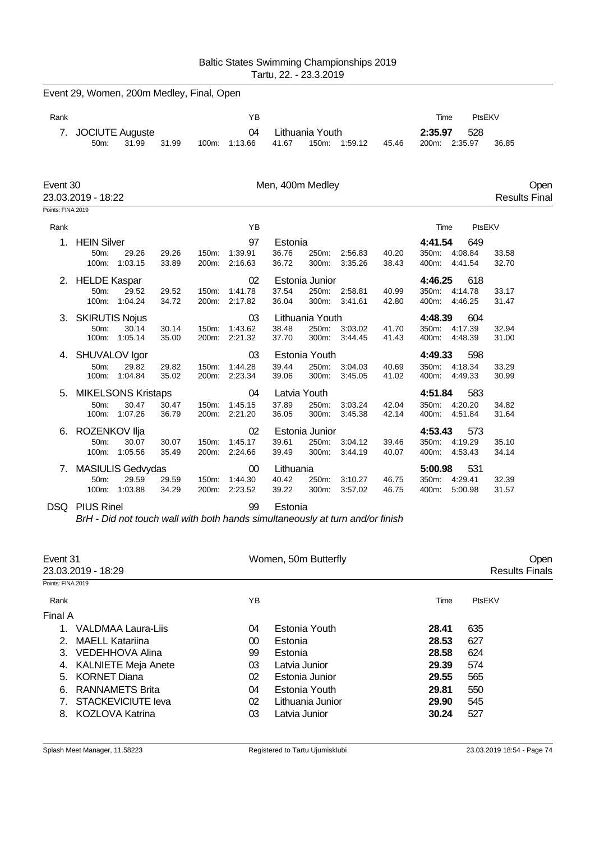| Baltic States Swimming Championships 2019 |
|-------------------------------------------|
| Tartu, 22. - 23.3.2019                    |

|                               | Event 29, Women, 200m Medley, Final, Open |                                               |                |                             |                                |                             |                                   |                    |                |                           |                                       |                      |      |
|-------------------------------|-------------------------------------------|-----------------------------------------------|----------------|-----------------------------|--------------------------------|-----------------------------|-----------------------------------|--------------------|----------------|---------------------------|---------------------------------------|----------------------|------|
| Rank                          |                                           |                                               |                |                             | YB                             |                             |                                   |                    |                | Time                      | PtsEKV                                |                      |      |
| 7.                            | 50m:                                      | <b>JOCIUTE Auguste</b><br>31.99               | 31.99          | 100m:                       | 04<br>1:13.66                  | 41.67                       | Lithuania Youth                   | 150m: 1:59.12      | 45.46          | 2:35.97                   | 528<br>200m: 2:35.97                  | 36.85                |      |
| Event 30<br>Points: FINA 2019 | 23.03.2019 - 18:22                        |                                               |                |                             |                                | Men, 400m Medley            |                                   |                    |                |                           |                                       | <b>Results Final</b> | Open |
| Rank                          |                                           |                                               |                |                             | YB                             |                             |                                   |                    |                | Time                      | PtsEKV                                |                      |      |
| 1.                            | <b>HEIN Silver</b><br>50m:                | 29.26<br>100m: 1:03.15                        | 29.26<br>33.89 | 150m:                       | 97<br>1:39.91<br>200m: 2:16.63 | Estonia<br>36.76<br>36.72   | 250m:<br>300m:                    | 2:56.83<br>3:35.26 | 40.20<br>38.43 | 4:41.54                   | 649<br>350m: 4:08.84<br>400m: 4:41.54 | 33.58<br>32.70       |      |
| 2.                            | <b>HELDE Kaspar</b><br>50m:<br>100m:      | 29.52<br>1:04.24                              | 29.52<br>34.72 | 150m:<br>200m:              | 02<br>1:41.78<br>2:17.82       | 37.54<br>36.04              | Estonia Junior<br>250m:<br>300m:  | 2:58.81<br>3:41.61 | 40.99<br>42.80 | 4:46.25                   | 618<br>350m: 4:14.78<br>400m: 4:46.25 | 33.17<br>31.47       |      |
| 3.                            | <b>SKIRUTIS Nojus</b><br>50m:<br>100m:    | 30.14<br>1:05.14                              | 30.14<br>35.00 | 150m:<br>200m:              | 03<br>1:43.62<br>2:21.32       | 38.48<br>37.70              | Lithuania Youth<br>250m:<br>300m: | 3:03.02<br>3:44.45 | 41.70<br>41.43 | 4:48.39<br>400m:          | 604<br>350m: 4:17.39<br>4:48.39       | 32.94<br>31.00       |      |
| 4.                            | SHUVALOV Igor<br>50m:<br>100m:            | 29.82<br>1:04.84                              | 29.82<br>35.02 | 150m:<br>200 <sub>m</sub> : | 03<br>1:44.28<br>2:23.34       | 39.44<br>39.06              | Estonia Youth<br>250m:<br>300m:   | 3:04.03<br>3:45.05 | 40.69<br>41.02 | 4:49.33                   | 598<br>350m: 4:18.34<br>400m: 4:49.33 | 33.29<br>30.99       |      |
| 5.                            | 50m:<br>100m:                             | <b>MIKELSONS Kristaps</b><br>30.47<br>1:07.26 | 30.47<br>36.79 | 150m:<br>200m:              | 04<br>1:45.15<br>2:21.20       | 37.89<br>36.05              | Latvia Youth<br>250m:<br>300m:    | 3:03.24<br>3:45.38 | 42.04<br>42.14 | 4:51.84<br>350m:<br>400m: | 583<br>4:20.20<br>4:51.84             | 34.82<br>31.64       |      |
| 6.                            | ROZENKOV Ilja<br>50m:<br>100m:            | 30.07<br>1:05.56                              | 30.07<br>35.49 | 150m:                       | 02<br>1:45.17<br>200m: 2:24.66 | 39.61<br>39.49              | Estonia Junior<br>250m:<br>300m:  | 3:04.12<br>3:44.19 | 39.46<br>40.07 | 4:53.43                   | 573<br>350m: 4:19.29<br>400m: 4:53.43 | 35.10<br>34.14       |      |
| 7.                            | 50m:<br>100m:                             | MASIULIS Gedvydas<br>29.59<br>1:03.88         | 29.59<br>34.29 | 150m:<br>200m:              | 00<br>1:44.30<br>2:23.52       | Lithuania<br>40.42<br>39.22 | 250m:<br>300m:                    | 3:10.27<br>3:57.02 | 46.75<br>46.75 | 5:00.98<br>350m:<br>400m: | 531<br>4:29.41<br>5:00.98             | 32.39<br>31.57       |      |
|                               |                                           |                                               |                |                             |                                |                             |                                   |                    |                |                           |                                       |                      |      |

DSQ PIUS Rinel 99 Estonia

*BrH - Did not touch wall with both hands simultaneously at turn and/or finish*

| Event 31          |                            |                 | Women, 50m Butterfly | Open  |                       |  |
|-------------------|----------------------------|-----------------|----------------------|-------|-----------------------|--|
|                   | 23.03.2019 - 18:29         |                 |                      |       | <b>Results Finals</b> |  |
| Points: FINA 2019 |                            |                 |                      |       |                       |  |
| Rank              |                            | ΥB              |                      | Time  | PtsEKV                |  |
| Final A           |                            |                 |                      |       |                       |  |
|                   | VALDMAA Laura-Liis         | 04              | Estonia Youth        | 28.41 | 635                   |  |
| $2_{-}$           | <b>MAELL Katariina</b>     | 00 <sup>°</sup> | Estonia              | 28.53 | 627                   |  |
| 3.                | VEDEHHOVA Alina            | 99              | Estonia              | 28.58 | 624                   |  |
| 4.                | <b>KALNIETE Meja Anete</b> | 03              | Latvia Junior        | 29.39 | 574                   |  |
| 5.                | <b>KORNET Diana</b>        | 02              | Estonia Junior       | 29.55 | 565                   |  |
| 6.                | RANNAMETS Brita            | 04              | Estonia Youth        | 29.81 | 550                   |  |
|                   | STACKEVICIUTE leva         | 02              | Lithuania Junior     | 29.90 | 545                   |  |
| 8.                | <b>KOZLOVA Katrina</b>     | 03              | Latvia Junior        | 30.24 | 527                   |  |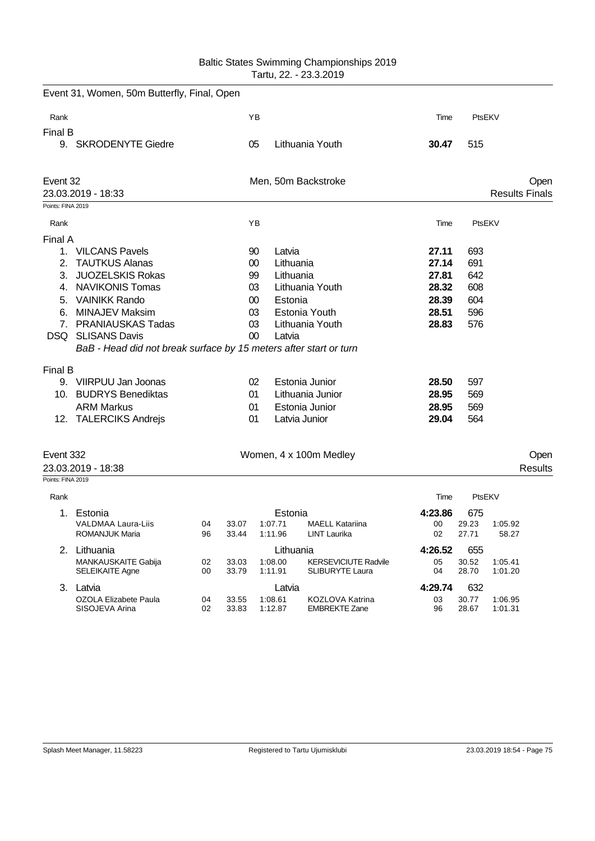## Baltic States Swimming Championships 2019 Tartu, 22. - 23.3.2019

|                                                        | Event 31, Women, 50m Butterfly, Final, Open                                                                                                                                                                                                                                                                                                            |          |                |                                                                              |                                                       |                                                                                                                              |                                                                                                 |                                                                           |                    |                               |
|--------------------------------------------------------|--------------------------------------------------------------------------------------------------------------------------------------------------------------------------------------------------------------------------------------------------------------------------------------------------------------------------------------------------------|----------|----------------|------------------------------------------------------------------------------|-------------------------------------------------------|------------------------------------------------------------------------------------------------------------------------------|-------------------------------------------------------------------------------------------------|---------------------------------------------------------------------------|--------------------|-------------------------------|
| Rank                                                   |                                                                                                                                                                                                                                                                                                                                                        |          |                | ΥB                                                                           |                                                       |                                                                                                                              | Time                                                                                            | PtsEKV                                                                    |                    |                               |
| Final B                                                |                                                                                                                                                                                                                                                                                                                                                        |          |                |                                                                              |                                                       |                                                                                                                              |                                                                                                 |                                                                           |                    |                               |
| 9. SKRODENYTE Giedre<br>Event 32<br>23.03.2019 - 18:33 |                                                                                                                                                                                                                                                                                                                                                        |          |                | 05                                                                           |                                                       | Lithuania Youth                                                                                                              | 30.47                                                                                           | 515                                                                       |                    |                               |
|                                                        |                                                                                                                                                                                                                                                                                                                                                        |          |                |                                                                              |                                                       | Men, 50m Backstroke                                                                                                          |                                                                                                 |                                                                           |                    | Open<br><b>Results Finals</b> |
| Points: FINA 2019                                      |                                                                                                                                                                                                                                                                                                                                                        |          |                |                                                                              |                                                       |                                                                                                                              |                                                                                                 |                                                                           |                    |                               |
| Rank                                                   |                                                                                                                                                                                                                                                                                                                                                        |          |                | YB                                                                           |                                                       |                                                                                                                              | Time                                                                                            | PtsEKV                                                                    |                    |                               |
|                                                        |                                                                                                                                                                                                                                                                                                                                                        |          |                |                                                                              |                                                       |                                                                                                                              |                                                                                                 |                                                                           |                    |                               |
| Final A<br>2.<br>6.<br>Final B                         | 1. VILCANS Pavels<br><b>TAUTKUS Alanas</b><br>3. JUOZELSKIS Rokas<br>4. NAVIKONIS Tomas<br>5. VAINIKK Rando<br>MINAJEV Maksim<br>7. PRANIAUSKAS Tadas<br><b>DSQ</b> SLISANS Davis<br>BaB - Head did not break surface by 15 meters after start or turn<br>9. VIIRPUU Jan Joonas<br>10. BUDRYS Benediktas<br><b>ARM Markus</b><br>12. TALERCIKS Andrejs |          |                | 90<br>$00\,$<br>99<br>03<br>00<br>03<br>03<br>$00\,$<br>02<br>01<br>01<br>01 | Latvia<br>Lithuania<br>Lithuania<br>Estonia<br>Latvia | Lithuania Youth<br>Estonia Youth<br>Lithuania Youth<br>Estonia Junior<br>Lithuania Junior<br>Estonia Junior<br>Latvia Junior | 27.11<br>27.14<br>27.81<br>28.32<br>28.39<br>28.51<br>28.83<br>28.50<br>28.95<br>28.95<br>29.04 | 693<br>691<br>642<br>608<br>604<br>596<br>576<br>597<br>569<br>569<br>564 |                    |                               |
| Event 332<br>23.03.2019 - 18:38                        |                                                                                                                                                                                                                                                                                                                                                        |          |                |                                                                              |                                                       | Women, 4 x 100m Medley                                                                                                       |                                                                                                 |                                                                           |                    | Open<br>Results               |
| Points: FINA 2019                                      |                                                                                                                                                                                                                                                                                                                                                        |          |                |                                                                              |                                                       |                                                                                                                              |                                                                                                 |                                                                           |                    |                               |
| Rank                                                   |                                                                                                                                                                                                                                                                                                                                                        |          |                |                                                                              |                                                       |                                                                                                                              | Time                                                                                            | PtsEKV                                                                    |                    |                               |
| 1.                                                     | Estonia                                                                                                                                                                                                                                                                                                                                                |          |                | Estonia                                                                      |                                                       | 4:23.86                                                                                                                      | 675                                                                                             |                                                                           |                    |                               |
|                                                        | VALDMAA Laura-Liis<br><b>ROMANJUK Maria</b>                                                                                                                                                                                                                                                                                                            | 04<br>96 | 33.07<br>33.44 |                                                                              | 1:07.71<br>1:11.96                                    | <b>MAELL Katariina</b><br>LINT Laurika                                                                                       | 00<br>02                                                                                        | 29.23<br>27.71                                                            | 1:05.92<br>58.27   |                               |
|                                                        | 2. Lithuania                                                                                                                                                                                                                                                                                                                                           |          |                |                                                                              | Lithuania                                             |                                                                                                                              | 4:26.52                                                                                         | 655                                                                       |                    |                               |
|                                                        | MANKAUSKAITE Gabija<br><b>SELEIKAITE Agne</b>                                                                                                                                                                                                                                                                                                          | 02<br>00 | 33.03<br>33.79 |                                                                              | 1:08.00<br>1:11.91                                    | <b>KERSEVICIUTE Radvile</b><br><b>SLIBURYTE Laura</b>                                                                        | 05<br>04                                                                                        | 30.52<br>28.70                                                            | 1:05.41<br>1:01.20 |                               |
|                                                        | 3. Latvia                                                                                                                                                                                                                                                                                                                                              |          |                |                                                                              | Latvia                                                |                                                                                                                              | 4:29.74                                                                                         | 632                                                                       |                    |                               |
|                                                        | OZOLA Elizabete Paula                                                                                                                                                                                                                                                                                                                                  | 04       | 33.55          |                                                                              | 1:08.61                                               | KOZLOVA Katrina                                                                                                              | 03                                                                                              | 30.77                                                                     | 1:06.95            |                               |

SISOJEVA Arina 02 33.83 1:12.87 EMBREKTE Zane 96 28.67 1:01.31